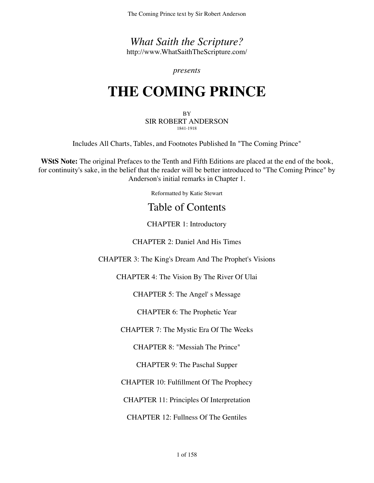The Coming Prince text by Sir Robert Anderson

*What Saith the Scripture?* http://www.WhatSaithTheScripture.com/

*presents*

# **THE COMING PRINCE**

BY SIR ROBERT ANDERSON 1841-1918

Includes All Charts, Tables, and Footnotes Published In "The Coming Prince"

**WStS Note:** The original Prefaces to the Tenth and Fifth Editions are placed at the end of the book, for continuity's sake, in the belief that the reader will be better introduced to "The Coming Prince" by Anderson's initial remarks in Chapter 1.

Reformatted by Katie Stewart

## Table of Contents

#### CHAPTER 1: Introductory

CHAPTER 2: Daniel And His Times

CHAPTER 3: The King's Dream And The Prophet's Visions

CHAPTER 4: The Vision By The River Of Ulai

CHAPTER 5: The Angel' s Message

CHAPTER 6: The Prophetic Year

CHAPTER 7: The Mystic Era Of The Weeks

CHAPTER 8: "Messiah The Prince"

CHAPTER 9: The Paschal Supper

CHAPTER 10: Fulfillment Of The Prophecy

CHAPTER 11: Principles Of Interpretation

CHAPTER 12: Fullness Of The Gentiles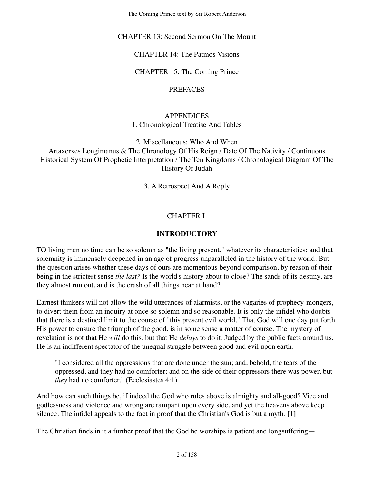The Coming Prince text by Sir Robert Anderson

CHAPTER 13: Second Sermon On The Mount

CHAPTER 14: The Patmos Visions

CHAPTER 15: The Coming Prince

#### PREFACES

#### **APPENDICES** 1. Chronological Treatise And Tables

2. Miscellaneous: Who And When

Artaxerxes Longimanus & The Chronology Of His Reign / Date Of The Nativity / Continuous Historical System Of Prophetic Interpretation / The Ten Kingdoms / Chronological Diagram Of The History Of Judah

3. A Retrospect And A Reply

.

#### CHAPTER I.

#### **INTRODUCTORY**

TO living men no time can be so solemn as "the living present," whatever its characteristics; and that solemnity is immensely deepened in an age of progress unparalleled in the history of the world. But the question arises whether these days of ours are momentous beyond comparison, by reason of their being in the strictest sense *the last?* Is the world's history about to close? The sands of its destiny, are they almost run out, and is the crash of all things near at hand?

Earnest thinkers will not allow the wild utterances of alarmists, or the vagaries of prophecy-mongers, to divert them from an inquiry at once so solemn and so reasonable. It is only the infidel who doubts that there is a destined limit to the course of "this present evil world." That God will one day put forth His power to ensure the triumph of the good, is in some sense a matter of course. The mystery of revelation is not that He *will* do this, but that He *delays* to do it. Judged by the public facts around us, He is an indifferent spectator of the unequal struggle between good and evil upon earth.

"I considered all the oppressions that are done under the sun; and, behold, the tears of the oppressed, and they had no comforter; and on the side of their oppressors there was power, but *they* had no comforter." (Ecclesiastes 4:1)

And how can such things be, if indeed the God who rules above is almighty and all-good? Vice and godlessness and violence and wrong are rampant upon every side, and yet the heavens above keep silence. The infidel appeals to the fact in proof that the Christian's God is but a myth. **[1]**

The Christian finds in it a further proof that the God he worships is patient and longsuffering—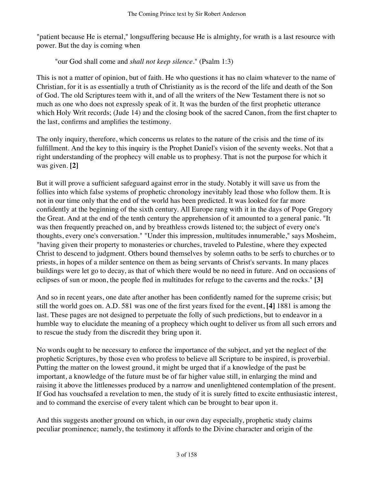"patient because He is eternal," longsuffering because He is almighty, for wrath is a last resource with power. But the day is coming when

"our God shall come and *shall not keep silence*." (Psalm 1:3)

This is not a matter of opinion, but of faith. He who questions it has no claim whatever to the name of Christian, for it is as essentially a truth of Christianity as is the record of the life and death of the Son of God. The old Scriptures teem with it, and of all the writers of the New Testament there is not so much as one who does not expressly speak of it. It was the burden of the first prophetic utterance which Holy Writ records; (Jude 14) and the closing book of the sacred Canon, from the first chapter to the last, confirms and amplifies the testimony.

The only inquiry, therefore, which concerns us relates to the nature of the crisis and the time of its fulfillment. And the key to this inquiry is the Prophet Daniel's vision of the seventy weeks. Not that a right understanding of the prophecy will enable us to prophesy. That is not the purpose for which it was given. **[2]**

But it will prove a sufficient safeguard against error in the study. Notably it will save us from the follies into which false systems of prophetic chronology inevitably lead those who follow them. It is not in our time only that the end of the world has been predicted. It was looked for far more confidently at the beginning of the sixth century. All Europe rang with it in the days of Pope Gregory the Great. And at the end of the tenth century the apprehension of it amounted to a general panic. "It was then frequently preached on, and by breathless crowds listened to; the subject of every one's thoughts, every one's conversation." "Under this impression, multitudes innumerable," says Mosheim, "having given their property to monasteries or churches, traveled to Palestine, where they expected Christ to descend to judgment. Others bound themselves by solemn oaths to be serfs to churches or to priests, in hopes of a milder sentence on them as being servants of Christ's servants. In many places buildings were let go to decay, as that of which there would be no need in future. And on occasions of eclipses of sun or moon, the people fled in multitudes for refuge to the caverns and the rocks." **[3]**

And so in recent years, one date after another has been confidently named for the supreme crisis; but still the world goes on. A.D. 581 was one of the first years fixed for the event, **[4]** 1881 is among the last. These pages are not designed to perpetuate the folly of such predictions, but to endeavor in a humble way to elucidate the meaning of a prophecy which ought to deliver us from all such errors and to rescue the study from the discredit they bring upon it.

No words ought to be necessary to enforce the importance of the subject, and yet the neglect of the prophetic Scriptures, by those even who profess to believe all Scripture to be inspired, is proverbial. Putting the matter on the lowest ground, it might be urged that if a knowledge of the past be important, a knowledge of the future must be of far higher value still, in enlarging the mind and raising it above the littlenesses produced by a narrow and unenlightened contemplation of the present. If God has vouchsafed a revelation to men, the study of it is surely fitted to excite enthusiastic interest, and to command the exercise of every talent which can be brought to bear upon it.

And this suggests another ground on which, in our own day especially, prophetic study claims peculiar prominence; namely, the testimony it affords to the Divine character and origin of the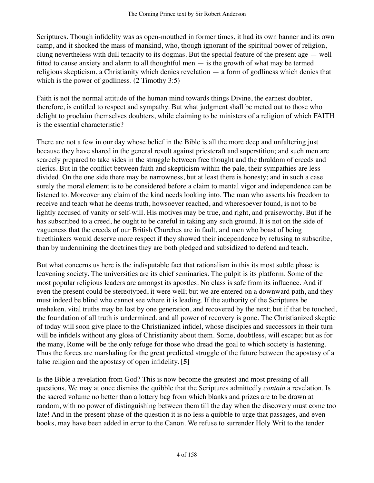Scriptures. Though infidelity was as open-mouthed in former times, it had its own banner and its own camp, and it shocked the mass of mankind, who, though ignorant of the spiritual power of religion, clung nevertheless with dull tenacity to its dogmas. But the special feature of the present age  $-$  well fitted to cause anxiety and alarm to all thoughtful men  $-$  is the growth of what may be termed religious skepticism, a Christianity which denies revelation — a form of godliness which denies that which is the power of godliness. (2 Timothy 3:5)

Faith is not the normal attitude of the human mind towards things Divine, the earnest doubter, therefore, is entitled to respect and sympathy. But what judgment shall be meted out to those who delight to proclaim themselves doubters, while claiming to be ministers of a religion of which FAITH is the essential characteristic?

There are not a few in our day whose belief in the Bible is all the more deep and unfaltering just because they have shared in the general revolt against priestcraft and superstition; and such men are scarcely prepared to take sides in the struggle between free thought and the thraldom of creeds and clerics. But in the conflict between faith and skepticism within the pale, their sympathies are less divided. On the one side there may be narrowness, but at least there is honesty; and in such a case surely the moral element is to be considered before a claim to mental vigor and independence can be listened to. Moreover any claim of the kind needs looking into. The man who asserts his freedom to receive and teach what he deems truth, howsoever reached, and wheresoever found, is not to be lightly accused of vanity or self-will. His motives may be true, and right, and praiseworthy. But if he has subscribed to a creed, he ought to be careful in taking any such ground. It is not on the side of vagueness that the creeds of our British Churches are in fault, and men who boast of being freethinkers would deserve more respect if they showed their independence by refusing to subscribe, than by undermining the doctrines they are both pledged and subsidized to defend and teach.

But what concerns us here is the indisputable fact that rationalism in this its most subtle phase is leavening society. The universities are its chief seminaries. The pulpit is its platform. Some of the most popular religious leaders are amongst its apostles. No class is safe from its influence. And if even the present could be stereotyped, it were well; but we are entered on a downward path, and they must indeed be blind who cannot see where it is leading. If the authority of the Scriptures be unshaken, vital truths may be lost by one generation, and recovered by the next; but if that be touched, the foundation of all truth is undermined, and all power of recovery is gone. The Christianized skeptic of today will soon give place to the Christianized infidel, whose disciples and successors in their turn will be infidels without any gloss of Christianity about them. Some, doubtless, will escape; but as for the many, Rome will be the only refuge for those who dread the goal to which society is hastening. Thus the forces are marshaling for the great predicted struggle of the future between the apostasy of a false religion and the apostasy of open infidelity. **[5]**

Is the Bible a revelation from God? This is now become the greatest and most pressing of all questions. We may at once dismiss the quibble that the Scriptures admittedly *contain* a revelation. Is the sacred volume no better than a lottery bag from which blanks and prizes are to be drawn at random, with no power of distinguishing between them till the day when the discovery must come too late! And in the present phase of the question it is no less a quibble to urge that passages, and even books, may have been added in error to the Canon. We refuse to surrender Holy Writ to the tender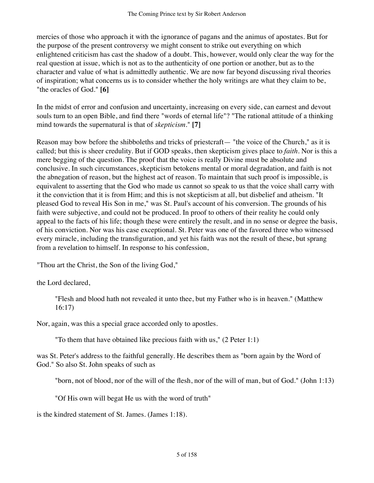mercies of those who approach it with the ignorance of pagans and the animus of apostates. But for the purpose of the present controversy we might consent to strike out everything on which enlightened criticism has cast the shadow of a doubt. This, however, would only clear the way for the real question at issue, which is not as to the authenticity of one portion or another, but as to the character and value of what is admittedly authentic. We are now far beyond discussing rival theories of inspiration; what concerns us is to consider whether the holy writings are what they claim to be, "the oracles of God." **[6]**

In the midst of error and confusion and uncertainty, increasing on every side, can earnest and devout souls turn to an open Bible, and find there "words of eternal life"? "The rational attitude of a thinking mind towards the supernatural is that of *skepticism*." **[7]**

Reason may bow before the shibboleths and tricks of priestcraft— "the voice of the Church," as it is called; but this is sheer credulity. But if GOD speaks, then skepticism gives place to *faith*. Nor is this a mere begging of the question. The proof that the voice is really Divine must be absolute and conclusive. In such circumstances, skepticism betokens mental or moral degradation, and faith is not the abnegation of reason, but the highest act of reason. To maintain that such proof is impossible, is equivalent to asserting that the God who made us cannot so speak to us that the voice shall carry with it the conviction that it is from Him; and this is not skepticism at all, but disbelief and atheism. "It pleased God to reveal His Son in me," was St. Paul's account of his conversion. The grounds of his faith were subjective, and could not be produced. In proof to others of their reality he could only appeal to the facts of his life; though these were entirely the result, and in no sense or degree the basis, of his conviction. Nor was his case exceptional. St. Peter was one of the favored three who witnessed every miracle, including the transfiguration, and yet his faith was not the result of these, but sprang from a revelation to himself. In response to his confession,

"Thou art the Christ, the Son of the living God,"

the Lord declared,

"Flesh and blood hath not revealed it unto thee, but my Father who is in heaven." (Matthew 16:17)

Nor, again, was this a special grace accorded only to apostles.

"To them that have obtained like precious faith with us," (2 Peter 1:1)

was St. Peter's address to the faithful generally. He describes them as "born again by the Word of God." So also St. John speaks of such as

"born, not of blood, nor of the will of the flesh, nor of the will of man, but of God." (John 1:13)

"Of His own will begat He us with the word of truth"

is the kindred statement of St. James. (James 1:18).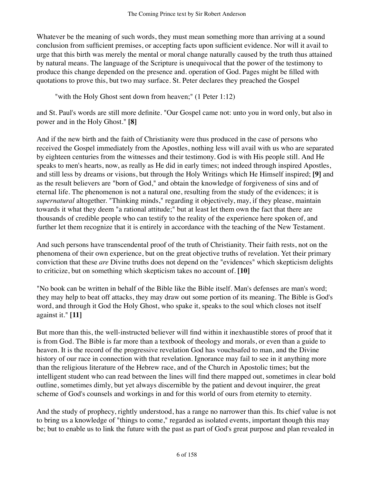Whatever be the meaning of such words, they must mean something more than arriving at a sound conclusion from sufficient premises, or accepting facts upon sufficient evidence. Nor will it avail to urge that this birth was merely the mental or moral change naturally caused by the truth thus attained by natural means. The language of the Scripture is unequivocal that the power of the testimony to produce this change depended on the presence and. operation of God. Pages might be filled with quotations to prove this, but two may surface. St. Peter declares they preached the Gospel

"with the Holy Ghost sent down from heaven;" (1 Peter 1:12)

and St. Paul's words are still more definite. "Our Gospel came not: unto you in word only, but also in power and in the Holy Ghost." **[8]**

And if the new birth and the faith of Christianity were thus produced in the case of persons who received the Gospel immediately from the Apostles, nothing less will avail with us who are separated by eighteen centuries from the witnesses and their testimony. God is with His people still. And He speaks to men's hearts, now, as really as He did in early times; not indeed through inspired Apostles, and still less by dreams or visions, but through the Holy Writings which He Himself inspired; **[9]** and as the result believers are "born of God," and obtain the knowledge of forgiveness of sins and of eternal life. The phenomenon is not a natural one, resulting from the study of the evidences; it is *supernatural* altogether. "Thinking minds," regarding it objectively, may, if they please, maintain towards it what they deem "a rational attitude;" but at least let them own the fact that there are thousands of credible people who can testify to the reality of the experience here spoken of, and further let them recognize that it is entirely in accordance with the teaching of the New Testament.

And such persons have transcendental proof of the truth of Christianity. Their faith rests, not on the phenomena of their own experience, but on the great objective truths of revelation. Yet their primary conviction that these *are* Divine truths does not depend on the "evidences" which skepticism delights to criticize, but on something which skepticism takes no account of. **[10]**

"No book can be written in behalf of the Bible like the Bible itself. Man's defenses are man's word; they may help to beat off attacks, they may draw out some portion of its meaning. The Bible is God's word, and through it God the Holy Ghost, who spake it, speaks to the soul which closes not itself against it." **[11]**

But more than this, the well-instructed believer will find within it inexhaustible stores of proof that it is from God. The Bible is far more than a textbook of theology and morals, or even than a guide to heaven. It is the record of the progressive revelation God has vouchsafed to man, and the Divine history of our race in connection with that revelation. Ignorance may fail to see in it anything more than the religious literature of the Hebrew race, and of the Church in Apostolic times; but the intelligent student who can read between the lines will find there mapped out, sometimes in clear bold outline, sometimes dimly, but yet always discernible by the patient and devout inquirer, the great scheme of God's counsels and workings in and for this world of ours from eternity to eternity.

And the study of prophecy, rightly understood, has a range no narrower than this. Its chief value is not to bring us a knowledge of "things to come," regarded as isolated events, important though this may be; but to enable us to link the future with the past as part of God's great purpose and plan revealed in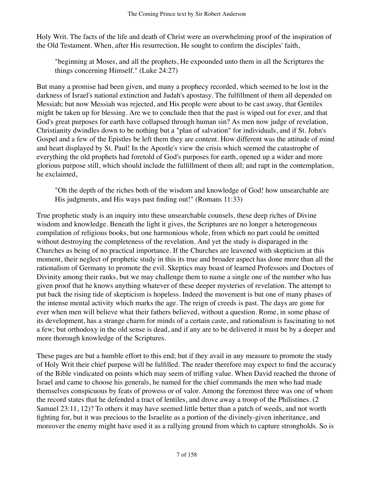Holy Writ. The facts of the life and death of Christ were an overwhelming proof of the inspiration of the Old Testament. When, after His resurrection, He sought to confirm the disciples' faith,

"beginning at Moses, and all the prophets, He expounded unto them in all the Scriptures the things concerning Himself." (Luke 24:27)

But many a promise had been given, and many a prophecy recorded, which seemed to be lost in the darkness of Israel's national extinction and Judah's apostasy. The fulfillment of them all depended on Messiah; but now Messiah was rejected, and His people were about to be cast away, that Gentiles might be taken up for blessing. Are we to conclude then that the past is wiped out for ever, and that God's great purposes for earth have collapsed through human sin? As men now judge of revelation, Christianity dwindles down to be nothing but a "plan of salvation" for individuals, and if St. John's Gospel and a few of the Epistles be left them they are content. How different was the attitude of mind and heart displayed by St. Paul! In the Apostle's view the crisis which seemed the catastrophe of everything the old prophets had foretold of God's purposes for earth, opened up a wider and more glorious purpose still, which should include the fulfillment of them all; and rapt in the contemplation, he exclaimed,

"Oh the depth of the riches both of the wisdom and knowledge of God! how unsearchable are His judgments, and His ways past finding out!" (Romans 11:33)

True prophetic study is an inquiry into these unsearchable counsels, these deep riches of Divine wisdom and knowledge. Beneath the light it gives, the Scriptures are no longer a heterogeneous compilation of religious books, but one harmonious whole, from which no part could be omitted without destroying the completeness of the revelation. And yet the study is disparaged in the Churches as being of no practical importance. If the Churches are leavened with skepticism at this moment, their neglect of prophetic study in this its true and broader aspect has done more than all the rationalism of Germany to promote the evil. Skeptics may boast of learned Professors and Doctors of Divinity among their ranks, but we may challenge them to name a single one of the number who has given proof that he knows anything whatever of these deeper mysteries of revelation. The attempt to put back the rising tide of skepticism is hopeless. Indeed the movement is but one of many phases of the intense mental activity which marks the age. The reign of creeds is past. The days are gone for ever when men will believe what their fathers believed, without a question. Rome, in some phase of its development, has a strange charm for minds of a certain caste, and rationalism is fascinating to not a few; but orthodoxy in the old sense is dead, and if any are to be delivered it must be by a deeper and more thorough knowledge of the Scriptures.

These pages are but a humble effort to this end; but if they avail in any measure to promote the study of Holy Writ their chief purpose will be fulfilled. The reader therefore may expect to find the accuracy of the Bible vindicated on points which may seem of trifling value. When David reached the throne of Israel and came to choose his generals, he named for the chief commands the men who had made themselves conspicuous by feats of prowess or of valor. Among the foremost three was one of whom the record states that he defended a tract of lentiles, and drove away a troop of the Philistines. (2 Samuel 23:11, 12)? To others it may have seemed little better than a patch of weeds, and not worth fighting for, but it was precious to the Israelite as a portion of the divinely-given inheritance, and moreover the enemy might have used it as a rallying ground from which to capture strongholds. So is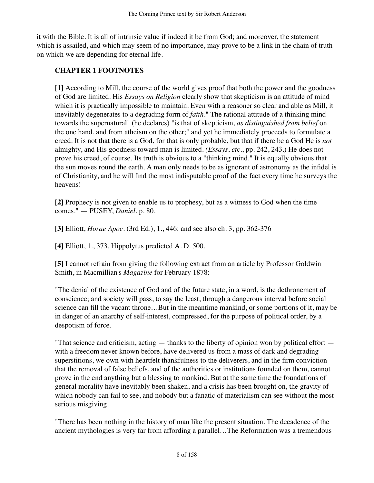it with the Bible. It is all of intrinsic value if indeed it be from God; and moreover, the statement which is assailed, and which may seem of no importance, may prove to be a link in the chain of truth on which we are depending for eternal life.

#### **CHAPTER 1 FOOTNOTES**

**[1]** According to Mill, the course of the world gives proof that both the power and the goodness of God are limited. His *Essays on Religion* clearly show that skepticism is an attitude of mind which it is practically impossible to maintain. Even with a reasoner so clear and able as Mill, it inevitably degenerates to a degrading form of *faith*." The rational attitude of a thinking mind towards the supernatural" (he declares) "is that of skepticism, *as distinguished from belief* on the one hand, and from atheism on the other;" and yet he immediately proceeds to formulate a creed. It is not that there is a God, for that is only probable, but that if there be a God He is *not* almighty, and His goodness toward man is limited. *(Essays*, *et*c., pp. 242, 243.) He does not prove his creed, of course. Its truth is obvious to a "thinking mind." It is equally obvious that the sun moves round the earth. A man only needs to be as ignorant of astronomy as the infidel is of Christianity, and he will find the most indisputable proof of the fact every time he surveys the heavens!

**[2]** Prophecy is not given to enable us to prophesy, but as a witness to God when the time comes." — PUSEY, *Daniel*, p. 80.

**[3]** Elliott, *Horae Apoc*. (3rd Ed.), 1., 446: and see also ch. 3, pp. 362-376

**[4]** Elliott, 1., 373. Hippolytus predicted A. D. 500.

**[5]** I cannot refrain from giving the following extract from an article by Professor Goldwin Smith, in Macmillian's *Magazine* for February 1878:

"The denial of the existence of God and of the future state, in a word, is the dethronement of conscience; and society will pass, to say the least, through a dangerous interval before social science can fill the vacant throne…But in the meantime mankind, or some portions of it, may be in danger of an anarchy of self-interest, compressed, for the purpose of political order, by a despotism of force.

"That science and criticism, acting — thanks to the liberty of opinion won by political effort with a freedom never known before, have delivered us from a mass of dark and degrading superstitions, we own with heartfelt thankfulness to the deliverers, and in the firm conviction that the removal of false beliefs, and of the authorities or institutions founded on them, cannot prove in the end anything but a blessing to mankind. But at the same time the foundations of general morality have inevitably been shaken, and a crisis has been brought on, the gravity of which nobody can fail to see, and nobody but a fanatic of materialism can see without the most serious misgiving.

"There has been nothing in the history of man like the present situation. The decadence of the ancient mythologies is very far from affording a parallel…The Reformation was a tremendous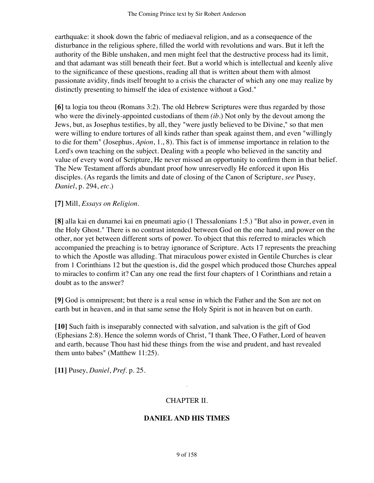earthquake: it shook down the fabric of mediaeval religion, and as a consequence of the disturbance in the religious sphere, filled the world with revolutions and wars. But it left the authority of the Bible unshaken, and men might feel that the destructive process had its limit, and that adamant was still beneath their feet. But a world which is intellectual and keenly alive to the significance of these questions, reading all that is written about them with almost passionate avidity, finds itself brought to a crisis the character of which any one may realize by distinctly presenting to himself the idea of existence without a God."

**[6]** ta logia tou theou (Romans 3:2). The old Hebrew Scriptures were thus regarded by those who were the divinely-appointed custodians of them *(ib*.) Not only by the devout among the Jews, but, as Josephus testifies, by all, they "were justly believed to be Divine," so that men were willing to endure tortures of all kinds rather than speak against them, and even "willingly to die for them" (Josephus, *Apion*, 1., 8). This fact is of immense importance in relation to the Lord's own teaching on the subject. Dealing with a people who believed in the sanctity and value of every word of Scripture, He never missed an opportunity to confirm them in that belief. The New Testament affords abundant proof how unreservedly He enforced it upon His disciples. (As regards the limits and date of closing of the Canon of Scripture, *see* Pusey, *Daniel*, p. 294, *etc*.)

**[7]** Mill, *Essays on Religion*.

**[8]** alla kai en dunamei kai en pneumati agio (1 Thessalonians 1:5.) "But also in power, even in the Holy Ghost." There is no contrast intended between God on the one hand, and power on the other, nor yet between different sorts of power. To object that this referred to miracles which accompanied the preaching is to betray ignorance of Scripture. Acts 17 represents the preaching to which the Apostle was alluding. That miraculous power existed in Gentile Churches is clear from 1 Corinthians 12 but the question is, did the gospel which produced those Churches appeal to miracles to confirm it? Can any one read the first four chapters of 1 Corinthians and retain a doubt as to the answer?

**[9]** God is omnipresent; but there is a real sense in which the Father and the Son are not on earth but in heaven, and in that same sense the Holy Spirit is not in heaven but on earth.

**[10]** Such faith is inseparably connected with salvation, and salvation is the gift of God (Ephesians 2:8). Hence the solemn words of Christ, "I thank Thee, O Father, Lord of heaven and earth, because Thou hast hid these things from the wise and prudent, and hast revealed them unto babes" (Matthew 11:25).

**[11]** Pusey, *Daniel*, *Pref*. p. 25.

#### CHAPTER II.

.

#### **DANIEL AND HIS TIMES**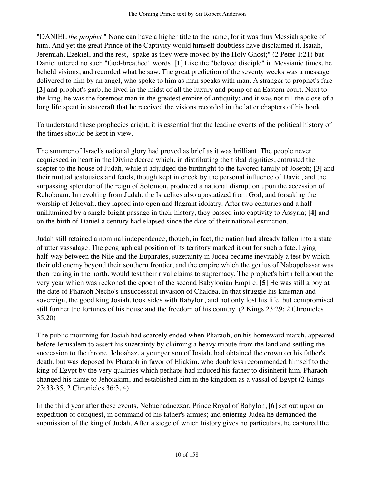"DANIEL *the prophet*." None can have a higher title to the name, for it was thus Messiah spoke of him. And yet the great Prince of the Captivity would himself doubtless have disclaimed it. Isaiah, Jeremiah, Ezekiel, and the rest, "spake as they were moved by the Holy Ghost;" (2 Peter 1:21) but Daniel uttered no such "God-breathed" words. **[1]** Like the "beloved disciple" in Messianic times, he beheld visions, and recorded what he saw. The great prediction of the seventy weeks was a message delivered to him by an angel, who spoke to him as man speaks with man. A stranger to prophet's fare **[2]** and prophet's garb, he lived in the midst of all the luxury and pomp of an Eastern court. Next to the king, he was the foremost man in the greatest empire of antiquity; and it was not till the close of a long life spent in statecraft that he received the visions recorded in the latter chapters of his book.

To understand these prophecies aright, it is essential that the leading events of the political history of the times should be kept in view.

The summer of Israel's national glory had proved as brief as it was brilliant. The people never acquiesced in heart in the Divine decree which, in distributing the tribal dignities, entrusted the scepter to the house of Judah, while it adjudged the birthright to the favored family of Joseph; **[3]** and their mutual jealousies and feuds, though kept in check by the personal influence of David, and the surpassing splendor of the reign of Solomon, produced a national disruption upon the accession of Rehoboam. In revolting from Judah, the Israelites also apostatized from God; and forsaking the worship of Jehovah, they lapsed into open and flagrant idolatry. After two centuries and a half unillumined by a single bright passage in their history, they passed into captivity to Assyria; **[4]** and on the birth of Daniel a century had elapsed since the date of their national extinction.

Judah still retained a nominal independence, though, in fact, the nation had already fallen into a state of utter vassalage. The geographical position of its territory marked it out for such a fate. Lying half-way between the Nile and the Euphrates, suzerainty in Judea became inevitably a test by which their old enemy beyond their southern frontier, and the empire which the genius of Nabopolassar was then rearing in the north, would test their rival claims to supremacy. The prophet's birth fell about the very year which was reckoned the epoch of the second Babylonian Empire. **[5]** He was still a boy at the date of Pharaoh Necho's unsuccessful invasion of Chaldea. In that struggle his kinsman and sovereign, the good king Josiah, took sides with Babylon, and not only lost his life, but compromised still further the fortunes of his house and the freedom of his country. (2 Kings 23:29; 2 Chronicles 35:20)

The public mourning for Josiah had scarcely ended when Pharaoh, on his homeward march, appeared before Jerusalem to assert his suzerainty by claiming a heavy tribute from the land and settling the succession to the throne. Jehoahaz, a younger son of Josiah, had obtained the crown on his father's death, but was deposed by Pharaoh in favor of Eliakim, who doubtless recommended himself to the king of Egypt by the very qualities which perhaps had induced his father to disinherit him. Pharaoh changed his name to Jehoiakim, and established him in the kingdom as a vassal of Egypt (2 Kings 23:33-35; 2 Chronicles 36:3, 4).

In the third year after these events, Nebuchadnezzar, Prince Royal of Babylon, **[6]** set out upon an expedition of conquest, in command of his father's armies; and entering Judea he demanded the submission of the king of Judah. After a siege of which history gives no particulars, he captured the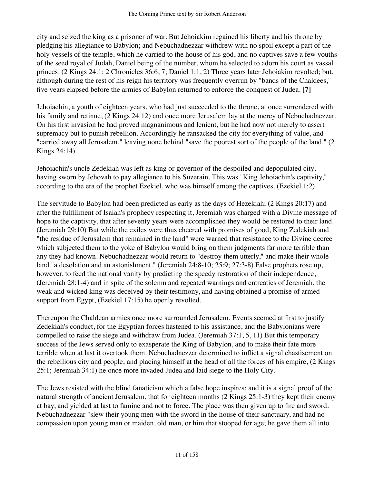city and seized the king as a prisoner of war. But Jehoiakim regained his liberty and his throne by pledging his allegiance to Babylon; and Nebuchadnezzar withdrew with no spoil except a part of the holy vessels of the temple, which he carried to the house of his god, and no captives save a few youths of the seed royal of Judah, Daniel being of the number, whom he selected to adorn his court as vassal princes. (2 Kings 24:1; 2 Chronicles 36:6, 7; Daniel 1:1, 2) Three years later Jehoiakim revolted; but, although during the rest of his reign his territory was frequently overrun by "bands of the Chaldees," five years elapsed before the armies of Babylon returned to enforce the conquest of Judea. **[7]**

Jehoiachin, a youth of eighteen years, who had just succeeded to the throne, at once surrendered with his family and retinue,  $(2$  Kings  $24:12$ ) and once more Jerusalem lay at the mercy of Nebuchadnezzar. On his first invasion he had proved magnanimous and lenient, but he had now not merely to assert supremacy but to punish rebellion. Accordingly he ransacked the city for everything of value, and "carried away all Jerusalem," leaving none behind "save the poorest sort of the people of the land." (2 Kings 24:14)

Jehoiachin's uncle Zedekiah was left as king or governor of the despoiled and depopulated city, having sworn by Jehovah to pay allegiance to his Suzerain. This was "King Jehoiachin's captivity," according to the era of the prophet Ezekiel, who was himself among the captives. (Ezekiel 1:2)

The servitude to Babylon had been predicted as early as the days of Hezekiah; (2 Kings 20:17) and after the fulfillment of Isaiah's prophecy respecting it, Jeremiah was charged with a Divine message of hope to the captivity, that after seventy years were accomplished they would be restored to their land. (Jeremiah 29:10) But while the exiles were thus cheered with promises of good, King Zedekiah and "the residue of Jerusalem that remained in the land" were warned that resistance to the Divine decree which subjected them to the yoke of Babylon would bring on them judgments far more terrible than any they had known. Nebuchadnezzar would return to "destroy them utterly," and make their whole land "a desolation and an astonishment." (Jeremiah 24:8-10; 25:9; 27:3-8) False prophets rose up, however, to feed the national vanity by predicting the speedy restoration of their independence, (Jeremiah 28:1-4) and in spite of the solemn and repeated warnings and entreaties of Jeremiah, the weak and wicked king was deceived by their testimony, and having obtained a promise of armed support from Egypt, (Ezekiel 17:15) he openly revolted.

Thereupon the Chaldean armies once more surrounded Jerusalem. Events seemed at first to justify Zedekiah's conduct, for the Egyptian forces hastened to his assistance, and the Babylonians were compelled to raise the siege and withdraw from Judea. (Jeremiah 37:1, 5, 11) But this temporary success of the Jews served only to exasperate the King of Babylon, and to make their fate more terrible when at last it overtook them. Nebuchadnezzar determined to inflict a signal chastisement on the rebellious city and people; and placing himself at the head of all the forces of his empire, (2 Kings 25:1; Jeremiah 34:1) he once more invaded Judea and laid siege to the Holy City.

The Jews resisted with the blind fanaticism which a false hope inspires; and it is a signal proof of the natural strength of ancient Jerusalem, that for eighteen months (2 Kings 25:1-3) they kept their enemy at bay, and yielded at last to famine and not to force. The place was then given up to fire and sword. Nebuchadnezzar "slew their young men with the sword in the house of their sanctuary, and had no compassion upon young man or maiden, old man, or him that stooped for age; he gave them all into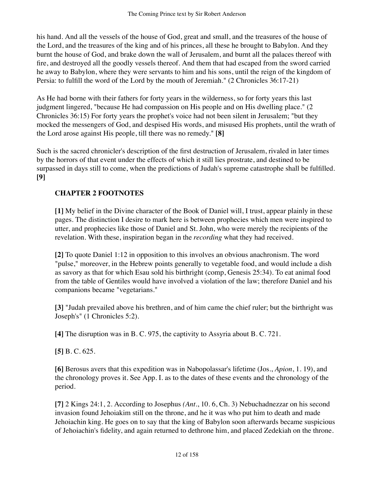his hand. And all the vessels of the house of God, great and small, and the treasures of the house of the Lord, and the treasures of the king and of his princes, all these he brought to Babylon. And they burnt the house of God, and brake down the wall of Jerusalem, and burnt all the palaces thereof with fire, and destroyed all the goodly vessels thereof. And them that had escaped from the sword carried he away to Babylon, where they were servants to him and his sons, until the reign of the kingdom of Persia: to fulfill the word of the Lord by the mouth of Jeremiah." (2 Chronicles 36:17-21)

As He had borne with their fathers for forty years in the wilderness, so for forty years this last judgment lingered, "because He had compassion on His people and on His dwelling place." (2 Chronicles 36:15) For forty years the prophet's voice had not been silent in Jerusalem; "but they mocked the messengers of God, and despised His words, and misused His prophets, until the wrath of the Lord arose against His people, till there was no remedy." **[8]**

Such is the sacred chronicler's description of the first destruction of Jerusalem, rivaled in later times by the horrors of that event under the effects of which it still lies prostrate, and destined to be surpassed in days still to come, when the predictions of Judah's supreme catastrophe shall be fulfilled. **[9]**

## **CHAPTER 2 FOOTNOTES**

**[1]** My belief in the Divine character of the Book of Daniel will, I trust, appear plainly in these pages. The distinction I desire to mark here is between prophecies which men were inspired to utter, and prophecies like those of Daniel and St. John, who were merely the recipients of the revelation. With these, inspiration began in the *recording* what they had received.

**[2]** To quote Daniel 1:12 in opposition to this involves an obvious anachronism. The word "pulse," moreover, in the Hebrew points generally to vegetable food, and would include a dish as savory as that for which Esau sold his birthright (comp, Genesis 25:34). To eat animal food from the table of Gentiles would have involved a violation of the law; therefore Daniel and his companions became "vegetarians."

**[3]** "Judah prevailed above his brethren, and of him came the chief ruler; but the birthright was Joseph's" (1 Chronicles 5:2).

**[4]** The disruption was in B. C. 975, the captivity to Assyria about B. C. 721.

**[5]** B. C. 625.

**[6]** Berosus avers that this expedition was in Nabopolassar's lifetime (Jos., *Apion*, 1. 19), and the chronology proves it. See App. I. as to the dates of these events and the chronology of the period.

**[7]** 2 Kings 24:1, 2. According to Josephus *(Ant*., 10. 6, Ch. 3) Nebuchadnezzar on his second invasion found Jehoiakim still on the throne, and he it was who put him to death and made Jehoiachin king. He goes on to say that the king of Babylon soon afterwards became suspicious of Jehoiachin's fidelity, and again returned to dethrone him, and placed Zedekiah on the throne.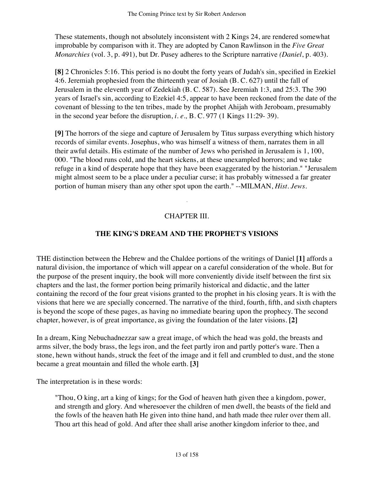These statements, though not absolutely inconsistent with 2 Kings 24, are rendered somewhat improbable by comparison with it. They are adopted by Canon Rawlinson in the *Five Great Monarchies* (vol. 3, p. 491), but Dr. Pusey adheres to the Scripture narrative *(Daniel*, p. 403).

**[8]** 2 Chronicles 5:16. This period is no doubt the forty years of Judah's sin, specified in Ezekiel 4:6. Jeremiah prophesied from the thirteenth year of Josiah (B. C. 627) until the fall of Jerusalem in the eleventh year of Zedekiah (B. C. 587). See Jeremiah 1:3, and 25:3. The 390 years of Israel's sin, according to Ezekiel 4:5, appear to have been reckoned from the date of the covenant of blessing to the ten tribes, made by the prophet Ahijah with Jeroboam, presumably in the second year before the disruption, *i. e.,* B. C. 977 (1 Kings 11:29- 39).

**[9]** The horrors of the siege and capture of Jerusalem by Titus surpass everything which history records of similar events. Josephus, who was himself a witness of them, narrates them in all their awful details. His estimate of the number of Jews who perished in Jerusalem is 1, 100, 000. "The blood runs cold, and the heart sickens, at these unexampled horrors; and we take refuge in a kind of desperate hope that they have been exaggerated by the historian." "Jerusalem might almost seem to be a place under a peculiar curse; it has probably witnessed a far greater portion of human misery than any other spot upon the earth." --MILMAN, *Hist. Jews.*

#### CHAPTER III.

.

#### **THE KING'S DREAM AND THE PROPHET'S VISIONS**

THE distinction between the Hebrew and the Chaldee portions of the writings of Daniel **[1]** affords a natural division, the importance of which will appear on a careful consideration of the whole. But for the purpose of the present inquiry, the book will more conveniently divide itself between the first six chapters and the last, the former portion being primarily historical and didactic, and the latter containing the record of the four great visions granted to the prophet in his closing years. It is with the visions that here we are specially concerned. The narrative of the third, fourth, fifth, and sixth chapters is beyond the scope of these pages, as having no immediate bearing upon the prophecy. The second chapter, however, is of great importance, as giving the foundation of the later visions. **[2]**

In a dream, King Nebuchadnezzar saw a great image, of which the head was gold, the breasts and arms silver, the body brass, the legs iron, and the feet partly iron and partly potter's ware. Then a stone, hewn without hands, struck the feet of the image and it fell and crumbled to dust, and the stone became a great mountain and filled the whole earth. **[3]**

The interpretation is in these words:

"Thou, O king, art a king of kings; for the God of heaven hath given thee a kingdom, power, and strength and glory. And wheresoever the children of men dwell, the beasts of the field and the fowls of the heaven hath He given into thine hand, and hath made thee ruler over them all. Thou art this head of gold. And after thee shall arise another kingdom inferior to thee, and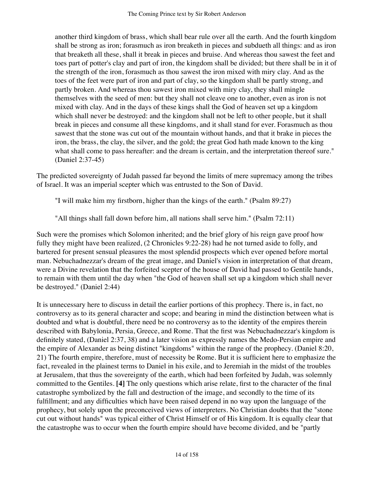another third kingdom of brass, which shall bear rule over all the earth. And the fourth kingdom shall be strong as iron; forasmuch as iron breaketh in pieces and subdueth all things: and as iron that breaketh all these, shall it break in pieces and bruise. And whereas thou sawest the feet and toes part of potter's clay and part of iron, the kingdom shall be divided; but there shall be in it of the strength of the iron, forasmuch as thou sawest the iron mixed with miry clay. And as the toes of the feet were part of iron and part of clay, so the kingdom shall be partly strong, and partly broken. And whereas thou sawest iron mixed with miry clay, they shall mingle themselves with the seed of men: but they shall not cleave one to another, even as iron is not mixed with clay. And in the days of these kings shall the God of heaven set up a kingdom which shall never be destroyed: and the kingdom shall not be left to other people, but it shall break in pieces and consume all these kingdoms, and it shall stand for ever. Forasmuch as thou sawest that the stone was cut out of the mountain without hands, and that it brake in pieces the iron, the brass, the clay, the silver, and the gold; the great God hath made known to the king what shall come to pass hereafter: and the dream is certain, and the interpretation thereof sure." (Daniel 2:37-45)

The predicted sovereignty of Judah passed far beyond the limits of mere supremacy among the tribes of Israel. It was an imperial scepter which was entrusted to the Son of David.

"I will make him my firstborn, higher than the kings of the earth." (Psalm 89:27)

"All things shall fall down before him, all nations shall serve him." (Psalm 72:11)

Such were the promises which Solomon inherited; and the brief glory of his reign gave proof how fully they might have been realized, (2 Chronicles 9:22-28) had he not turned aside to folly, and bartered for present sensual pleasures the most splendid prospects which ever opened before mortal man. Nebuchadnezzar's dream of the great image, and Daniel's vision in interpretation of that dream, were a Divine revelation that the forfeited scepter of the house of David had passed to Gentile hands, to remain with them until the day when "the God of heaven shall set up a kingdom which shall never be destroyed." (Daniel 2:44)

It is unnecessary here to discuss in detail the earlier portions of this prophecy. There is, in fact, no controversy as to its general character and scope; and bearing in mind the distinction between what is doubted and what is doubtful, there need be no controversy as to the identity of the empires therein described with Babylonia, Persia, Greece, and Rome. That the first was Nebuchadnezzar's kingdom is definitely stated, (Daniel 2:37, 38) and a later vision as expressly names the Medo-Persian empire and the empire of Alexander as being distinct "kingdoms" within the range of the prophecy. (Daniel 8:20, 21) The fourth empire, therefore, must of necessity be Rome. But it is sufficient here to emphasize the fact, revealed in the plainest terms to Daniel in his exile, and to Jeremiah in the midst of the troubles at Jerusalem, that thus the sovereignty of the earth, which had been forfeited by Judah, was solemnly committed to the Gentiles. **[4]** The only questions which arise relate, first to the character of the final catastrophe symbolized by the fall and destruction of the image, and secondly to the time of its fulfillment; and any difficulties which have been raised depend in no way upon the language of the prophecy, but solely upon the preconceived views of interpreters. No Christian doubts that the "stone cut out without hands" was typical either of Christ Himself or of His kingdom. It is equally clear that the catastrophe was to occur when the fourth empire should have become divided, and be "partly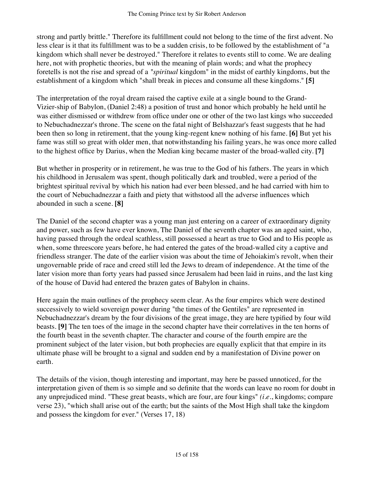strong and partly brittle." Therefore its fulfillment could not belong to the time of the first advent. No less clear is it that its fulfillment was to be a sudden crisis, to be followed by the establishment of "a kingdom which shall never be destroyed." Therefore it relates to events still to come. We are dealing here, not with prophetic theories, but with the meaning of plain words; and what the prophecy foretells is not the rise and spread of a *"spiritual* kingdom" in the midst of earthly kingdoms, but the establishment of a kingdom which "shall break in pieces and consume all these kingdoms." **[5]**

The interpretation of the royal dream raised the captive exile at a single bound to the Grand-Vizier-ship of Babylon, (Daniel 2:48) a position of trust and honor which probably he held until he was either dismissed or withdrew from office under one or other of the two last kings who succeeded to Nebuchadnezzar's throne. The scene on the fatal night of Belshazzar's feast suggests that he had been then so long in retirement, that the young king-regent knew nothing of his fame. **[6]** But yet his fame was still so great with older men, that notwithstanding his failing years, he was once more called to the highest office by Darius, when the Median king became master of the broad-walled city. **[7]**

But whether in prosperity or in retirement, he was true to the God of his fathers. The years in which his childhood in Jerusalem was spent, though politically dark and troubled, were a period of the brightest spiritual revival by which his nation had ever been blessed, and he had carried with him to the court of Nebuchadnezzar a faith and piety that withstood all the adverse influences which abounded in such a scene. **[8]**

The Daniel of the second chapter was a young man just entering on a career of extraordinary dignity and power, such as few have ever known, The Daniel of the seventh chapter was an aged saint, who, having passed through the ordeal scathless, still possessed a heart as true to God and to His people as when, some threescore years before, he had entered the gates of the broad-walled city a captive and friendless stranger. The date of the earlier vision was about the time of Jehoiakim's revolt, when their ungovernable pride of race and creed still led the Jews to dream of independence. At the time of the later vision more than forty years had passed since Jerusalem had been laid in ruins, and the last king of the house of David had entered the brazen gates of Babylon in chains.

Here again the main outlines of the prophecy seem clear. As the four empires which were destined successively to wield sovereign power during "the times of the Gentiles" are represented in Nebuchadnezzar's dream by the four divisions of the great image, they are here typified by four wild beasts. **[9]** The ten toes of the image in the second chapter have their correlatives in the ten horns of the fourth beast in the seventh chapter. The character and course of the fourth empire are the prominent subject of the later vision, but both prophecies are equally explicit that that empire in its ultimate phase will be brought to a signal and sudden end by a manifestation of Divine power on earth.

The details of the vision, though interesting and important, may here be passed unnoticed, for the interpretation given of them is so simple and so definite that the words can leave no room for doubt in any unprejudiced mind. "These great beasts, which are four, are four kings" *(i.e*., kingdoms; compare verse 23), "which shall arise out of the earth; but the saints of the Most High shall take the kingdom and possess the kingdom for ever." (Verses 17, 18)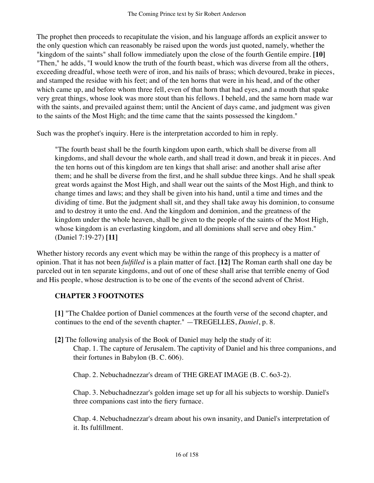The prophet then proceeds to recapitulate the vision, and his language affords an explicit answer to the only question which can reasonably be raised upon the words just quoted, namely, whether the "kingdom of the saints" shall follow immediately upon the close of the fourth Gentile empire. **[10]** "Then," he adds, "I would know the truth of the fourth beast, which was diverse from all the others, exceeding dreadful, whose teeth were of iron, and his nails of brass; which devoured, brake in pieces, and stamped the residue with his feet; and of the ten horns that were in his head, and of the other which came up, and before whom three fell, even of that horn that had eyes, and a mouth that spake very great things, whose look was more stout than his fellows. I beheld, and the same horn made war with the saints, and prevailed against them; until the Ancient of days came, and judgment was given to the saints of the Most High; and the time came that the saints possessed the kingdom."

Such was the prophet's inquiry. Here is the interpretation accorded to him in reply.

"The fourth beast shall be the fourth kingdom upon earth, which shall be diverse from all kingdoms, and shall devour the whole earth, and shall tread it down, and break it in pieces. And the ten horns out of this kingdom are ten kings that shall arise: and another shall arise after them; and he shall be diverse from the first, and he shall subdue three kings. And he shall speak great words against the Most High, and shall wear out the saints of the Most High, and think to change times and laws; and they shall be given into his hand, until a time and times and the dividing of time. But the judgment shall sit, and they shall take away his dominion, to consume and to destroy it unto the end. And the kingdom and dominion, and the greatness of the kingdom under the whole heaven, shall be given to the people of the saints of the Most High, whose kingdom is an everlasting kingdom, and all dominions shall serve and obey Him." (Daniel 7:19-27) **[11]**

Whether history records any event which may be within the range of this prophecy is a matter of opinion. That it has not been *fulfilled* is a plain matter of fact. **[12]** The Roman earth shall one day be parceled out in ten separate kingdoms, and out of one of these shall arise that terrible enemy of God and His people, whose destruction is to be one of the events of the second advent of Christ.

#### **CHAPTER 3 FOOTNOTES**

**[1]** "The Chaldee portion of Daniel commences at the fourth verse of the second chapter, and continues to the end of the seventh chapter." —TREGELLES, *Daniel*, p. 8.

**[2]** The following analysis of the Book of Daniel may help the study of it:

Chap. 1. The capture of Jerusalem. The captivity of Daniel and his three companions, and their fortunes in Babylon (B. C. 606).

Chap. 2. Nebuchadnezzar's dream of THE GREAT IMAGE (B. C. 6o3-2).

Chap. 3. Nebuchadnezzar's golden image set up for all his subjects to worship. Daniel's three companions cast into the fiery furnace.

Chap. 4. Nebuchadnezzar's dream about his own insanity, and Daniel's interpretation of it. Its fulfillment.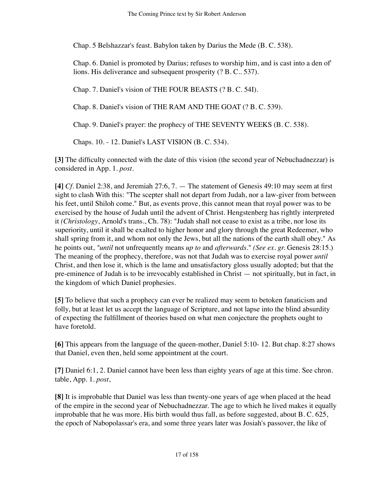Chap. 5 Belshazzar's feast. Babylon taken by Darius the Mede (B. C. 538).

Chap. 6. Daniel is promoted by Darius; refuses to worship him, and is cast into a den of' lions. His deliverance and subsequent prosperity (? B. C.. 537).

Chap. 7. Daniel's vision of THE FOUR BEASTS (? B. C. 54I).

Chap. 8. Daniel's vision of THE RAM AND THE GOAT (? B. C. 539).

Chap. 9. Daniel's prayer: the prophecy of THE SEVENTY WEEKS (B. C. 538).

Chaps. 10. - 12. Daniel's LAST VISION (B. C. 534).

**[3]** The difficulty connected with the date of this vision (the second year of Nebuchadnezzar) is considered in App. 1. *post*.

**[4]** *Cf*. Daniel 2:38, and Jeremiah 27:6, 7. — The statement of Genesis 49:10 may seem at first sight to clash With this: "The scepter shall not depart from Judah, nor a law-giver from between his feet, until Shiloh come." But, as events prove, this cannot mean that royal power was to be exercised by the house of Judah until the advent of Christ. Hengstenberg has rightly interpreted it *(Christology*, Arnold's trans., Ch. 78): "Judah shall not cease to exist as a tribe, nor lose its superiority, until it shall be exalted to higher honor and glory through the great Redeemer, who shall spring from it, and whom not only the Jews, but all the nations of the earth shall obey." As he points out, *"until* not unfrequently means *up to* and *afterwards*." *(See ex. gr.* Genesis 28:15.) The meaning of the prophecy, therefore, was not that Judah was to exercise royal power *until* Christ, and then lose it, which is the lame and unsatisfactory gloss usually adopted; but that the pre-eminence of Judah is to be irrevocably established in Christ — not spiritually, but in fact, in the kingdom of which Daniel prophesies.

**[5]** To believe that such a prophecy can ever be realized may seem to betoken fanaticism and folly, but at least let us accept the language of Scripture, and not lapse into the blind absurdity of expecting the fulfillment of theories based on what men conjecture the prophets ought to have foretold.

**[6]** This appears from the language of the queen-mother, Daniel 5:10- 12. But chap. 8:27 shows that Daniel, even then, held some appointment at the court.

**[7]** Daniel 6:1, 2. Daniel cannot have been less than eighty years of age at this time. See chron. table, App. 1. *post*,

**[8]** It is improbable that Daniel was less than twenty-one years of age when placed at the head of the empire in the second year of Nebuchadnezzar. The age to which he lived makes it equally improbable that he was more. His birth would thus fall, as before suggested, about B. C. 625, the epoch of Nabopolassar's era, and some three years later was Josiah's passover, the like of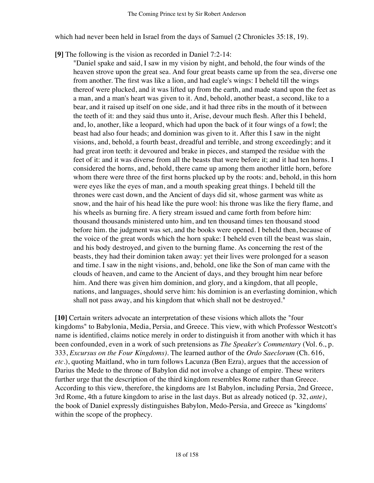which had never been held in Israel from the days of Samuel (2 Chronicles 35:18, 19).

**[9]** The following is the vision as recorded in Daniel 7:2-14:

"Daniel spake and said, I saw in my vision by night, and behold, the four winds of the heaven strove upon the great sea. And four great beasts came up from the sea, diverse one from another. The first was like a lion, and had eagle's wings: I beheld till the wings thereof were plucked, and it was lifted up from the earth, and made stand upon the feet as a man, and a man's heart was given to it. And, behold, another beast, a second, like to a bear, and it raised up itself on one side, and it had three ribs in the mouth of it between the teeth of it: and they said thus unto it, Arise, devour much flesh. After this I beheld, and, lo, another, like a leopard, which had upon the back of it four wings of a fowl; the beast had also four heads; and dominion was given to it. After this I saw in the night visions, and, behold, a fourth beast, dreadful and terrible, and strong exceedingly; and it had great iron teeth: it devoured and brake in pieces, and stamped the residue with the feet of it: and it was diverse from all the beasts that were before it; and it had ten horns. I considered the horns, and, behold, there came up among them another little horn, before whom there were three of the first horns plucked up by the roots: and, behold, in this horn were eyes like the eyes of man, and a mouth speaking great things. I beheld till the thrones were cast down, and the Ancient of days did sit, whose garment was white as snow, and the hair of his head like the pure wool: his throne was like the fiery flame, and his wheels as burning fire. A fiery stream issued and came forth from before him: thousand thousands ministered unto him, and ten thousand times ten thousand stood before him. the judgment was set, and the books were opened. I beheld then, because of the voice of the great words which the horn spake: I beheld even till the beast was slain, and his body destroyed, and given to the burning flame. As concerning the rest of the beasts, they had their dominion taken away: yet their lives were prolonged for a season and time. I saw in the night visions, and, behold, one like the Son of man came with the clouds of heaven, and came to the Ancient of days, and they brought him near before him. And there was given him dominion, and glory, and a kingdom, that all people, nations, and languages, should serve him: his dominion is an everlasting dominion, which shall not pass away, and his kingdom that which shall not be destroyed."

**[10]** Certain writers advocate an interpretation of these visions which allots the "four kingdoms" to Babylonia, Media, Persia, and Greece. This view, with which Professor Westcott's name is identified, claims notice merely in order to distinguish it from another with which it has been confounded, even in a work of such pretensions as *The Speaker's Commentary* (Vol. 6., p. 333, *Excursus on the Four Kingdoms)*. The learned author of the *Ordo Saeclorum* (Ch. 616, *etc*.), quoting Maitland, who in turn follows Lacunza (Ben Ezra), argues that the accession of Darius the Mede to the throne of Babylon did not involve a change of empire. These writers further urge that the description of the third kingdom resembles Rome rather than Greece. According to this view, therefore, the kingdoms are 1st Babylon, including Persia, 2nd Greece, 3rd Rome, 4th a future kingdom to arise in the last days. But as already noticed (p. 32, *ante)*, the book of Daniel expressly distinguishes Babylon, Medo-Persia, and Greece as "kingdoms' within the scope of the prophecy.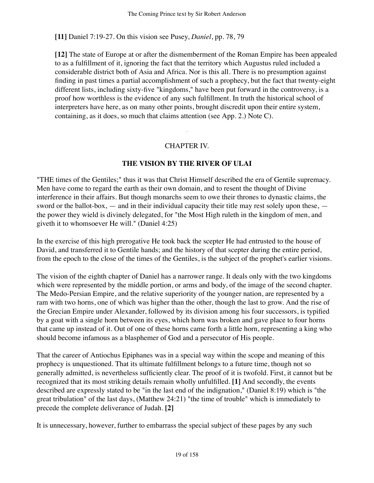**[11]** Daniel 7:19-27. On this vision see Pusey, *Daniel*, pp. 78, 79

**[12]** The state of Europe at or after the dismemberment of the Roman Empire has been appealed to as a fulfillment of it, ignoring the fact that the territory which Augustus ruled included a considerable district both of Asia and Africa. Nor is this all. There is no presumption against finding in past times a partial accomplishment of such a prophecy, but the fact that twenty-eight different lists, including sixty-five "kingdoms," have been put forward in the controversy, is a proof how worthless is the evidence of any such fulfillment. In truth the historical school of interpreters have here, as on many other points, brought discredit upon their entire system, containing, as it does, so much that claims attention (see App. 2.) Note C).

## CHAPTER IV.

.

## **THE VISION BY THE RIVER OF ULAI**

"THE times of the Gentiles;" thus it was that Christ Himself described the era of Gentile supremacy. Men have come to regard the earth as their own domain, and to resent the thought of Divine interference in their affairs. But though monarchs seem to owe their thrones to dynastic claims, the sword or the ballot-box, — and in their individual capacity their title may rest solely upon these, the power they wield is divinely delegated, for "the Most High ruleth in the kingdom of men, and giveth it to whomsoever He will." (Daniel 4:25)

In the exercise of this high prerogative He took back the scepter He had entrusted to the house of David, and transferred it to Gentile hands; and the history of that scepter during the entire period, from the epoch to the close of the times of the Gentiles, is the subject of the prophet's earlier visions.

The vision of the eighth chapter of Daniel has a narrower range. It deals only with the two kingdoms which were represented by the middle portion, or arms and body, of the image of the second chapter. The Medo-Persian Empire, and the relative superiority of the younger nation, are represented by a ram with two horns, one of which was higher than the other, though the last to grow. And the rise of the Grecian Empire under Alexander, followed by its division among his four successors, is typified by a goat with a single horn between its eyes, which horn was broken and gave place to four horns that came up instead of it. Out of one of these horns came forth a little horn, representing a king who should become infamous as a blasphemer of God and a persecutor of His people.

That the career of Antiochus Epiphanes was in a special way within the scope and meaning of this prophecy is unquestioned. That its ultimate fulfillment belongs to a future time, though not so generally admitted, is nevertheless sufficiently clear. The proof of it is twofold. First, it cannot but be recognized that its most striking details remain wholly unfulfilled. **[1]** And secondly, the events described are expressly stated to be "in the last end of the indignation," (Daniel 8:19) which is "the great tribulation" of the last days, (Matthew 24:21) "the time of trouble" which is immediately to precede the complete deliverance of Judah. **[2]**

It is unnecessary, however, further to embarrass the special subject of these pages by any such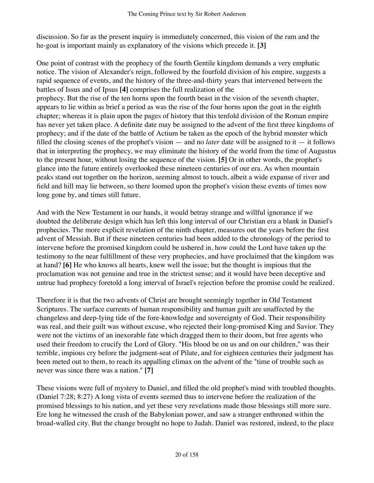discussion. So far as the present inquiry is immediately concerned, this vision of the ram and the he-goat is important mainly as explanatory of the visions which precede it. **[3]**

One point of contrast with the prophecy of the fourth Gentile kingdom demands a very emphatic notice. The vision of Alexander's reign, followed by the fourfold division of his empire, suggests a rapid sequence of events, and the history of the three-and-thirty years that intervened between the battles of Issus and of Ipsus **[4]** comprises the full realization of the

prophecy. But the rise of the ten horns upon the fourth beast in the vision of the seventh chapter, appears to lie within as brief a period as was the rise of the four horns upon the goat in the eighth chapter; whereas it is plain upon the pages of history that this tenfold division of the Roman empire has never yet taken place. A definite date may be assigned to the advent of the first three kingdoms of prophecy; and if the date of the battle of Actium be taken as the epoch of the hybrid monster which filled the closing scenes of the prophet's vision — and no *later* date will be assigned to it — it follows that in interpreting the prophecy, we may eliminate the history of the world from the time of Augustus to the present hour, without losing the sequence of the vision. **[5]** Or in other words, the prophet's glance into the future entirely overlooked these nineteen centuries of our era. As when mountain peaks stand out together on the horizon, seeming almost to touch, albeit a wide expanse of river and field and hill may lie between, so there loomed upon the prophet's vision these events of times now long gone by, and times still future.

And with the New Testament in our hands, it would betray strange and willful ignorance if we doubted the deliberate design which has left this long interval of our Christian era a blank in Daniel's prophecies. The more explicit revelation of the ninth chapter, measures out the years before the first advent of Messiah. But if these nineteen centuries had been added to the chronology of the period to intervene before the promised kingdom could be ushered in, how could the Lord have taken up the testimony to the near fulfillment of these very prophecies, and have proclaimed that the kingdom was at hand? **[6]** He who knows all hearts, knew well the issue; but the thought is impious that the proclamation was not genuine and true in the strictest sense; and it would have been deceptive and untrue had prophecy foretold a long interval of Israel's rejection before the promise could be realized.

Therefore it is that the two advents of Christ are brought seemingly together in Old Testament Scriptures. The surface currents of human responsibility and human guilt are unaffected by the changeless and deep-lying tide of the fore-knowledge and sovereignty of God. Their responsibility was real, and their guilt was without excuse, who rejected their long-promised King and Savior. They were not the victims of an inexorable fate which dragged them to their doom, but free agents who used their freedom to crucify the Lord of Glory. "His blood be on us and on our children," was their terrible, impious cry before the judgment-seat of Pilate, and for eighteen centuries their judgment has been meted out to them, to reach its appalling climax on the advent of the "time of trouble such as never was since there was a nation." **[7]**

These visions were full of mystery to Daniel, and filled the old prophet's mind with troubled thoughts. (Daniel 7:28; 8:27) A long vista of events seemed thus to intervene before the realization of the promised blessings to his nation, and yet these very revelations made those blessings still more sure. Ere long he witnessed the crash of the Babylonian power, and saw a stranger enthroned within the broad-walled city. But the change brought no hope to Judah. Daniel was restored, indeed, to the place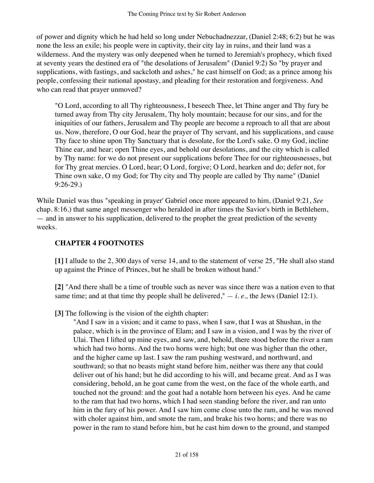of power and dignity which he had held so long under Nebuchadnezzar, (Daniel 2:48; 6:2) but he was none the less an exile; his people were in captivity, their city lay in ruins, and their land was a wilderness. And the mystery was only deepened when he turned to Jeremiah's prophecy, which fixed at seventy years the destined era of "the desolations of Jerusalem" (Daniel 9:2) So "by prayer and supplications, with fastings, and sackcloth and ashes," he cast himself on God; as a prince among his people, confessing their national apostasy, and pleading for their restoration and forgiveness. And who can read that prayer unmoved?

"O Lord, according to all Thy righteousness, I beseech Thee, let Thine anger and Thy fury be turned away from Thy city Jerusalem, Thy holy mountain; because for our sins, and for the iniquities of our fathers, Jerusalem and Thy people are become a reproach to all that are about us. Now, therefore, O our God, hear the prayer of Thy servant, and his supplications, and cause Thy face to shine upon Thy Sanctuary that is desolate, for the Lord's sake. O my God, incline Thine ear, and hear; open Thine eyes, and behold our desolations, and the city which is called by Thy name: for we do not present our supplications before Thee for our righteousnesses, but for Thy great mercies. O Lord, hear; O Lord, forgive; O Lord, hearken and do; defer not, for Thine own sake, O my God; for Thy city and Thy people are called by Thy name" (Daniel 9:26-29.)

While Daniel was thus "speaking in prayer' Gabriel once more appeared to him, (Daniel 9:21, *See* chap. 8:16.) that same angel messenger who heralded in after times the Savior's birth in Bethlehem, — and in answer to his supplication, delivered to the prophet the great prediction of the seventy weeks.

## **CHAPTER 4 FOOTNOTES**

**[1]** I allude to the 2, 300 days of verse 14, and to the statement of verse 25, "He shall also stand up against the Prince of Princes, but he shall be broken without hand."

**[2]** "And there shall be a time of trouble such as never was since there was a nation even to that same time; and at that time thy people shall be delivered,"  $- i. e$ ., the Jews (Daniel 12:1).

**[3]** The following is the vision of the eighth chapter:

"And I saw in a vision; and it came to pass, when I saw, that I was at Shushan, in the palace, which is in the province of Elam; and I saw in a vision, and I was by the river of Ulai. Then I lifted up mine eyes, and saw, and, behold, there stood before the river a ram which had two horns. And the two horns were high; but one was higher than the other, and the higher came up last. I saw the ram pushing westward, and northward, and southward; so that no beasts might stand before him, neither was there any that could deliver out of his hand; but he did according to his will, and became great. And as I was considering, behold, an he goat came from the west, on the face of the whole earth, and touched not the ground: and the goat had a notable horn between his eyes. And he came to the ram that had two horns, which I had seen standing before the river, and ran unto him in the fury of his power. And I saw him come close unto the ram, and he was moved with choler against him, and smote the ram, and brake his two horns; and there was no power in the ram to stand before him, but he cast him down to the ground, and stamped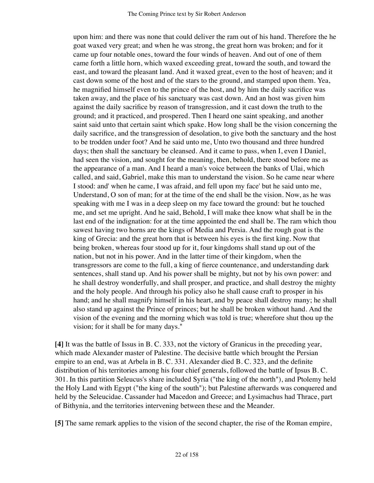upon him: and there was none that could deliver the ram out of his hand. Therefore the he goat waxed very great; and when he was strong, the great horn was broken; and for it came up four notable ones, toward the four winds of heaven. And out of one of them came forth a little horn, which waxed exceeding great, toward the south, and toward the east, and toward the pleasant land. And it waxed great, even to the host of heaven; and it cast down some of the host and of the stars to the ground, and stamped upon them. Yea, he magnified himself even to the prince of the host, and by him the daily sacrifice was taken away, and the place of his sanctuary was cast down. And an host was given him against the daily sacrifice by reason of transgression, and it cast down the truth to the ground; and it practiced, and prospered. Then I heard one saint speaking, and another saint said unto that certain saint which spake. How long shall be the vision concerning the daily sacrifice, and the transgression of desolation, to give both the sanctuary and the host to be trodden under foot? And he said unto me, Unto two thousand and three hundred days; then shall the sanctuary be cleansed. And it came to pass, when I, even I Daniel, had seen the vision, and sought for the meaning, then, behold, there stood before me as the appearance of a man. And I heard a man's voice between the banks of Ulai, which called, and said, Gabriel, make this man to understand the vision. So he came near where I stood: and' when he came, I was afraid, and fell upon my face' but he said unto me, Understand, O son of man; for at the time of the end shall be the vision. Now, as he was speaking with me I was in a deep sleep on my face toward the ground: but he touched me, and set me upright. And he said, Behold, I will make thee know what shall be in the last end of the indignation: for at the time appointed the end shall be. The ram which thou sawest having two horns are the kings of Media and Persia. And the rough goat is the king of Grecia: and the great horn that is between his eyes is the first king. Now that being broken, whereas four stood up for it, four kingdoms shall stand up out of the nation, but not in his power. And in the latter time of their kingdom, when the transgressors are come to the full, a king of fierce countenance, and understanding dark sentences, shall stand up. And his power shall be mighty, but not by his own power: and he shall destroy wonderfully, and shall prosper, and practice, and shall destroy the mighty and the holy people. And through his policy also he shall cause craft to prosper in his hand; and he shall magnify himself in his heart, and by peace shall destroy many; he shall also stand up against the Prince of princes; but he shall be broken without hand. And the vision of the evening and the morning which was told is true; wherefore shut thou up the vision; for it shall be for many days."

**[4]** It was the battle of Issus in B. C. 333, not the victory of Granicus in the preceding year, which made Alexander master of Palestine. The decisive battle which brought the Persian empire to an end, was at Arbela in B. C. 331. Alexander died B. C. 323, and the definite distribution of his territories among his four chief generals, followed the battle of Ipsus B. C. 301. In this partition Seleucus's share included Syria ("the king of the north"), and Ptolemy held the Holy Land with Egypt ("the king of the south"); but Palestine afterwards was conquered and held by the Seleucidae. Cassander had Macedon and Greece; and Lysimachus had Thrace, part of Bithynia, and the territories intervening between these and the Meander.

**[5]** The same remark applies to the vision of the second chapter, the rise of the Roman empire,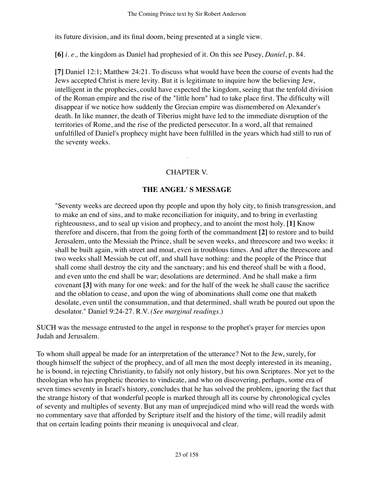its future division, and its final doom, being presented at a single view.

**[6]** *i. e.,* the kingdom as Daniel had prophesied of it. On this see Pusey, *Daniel*, p. 84.

**[7]** Daniel 12:1; Matthew 24:21. To discuss what would have been the course of events had the Jews accepted Christ is mere levity. But it is legitimate to inquire how the believing Jew, intelligent in the prophecies, could have expected the kingdom, seeing that the tenfold division of the Roman empire and the rise of the "little horn" had to take place first. The difficulty will disappear if we notice how suddenly the Grecian empire was dismembered on Alexander's death. In like manner, the death of Tiberius might have led to the immediate disruption of the territories of Rome, and the rise of the predicted persecutor. In a word, all that remained unfulfilled of Daniel's prophecy might have been fulfilled in the years which had still to run of the seventy weeks.

#### CHAPTER V.

.

#### **THE ANGEL' S MESSAGE**

"Seventy weeks are decreed upon thy people and upon thy holy city, to finish transgression, and to make an end of sins, and to make reconciliation for iniquity, and to bring in everlasting righteousness, and to seal up vision and prophecy, and to anoint the most holy. **[1]** Know therefore and discern, that from the going forth of the commandment **[2]** to restore and to build Jerusalem, unto the Messiah the Prince, shall be seven weeks, and threescore and two weeks: it shall be built again, with street and moat, even in troublous times. And after the threescore and two weeks shall Messiah be cut off, and shall have nothing: and the people of the Prince that shall come shall destroy the city and the sanctuary; and his end thereof shall be with a flood, and even unto the end shall be war; desolations are determined. And he shall make a firm covenant **[3]** with many for one week: and for the half of the week he shall cause the sacrifice and the oblation to cease, and upon the wing of abominations shall come one that maketh desolate, even until the consummation, and that determined, shall wrath be poured out upon the desolator." Daniel 9:24-27. R.V. *(See marginal readings*.)

SUCH was the message entrusted to the angel in response to the prophet's prayer for mercies upon Judah and Jerusalem.

To whom shall appeal be made for an interpretation of the utterance? Not to the Jew, surely, for though himself the subject of the prophecy, and of all men the most deeply interested in its meaning, he is bound, in rejecting Christianity, to falsify not only history, but his own Scriptures. Nor yet to the theologian who has prophetic theories to vindicate, and who on discovering, perhaps, some era of seven times seventy in Israel's history, concludes that he has solved the problem, ignoring the fact that the strange history of that wonderful people is marked through all its course by chronological cycles of seventy and multiples of seventy. But any man of unprejudiced mind who will read the words with no commentary save that afforded by Scripture itself and the history of the time, will readily admit that on certain leading points their meaning is unequivocal and clear.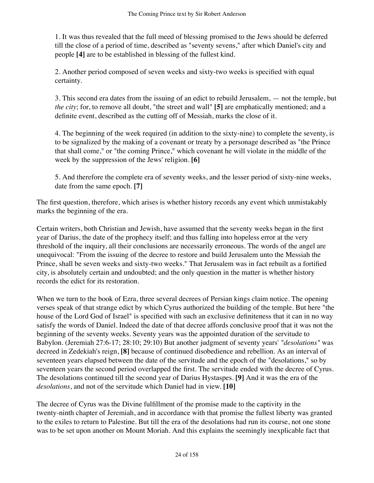1. It was thus revealed that the full meed of blessing promised to the Jews should be deferred till the close of a period of time, described as "seventy sevens," after which Daniel's city and people **[4]** are to be established in blessing of the fullest kind.

2. Another period composed of seven weeks and sixty-two weeks is specified with equal certainty.

3. This second era dates from the issuing of an edict to rebuild Jerusalem, — not the temple, but *the city*; for, to remove all doubt, "the street and wall" **[5]** are emphatically mentioned; and a definite event, described as the cutting off of Messiah, marks the close of it.

4. The beginning of the week required (in addition to the sixty-nine) to complete the seventy, is to be signalized by the making of a covenant or treaty by a personage described as "the Prince that shall come," or "the coming Prince," which covenant he will violate in the middle of the week by the suppression of the Jews' religion. **[6]**

5. And therefore the complete era of seventy weeks, and the lesser period of sixty-nine weeks, date from the same epoch. **[7]**

The first question, therefore, which arises is whether history records any event which unmistakably marks the beginning of the era.

Certain writers, both Christian and Jewish, have assumed that the seventy weeks began in the first year of Darius, the date of the prophecy itself; and thus falling into hopeless error at the very threshold of the inquiry, all their conclusions are necessarily erroneous. The words of the angel are unequivocal: "From the issuing of the decree to restore and build Jerusalem unto the Messiah the Prince, shall be seven weeks and sixty-two weeks." That Jerusalem was in fact rebuilt as a fortified city, is absolutely certain and undoubted; and the only question in the matter is whether history records the edict for its restoration.

When we turn to the book of Ezra, three several decrees of Persian kings claim notice. The opening verses speak of that strange edict by which Cyrus authorized the building of the temple. But here "the house of the Lord God of Israel" is specified with such an exclusive definiteness that it can in no way satisfy the words of Daniel. Indeed the date of that decree affords conclusive proof that it was not the beginning of the seventy weeks. Seventy years was the appointed duration of the servitude to Babylon. (Jeremiah 27:6-17; 28:10; 29:10) But another judgment of seventy years' *"desolations"* was decreed in Zedekiah's reign, **[8]** because of continued disobedience and rebellion. As an interval of seventeen years elapsed between the date of the servitude and the epoch of the "desolations," so by seventeen years the second period overlapped the first. The servitude ended with the decree of Cyrus. The desolations continued till the second year of Darius Hystaspes. **[9]** And it was the era of the *desolations*, and not of the servitude which Daniel had in view. **[10]**

The decree of Cyrus was the Divine fulfillment of the promise made to the captivity in the twenty-ninth chapter of Jeremiah, and in accordance with that promise the fullest liberty was granted to the exiles to return to Palestine. But till the era of the desolations had run its course, not one stone was to be set upon another on Mount Moriah. And this explains the seemingly inexplicable fact that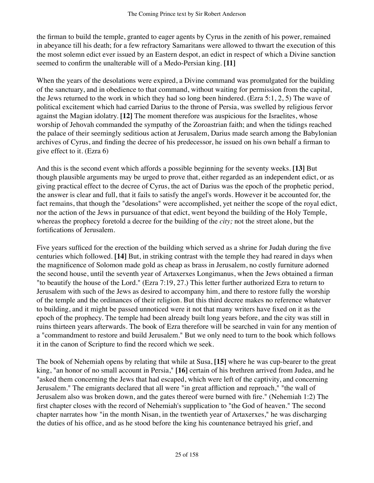the firman to build the temple, granted to eager agents by Cyrus in the zenith of his power, remained in abeyance till his death; for a few refractory Samaritans were allowed to thwart the execution of this the most solemn edict ever issued by an Eastern despot, an edict in respect of which a Divine sanction seemed to confirm the unalterable will of a Medo-Persian king. **[11]**

When the years of the desolations were expired, a Divine command was promulgated for the building of the sanctuary, and in obedience to that command, without waiting for permission from the capital, the Jews returned to the work in which they had so long been hindered. (Ezra 5:1, 2, 5) The wave of political excitement which had carried Darius to the throne of Persia, was swelled by religious fervor against the Magian idolatry. **[12]** The moment therefore was auspicious for the Israelites, whose worship of Jehovah commanded the sympathy of the Zoroastrian faith; and when the tidings reached the palace of their seemingly seditious action at Jerusalem, Darius made search among the Babylonian archives of Cyrus, and finding the decree of his predecessor, he issued on his own behalf a firman to give effect to it. (Ezra 6)

And this is the second event which affords a possible beginning for the seventy weeks. **[13]** But though plausible arguments may be urged to prove that, either regarded as an independent edict, or as giving practical effect to the decree of Cyrus, the act of Darius was the epoch of the prophetic period, the answer is clear and full, that it fails to satisfy the angel's words. However it be accounted for, the fact remains, that though the "desolations" were accomplished, yet neither the scope of the royal edict, nor the action of the Jews in pursuance of that edict, went beyond the building of the Holy Temple, whereas the prophecy foretold a decree for the building of the *city;* not the street alone, but the fortifications of Jerusalem.

Five years sufficed for the erection of the building which served as a shrine for Judah during the five centuries which followed. **[14]** But, in striking contrast with the temple they had reared in days when the magnificence of Solomon made gold as cheap as brass in Jerusalem, no costly furniture adorned the second house, until the seventh year of Artaxerxes Longimanus, when the Jews obtained a firman "to beautify the house of the Lord." (Ezra 7:19, 27.) This letter further authorized Ezra to return to Jerusalem with such of the Jews as desired to accompany him, and there to restore fully the worship of the temple and the ordinances of their religion. But this third decree makes no reference whatever to building, and it might be passed unnoticed were it not that many writers have fixed on it as the epoch of the prophecy. The temple had been already built long years before, and the city was still in ruins thirteen years afterwards. The book of Ezra therefore will be searched in vain for any mention of a "commandment to restore and build Jerusalem." But we only need to turn to the book which follows it in the canon of Scripture to find the record which we seek.

The book of Nehemiah opens by relating that while at Susa, **[15]** where he was cup-bearer to the great king, "an honor of no small account in Persia," **[16]** certain of his brethren arrived from Judea, and he "asked them concerning the Jews that had escaped, which were left of the captivity, and concerning Jerusalem." The emigrants declared that all were "in great affliction and reproach," "the wall of Jerusalem also was broken down, and the gates thereof were burned with fire." (Nehemiah 1:2) The first chapter closes with the record of Nehemiah's supplication to "the God of heaven." The second chapter narrates how "in the month Nisan, in the twentieth year of Artaxerxes," he was discharging the duties of his office, and as he stood before the king his countenance betrayed his grief, and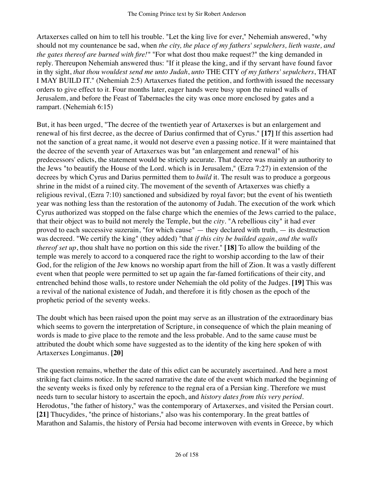Artaxerxes called on him to tell his trouble. "Let the king live for ever," Nehemiah answered, "why should not my countenance be sad, when *the city, the place of my fathers' sepulchers, lieth waste, and the gates thereof are burned with fire!"* "For what dost thou make request?" the king demanded in reply. Thereupon Nehemiah answered thus: "If it please the king, and if thy servant have found favor in thy sight, *that thou wouldest send me unto Judah*, *unto* THE CITY *of my fathers' sepulchers*, THAT I MAY BUILD IT." (Nehemiah 2:5) Artaxerxes fiated the petition, and forthwith issued the necessary orders to give effect to it. Four months later, eager hands were busy upon the ruined walls of Jerusalem, and before the Feast of Tabernacles the city was once more enclosed by gates and a rampart. (Nehemiah 6:15)

But, it has been urged, "The decree of the twentieth year of Artaxerxes is but an enlargement and renewal of his first decree, as the decree of Darius confirmed that of Cyrus." **[17]** If this assertion had not the sanction of a great name, it would not deserve even a passing notice. If it were maintained that the decree of the seventh year of Artaxerxes was but "an enlargement and renewal" of his predecessors' edicts, the statement would be strictly accurate. That decree was mainly an authority to the Jews "to beautify the House of the Lord. which is in Jerusalem," (Ezra 7:27) in extension of the decrees by which Cyrus and Darius permitted them to *build* it. The result was to produce a gorgeous shrine in the midst of a ruined city. The movement of the seventh of Artaxerxes was chiefly a religious revival, (Ezra 7:10) sanctioned and subsidized by royal favor; but the event of his twentieth year was nothing less than the restoration of the autonomy of Judah. The execution of the work which Cyrus authorized was stopped on the false charge which the enemies of the Jews carried to the palace, that their object was to build not merely the Temple, but the *city*. "A rebellious city" it had ever proved to each successive suzerain, "for which cause" — they declared with truth, — its destruction was decreed. "We certify the king" (they added) "that *if this city be builded again*, *and the walls thereof set up*, thou shalt have no portion on this side the river." **[18]** To allow the building of the temple was merely to accord to a conquered race the right to worship according to the law of their God, for the religion of the Jew knows no worship apart from the hill of Zion. It was a vastly different event when that people were permitted to set up again the far-famed fortifications of their city, and entrenched behind those walls, to restore under Nehemiah the old polity of the Judges. **[19]** This was a revival of the national existence of Judah, and therefore it is fitly chosen as the epoch of the prophetic period of the seventy weeks.

The doubt which has been raised upon the point may serve as an illustration of the extraordinary bias which seems to govern the interpretation of Scripture, in consequence of which the plain meaning of words is made to give place to the remote and the less probable. And to the same cause must be attributed the doubt which some have suggested as to the identity of the king here spoken of with Artaxerxes Longimanus. **[20]**

The question remains, whether the date of this edict can be accurately ascertained. And here a most striking fact claims notice. In the sacred narrative the date of the event which marked the beginning of the seventy weeks is fixed only by reference to the regnal era of a Persian king. Therefore we must needs turn to secular history to ascertain the epoch, and *history dates from this very period.* Herodotus, "the father of history," was the contemporary of Artaxerxes, and visited the Persian court. **[21]** Thucydides, "the prince of historians," also was his contemporary. In the great battles of Marathon and Salamis, the history of Persia had become interwoven with events in Greece, by which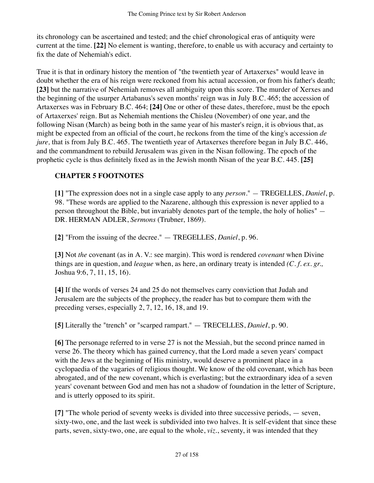its chronology can be ascertained and tested; and the chief chronological eras of antiquity were current at the time. **[22]** No element is wanting, therefore, to enable us with accuracy and certainty to fix the date of Nehemiah's edict.

True it is that in ordinary history the mention of "the twentieth year of Artaxerxes" would leave in doubt whether the era of his reign were reckoned from his actual accession, or from his father's death; **[23]** but the narrative of Nehemiah removes all ambiguity upon this score. The murder of Xerxes and the beginning of the usurper Artabanus's seven months' reign was in July B.C. 465; the accession of Artaxerxes was in February B.C. 464; **[24]** One or other of these dates, therefore, must be the epoch of Artaxerxes' reign. But as Nehemiah mentions the Chisleu (November) of one year, and the following Nisan (March) as being both in the same year of his master's reign, it is obvious that, as might be expected from an official of the court, he reckons from the time of the king's accession *de jure,* that is from July B.C. 465. The twentieth year of Artaxerxes therefore began in July B.C. 446, and the commandment to rebuild Jerusalem was given in the Nisan following. The epoch of the prophetic cycle is thus definitely fixed as in the Jewish month Nisan of the year B.C. 445. **[25]**

#### **CHAPTER 5 FOOTNOTES**

**[1]** "The expression does not in a single case apply to any *person*." *—* TREGELLES, *Daniel*, p. 98. "These words are applied to the Nazarene, although this expression is never applied to a person throughout the Bible, but invariably denotes part of the temple, the holy of holies" *—* DR. HERMAN ADLER, *Sermons* (Trubner, 1869).

**[2]** "From the issuing of the decree." — TREGELLES, *Daniel*, p. 96.

**[3]** Not *the* covenant (as in A. V.: see margin). This word is rendered *covenant* when Divine things are in question, and *league* when, as here, an ordinary treaty is intended *(C. f. ex. gr.,* Joshua 9:6, 7, 11, 15, 16).

**[4]** If the words of verses 24 and 25 do not themselves carry conviction that Judah and Jerusalem are the subjects of the prophecy, the reader has but to compare them with the preceding verses, especially 2, 7, 12, 16, 18, and 19.

**[5]** Literally the "trench" or "scarped rampart." — TRECELLES, *DanieI*, p. 90.

**[6]** The personage referred to in verse 27 is not the Messiah, but the second prince named in verse 26. The theory which has gained currency, that the Lord made a seven years' compact with the Jews at the beginning of His ministry, would deserve a prominent place in a cyclopaedia of the vagaries of religious thought. We know of the old covenant, which has been abrogated, and of the new covenant, which is everlasting; but the extraordinary idea of a seven years' covenant between God and men has not a shadow of foundation in the letter of Scripture, and is utterly opposed to its spirit.

**[7]** "The whole period of seventy weeks is divided into three successive periods, — seven, sixty-two, one, and the last week is subdivided into two halves. It is self-evident that since these parts, seven, sixty-two, one, are equal to the whole, *viz*., seventy, it was intended that they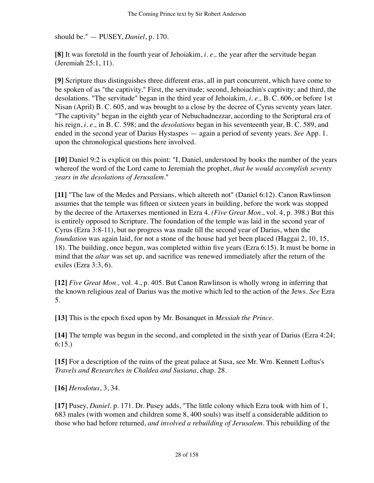should be." — PUSEY, *Daniel*, p. 170.

**[8]** It was foretold in the fourth year of Jehoiakim, *i. e.,* the year after the servitude began (Jeremiah 25:1, 11).

**[9]** Scripture thus distinguishes three different eras, all in part concurrent, which have come to be spoken of as "the captivity." First, the servitude; second, Jehoiachin's captivity; and third, the desolations. "The servitude" began in the third year of Jehoiakim, *i. e.,* B. C. 606, or before 1st Nisan (April) B. C. 605, and was brought to a close by the decree of Cyrus seventy years later. "The captivity" began in the eighth year of Nebuchadnezzar, according to the Scriptural era of his reign, *i. e.,* in B. C. 598; and the *desolations* began in his seventeenth year, B. C. 589, and ended in the second year of Darius Hystaspes — again a period of seventy years. *See* App. 1. upon the chronological questions here involved.

**[10]** Daniel 9:2 is explicit on this point: "I, Daniel, understood by books the number of the years whereof the word of the Lord came to Jeremiah the prophet, *that he would accomplish seventy years in the desolations of Jerusalem*."

**[11]** "The law of the Medes and Persians, which altereth not" (Daniel 6:12). Canon Rawlinson assumes that the temple was fifteen or sixteen years in building, before the work was stopped by the decree of the Artaxerxes mentioned in Ezra 4. *(Five Great Mon*., vol. 4, p. 398.) But this is entirely opposed to Scripture. The foundation of the temple was laid in the second year of Cyrus (Ezra 3:8-11), but no progress was made till the second year of Darius, when the *foundation* was again laid, for not a stone of the house had yet been placed (Haggai 2, 10, 15, 18). The building, once begun, was completed within five years (Ezra 6:15). It must be borne in mind that the *altar* was set up, and sacrifice was renewed immediately after the return of the exiles (Ezra 3:3, 6).

**[12]** *Five Great Mon.,* vol. 4., p. 405. But Canon Rawlinson is wholly wrong in inferring that the known religious zeal of Darius was the motive which led to the action of the Jews. *See* Ezra 5.

**[13]** This is the epoch fixed upon by Mr. Bosanquet in *Messiah the Prince*.

**[14]** The temple was begun in the second, and completed in the sixth year of Darius (Ezra 4:24; 6:15.)

**[15]** For a description of the ruins of the great palace at Susa, see Mr. Wm. Kennett Loftus's *Travels and Researches in Chaldea and Susiana*, chap. 28.

**[16]** *Herodotus*, 3, 34.

**[17]** Pusey, *Daniel*. p. 171. Dr. Pusey adds, "The little colony which Ezra took with him of 1, 683 males (with women and children some 8, 400 souls) was itself a considerable addition to those who had before returned, *and involved a rebuilding of Jerusalem*. This rebuilding of the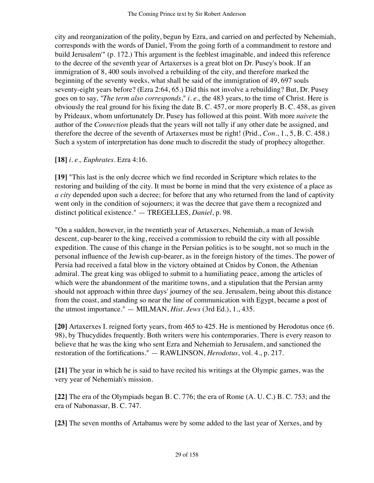city and reorganization of the polity, begun by Ezra, and carried on and perfected by Nehemiah, corresponds with the words of Daniel, 'From the going forth of a commandment to restore and build Jerusalem'" (p. 172.) This argument is the feeblest imaginable, and indeed this reference to the decree of the seventh year of Artaxerxes is a great blot on Dr. Pusey's book. If an immigration of 8, 400 souls involved a rebuilding of the city, and therefore marked the beginning of the seventy weeks, what shall be said of the immigration of 49, 697 souls seventy-eight years before? (Ezra 2:64, 65.) Did this not involve a rebuilding? But, Dr. Pusey goes on to say, *"The term also corresponds*," *i. e.,* the 483 years, to the time of Christ. Here is obviously the real ground for his fixing the date B. C. 457, or more properly B. C. 458, as given by Prideaux, whom unfortunately Dr. Pusey has followed at this point. With more *naivete* the author of the *Connection* pleads that the years will not tally if any other date be assigned, and therefore the decree of the seventh of Artaxerxes must be right! (Prid., *Con*., 1., 5, B. C. 458.) Such a system of interpretation has done much to discredit the study of prophecy altogether.

#### **[18]** *i. e., Euphrates*. Ezra 4:16.

**[19]** "This last is the only decree which we find recorded in Scripture which relates to the restoring and building of the city. It must be borne in mind that the very existence of a place as *a city* depended upon such a decree; for before that any who returned from the land of captivity went only in the condition of sojourners; it was the decree that gave them a recognized and distinct political existence." — TREGELLES, *Daniel*, p. 98.

"On a sudden, however, in the twentieth year of Artaxerxes, Nehemiah, a man of Jewish descent, cup-bearer to the king, received a commission to rebuild the city with all possible expedition. The cause of this change in the Persian politics is to be sought, not so much in the personal influence of the Jewish cup-bearer, as in the foreign history of the times. The power of Persia had received a fatal blow in the victory obtained at Cnidos by Conon, the Athenian admiral. The great king was obliged to submit to a humiliating peace, among the articles of which were the abandonment of the maritime towns, and a stipulation that the Persian army should not approach within three days' journey of the sea. Jerusalem, being about this distance from the coast, and standing so near the line of communication with Egypt, became a post of the utmost importance." — MILMAN, *Hist*. *Jews* (3rd Ed.), 1., 435.

**[20]** Artaxerxes I. reigned forty years, from 465 to 425. He is mentioned by Herodotus once (6. 98), by Thucydides frequently. Both writers were his contemporaries. There is every reason to believe that he was the king who sent Ezra and Nehemiah to Jerusalem, and sanctioned the restoration of the fortifications." — RAWLINSON, *Herodotus*, vol. 4., p. 217.

**[21]** The year in which he is said to have recited his writings at the Olympic games, was the very year of Nehemiah's mission.

**[22]** The era of the Olympiads began B. C. 776; the era of Rome (A. U. C.) B. C. 753; and the era of Nabonassar, B. C. 747.

**[23]** The seven months of Artabanus were by some added to the last year of Xerxes, and by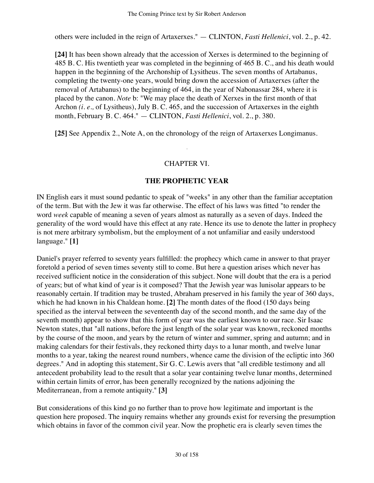others were included in the reign of Artaxerxes." — CLINTON, *Fasti Hellenici*, vol. 2., p. 42.

**[24]** It has been shown already that the accession of Xerxes is determined to the beginning of 485 B. C. His twentieth year was completed in the beginning of 465 B. C., and his death would happen in the beginning of the Archonship of Lysitheus. The seven months of Artabanus, completing the twenty-one years, would bring down the accession of Artaxerxes (after the removal of Artabanus) to the beginning of 464, in the year of Nabonassar 284, where it is placed by the canon. *Note* b: "We may place the death of Xerxes in the first month of that Archon *(i. e.,* of Lysitheus), July B. C. 465, and the succession of Artaxerxes in the eighth month, February B. C. 464." — CLINTON, *Fasti Hellenici*, vol. 2., p. 380.

**[25]** See Appendix 2., Note A, on the chronology of the reign of Artaxerxes Longimanus.

.

#### CHAPTER VI.

#### **THE PROPHETIC YEAR**

IN English ears it must sound pedantic to speak of "weeks" in any other than the familiar acceptation of the term. But with the Jew it was far otherwise. The effect of his laws was fitted "to render the word *week* capable of meaning a seven of years almost as naturally as a seven of days. Indeed the generality of the word would have this effect at any rate. Hence its use to denote the latter in prophecy is not mere arbitrary symbolism, but the employment of a not unfamiliar and easily understood language." **[1]**

Daniel's prayer referred to seventy years fulfilled: the prophecy which came in answer to that prayer foretold a period of seven times seventy still to come. But here a question arises which never has received sufficient notice in the consideration of this subject. None will doubt that the era is a period of years; but of what kind of year is it composed? That the Jewish year was lunisolar appears to be reasonably certain. If tradition may be trusted, Abraham preserved in his family the year of 360 days, which he had known in his Chaldean home. **[2]** The month dates of the flood (150 days being specified as the interval between the seventeenth day of the second month, and the same day of the seventh month) appear to show that this form of year was the earliest known to our race. Sir Isaac Newton states, that "all nations, before the just length of the solar year was known, reckoned months by the course of the moon, and years by the return of winter and summer, spring and autumn; and in making calendars for their festivals, they reckoned thirty days to a lunar month, and twelve lunar months to a year, taking the nearest round numbers, whence came the division of the ecliptic into 360 degrees." And in adopting this statement, Sir G. C. Lewis avers that "all credible testimony and all antecedent probability lead to the result that a solar year containing twelve lunar months, determined within certain limits of error, has been generally recognized by the nations adjoining the Mediterranean, from a remote antiquity." **[3]**

But considerations of this kind go no further than to prove how legitimate and important is the question here proposed. The inquiry remains whether any grounds exist for reversing the presumption which obtains in favor of the common civil year. Now the prophetic era is clearly seven times the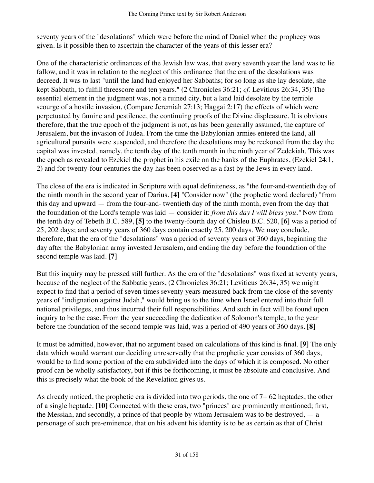seventy years of the "desolations" which were before the mind of Daniel when the prophecy was given. Is it possible then to ascertain the character of the years of this lesser era?

One of the characteristic ordinances of the Jewish law was, that every seventh year the land was to lie fallow, and it was in relation to the neglect of this ordinance that the era of the desolations was decreed. It was to last "until the land had enjoyed her Sabbaths; for so long as she lay desolate, she kept Sabbath, to fulfill threescore and ten years." (2 Chronicles 36:21; *cf*. Leviticus 26:34, 35) The essential element in the judgment was, not a ruined city, but a land laid desolate by the terrible scourge of a hostile invasion, (Compare Jeremiah 27:13; Haggai 2:17) the effects of which were perpetuated by famine and pestilence, the continuing proofs of the Divine displeasure. It is obvious therefore, that the true epoch of the judgment is not, as has been generally assumed, the capture of Jerusalem, but the invasion of Judea. From the time the Babylonian armies entered the land, all agricultural pursuits were suspended, and therefore the desolations may be reckoned from the day the capital was invested, namely, the tenth day of the tenth month in the ninth year of Zedekiah. This was the epoch as revealed to Ezekiel the prophet in his exile on the banks of the Euphrates, (Ezekiel 24:1, 2) and for twenty-four centuries the day has been observed as a fast by the Jews in every land.

The close of the era is indicated in Scripture with equal definiteness, as "the four-and-twentieth day of the ninth month in the second year of Darius. **[4]** "Consider now" (the prophetic word declared) "from this day and upward — from the four-and- twentieth day of the ninth month, even from the day that the foundation of the Lord's temple was laid — consider it: *from this day I will bless you."* Now from the tenth day of Tebeth B.C. 589, **[5]** to the twenty-fourth day of Chisleu B.C. 520, **[6]** was a period of 25, 202 days; and seventy years of 360 days contain exactly 25, 200 days. We may conclude, therefore, that the era of the "desolations" was a period of seventy years of 360 days, beginning the day after the Babylonian army invested Jerusalem, and ending the day before the foundation of the second temple was laid. **[7]**

But this inquiry may be pressed still further. As the era of the "desolations" was fixed at seventy years, because of the neglect of the Sabbatic years, (2 Chronicles 36:21; Leviticus 26:34, 35) we might expect to find that a period of seven times seventy years measured back from the close of the seventy years of "indignation against Judah," would bring us to the time when Israel entered into their full national privileges, and thus incurred their full responsibilities. And such in fact will be found upon inquiry to be the case. From the year succeeding the dedication of Solomon's temple, to the year before the foundation of the second temple was laid, was a period of 490 years of 360 days. **[8]**

It must be admitted, however, that no argument based on calculations of this kind is final. **[9]** The only data which would warrant our deciding unreservedly that the prophetic year consists of 360 days, would be to find some portion of the era subdivided into the days of which it is composed. No other proof can be wholly satisfactory, but if this be forthcoming, it must be absolute and conclusive. And this is precisely what the book of the Revelation gives us.

As already noticed, the prophetic era is divided into two periods, the one of 7+ 62 heptades, the other of a single heptade. **[10]** Connected with these eras, two "princes" are prominently mentioned; first, the Messiah, and secondly, a prince of that people by whom Jerusalem was to be destroyed, — a personage of such pre-eminence, that on his advent his identity is to be as certain as that of Christ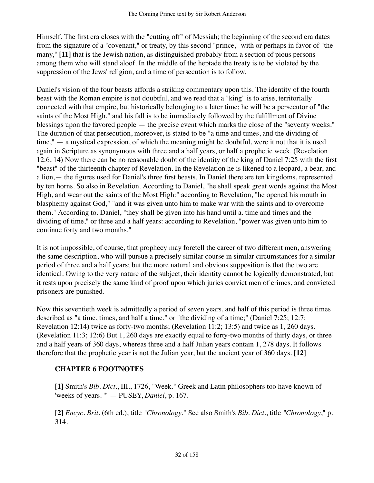Himself. The first era closes with the "cutting off" of Messiah; the beginning of the second era dates from the signature of a "covenant," or treaty, by this second "prince," with or perhaps in favor of "the many," **[11]** that is the Jewish nation, as distinguished probably from a section of pious persons among them who will stand aloof. In the middle of the heptade the treaty is to be violated by the suppression of the Jews' religion, and a time of persecution is to follow.

Daniel's vision of the four beasts affords a striking commentary upon this. The identity of the fourth beast with the Roman empire is not doubtful, and we read that a "king" is to arise, territorially connected with that empire, but historically belonging to a later time; he will be a persecutor of "the saints of the Most High," and his fall is to be immediately followed by the fulfillment of Divine blessings upon the favored people — the precise event which marks the close of the "seventy weeks." The duration of that persecution, moreover, is stated to be "a time and times, and the dividing of time," — a mystical expression, of which the meaning might be doubtful, were it not that it is used again in Scripture as synonymous with three and a half years, or half a prophetic week. (Revelation 12:6, 14) Now there can be no reasonable doubt of the identity of the king of Daniel 7:25 with the first "beast" of the thirteenth chapter of Revelation. In the Revelation he is likened to a leopard, a bear, and a lion,— the figures used for Daniel's three first beasts. In Daniel there are ten kingdoms, represented by ten horns. So also in Revelation. According to Daniel, "he shall speak great words against the Most High, and wear out the saints of the Most High:" according to Revelation, "he opened his mouth in blasphemy against God," "and it was given unto him to make war with the saints and to overcome them." According to. Daniel, "they shall be given into his hand until a. time and times and the dividing of time," or three and a half years: according to Revelation, "power was given unto him to continue forty and two months."

It is not impossible, of course, that prophecy may foretell the career of two different men, answering the same description, who will pursue a precisely similar course in similar circumstances for a similar period of three and a half years; but the more natural and obvious supposition is that the two are identical. Owing to the very nature of the subject, their identity cannot be logically demonstrated, but it rests upon precisely the same kind of proof upon which juries convict men of crimes, and convicted prisoners are punished.

Now this seventieth week is admittedly a period of seven years, and half of this period is three times described as "a time, times, and half a time," or "the dividing of a time;" (Daniel 7:25; 12:7; Revelation 12:14) twice as forty-two months; (Revelation 11:2; 13:5) and twice as 1, 260 days. (Revelation 11:3; 12:6) But 1, 260 days are exactly equal to forty-two months of thirty days, or three and a half years of 360 days, whereas three and a half Julian years contain 1, 278 days. It follows therefore that the prophetic year is not the Julian year, but the ancient year of 360 days. **[12]**

#### **CHAPTER 6 FOOTNOTES**

**[1]** Smith's *Bib. Dict*., III., 1726, "Week." Greek and Latin philosophers too have known of 'weeks of years. '" — PUSEY, *Daniel*, p. 167.

**[2]** *Encyc. Brit.* (6th ed.), title *"Chronology*." See also Smith's *Bib. Dict*., title *"Chronology*," p. 314.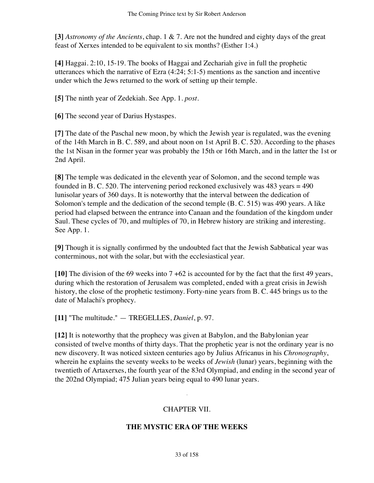**[3]** *Astronomy of the Ancients*, chap. 1 & 7. Are not the hundred and eighty days of the great feast of Xerxes intended to be equivalent to six months? (Esther 1:4.)

**[4]** Haggai. 2:10, 15-19. The books of Haggai and Zechariah give in full the prophetic utterances which the narrative of Ezra (4:24; 5:1-5) mentions as the sanction and incentive under which the Jews returned to the work of setting up their temple.

**[5]** The ninth year of Zedekiah. See App. 1. *post*.

**[6]** The second year of Darius Hystaspes.

**[7]** The date of the Paschal new moon, by which the Jewish year is regulated, was the evening of the 14th March in B. C. 589, and about noon on 1st April B. C. 520. According to the phases the 1st Nisan in the former year was probably the 15th or 16th March, and in the latter the 1st or 2nd April.

**[8]** The temple was dedicated in the eleventh year of Solomon, and the second temple was founded in B. C. 520. The intervening period reckoned exclusively was  $483$  years =  $490$ lunisolar years of 360 days. It is noteworthy that the interval between the dedication of Solomon's temple and the dedication of the second temple (B. C. 515) was 490 years. A like period had elapsed between the entrance into Canaan and the foundation of the kingdom under Saul. These cycles of 70, and multiples of 70, in Hebrew history are striking and interesting. See App. 1.

**[9]** Though it is signally confirmed by the undoubted fact that the Jewish Sabbatical year was conterminous, not with the solar, but with the ecclesiastical year.

**[10]** The division of the 69 weeks into 7 +62 is accounted for by the fact that the first 49 years, during which the restoration of Jerusalem was completed, ended with a great crisis in Jewish history, the close of the prophetic testimony. Forty-nine years from B. C. 445 brings us to the date of Malachi's prophecy.

**[11]** "The multitude." — TREGELLES, *Daniel*, p. 97.

**[12]** It is noteworthy that the prophecy was given at Babylon, and the Babylonian year consisted of twelve months of thirty days. That the prophetic year is not the ordinary year is no new discovery. It was noticed sixteen centuries ago by Julius Africanus in his *Chronography*, wherein he explains the seventy weeks to be weeks of *Jewish* (lunar) years, beginning with the twentieth of Artaxerxes, the fourth year of the 83rd Olympiad, and ending in the second year of the 202nd Olympiad; 475 Julian years being equal to 490 lunar years.

## CHAPTER VII.

.

#### **THE MYSTIC ERA OF THE WEEKS**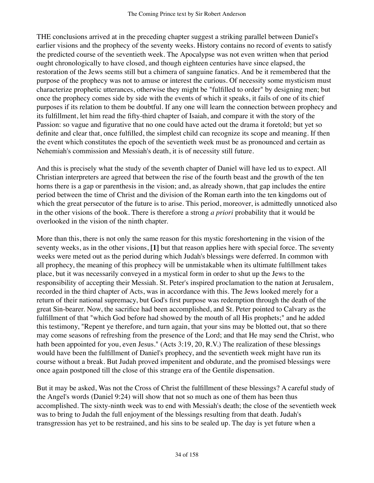THE conclusions arrived at in the preceding chapter suggest a striking parallel between Daniel's earlier visions and the prophecy of the seventy weeks. History contains no record of events to satisfy the predicted course of the seventieth week. The Apocalypse was not even written when that period ought chronologically to have closed, and though eighteen centuries have since elapsed, the restoration of the Jews seems still but a chimera of sanguine fanatics. And be it remembered that the purpose of the prophecy was not to amuse or interest the curious. Of necessity some mysticism must characterize prophetic utterances, otherwise they might be "fulfilled to order" by designing men; but once the prophecy comes side by side with the events of which it speaks, it fails of one of its chief purposes if its relation to them be doubtful. If any one will learn the connection between prophecy and its fulfillment, let him read the fifty-third chapter of Isaiah, and compare it with the story of the Passion: so vague and figurative that no one could have acted out the drama it foretold; but yet so definite and clear that, once fulfilled, the simplest child can recognize its scope and meaning. If then the event which constitutes the epoch of the seventieth week must be as pronounced and certain as Nehemiah's commission and Messiah's death, it is of necessity still future.

And this is precisely what the study of the seventh chapter of Daniel will have led us to expect. All Christian interpreters are agreed that between the rise of the fourth beast and the growth of the ten horns there is a gap or parenthesis in the vision; and, as already shown, that gap includes the entire period between the time of Christ and the division of the Roman earth into the ten kingdoms out of which the great persecutor of the future is to arise. This period, moreover, is admittedly unnoticed also in the other visions of the book. There is therefore a strong *a priori* probability that it would be overlooked in the vision of the ninth chapter.

More than this, there is not only the same reason for this mystic foreshortening in the vision of the seventy weeks, as in the other visions, **[1]** but that reason applies here with special force. The seventy weeks were meted out as the period during which Judah's blessings were deferred. In common with all prophecy, the meaning of this prophecy will be unmistakable when its ultimate fulfillment takes place, but it was necessarily conveyed in a mystical form in order to shut up the Jews to the responsibility of accepting their Messiah. St. Peter's inspired proclamation to the nation at Jerusalem, recorded in the third chapter of Acts, was in accordance with this. The Jews looked merely for a return of their national supremacy, but God's first purpose was redemption through the death of the great Sin-bearer. Now, the sacrifice had been accomplished, and St. Peter pointed to Calvary as the fulfillment of that "which God before had showed by the mouth of all His prophets;" and he added this testimony, "Repent ye therefore, and turn again, that your sins may be blotted out, that so there may come seasons of refreshing from the presence of the Lord; and that He may send the Christ, who hath been appointed for you, even Jesus." (Acts 3:19, 20, R.V.) The realization of these blessings would have been the fulfillment of Daniel's prophecy, and the seventieth week might have run its course without a break. But Judah proved impenitent and obdurate, and the promised blessings were once again postponed till the close of this strange era of the Gentile dispensation.

But it may be asked, Was not the Cross of Christ the fulfillment of these blessings? A careful study of the Angel's words (Daniel 9:24) will show that not so much as one of them has been thus accomplished. The sixty-ninth week was to end with Messiah's death; the close of the seventieth week was to bring to Judah the full enjoyment of the blessings resulting from that death. Judah's transgression has yet to be restrained, and his sins to be sealed up. The day is yet future when a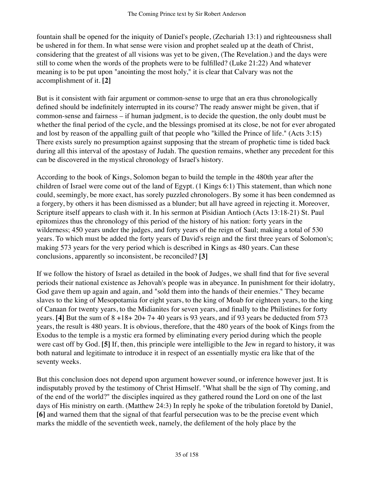fountain shall be opened for the iniquity of Daniel's people, (Zechariah 13:1) and righteousness shall be ushered in for them. In what sense were vision and prophet sealed up at the death of Christ, considering that the greatest of all visions was yet to be given, (The Revelation.) and the days were still to come when the words of the prophets were to be fulfilled? (Luke 21:22) And whatever meaning is to be put upon "anointing the most holy," it is clear that Calvary was not the accomplishment of it. **[2]**

But is it consistent with fair argument or common-sense to urge that an era thus chronologically defined should be indefinitely interrupted in its course? The ready answer might be given, that if common-sense and fairness – if human judgment, is to decide the question, the only doubt must be whether the final period of the cycle, and the blessings promised at its close, be not for ever abrogated and lost by reason of the appalling guilt of that people who "killed the Prince of life." (Acts 3:15) There exists surely no presumption against supposing that the stream of prophetic time is tided back during all this interval of the apostasy of Judah. The question remains, whether any precedent for this can be discovered in the mystical chronology of Israel's history.

According to the book of Kings, Solomon began to build the temple in the 480th year after the children of Israel were come out of the land of Egypt. (1 Kings 6:1) This statement, than which none could, seemingly, be more exact, has sorely puzzled chronologers. By some it has been condemned as a forgery, by others it has been dismissed as a blunder; but all have agreed in rejecting it. Moreover, Scripture itself appears to clash with it. In his sermon at Pisidian Antioch (Acts 13:18-21) St. Paul epitomizes thus the chronology of this period of the history of his nation: forty years in the wilderness; 450 years under the judges, and forty years of the reign of Saul; making a total of 530 years. To which must be added the forty years of David's reign and the first three years of Solomon's; making 573 years for the very period which is described in Kings as 480 years. Can these conclusions, apparently so inconsistent, be reconciled? **[3]**

If we follow the history of Israel as detailed in the book of Judges, we shall find that for five several periods their national existence as Jehovah's people was in abeyance. In punishment for their idolatry, God gave them up again and again, and "sold them into the hands of their enemies." They became slaves to the king of Mesopotamia for eight years, to the king of Moab for eighteen years, to the king of Canaan for twenty years, to the Midianites for seven years, and finally to the Philistines for forty years. **[4]** But the sum of 8 +18+ 20+ 7+ 40 years is 93 years, and if 93 years be deducted from 573 years, the result is 480 years. It is obvious, therefore, that the 480 years of the book of Kings from the Exodus to the temple is a mystic era formed by eliminating every period during which the people were cast off by God. **[5]** If, then, this principle were intelligible to the Jew in regard to history, it was both natural and legitimate to introduce it in respect of an essentially mystic era like that of the seventy weeks.

But this conclusion does not depend upon argument however sound, or inference however just. It is indisputably proved by the testimony of Christ Himself. "What shall be the sign of Thy coming, and of the end of the world?" the disciples inquired as they gathered round the Lord on one of the last days of His ministry on earth. (Matthew 24:3) In reply he spoke of the tribulation foretold by Daniel, **[6]** and warned them that the signal of that fearful persecution was to be the precise event which marks the middle of the seventieth week, namely, the defilement of the holy place by the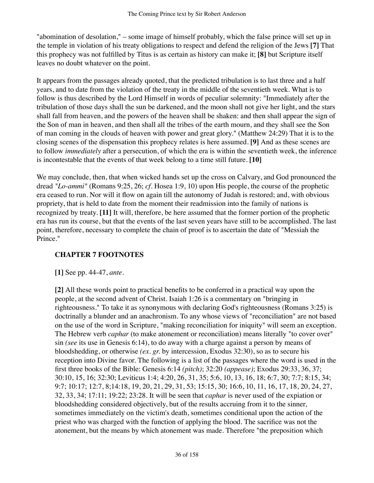"abomination of desolation," – some image of himself probably, which the false prince will set up in the temple in violation of his treaty obligations to respect and defend the religion of the Jews **[7]** That this prophecy was not fulfilled by Titus is as certain as history can make it; **[8]** but Scripture itself leaves no doubt whatever on the point.

It appears from the passages already quoted, that the predicted tribulation is to last three and a half years, and to date from the violation of the treaty in the middle of the seventieth week. What is to follow is thus described by the Lord Himself in words of peculiar solemnity: "Immediately after the tribulation of those days shall the sun be darkened, and the moon shall not give her light, and the stars shall fall from heaven, and the powers of the heaven shall be shaken: and then shall appear the sign of the Son of man in heaven, and then shall all the tribes of the earth mourn, and they shall see the Son of man coming in the clouds of heaven with power and great glory." (Matthew 24:29) That it is to the closing scenes of the dispensation this prophecy relates is here assumed. **[9]** And as these scenes are to follow *immediately* after a persecution, of which the era is within the seventieth week, the inference is incontestable that the events of that week belong to a time still future. **[10]**

We may conclude, then, that when wicked hands set up the cross on Calvary, and God pronounced the dread *"Lo-ammi"* (Romans 9:25, 26; *cf*. Hosea 1:9, 10) upon His people, the course of the prophetic era ceased to run. Nor will it flow on again till the autonomy of Judah is restored; and, with obvious propriety, that is held to date from the moment their readmission into the family of nations is recognized by treaty. **[11]** It will, therefore, be here assumed that the former portion of the prophetic era has run its course, but that the events of the last seven years have still to be accomplished. The last point, therefore, necessary to complete the chain of proof is to ascertain the date of "Messiah the Prince."

## **CHAPTER 7 FOOTNOTES**

**[1]** See pp. 44-47, *ante*.

**[2]** All these words point to practical benefits to be conferred in a practical way upon the people, at the second advent of Christ. Isaiah 1:26 is a commentary on "bringing in righteousness." To take it as synonymous with declaring God's righteousness (Romans 3:25) is doctrinally a blunder and an anachronism. To any whose views of "reconciliation" are not based on the use of the word in Scripture, "making reconciliation for iniquity" will seem an exception. The Hebrew verb *caphar* (to make atonement or reconciliation) means literally "to cover over" sin *(see* its use in Genesis 6:14), to do away with a charge against a person by means of bloodshedding, or otherwise *(ex. gr.* by intercession, Exodus 32:30), so as to secure his reception into Divine favor. The following is a list of the passages where the word is used in the first three books of the Bible: Genesis 6:14 *(pitch)*; 32:20 *(appease)*; Exodus 29:33, 36, 37; 30:10, 15, 16; 32:30; Leviticus 1:4; 4:20, 26, 31, 35; 5:6, 10, 13, 16, 18; 6:7, 30; 7:7; 8:15, 34; 9:7; 10:17; 12:7, 8;14:18, 19, 20, 21, 29, 31, 53; 15:15, 30; 16:6, 10, 11, 16, 17, 18, 20, 24, 27, 32, 33, 34; 17:11; 19:22; 23:28. It will be seen that *caphar* is never used of the expiation or bloodshedding considered objectively, but of the results accruing from it to the sinner, sometimes immediately on the victim's death, sometimes conditional upon the action of the priest who was charged with the function of applying the blood. The sacrifice was not the atonement, but the means by which atonement was made. Therefore "the preposition which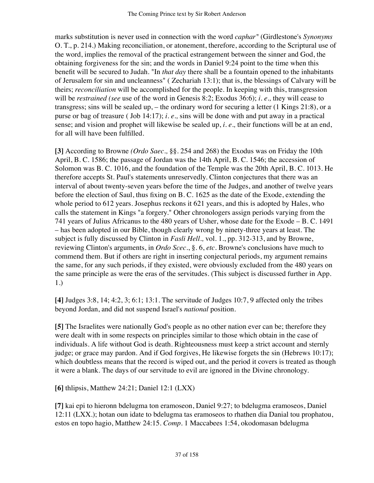marks substitution is never used in connection with the word *caphar"* (Girdlestone's *Synonyms* O. T., p. 214.) Making reconciliation, or atonement, therefore, according to the Scriptural use of the word, implies the removal of the practical estrangement between the sinner and God, the obtaining forgiveness for the sin; and the words in Daniel 9:24 point to the time when this benefit will be secured to Judah. "In *that day* there shall be a fountain opened to the inhabitants of Jerusalem for sin and uncleanness" ( Zechariah 13:1); that is, the blessings of Calvary will be theirs; *reconciliation* will be accomplished for the people. In keeping with this, transgression will be *restrained (see* use of the word in Genesis 8:2; Exodus 36:6); *i. e.,* they will cease to transgress; sins will be sealed up, – the ordinary word for securing a letter (1 Kings 21:8), or a purse or bag of treasure ( Job 14:17); *i. e.,* sins will be done with and put away in a practical sense; and vision and prophet will likewise be sealed up, *i. e.,* their functions will be at an end, for all will have been fulfilled.

**[3]** According to Browne *(Ordo Saec.,* §§. 254 and 268) the Exodus was on Friday the 10th April, B. C. 1586; the passage of Jordan was the 14th April, B. C. 1546; the accession of Solomon was B. C. 1016, and the foundation of the Temple was the 20th April, B. C. 1013. He therefore accepts St. Paul's statements unreservedly. Clinton conjectures that there was an interval of about twenty-seven years before the time of the Judges, and another of twelve years before the election of Saul, thus fixing on B. C. 1625 as the date of the Exode, extending the whole period to 612 years. Josephus reckons it 621 years, and this is adopted by Hales, who calls the statement in Kings "a forgery." Other chronologers assign periods varying from the 741 years of Julius Africanus to the 480 years of Usher, whose date for the Exode – B. C. 1491 – has been adopted in our Bible, though clearly wrong by ninety-three years at least. The subject is fully discussed by Clinton in *Fasli Hell.,* vol. 1., pp. 312-313, and by Browne, reviewing Clinton's arguments, in *Ordo Scec*., §. 6, *etc.* Browne's conclusions have much to commend them. But if others are right in inserting conjectural periods, my argument remains the same, for any such periods, if they existed, were obviously excluded from the 480 years on the same principle as were the eras of the servitudes. (This subject is discussed further in App. 1.)

**[4]** Judges 3:8, 14; 4:2, 3; 6:1; 13:1. The servitude of Judges 10:7, 9 affected only the tribes beyond Jordan, and did not suspend Israel's *national* position.

**[5]** The Israelites were nationally God's people as no other nation ever can be; therefore they were dealt with in some respects on principles similar to those which obtain in the case of individuals. A life without God is death. Righteousness must keep a strict account and sternly judge; or grace may pardon. And if God forgives, He likewise forgets the sin (Hebrews 10:17); which doubtless means that the record is wiped out, and the period it covers is treated as though it were a blank. The days of our servitude to evil are ignored in the Divine chronology.

**[6]** thlipsis, Matthew 24:21; Daniel 12:1 (LXX)

**[7]** kai epi to hieronn bdelugma ton eramoseon, Daniel 9:27; to bdelugma eramoseos, Daniel 12:11 (LXX.); hotan oun idate to bdelugma tas eramoseos to rhathen dia Danial tou prophatou, estos en topo hagio, Matthew 24:15. *Comp.* 1 Maccabees 1:54, okodomasan bdelugma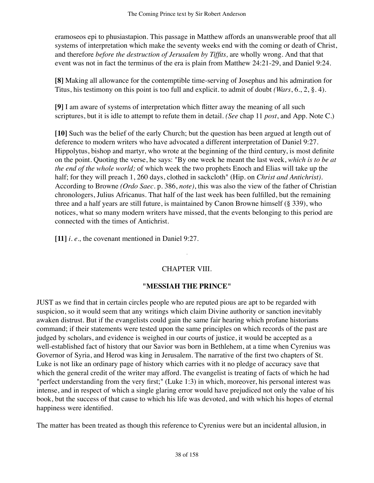eramoseos epi to phusiastapion. This passage in Matthew affords an unanswerable proof that all systems of interpretation which make the seventy weeks end with the coming or death of Christ, and therefore *before the destruction of Jerusalem by Tiffits,* are wholly wrong. And that that event was not in fact the terminus of the era is plain from Matthew 24:21-29, and Daniel 9:24.

**[8]** Making all allowance for the contemptible time-serving of Josephus and his admiration for Titus, his testimony on this point is too full and explicit. to admit of doubt *(Wars*, 6., 2, §. 4).

**[9]** I am aware of systems of interpretation which flitter away the meaning of all such scriptures, but it is idle to attempt to refute them in detail. *(See* chap 11 *post*, and App. Note C.)

**[10]** Such was the belief of the early Church; but the question has been argued at length out of deference to modern writers who have advocated a different interpretation of Daniel 9:27. Hippolytus, bishop and martyr, who wrote at the beginning of the third century, is most definite on the point. Quoting the verse, he says: "By one week he meant the last week, *which is to be at the end of the whole world;* of which week the two prophets Enoch and Elias will take up the half; for they will preach 1, 260 days, clothed in sackcloth" (Hip. on *Christ and Antichrist)*. According to Browne *(Ordo Saec.* p. 386, *note)*, this was also the view of the father of Christian chronologers, Julius Africanus. That half of the last week has been fulfilled, but the remaining three and a half years are still future, is maintained by Canon Browne himself (§ 339), who notices, what so many modern writers have missed, that the events belonging to this period are connected with the times of Antichrist.

**[11]** *i. e.,* the covenant mentioned in Daniel 9:27.

### CHAPTER VIII.

.

### **"MESSIAH THE PRINCE"**

JUST as we find that in certain circles people who are reputed pious are apt to be regarded with suspicion, so it would seem that any writings which claim Divine authority or sanction inevitably awaken distrust. But if the evangelists could gain the same fair hearing which profane historians command; if their statements were tested upon the same principles on which records of the past are judged by scholars, and evidence is weighed in our courts of justice, it would be accepted as a well-established fact of history that our Savior was born in Bethlehem, at a time when Cyrenius was Governor of Syria, and Herod was king in Jerusalem. The narrative of the first two chapters of St. Luke is not like an ordinary page of history which carries with it no pledge of accuracy save that which the general credit of the writer may afford. The evangelist is treating of facts of which he had "perfect understanding from the very first;" (Luke 1:3) in which, moreover, his personal interest was intense, and in respect of which a single glaring error would have prejudiced not only the value of his book, but the success of that cause to which his life was devoted, and with which his hopes of eternal happiness were identified.

The matter has been treated as though this reference to Cyrenius were but an incidental allusion, in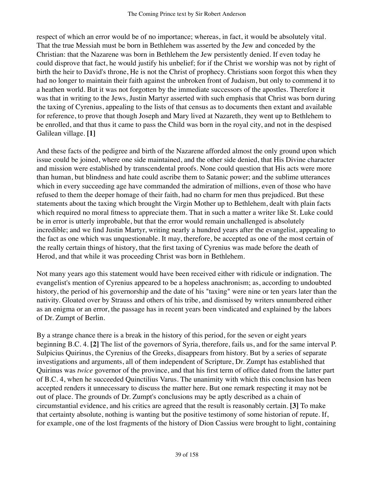respect of which an error would be of no importance; whereas, in fact, it would be absolutely vital. That the true Messiah must be born in Bethlehem was asserted by the Jew and conceded by the Christian: that the Nazarene was born in Bethlehem the Jew persistently denied. If even today he could disprove that fact, he would justify his unbelief; for if the Christ we worship was not by right of birth the heir to David's throne, He is not the Christ of prophecy. Christians soon forgot this when they had no longer to maintain their faith against the unbroken front of Judaism, but only to commend it to a heathen world. But it was not forgotten by the immediate successors of the apostles. Therefore it was that in writing to the Jews, Justin Martyr asserted with such emphasis that Christ was born during the taxing of Cyrenius, appealing to the lists of that census as to documents then extant and available for reference, to prove that though Joseph and Mary lived at Nazareth, they went up to Bethlehem to be enrolled, and that thus it came to pass the Child was born in the royal city, and not in the despised Galilean village. **[1]**

And these facts of the pedigree and birth of the Nazarene afforded almost the only ground upon which issue could be joined, where one side maintained, and the other side denied, that His Divine character and mission were established by transcendental proofs. None could question that His acts were more than human, but blindness and hate could ascribe them to Satanic power; and the sublime utterances which in every succeeding age have commanded the admiration of millions, even of those who have refused to them the deeper homage of their faith, had no charm for men thus prejudiced. But these statements about the taxing which brought the Virgin Mother up to Bethlehem, dealt with plain facts which required no moral fitness to appreciate them. That in such a matter a writer like St. Luke could be in error is utterly improbable, but that the error would remain unchallenged is absolutely incredible; and we find Justin Martyr, writing nearly a hundred years after the evangelist, appealing to the fact as one which was unquestionable. It may, therefore, be accepted as one of the most certain of the really certain things of history, that the first taxing of Cyrenius was made before the death of Herod, and that while it was proceeding Christ was born in Bethlehem.

Not many years ago this statement would have been received either with ridicule or indignation. The evangelist's mention of Cyrenius appeared to be a hopeless anachronism; as, according to undoubted history, the period of his governorship and the date of his "taxing" were nine or ten years later than the nativity. Gloated over by Strauss and others of his tribe, and dismissed by writers unnumbered either as an enigma or an error, the passage has in recent years been vindicated and explained by the labors of Dr. Zumpt of Berlin.

By a strange chance there is a break in the history of this period, for the seven or eight years beginning B.C. 4. **[2]** The list of the governors of Syria, therefore, fails us, and for the same interval P. Sulpicius Quirinus, the Cyrenius of the Greeks, disappears from history. But by a series of separate investigations and arguments, all of them independent of Scripture, Dr. Zumpt has established that Quirinus was *twice* governor of the province, and that his first term of office dated from the latter part of B.C. 4, when he succeeded Quinctilius Varus. The unanimity with which this conclusion has been accepted renders it unnecessary to discuss the matter here. But one remark respecting it may not be out of place. The grounds of Dr. Zumpt's conclusions may be aptly described as a chain of circumstantial evidence, and his critics are agreed that the result is reasonably certain. **[3]** To make that certainty absolute, nothing is wanting but the positive testimony of some historian of repute. If, for example, one of the lost fragments of the history of Dion Cassius were brought to light, containing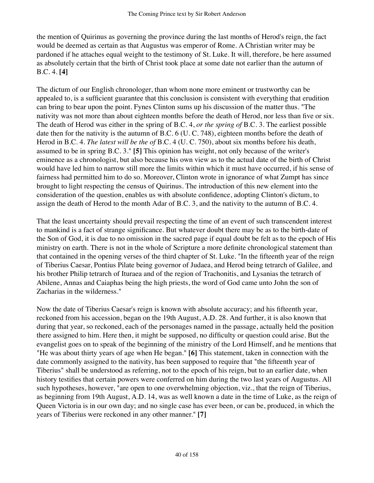the mention of Quirinus as governing the province during the last months of Herod's reign, the fact would be deemed as certain as that Augustus was emperor of Rome. A Christian writer may be pardoned if he attaches equal weight to the testimony of St. Luke. It will, therefore, be here assumed as absolutely certain that the birth of Christ took place at some date not earlier than the autumn of B.C. 4. **[4]**

The dictum of our English chronologer, than whom none more eminent or trustworthy can be appealed to, is a sufficient guarantee that this conclusion is consistent with everything that erudition can bring to bear upon the point. Fynes Clinton sums up his discussion of the matter thus. "The nativity was not more than about eighteen months before the death of Herod, nor less than five or six. The death of Herod was either in the spring of B.C. 4, *or the spring of* B.C. 3. The earliest possible date then for the nativity is the autumn of B.C. 6 (U. C. 748), eighteen months before the death of Herod in B.C. 4. *The latest will be the of* B.C. 4 (U. C. 750), about six months before his death, assumed to be in spring B.C. 3." **[5]** This opinion has weight, not only because of the writer's eminence as a chronologist, but also because his own view as to the actual date of the birth of Christ would have led him to narrow still more the limits within which it must have occurred, if his sense of fairness had permitted him to do so. Moreover, Clinton wrote in ignorance of what Zumpt has since brought to light respecting the census of Quirinus. The introduction of this new element into the consideration of the question, enables us with absolute confidence, adopting Clinton's dictum, to assign the death of Herod to the month Adar of B.C. 3, and the nativity to the autumn of B.C. 4.

That the least uncertainty should prevail respecting the time of an event of such transcendent interest to mankind is a fact of strange significance. But whatever doubt there may be as to the birth-date of the Son of God, it is due to no omission in the sacred page if equal doubt be felt as to the epoch of His ministry on earth. There is not in the whole of Scripture a more definite chronological statement than that contained in the opening verses of the third chapter of St. Luke. "In the fifteenth year of the reign of Tiberius Caesar, Pontius Pilate being governor of Judaea, and Herod being tetrarch of Galilee, and his brother Philip tetrarch of Ituraea and of the region of Trachonitis, and Lysanias the tetrarch of Abilene, Annas and Caiaphas being the high priests, the word of God came unto John the son of Zacharias in the wilderness."

Now the date of Tiberius Caesar's reign is known with absolute accuracy; and his fifteenth year, reckoned from his accession, began on the 19th August, A.D. 28. And further, it is also known that during that year, so reckoned, each of the personages named in the passage, actually held the position there assigned to him. Here then, it might be supposed, no difficulty or question could arise. But the evangelist goes on to speak of the beginning of the ministry of the Lord Himself, and he mentions that "He was about thirty years of age when He began." **[6]** This statement, taken in connection with the date commonly assigned to the nativity, has been supposed to require that "the fifteenth year of Tiberius" shall be understood as referring, not to the epoch of his reign, but to an earlier date, when history testifies that certain powers were conferred on him during the two last years of Augustus. All such hypotheses, however, "are open to one overwhelming objection, viz., that the reign of Tiberius, as beginning from 19th August, A.D. 14, was as well known a date in the time of Luke, as the reign of Queen Victoria is in our own day; and no single case has ever been, or can be, produced, in which the years of Tiberius were reckoned in any other manner." **[7]**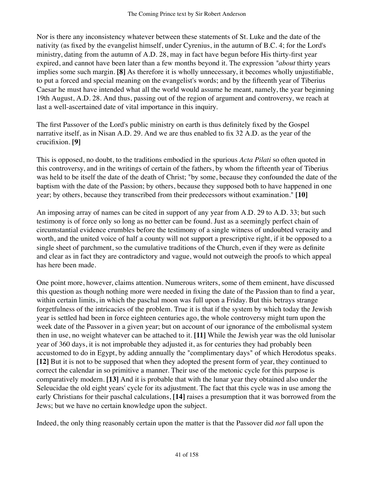Nor is there any inconsistency whatever between these statements of St. Luke and the date of the nativity (as fixed by the evangelist himself, under Cyrenius, in the autumn of B.C. 4; for the Lord's ministry, dating from the autumn of A.D. 28, may in fact have begun before His thirty-first year expired, and cannot have been later than a few months beyond it. The expression *"about* thirty years implies some such margin. **[8]** As therefore it is wholly unnecessary, it becomes wholly unjustifiable, to put a forced and special meaning on the evangelist's words; and by the fifteenth year of Tiberius Caesar he must have intended what all the world would assume he meant, namely, the year beginning 19th August, A.D. 28. And thus, passing out of the region of argument and controversy, we reach at last a well-ascertained date of vital importance in this inquiry.

The first Passover of the Lord's public ministry on earth is thus definitely fixed by the Gospel narrative itself, as in Nisan A.D. 29. And we are thus enabled to fix 32 A.D. as the year of the crucifixion. **[9]**

This is opposed, no doubt, to the traditions embodied in the spurious *Acta Pilati* so often quoted in this controversy, and in the writings of certain of the fathers, by whom the fifteenth year of Tiberius was held to be itself the date of the death of Christ; "by some, because they confounded the date of the baptism with the date of the Passion; by others, because they supposed both to have happened in one year; by others, because they transcribed from their predecessors without examination." **[10]**

An imposing array of names can be cited in support of any year from A.D. 29 to A.D. 33; but such testimony is of force only so long as no better can be found. Just as a seemingly perfect chain of circumstantial evidence crumbles before the testimony of a single witness of undoubted veracity and worth, and the united voice of half a county will not support a prescriptive right, if it be opposed to a single sheet of parchment, so the cumulative traditions of the Church, even if they were as definite and clear as in fact they are contradictory and vague, would not outweigh the proofs to which appeal has here been made.

One point more, however, claims attention. Numerous writers, some of them eminent, have discussed this question as though nothing more were needed in fixing the date of the Passion than to find a year, within certain limits, in which the paschal moon was full upon a Friday. But this betrays strange forgetfulness of the intricacies of the problem. True it is that if the system by which today the Jewish year is settled had been in force eighteen centuries ago, the whole controversy might turn upon the week date of the Passover in a given year; but on account of our ignorance of the embolismal system then in use, no weight whatever can be attached to it. **[11]** While the Jewish year was the old lunisolar year of 360 days, it is not improbable they adjusted it, as for centuries they had probably been accustomed to do in Egypt, by adding annually the "complimentary days" of which Herodotus speaks. **[12]** But it is not to be supposed that when they adopted the present form of year, they continued to correct the calendar in so primitive a manner. Their use of the metonic cycle for this purpose is comparatively modern. **[13]** And it is probable that with the lunar year they obtained also under the Seleucidae the old eight years' cycle for its adjustment. The fact that this cycle was in use among the early Christians for their paschal calculations, **[14]** raises a presumption that it was borrowed from the Jews; but we have no certain knowledge upon the subject.

Indeed, the only thing reasonably certain upon the matter is that the Passover did *not* fall upon the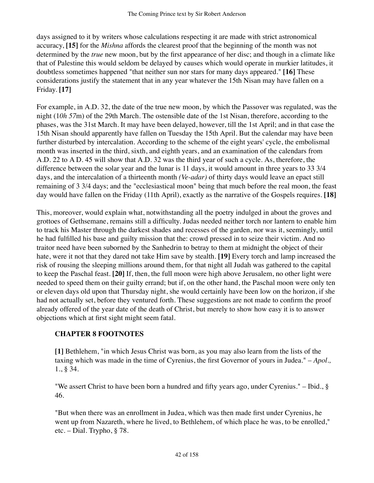days assigned to it by writers whose calculations respecting it are made with strict astronomical accuracy, **[15]** for the *Mishna* affords the clearest proof that the beginning of the month was not determined by the *true* new moon, but by the first appearance of her disc; and though in a climate like that of Palestine this would seldom be delayed by causes which would operate in murkier latitudes, it doubtless sometimes happened "that neither sun nor stars for many days appeared." **[16]** These considerations justify the statement that in any year whatever the 15th Nisan may have fallen on a Friday. **[17]**

For example, in A.D. 32, the date of the true new moon, by which the Passover was regulated, was the night (1*0h 57*m) of the 29th March. The ostensible date of the 1st Nisan, therefore, according to the phases, was the 31st March. It may have been delayed, however, till the 1st April; and in that case the 15th Nisan should apparently have fallen on Tuesday the 15th April. But the calendar may have been further disturbed by intercalation. According to the scheme of the eight years' cycle, the embolismal month was inserted in the third, sixth, and eighth years, and an examination of the calendars from A.D. 22 to A D. 45 will show that A.D. 32 was the third year of such a cycle. As, therefore, the difference between the solar year and the lunar is 11 days, it would amount in three years to 33 3/4 days, and the intercalation of a thirteenth month *(Ve-adar)* of thirty days would leave an epact still remaining of 3 3/4 days; and the "ecclesiastical moon" being that much before the real moon, the feast day would have fallen on the Friday (11th April), exactly as the narrative of the Gospels requires. **[18]**

This, moreover, would explain what, notwithstanding all the poetry indulged in about the groves and grottoes of Gethsemane, remains still a difficulty. Judas needed neither torch nor lantern to enable him to track his Master through the darkest shades and recesses of the garden, nor was it, seemingly, until he had fulfilled his base and guilty mission that the: crowd pressed in to seize their victim. And no traitor need have been suborned by the Sanhedrin to betray to them at midnight the object of their hate, were it not that they dared not take Him save by stealth. **[19]** Every torch and lamp increased the risk of rousing the sleeping millions around them, for that night all Judah was gathered to the capital to keep the Paschal feast. **[20]** If, then, the full moon were high above Jerusalem, no other light were needed to speed them on their guilty errand; but if, on the other hand, the Paschal moon were only ten or eleven days old upon that Thursday night, she would certainly have been low on the horizon, if she had not actually set, before they ventured forth. These suggestions are not made to confirm the proof already offered of the year date of the death of Christ, but merely to show how easy it is to answer objections which at first sight might seem fatal.

## **CHAPTER 8 FOOTNOTES**

**[1]** Bethlehem, "in which Jesus Christ was born, as you may also learn from the lists of the taxing which was made in the time of Cyrenius, the first Governor of yours in Judea." – *Apol.,* 1., § 34.

"We assert Christ to have been born a hundred and fifty years ago, under Cyrenius." – Ibid., § 46.

"But when there was an enrollment in Judea, which was then made first under Cyrenius, he went up from Nazareth, where he lived, to Bethlehem, of which place he was, to be enrolled," etc. – Dial. Trypho, § 78.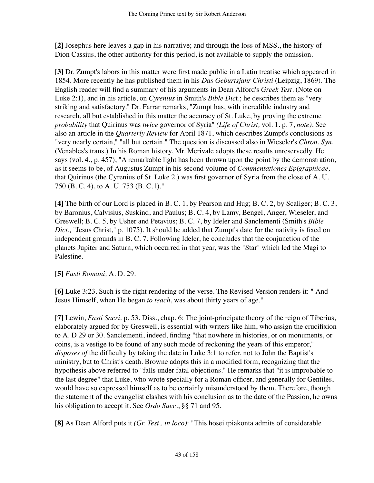**[2]** Josephus here leaves a gap in his narrative; and through the loss of MSS., the history of Dion Cassius, the other authority for this period, is not available to supply the omission.

**[3]** Dr. Zumpt's labors in this matter were first made public in a Latin treatise which appeared in 1854. More recently he has published them in his *Das Geburtsjahr Christi* (Leipzig, 1869). The English reader will find a summary of his arguments in Dean Alford's *Greek Test.* (Note on Luke 2:1), and in his article, on *Cyrenius* in Smith's *Bible Dic*t.; he describes them as "very striking and satisfactory." Dr. Farrar remarks, "Zumpt has, with incredible industry and research, all but established in this matter the accuracy of St. Luke, by proving the extreme *probability* that Quirinus was *twice* governor of Syria" *(Life of Christ,* vol. 1. p. 7, *note).* See also an article in the *Quarterly Review* for April 1871, which describes Zumpt's conclusions as "very nearly certain," "all but certain." The question is discussed also in Wieseler's *Chron. Syn.* (Venables's trans.) In his Roman history, Mr. Merivale adopts these results unreservedly. He says (vol. 4., p. 457), "A remarkable light has been thrown upon the point by the demonstration, as it seems to be, of Augustus Zumpt in his second volume of *Commentationes Epigraphicae,* that Quirinus (the Cyrenius of St. Luke 2.) was first governor of Syria from the close of A. U. 750 (B. C. 4), to A. U. 753 (B. C. l)."

**[4]** The birth of our Lord is placed in B. C. 1, by Pearson and Hug; B. C. 2, by Scaliger; B. C. 3, by Baronius, Calvisius, Suskind, and Paulus; B. C. 4, by Lamy, Bengel, Anger, Wieseler, and Greswell; B. C. 5, by Usher and Petavius; B. C. 7, by Ideler and Sanclementi (Smith's *Bible Dict.,* "Jesus Christ," p. 1075). It should be added that Zumpt's date for the nativity is fixed on independent grounds in B. C. 7. Following Ideler, he concludes that the conjunction of the planets Jupiter and Saturn, which occurred in that year, was the "Star" which led the Magi to Palestine.

**[5]** *Fasti Romani,* A. D. 29.

**[6]** Luke 3:23. Such is the right rendering of the verse. The Revised Version renders it: " And Jesus Himself, when He began *to teach*, was about thirty years of age."

**[7]** Lewin, *Fasti Sacri,* p. 53. Diss., chap. 6: The joint-principate theory of the reign of Tiberius, elaborately argued for by Greswell, is essential with writers like him, who assign the crucifixion to A. D 29 or 30. Sanclementi, indeed, finding "that nowhere in histories, or on monuments, or coins, is a vestige to be found of any such mode of reckoning the years of this emperor," *disposes of* the difficulty by taking the date in Luke 3:1 to refer, not to John the Baptist's ministry, but to Christ's death. Browne adopts this in a modified form, recognizing that the hypothesis above referred to "falls under fatal objections." He remarks that "it is improbable to the last degree" that Luke, who wrote specially for a Roman officer, and generally for Gentiles, would have so expressed himself as to be certainly misunderstood by them. Therefore, though the statement of the evangelist clashes with his conclusion as to the date of the Passion, he owns his obligation to accept it. See *Ordo Saec*., §§ 71 and 95.

**[8]** As Dean Alford puts it *(Gr. Test., in loco)*: "This hosei tpiakonta admits of considerable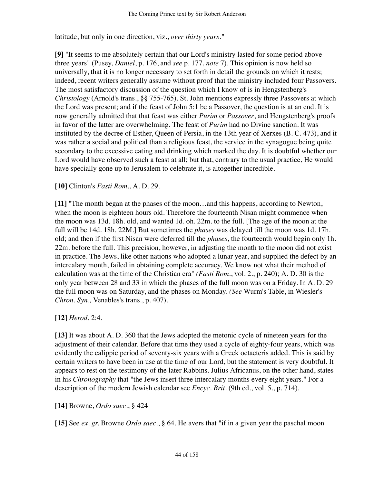latitude, but only in one direction, viz., *over thirty years."*

**[9]** "It seems to me absolutely certain that our Lord's ministry lasted for some period above three years" (Pusey, *Daniel*, p. 176, and *see* p. 177, *note* 7). This opinion is now held so universally, that it is no longer necessary to set forth in detail the grounds on which it rests; indeed, recent writers generally assume without proof that the ministry included four Passovers. The most satisfactory discussion of the question which I know of is in Hengstenberg's *Christology* (Arnold's trans., §§ 755-765). St. John mentions expressly three Passovers at which the Lord was present; and if the feast of John 5:1 be a Passover, the question is at an end. It is now generally admitted that that feast was either *Purim* or *Passover*, and Hengstenberg's proofs in favor of the latter are overwhelming. The feast of *Purim* had no Divine sanction. It was instituted by the decree of Esther, Queen of Persia, in the 13th year of Xerxes (B. C. 473), and it was rather a social and political than a religious feast, the service in the synagogue being quite secondary to the excessive eating and drinking which marked the day. It is doubtful whether our Lord would have observed such a feast at all; but that, contrary to the usual practice, He would have specially gone up to Jerusalem to celebrate it, is altogether incredible.

#### **[10]** Clinton's *Fasti Rom*., A. D. 29.

**[11]** "The month began at the phases of the moon…and this happens, according to Newton, when the moon is eighteen hours old. Therefore the fourteenth Nisan might commence when the moon was 13d. 18h. old, and wanted 1d. oh. 22m. to the full. [The age of the moon at the full will be 14d. 18h. 22M.] But sometimes the *phases* was delayed till the moon was 1d. 17h. old; and then if the first Nisan were deferred till the *phases*, the fourteenth would begin only 1h. 22m. before the full. This precision, however, in adjusting the month to the moon did not exist in practice. The Jews, like other nations who adopted a lunar year, and supplied the defect by an intercalary month, failed in obtaining complete accuracy. We know not what their method of calculation was at the time of the Christian era" *(Fasti Rom*., vol. 2., p. 240); A. D. 30 is the only year between 28 and 33 in which the phases of the full moon was on a Friday. In A. D. 29 the full moon was on Saturday, and the phases on Monday. *(See* Wurm's Table, in Wiesler's *Chron. Syn.,* Venables's trans., p. 407).

**[12]** *Herod*. 2:4.

**[13]** It was about A. D. 360 that the Jews adopted the metonic cycle of nineteen years for the adjustment of their calendar. Before that time they used a cycle of eighty-four years, which was evidently the calippic period of seventy-six years with a Greek octaeteris added. This is said by certain writers to have been in use at the time of our Lord, but the statement is very doubtful. It appears to rest on the testimony of the later Rabbins. Julius Africanus, on the other hand, states in his *Chronography* that "the Jews insert three intercalary months every eight years." For a description of the modern Jewish calendar see *Encyc. Brit.* (9th ed., vol. 5., p. 714).

**[14]** Browne, *Ordo saec*., § 424

**[15]** See *ex. gr.* Browne *Ordo saec*., § 64. He avers that "if in a given year the paschal moon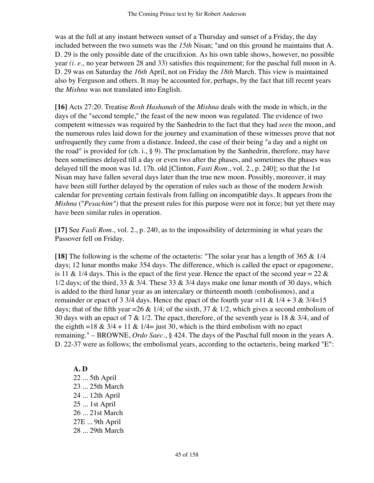was at the full at any instant between sunset of a Thursday and sunset of a Friday, the day included between the two sunsets was the *15th* Nisan; "and on this ground he maintains that A. D. 29 is the only possible date of the crucifixion. As his own table shows, however, no possible year *(i. e.,* no year between 28 and 33) satisfies this requirement; for the paschal full moon in A. D. 29 was on Saturday the *16th* April, not on Friday the *18th* March. This view is maintained also by Ferguson and others. It may be accounted for, perhaps, by the fact that till recent years the *Mishna* was not translated into English.

**[16]** Acts 27:20. Treatise *Rosh Hashanah* of the *Mishna* deals with the mode in which, in the days of the "second temple," the feast of the new moon was regulated. The evidence of two competent witnesses was required by the Sanhedrin to the fact that they had *seen* the moon, and the numerous rules laid down for the journey and examination of these witnesses prove that not unfrequently they came from a distance. Indeed, the case of their being "a day and a night on the road" is provided for (ch. i., § 9). The proclamation by the Sanhedrin, therefore, may have been sometimes delayed till a day or even two after the phases, and sometimes the phases was delayed till the moon was 1d. 17h. old [Clinton, *Fasti Rom*., vol. 2., p. 240]; so that the 1st Nisan may have fallen several days later than the true new moon. Possibly, moreover, it may have been still further delayed by the operation of rules such as those of the modern Jewish calendar for preventing certain festivals from falling on incompatible days. It appears from the *Mishna* ("*Pesachim")* that the present rules for this purpose were not in force; but yet there may have been similar rules in operation.

**[17]** See *Fasli Rom*., vol. 2., p. 240, as to the impossibility of determining in what years the Passover fell on Friday.

**[18]** The following is the scheme of the octaeteris: "The solar year has a length of 365 & 1/4 days; 12 lunar months make 354 days. The difference, which is called the epact or epagomene, is 11 & 1/4 days. This is the epact of the first year. Hence the epact of the second year = 22 & 1/2 days; of the third, 33 & 3/4. These 33 & 3/4 days make one lunar month of 30 days, which is added to the third lunar year as an intercalary or thirteenth month (embolismos), and a remainder or epact of 3 3/4 days. Hence the epact of the fourth year =11 &  $1/4 + 3$  &  $3/4=15$ days; that of the fifth year =26 & 1/4; of the sixth, 37 & 1/2, which gives a second embolism of 30 days with an epact of 7 & 1/2. The epact, therefore, of the seventh year is 18 & 3/4, and of the eighth =18 &  $3/4 + 11$  &  $1/4 =$  just 30, which is the third embolism with no epact remaining." – BROWNE, *Ordo Saec*., § 424. The days of the Paschal full moon in the years A. D. 22-37 were as follows; the embolismal years, according to the octaeteris, being marked "E":

**A. D** 22 ... 5th April 23 ... 25th March 24 ... 12th April 25 ... 1st April 26 ... 21st March 27E ... 9th April 28 ... 29th March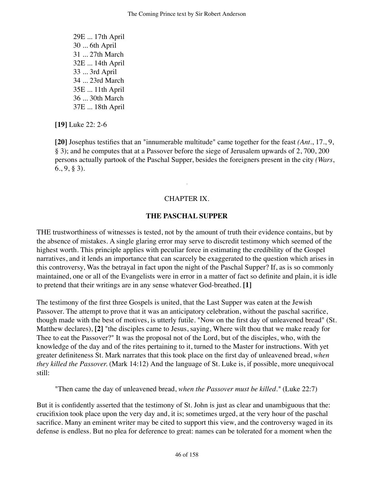29E ... 17th April 30 ... 6th April 31 ... 27th March 32E ... 14th April 33 ... 3rd April 34 ... 23rd March 35E ... 11th April 36 ... 30th March 37E ... 18th April

**[19]** Luke 22: 2-6

**[20]** Josephus testifies that an "innumerable multitude" came together for the feast *(Ant*., 17., 9, § 3); and he computes that at a Passover before the siege of Jerusalem upwards of 2, 700, 200 persons actually partook of the Paschal Supper, besides the foreigners present in the city *(Wars*, 6., 9, § 3).

### CHAPTER IX.

.

#### **THE PASCHAL SUPPER**

THE trustworthiness of witnesses is tested, not by the amount of truth their evidence contains, but by the absence of mistakes. A single glaring error may serve to discredit testimony which seemed of the highest worth. This principle applies with peculiar force in estimating the credibility of the Gospel narratives, and it lends an importance that can scarcely be exaggerated to the question which arises in this controversy, Was the betrayal in fact upon the night of the Paschal Supper? If, as is so commonly maintained, one or all of the Evangelists were in error in a matter of fact so definite and plain, it is idle to pretend that their writings are in any sense whatever God-breathed. **[1]**

The testimony of the first three Gospels is united, that the Last Supper was eaten at the Jewish Passover. The attempt to prove that it was an anticipatory celebration, without the paschal sacrifice, though made with the best of motives, is utterly futile. "Now on the first day of unleavened bread" (St. Matthew declares), **[2]** "the disciples came to Jesus, saying, Where wilt thou that we make ready for Thee to eat the Passover?" It was the proposal not of the Lord, but of the disciples, who, with the knowledge of the day and of the rites pertaining to it, turned to the Master for instructions. With yet greater definiteness St. Mark narrates that this took place on the first day of unleavened bread, *when they killed the Passover.* (Mark 14:12) And the language of St. Luke is, if possible, more unequivocal still:

"Then came the day of unleavened bread, *when the Passover must be killed."* (Luke 22:7)

But it is confidently asserted that the testimony of St. John is just as clear and unambiguous that the: crucifixion took place upon the very day and, it is; sometimes urged, at the very hour of the paschal sacrifice. Many an eminent writer may be cited to support this view, and the controversy waged in its defense is endless. But no plea for deference to great: names can be tolerated for a moment when the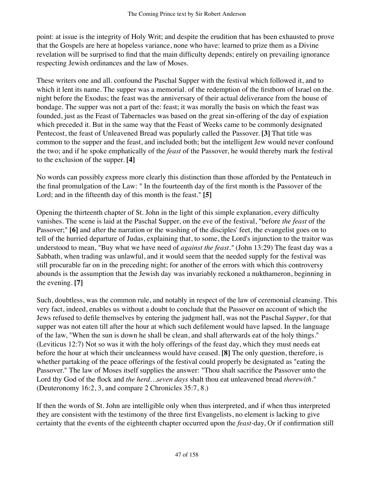point: at issue is the integrity of Holy Writ; and despite the erudition that has been exhausted to prove that the Gospels are here at hopeless variance, none who have: learned to prize them as a Divine revelation will be surprised to find that the main difficulty depends; entirely on prevailing ignorance respecting Jewish ordinances and the law of Moses.

These writers one and all. confound the Paschal Supper with the festival which followed it, and to which it lent its name. The supper was a memorial. of the redemption of the firstborn of Israel on the. night before the Exodus; the feast was the anniversary of their actual deliverance from the house of bondage. The supper was not a part of the: feast; it was morally the basis on which the feast was founded, just as the Feast of Tabernacles was based on the great sin-offering of the day of expiation which preceded it. But in the same way that the Feast of Weeks came to be commonly designated Pentecost, the feast of Unleavened Bread was popularly called the Passover. **[3]** That title was common to the supper and the feast, and included both; but the intelligent Jew would never confound the two; and if he spoke emphatically of the *feast* of the Passover, he would thereby mark the festival to the exclusion of the supper. **[4]**

No words can possibly express more clearly this distinction than those afforded by the Pentateuch in the final promulgation of the Law: " In the fourteenth day of the first month is the Passover of the Lord; and in the fifteenth day of this month is the feast." **[5]**

Opening the thirteenth chapter of St. John in the light of this simple explanation, every difficulty vanishes. The scene is laid at the Paschal Supper, on the eve of the festival, "before *the feast* of the Passover;" **[6]** and after the narration or the washing of the disciples' feet, the evangelist goes on to tell of the hurried departure of Judas, explaining that, to some, the Lord's injunction to the traitor was understood to mean, "Buy what we have need of *against the feast."* (John 13:29) The feast day was a Sabbath, when trading was unlawful, and it would seem that the needed supply for the festival was still procurable far on in the preceding night; for another of the errors with which this controversy abounds is the assumption that the Jewish day was invariably reckoned a nukthameron, beginning in the evening. **[7]**

Such, doubtless, was the common rule, and notably in respect of the law of ceremonial cleansing. This very fact, indeed, enables us without a doubt to conclude that the Passover on account of which the Jews refused to defile themselves by entering the judgment hall, was not the Paschal *Supper*, for that supper was not eaten till after the hour at which such defilement would have lapsed. In the language of the law, "When the sun is down he shall be clean, and shall afterwards eat of the holy things." (Leviticus 12:7) Not so was it with the holy offerings of the feast day, which they must needs eat before the hour at which their uncleanness would have ceased. **[8]** The only question, therefore, is whether partaking of the peace offerings of the festival could properly be designated as "eating the Passover." The law of Moses itself supplies the answer: "Thou shalt sacrifice the Passover unto the Lord thy God of the flock and *the herd…seven days* shalt thou eat unleavened bread *therewith*." (Deuteronomy 16:2, 3, and compare 2 Chronicles 35:7, 8.)

If then the words of St. John are intelligible only when thus interpreted, and if when thus interpreted they are consistent with the testimony of the three first Evangelists, no element is lacking to give certainty that the events of the eighteenth chapter occurred upon the *feast-*day, Or if confirmation still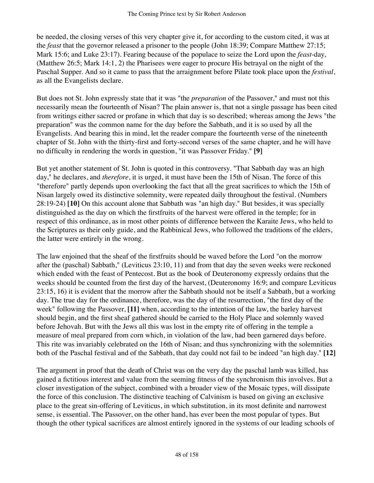be needed, the closing verses of this very chapter give it, for according to the custom cited, it was at the *feast* that the governor released a prisoner to the people (John 18:39; Compare Matthew 27:15; Mark 15:6; and Luke 23:17). Fearing because of the populace to seize the Lord upon the *feast*-day, (Matthew 26:5; Mark 14:1, 2) the Pharisees were eager to procure His betrayal on the night of the Paschal Supper. And so it came to pass that the arraignment before Pilate took place upon the *festival*, as all the Evangelists declare.

But does not St. John expressly state that it was "the *preparation* of the Passover," and must not this necessarily mean the fourteenth of Nisan? The plain answer is, that not a single passage has been cited from writings either sacred or profane in which that day is so described; whereas among the Jews "the preparation" was the common name for the day before the Sabbath, and it is so used by all the Evangelists. And bearing this in mind, let the reader compare the fourteenth verse of the nineteenth chapter of St. John with the thirty-first and forty-second verses of the same chapter, and he will have no difficulty in rendering the words in question, "it was Passover Friday." **[9]**

But yet another statement of St. John is quoted in this controversy. "That Sabbath day was an high day," he declares, and *therefore*, it is urged, it must have been the 15th of Nisan. The force of this "therefore" partly depends upon overlooking the fact that all the great sacrifices to which the 15th of Nisan largely owed its distinctive solemnity, were repeated daily throughout the festival. (Numbers 28:19-24) **[10]** On this account alone that Sabbath was "an high day." But besides, it was specially distinguished as the day on which the firstfruits of the harvest were offered in the temple; for in respect of this ordinance, as in most other points of difference between the Karaite Jews, who held to the Scriptures as their only guide, and the Rabbinical Jews, who followed the traditions of the elders, the latter were entirely in the wrong.

The law enjoined that the sheaf of the firstfruits should be waved before the Lord "on the morrow after the (paschal) Sabbath," (Leviticus 23:10, 11) and from that day the seven weeks were reckoned which ended with the feast of Pentecost. But as the book of Deuteronomy expressly ordains that the weeks should be counted from the first day of the harvest, (Deuteronomy 16:9; and compare Leviticus 23:15, 16) it is evident that the morrow after the Sabbath should not be itself a Sabbath, but a working day. The true day for the ordinance, therefore, was the day of the resurrection, "the first day of the week" following the Passover, **[11]** when, according to the intention of the law, the barley harvest should begin, and the first sheaf gathered should be carried to the Holy Place and solemnly waved before Jehovah. But with the Jews all this was lost in the empty rite of offering in the temple a measure of meal prepared from corn which, in violation of the law, had been garnered days before. This rite was invariably celebrated on the 16th of Nisan; and thus synchronizing with the solemnities both of the Paschal festival and of the Sabbath, that day could not fail to be indeed "an high day." **[12]**

The argument in proof that the death of Christ was on the very day the paschal lamb was killed, has gained a fictitious interest and value from the seeming fitness of the synchronism this involves. But a closer investigation of the subject, combined with a broader view of the Mosaic types, will dissipate the force of this conclusion. The distinctive teaching of Calvinism is based on giving an exclusive place to the great sin-offering of Leviticus, in which substitution, in its most definite and narrowest sense, is essential. The Passover, on the other hand, has ever been the most popular of types. But though the other typical sacrifices are almost entirely ignored in the systems of our leading schools of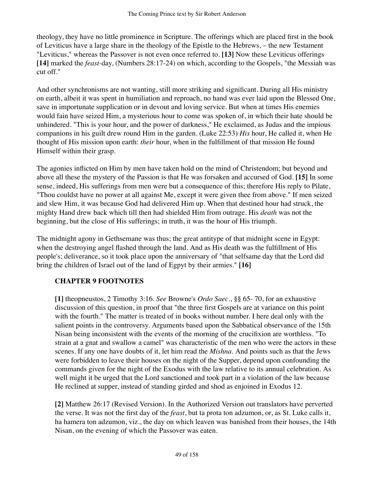theology, they have no little prominence in Scripture. The offerings which are placed first in the book of Leviticus have a large share in the theology of the Epistle to the Hebrews, – the new Testament "Leviticus," whereas the Passover is not even once referred to. **[13]** Now these Leviticus offerings **[14]** marked the *feast-*day, (Numbers 28:17-24) on which, according to the Gospels, "the Messiah was cut off."

And other synchronisms are not wanting, still more striking and significant. During all His ministry on earth, albeit it was spent in humiliation and reproach, no hand was ever laid upon the Blessed One, save in importunate supplication or in devout and loving service. But when at times His enemies would fain have seized Him, a mysterious hour to come was spoken of, in which their hate should be unhindered. "This is your hour, and the power of darkness," He exclaimed, as Judas and the impious companions in his guilt drew round Him in the garden. (Luke 22:53) *His* hour, He called it, when He thought of His mission upon earth: *their* hour, when in the fulfillment of that mission He found Himself within their grasp.

The agonies inflicted on Him by men have taken hold on the mind of Christendom; but beyond and above all these the mystery of the Passion is that He was forsaken and accursed of God. **[15]** In some sense, indeed, His sufferings from men were but a consequence of this; therefore His reply to Pilate, "Thou couldst have no power at all against Me, except it were given thee from above." If men seized and slew Him, it was because God had delivered Him up. When that destined hour had struck, the mighty Hand drew back which till then had shielded Him from outrage. His *death* was not the beginning, but the close of His sufferings; in truth, it was the hour of His triumph.

The midnight agony in Gethsemane was thus; the great antitype of that midnight scene in Egypt: when the destroying angel flashed through the land. And as His death was the fulfillment of His people's; deliverance, so it took place upon the anniversary of "that selfsame day that the Lord did bring the children of Israel out of the land of Egpyt by their armies." **[16]**

## **CHAPTER 9 FOOTNOTES**

**[1]** theopneustos, 2 Timothy 3:16. *See* Browne's *Ordo Saec*., §§ 65- 70, for an exhaustive discussion of this question, in proof that "the three first Gospels are at variance on this point with the fourth." The matter is treated of in books without number. I here deal only with the salient points in the controversy. Arguments based upon the Sabbatical observance of the 15th Nisan being inconsistent with the events of the morning of the crucifixion are worthless. "To strain at a gnat and swallow a camel" was characteristic of the men who were the actors in these scenes. If any one have doubts of it, let him read the *Mishna*. And points such as that the Jews were forbidden to leave their houses on the night of the Supper, depend upon confounding the commands given for the night of the Exodus with the law relative to its annual celebration. As well might it be urged that the Lord sanctioned and took part in a violation of the law because He reclined at supper, instead of standing girded and shod as enjoined in Exodus 12.

**[2]** Matthew 26:17 (Revised Version). In the Authorized Version out translators have perverted the verse. It was not the first day of the *feast*, but ta prota ton adzumon, or, as St. Luke calls it, ha hamera ton adzumon, viz., the day on which leaven was banished from their houses, the 14th Nisan, on the evening of which the Passover was eaten.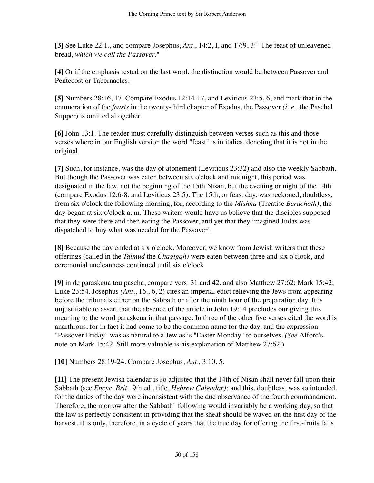**[3]** See Luke 22:1., and compare Josephus, *Ant*., 14:2, I, and 17:9, 3:" The feast of unleavened bread, *which we call the Passover*."

**[4]** Or if the emphasis rested on the last word, the distinction would be between Passover and Pentecost or Tabernacles.

**[5]** Numbers 28:16, 17. Compare Exodus 12:14-17, and Leviticus 23:5, 6, and mark that in the enumeration of the *feasts* in the twenty-third chapter of Exodus, the Passover *(i. e.,* the Paschal Supper) is omitted altogether.

**[6]** John 13:1. The reader must carefully distinguish between verses such as this and those verses where in our English version the word "feast" is in italics, denoting that it is not in the original.

**[7]** Such, for instance, was the day of atonement (Leviticus 23:32) and also the weekly Sabbath. But though the Passover was eaten between six o'clock and midnight, this period was designated in the law, not the beginning of the 15th Nisan, but the evening or night of the 14th (compare Exodus 12:6-8, and Leviticus 23:5). The 15th, or feast day, was reckoned, doubtless, from six o'clock the following morning, for, according to the *Mishna* (Treatise *Berachoth)*, the day began at six o'clock a. m. These writers would have us believe that the disciples supposed that they were there and then eating the Passover, and yet that they imagined Judas was dispatched to buy what was needed for the Passover!

**[8]** Because the day ended at six o'clock. Moreover, we know from Jewish writers that these offerings (called in the *Talmud* the *Chagigah)* were eaten between three and six o'clock, and ceremonial uncleanness continued until six o'clock.

**[9]** in de paraskeua tou pascha, compare vers. 31 and 42, and also Matthew 27:62; Mark 15:42; Luke 23:54. Josephus *(Ant*., 16., 6, 2) cites an imperial edict relieving the Jews from appearing before the tribunals either on the Sabbath or after the ninth hour of the preparation day. It is unjustifiable to assert that the absence of the article in John 19:14 precludes our giving this meaning to the word paraskeua in that passage. In three of the other five verses cited the word is anarthrous, for in fact it had come to be the common name for the day, and the expression "Passover Friday" was as natural to a Jew as is "Easter Monday" to ourselves. *(See* Alford's note on Mark 15:42. Still more valuable is his explanation of Matthew 27:62.)

**[10]** Numbers 28:19-24. Compare Josephus, *Ant.,* 3:10, 5.

**[11]** The present Jewish calendar is so adjusted that the 14th of Nisan shall never fall upon their Sabbath (see *Encyc. Brit.,* 9th ed., title, *Hebrew Calendar);* and this, doubtless, was so intended, for the duties of the day were inconsistent with the due observance of the fourth commandment. Therefore, the morrow after the Sabbath" following would invariably be a working day, so that the law is perfectly consistent in providing that the sheaf should be waved on the first day of the harvest. It is only, therefore, in a cycle of years that the true day for offering the first-fruits falls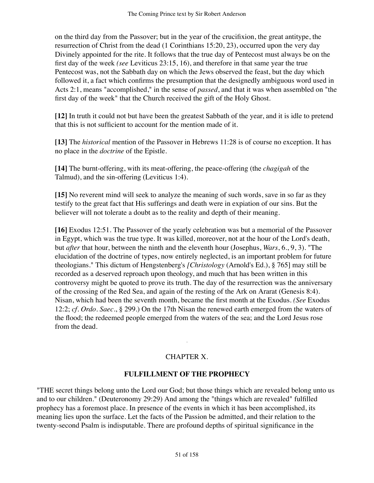on the third day from the Passover; but in the year of the crucifixion, the great antitype, the resurrection of Christ from the dead (1 Corinthians 15:20, 23), occurred upon the very day Divinely appointed for the rite. It follows that the true day of Pentecost must always be on the first day of the week *(see* Leviticus 23:15, 16), and therefore in that same year the true Pentecost was, not the Sabbath day on which the Jews observed the feast, but the day which followed it, a fact which confirms the presumption that the designedly ambiguous word used in Acts 2:1, means "accomplished," in the sense of *passed*, and that it was when assembled on "the first day of the week" that the Church received the gift of the Holy Ghost.

**[12]** In truth it could not but have been the greatest Sabbath of the year, and it is idle to pretend that this is not sufficient to account for the mention made of it.

**[13]** The *historical* mention of the Passover in Hebrews 11:28 is of course no exception. It has no place in the *doctrine* of the Epistle.

**[14]** The burnt-offering, with its meat-offering, the peace-offering (the *chagigah* of the Talmud), and the sin-offering (Leviticus 1:4).

**[15]** No reverent mind will seek to analyze the meaning of such words, save in so far as they testify to the great fact that His sufferings and death were in expiation of our sins. But the believer will not tolerate a doubt as to the reality and depth of their meaning.

**[16]** Exodus 12:51. The Passover of the yearly celebration was but a memorial of the Passover in Egypt, which was the true type. It was killed, moreover, not at the hour of the Lord's death, but *after* that hour, between the ninth and the eleventh hour (Josephus, *Wars*, 6., 9, 3). "The elucidation of the doctrine of types, now entirely neglected, is an important problem for future theologians." This dictum of Hengstenberg's *[Christology* (Arnold's Ed.), § 765] may still be recorded as a deserved reproach upon theology, and much that has been written in this controversy might be quoted to prove its truth. The day of the resurrection was the anniversary of the crossing of the Red Sea, and again of the resting of the Ark on Ararat (Genesis 8:4). Nisan, which had been the seventh month, became the first month at the Exodus. *(See* Exodus 12:2; *cf. Ordo. Saec.*, § 299.) On the 17th Nisan the renewed earth emerged from the waters of the flood; the redeemed people emerged from the waters of the sea; and the Lord Jesus rose from the dead.

## CHAPTER X.

.

### **FULFILLMENT OF THE PROPHECY**

"THE secret things belong unto the Lord our God; but those things which are revealed belong unto us and to our children." (Deuteronomy 29:29) And among the "things which are revealed" fulfilled prophecy has a foremost place. In presence of the events in which it has been accomplished, its meaning lies upon the surface. Let the facts of the Passion be admitted, and their relation to the twenty-second Psalm is indisputable. There are profound depths of spiritual significance in the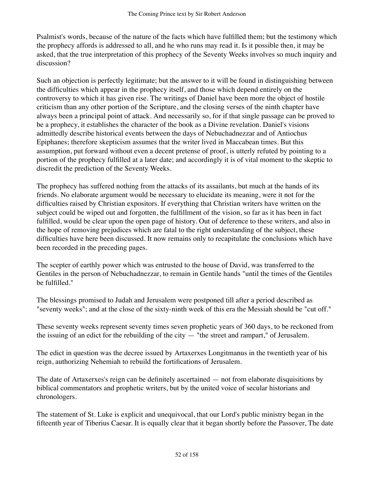Psalmist's words, because of the nature of the facts which have fulfilled them; but the testimony which the prophecy affords is addressed to all, and he who runs may read it. Is it possible then, it may be asked, that the true interpretation of this prophecy of the Seventy Weeks involves so much inquiry and discussion?

Such an objection is perfectly legitimate; but the answer to it will be found in distinguishing between the difficulties which appear in the prophecy itself, and those which depend entirely on the controversy to which it has given rise. The writings of Daniel have been more the object of hostile criticism than any other portion of the Scripture, and the closing verses of the ninth chapter have always been a principal point of attack. And necessarily so, for if that single passage can be proved to be a prophecy, it establishes the character of the book as a Divine revelation. Daniel's visions admittedly describe historical events between the days of Nebuchadnezzar and of Antiochus Epiphanes; therefore skepticism assumes that the writer lived in Maccabean times. But this assumption, put forward without even a decent pretense of proof, is utterly refuted by pointing to a portion of the prophecy fulfilled at a later date; and accordingly it is of vital moment to the skeptic to discredit the prediction of the Seventy Weeks.

The prophecy has suffered nothing from the attacks of its assailants, but much at the hands of its friends. No elaborate argument would be necessary to elucidate its meaning, were it not for the difficulties raised by Christian expositors. If everything that Christian writers have written on the subject could be wiped out and forgotten, the fulfillment of the vision, so far as it has been in fact fulfilled, would be clear upon the open page of history. Out of deference to these writers, and also in the hope of removing prejudices which are fatal to the right understanding of the subject, these difficulties have here been discussed. It now remains only to recapitulate the conclusions which have been recorded in the preceding pages.

The scepter of earthly power which was entrusted to the house of David, was transferred to the Gentiles in the person of Nebuchadnezzar, to remain in Gentile hands "until the times of the Gentiles be fulfilled."

The blessings promised to Judah and Jerusalem were postponed till after a period described as "seventy weeks"; and at the close of the sixty-ninth week of this era the Messiah should be "cut off."

These seventy weeks represent seventy times seven prophetic years of 360 days, to be reckoned from the issuing of an edict for the rebuilding of the city — "the street and rampart," of Jerusalem.

The edict in question was the decree issued by Artaxerxes Longitmanus in the twentieth year of his reign, authorizing Nehemiah to rebuild the fortifications of Jerusalem.

The date of Artaxerxes's reign can be definitely ascertained — not from elaborate disquisitions by biblical commentators and prophetic writers, but by the united voice of secular historians and chronologers.

The statement of St. Luke is explicit and unequivocal, that our Lord's public ministry began in the fifteenth year of Tiberius Caesar. It is equally clear that it began shortly before the Passover, The date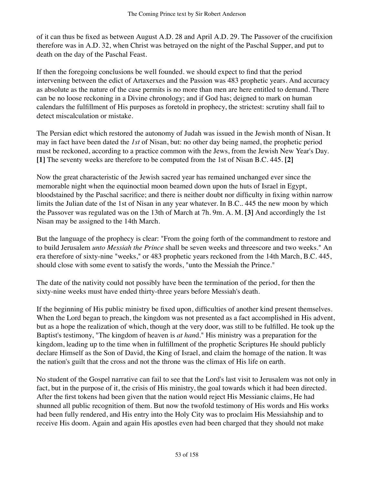of it can thus be fixed as between August A.D. 28 and April A.D. 29. The Passover of the crucifixion therefore was in A.D. 32, when Christ was betrayed on the night of the Paschal Supper, and put to death on the day of the Paschal Feast.

If then the foregoing conclusions be well founded. we should expect to find that the period intervening between the edict of Artaxerxes and the Passion was 483 prophetic years. And accuracy as absolute as the nature of the case permits is no more than men are here entitled to demand. There can be no loose reckoning in a Divine chronology; and if God has; deigned to mark on human calendars the fulfillment of His purposes as foretold in prophecy, the strictest: scrutiny shall fail to detect miscalculation or mistake.

The Persian edict which restored the autonomy of Judah was issued in the Jewish month of Nisan. It may in fact have been dated the *1st* of Nisan, but: no other day being named, the prophetic period must be reckoned, according to a practice common with the Jews, from the Jewish New Year's Day. **[1]** The seventy weeks are therefore to be computed from the 1st of Nisan B.C. 445. **[2]**

Now the great characteristic of the Jewish sacred year has remained unchanged ever since the memorable night when the equinoctial moon beamed down upon the huts of Israel in Egypt, bloodstained by the Paschal sacrifice; and there is neither doubt nor difficulty in fixing within narrow limits the Julian date of the 1st of Nisan in any year whatever. In B.C.. 445 the new moon by which the Passover was regulated was on the 13th of March at 7h. 9m. A. M. **[3]** And accordingly the 1st Nisan may be assigned to the 14th March.

But the language of the prophecy is clear: "From the going forth of the commandment to restore and to build Jerusalem *unto Messiah the Prince* shall be seven weeks and threescore and two weeks." An era therefore of sixty-nine "weeks," or 483 prophetic years reckoned from the 14th March, B.C. 445, should close with some event to satisfy the words, "unto the Messiah the Prince."

The date of the nativity could not possibly have been the termination of the period, for then the sixty-nine weeks must have ended thirty-three years before Messiah's death.

If the beginning of His public ministry be fixed upon, difficulties of another kind present themselves. When the Lord began to preach, the kingdom was not presented as a fact accomplished in His advent, but as a hope the realization of which, though at the very door, was still to be fulfilled. He took up the Baptist's testimony, "The kingdom of heaven is *at han*d." His ministry was a preparation for the kingdom, leading up to the time when in fulfillment of the prophetic Scriptures He should publicly declare Himself as the Son of David, the King of Israel, and claim the homage of the nation. It was the nation's guilt that the cross and not the throne was the climax of His life on earth.

No student of the Gospel narrative can fail to see that the Lord's last visit to Jerusalem was not only in fact, but in the purpose of it, the crisis of His ministry, the goal towards which it had been directed. After the first tokens had been given that the nation would reject His Messianic claims, He had shunned all public recognition of them. But now the twofold testimony of His words and His works had been fully rendered, and His entry into the Holy City was to proclaim His Messiahship and to receive His doom. Again and again His apostles even had been charged that they should not make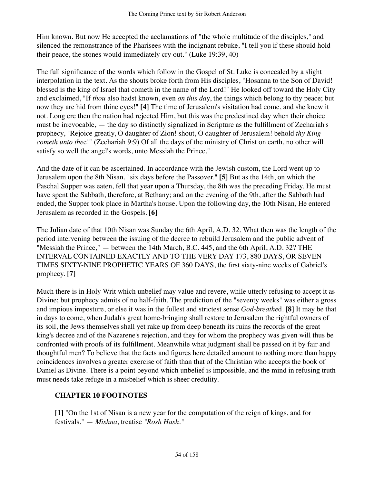Him known. But now He accepted the acclamations of "the whole multitude of the disciples," and silenced the remonstrance of the Pharisees with the indignant rebuke, "I tell you if these should hold their peace, the stones would immediately cry out." (Luke 19:39, 40)

The full significance of the words which follow in the Gospel of St. Luke is concealed by a slight interpolation in the text. As the shouts broke forth from His disciples, "Hosanna to the Son of David! blessed is the king of Israel that cometh in the name of the Lord!" He looked off toward the Holy City and exclaimed, "If *thou* also hadst known, even *on this da*y, the things which belong to thy peace; but now they are hid from thine eyes!" **[4]** The time of Jerusalem's visitation had come, and she knew it not. Long ere then the nation had rejected Him, but this was the predestined day when their choice must be irrevocable, — the day so distinctly signalized in Scripture as the fulfillment of Zechariah's prophecy, "Rejoice greatly, O daughter of Zion! shout, O daughter of Jerusalem! behold *thy King cometh unto the*e!" (Zechariah 9:9) Of all the days of the ministry of Christ on earth, no other will satisfy so well the angel's words, unto Messiah the Prince."

And the date of it can be ascertained. In accordance with the Jewish custom, the Lord went up to Jerusalem upon the 8th Nisan, "six days before the Passover." **[5]** But as the 14th, on which the Paschal Supper was eaten, fell that year upon a Thursday, the 8th was the preceding Friday. He must have spent the Sabbath, therefore, at Bethany; and on the evening of the 9th, after the Sabbath had ended, the Supper took place in Martha's house. Upon the following day, the 10th Nisan, He entered Jerusalem as recorded in the Gospels. **[6]**

The Julian date of that 10th Nisan was Sunday the 6th April, A.D. 32. What then was the length of the period intervening between the issuing of the decree to rebuild Jerusalem and the public advent of "Messiah the Prince," — between the 14th March, B.C. 445, and the 6th April, A.D. 32? THE INTERVAL CONTAINED EXACTLY AND TO THE VERY DAY 173, 880 DAYS, OR SEVEN TIMES SIXTY-NINE PROPHETIC YEARS OF 360 DAYS, the first sixty-nine weeks of Gabriel's prophecy. **[7]**

Much there is in Holy Writ which unbelief may value and revere, while utterly refusing to accept it as Divine; but prophecy admits of no half-faith. The prediction of the "seventy weeks" was either a gross and impious imposture, or else it was in the fullest and strictest sense *God-breathe*d. **[8]** It may be that in days to come, when Judah's great home-bringing shall restore to Jerusalem the rightful owners of its soil, the Jews themselves shall yet rake up from deep beneath its ruins the records of the great king's decree and of the Nazarene's rejection, and they for whom the prophecy was given will thus be confronted with proofs of its fulfillment. Meanwhile what judgment shall be passed on it by fair and thoughtful men? To believe that the facts and figures here detailed amount to nothing more than happy coincidences involves a greater exercise of faith than that of the Christian who accepts the book of Daniel as Divine. There is a point beyond which unbelief is impossible, and the mind in refusing truth must needs take refuge in a misbelief which is sheer credulity.

### **CHAPTER 10 FOOTNOTES**

**[1]** "On the 1st of Nisan is a new year for the computation of the reign of kings, and for festivals." — *Mishna*, treatise *"Rosh Hash."*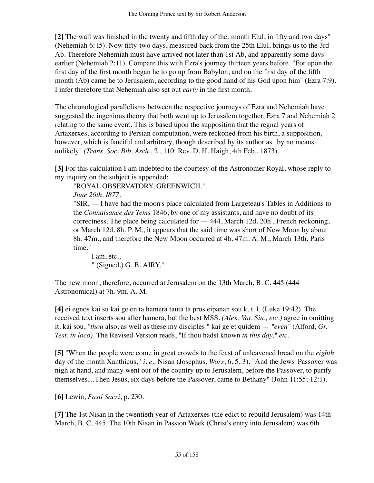**[2]** The wall was finished in the twenty and fifth day of the: month Elul, in fifty and two days" (Nehemiah 6: l5). Now fifty-two days, measured back from the 25th Elul, brings us to the 3rd Ab. Therefore Nehemiah must have arrived not later than 1st Ab, and apparently some days earlier (Nehemiah 2:11). Compare this with Ezra's journey thirteen years before. "For upon the first day of the first month began he to go up from Babylon, and on the first day of the fifth month (Ab) came he to Jerusalem, according to the good hand of his God upon him" (Ezra 7:9). I infer therefore that Nehemiah also set out *early* in the first month.

The chronological parallelisms between the respective journeys of Ezra and Nehemiah have suggested the ingenious theory that both went up to Jerusalem together, Ezra 7 and Nehemiah 2 relating to the same event. This is based upon the supposition that the regnal years of Artaxerxes, according to Persian computation, were reckoned from his birth, a supposition, however, which is fanciful and arbitrary, though described by its author as "by no means unlikely" *(Trans*. *Soc. Bib. Arch*., 2., 110: Rev. D. H. Haigh, 4th Feb., 1873).

**[3]** For this calculation I am indebted to the courtesy of the Astronomer Royal, whose reply to my inquiry on the subject is appended:

"ROYAL OBSERVATORY, GREENWICH."

*June 26th, I877.*

"SIR, — I have had the moon's place calculated from Largeteau's Tables in Additions to the *Connaisance des Tems* 1846, by one of my assistants, and have no doubt of its correctness. The place being calculated for — 444, March 12d. 20h., French reckoning, or March 12d. 8h. P. M., it appears that the said time was short of New Moon by about 8h. 47m., and therefore the New Moon occurred at 4h. 47m. A. M., March 13th, Paris time."

I am, etc., " (Signed,) G. B. AIRY."

The new moon, therefore, occurred at Jerusalem on the 13th March, B. C. 445 (444 Astronomical) at 7h. 9m. A. M.

**[4]** ei egnos kai su kai ge en ta hamera tauta ta pros eipanan sou k. t. l. (Luke 19:42). The received text inserts sou after hamera, but the best MSS. *(Ale*x. *Vat. Sin., etc.)* agree in omitting it. kai sou, *"thou* also, as well as these my disciples." kai ge et quidem — *"even"* (Alford, *Gr. Test. in loco).* The Revised Version reads, "If thou hadst known *in this day," etc.*

**[5]** "When the people were come in great crowds to the feast of unleavened bread on the *eighth* day of the month Xanthicus, ' *i. e.,* Nisan (Josephus, *Wars*, 6. 5, 3). "And the Jews' Passover was nigh at hand, and many went out of the country up to Jerusalem, before the Passover, to purify themselves…Then Jesus, six days before the Passover, came to Bethany" (John 11:55; 12:1).

**[6]** Lewin, *Fasti Sacri*, p. 230.

**[7]** The 1st Nisan in the twentieth year of Artaxerxes (the edict to rebuild Jerusalem) was 14th March, B. C. 445. The 10th Nisan in Passion Week (Christ's entry into Jerusalem) was 6th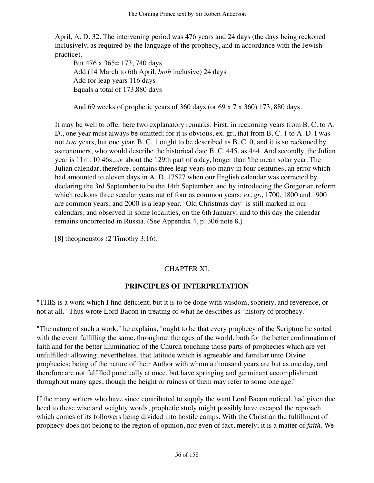April, A. D. 32. The intervening period was 476 years and 24 days (the days being reckoned inclusively, as required by the language of the prophecy, and in accordance with the Jewish practice).

But 476 x 365= 173, 740 days Add (14 March to 6th April, *both* inclusive) 24 days Add for leap years 116 days Equals a total of 173,880 days

And 69 weeks of prophetic years of 360 days (or 69 x 7 x 360) 173, 880 days.

It may be well to offer here two explanatory remarks. First; in reckoning years from B. C. to A. D., one year must always be omitted; for it is obvious, ex. gr., that from B. C. 1 to A. D. I was not *two* years, but one year. B. C. 1 ought to be described as B. C. 0, and it is so reckoned by astronomers, who would describe the historical date B. C. 445, as 444. And secondly, the Julian year is 11m. 10 46s., or about the 129th part of a day, longer than 'the mean solar year. The Julian calendar, therefore, contains three leap years too many in four centuries, an error which had amounted to eleven days in A. D. 17527 when our English calendar was corrected by declaring the 3rd September to be the 14th September, and by introducing the Gregorian reform which reckons three secular years out of four as common years; *ex. gr.,* 1700, 1800 and 1900 are common years, and 2000 is a leap year. "Old Christmas day" is still marked in our calendars, and observed in some localities, on the 6th January; and to this day the calendar remains uncorrected in Russia. (See Appendix 4, p. 306 note 8.)

**[8]** theopneustos (2 Timothy 3:16).

## CHAPTER XI.

.

### **PRINCIPLES OF INTERPRETATION**

"THIS is a work which I find deficient; but it is to be done with wisdom, sobriety, and reverence, or not at all." Thus wrote Lord Bacon in treating of what he describes as "history of prophecy."

"The nature of such a work," he explains, "ought to be that every prophecy of the Scripture be sorted with the event fulfilling the same, throughout the ages of the world, both for the better confirmation of faith and for the better illumination of the Church touching those parts of prophecies which are yet unfulfilled: allowing, nevertheless, that latitude which is agreeable and familiar unto Divine prophecies; being of the nature of their Author with whom a thousand years are but as one day, and therefore are not fulfilled punctually at once, but have springing and germinant accomplishment throughout many ages, though the height or ruiness of them may refer to some one age."

If the many writers who have since contributed to supply the want Lord Bacon noticed, had given due heed to these wise and weighty words, prophetic study might possibly have escaped the reproach which comes of its followers being divided into hostile camps. With the Christian the fulfillment of prophecy does not belong to the region of opinion, nor even of fact, merely; it is a matter of *faith.* We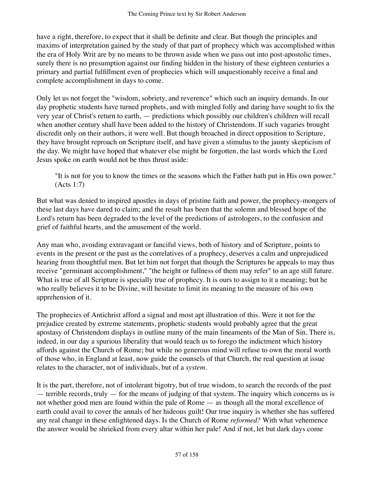have a right, therefore, to expect that it shall be definite and clear. But though the principles and maxims of interpretation gained by the study of that part of prophecy which was accomplished within the era of Holy Writ are by no means to be thrown aside when we pass out into post-apostolic times, surely there is no presumption against our finding hidden in the history of these eighteen centuries a primary and partial fulfillment even of prophecies which will unquestionably receive a final and complete accomplishment in days to come.

Only let us not forget the "wisdom, sobriety, and reverence" which such an inquiry demands. In our day prophetic students have turned prophets, and with mingled folly and daring have sought to fix the very year of Christ's return to earth, — predictions which possibly our children's children will recall when another century shall have been added to the history of Christendom. If such vagaries brought discredit only on their authors, it were well. But though broached in direct opposition to Scripture, they have brought reproach on Scripture itself, and have given a stimulus to the jaunty skepticism of the day. We might have hoped that whatever else might be forgotten, the last words which the Lord Jesus spoke on earth would not be thus thrust aside:

"It is not for you to know the times or the seasons which the Father hath put in His own power." (Acts 1:7)

But what was denied to inspired apostles in days of pristine faith and power, the prophecy-mongers of these last days have dared to claim; and the result has been that the solemn and blessed hope of the Lord's return has been degraded to the level of the predictions of astrologers, to the confusion and grief of faithful hearts, and the amusement of the world.

Any man who, avoiding extravagant or fanciful views, both of history and of Scripture, points to events in the present or the past as the correlatives of a prophecy, deserves a calm and unprejudiced hearing from thoughtful men. But let him not forget that though the Scriptures he appeals to may thus receive "germinant accomplishment," "the height or fullness of them may refer" to an age still future. What is true of all Scripture is specially true of prophecy. It is ours to assign to it a meaning; but he who really believes it to be Divine, will hesitate to limit its meaning to the measure of his own apprehension of it.

The prophecies of Antichrist afford a signal and most apt illustration of this. Were it not for the prejudice created by extreme statements, prophetic students would probably agree that the great apostasy of Christendom displays in outline many of the main lineaments of the Man of Sin. There is, indeed, in our day a spurious liberality that would teach us to forego the indictment which history affords against the Church of Rome; but while no generous mind will refuse to own the moral worth of those who, in England at least, now guide the counsels of that Church, the real question at issue relates to the character, not of individuals, but of a *system.*

It is the part, therefore, not of intolerant bigotry, but of true wisdom, to search the records of the past — terrible records, truly — for the means of judging of that system. The inquiry which concerns us is not whether good men are found within the pale of Rome — as though all the moral excellence of earth could avail to cover the annals of her hideous guilt! Our true inquiry is whether she has suffered any real change in these enlightened days. Is the Church of Rome *reformed?* With what vehemence the answer would be shrieked from every altar within her pale! And if not, let but dark days come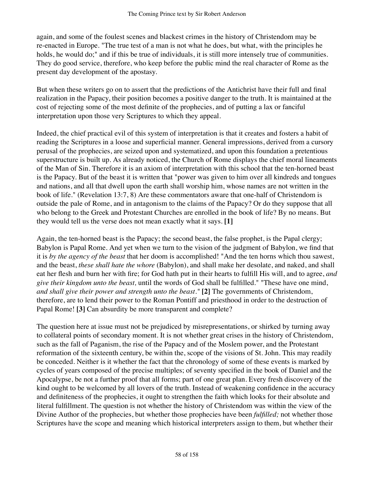again, and some of the foulest scenes and blackest crimes in the history of Christendom may be re-enacted in Europe. "The true test of a man is not what he does, but what, with the principles he holds, he would do;" and if this be true of individuals, it is still more intensely true of communities. They do good service, therefore, who keep before the public mind the real character of Rome as the present day development of the apostasy.

But when these writers go on to assert that the predictions of the Antichrist have their full and final realization in the Papacy, their position becomes a positive danger to the truth. It is maintained at the cost of rejecting some of the most definite of the prophecies, and of putting a lax or fanciful interpretation upon those very Scriptures to which they appeal.

Indeed, the chief practical evil of this system of interpretation is that it creates and fosters a habit of reading the Scriptures in a loose and superficial manner. General impressions, derived from a cursory perusal of the prophecies, are seized upon and systematized, and upon this foundation a pretentious superstructure is built up. As already noticed, the Church of Rome displays the chief moral lineaments of the Man of Sin. Therefore it is an axiom of interpretation with this school that the ten-horned beast is the Papacy. But of the beast it is written that "power was given to him over all kindreds and tongues and nations, and all that dwell upon the earth shall worship him, whose names are not written in the book of life." (Revelation 13:7, 8) Are these commentators aware that one-half of Christendom is outside the pale of Rome, and in antagonism to the claims of the Papacy? Or do they suppose that all who belong to the Greek and Protestant Churches are enrolled in the book of life? By no means. But they would tell us the verse does not mean exactly what it says. **[1]**

Again, the ten-horned beast is the Papacy; the second beast, the false prophet, is the Papal clergy; Babylon is Papal Rome. And yet when we turn to the vision of the judgment of Babylon, we find that it is *by the agency of the beast* that her doom is accomplished! "And the ten horns which thou sawest, and the beast, *these shall hate the whore* (Babylon), and shall make her desolate, and naked, and shall eat her flesh and burn her with fire; for God hath put in their hearts to fulfill His will, and to agree, *and give their kingdom unto the beast,* until the words of God shall be fulfilled." "These have one mind, *and shall give their power and strength unto the beast."* **[2]** The governments of Christendom, therefore, are to lend their power to the Roman Pontiff and priesthood in order to the destruction of Papal Rome! **[3]** Can absurdity be more transparent and complete?

The question here at issue must not be prejudiced by misrepresentations, or shirked by turning away to collateral points of secondary moment. It is not whether great crises in the history of Christendom, such as the fall of Paganism, the rise of the Papacy and of the Moslem power, and the Protestant reformation of the sixteenth century, be within the, scope of the visions of St. John. This may readily be conceded. Neither is it whether the fact that the chronology of some of these events is marked by cycles of years composed of the precise multiples; of seventy specified in the book of Daniel and the Apocalypse, be not a further proof that all forms; part of one great plan. Every fresh discovery of the kind ought to be welcomed by all lovers of the truth. Instead of weakening confidence in the accuracy and definiteness of the prophecies, it ought to strengthen the faith which looks for their absolute and literal fulfillment. The question is not whether the history of Christendom was within the view of the Divine Author of the prophecies, but whether those prophecies have been *fulfilled;* not whether those Scriptures have the scope and meaning which historical interpreters assign to them, but whether their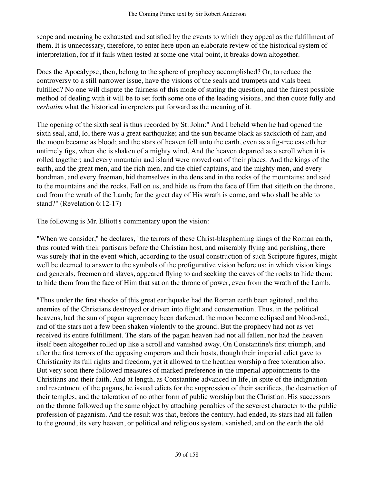scope and meaning be exhausted and satisfied by the events to which they appeal as the fulfillment of them. It is unnecessary, therefore, to enter here upon an elaborate review of the historical system of interpretation, for if it fails when tested at some one vital point, it breaks down altogether.

Does the Apocalypse, then, belong to the sphere of prophecy accomplished? Or, to reduce the controversy to a still narrower issue, have the visions of the seals and trumpets and vials been fulfilled? No one will dispute the fairness of this mode of stating the question, and the fairest possible method of dealing with it will be to set forth some one of the leading visions, and then quote fully and *verbatim* what the historical interpreters put forward as the meaning of it.

The opening of the sixth seal is thus recorded by St. John:" And I beheld when he had opened the sixth seal, and, lo, there was a great earthquake; and the sun became black as sackcloth of hair, and the moon became as blood; and the stars of heaven fell unto the earth, even as a fig-tree casteth her untimely figs, when she is shaken of a mighty wind. And the heaven departed as a scroll when it is rolled together; and every mountain and island were moved out of their places. And the kings of the earth, and the great men, and the rich men, and the chief captains, and the mighty men, and every bondman, and every freeman, hid themselves in the dens and in the rocks of the mountains; and said to the mountains and the rocks, Fall on us, and hide us from the face of Him that sitteth on the throne, and from the wrath of the Lamb; for the great day of His wrath is come, and who shall be able to stand?" (Revelation 6:12-17)

The following is Mr. Elliott's commentary upon the vision:

"When we consider," he declares, "the terrors of these Christ-blaspheming kings of the Roman earth, thus routed with their partisans before the Christian host, and miserably flying and perishing, there was surely that in the event which, according to the usual construction of such Scripture figures, might well be deemed to answer to the symbols of the profigurative vision before us: in which vision kings and generals, freemen and slaves, appeared flying to and seeking the caves of the rocks to hide them: to hide them from the face of Him that sat on the throne of power, even from the wrath of the Lamb.

"Thus under the first shocks of this great earthquake had the Roman earth been agitated, and the enemies of the Christians destroyed or driven into flight and consternation. Thus, in the political heavens, had the sun of pagan supremacy been darkened, the moon become eclipsed and blood-red, and of the stars not a few been shaken violently to the ground. But the prophecy had not as yet received its entire fulfillment. The stars of the pagan heaven had not all fallen, nor had the heaven itself been altogether rolled up like a scroll and vanished away. On Constantine's first triumph, and after the first terrors of the opposing emperors and their hosts, though their imperial edict gave to Christianity its full rights and freedom, yet it allowed to the heathen worship a free toleration also. But very soon there followed measures of marked preference in the imperial appointments to the Christians and their faith. And at length, as Constantine advanced in life, in spite of the indignation and resentment of the pagans, he issued edicts for the suppression of their sacrifices, the destruction of their temples, and the toleration of no other form of public worship but the Christian. His successors on the throne followed up the same object by attaching penalties of the severest character to the public profession of paganism. And the result was that, before the century, had ended, its stars had all fallen to the ground, its very heaven, or political and religious system, vanished, and on the earth the old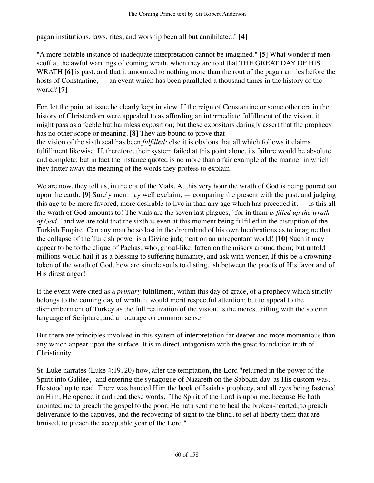pagan institutions, laws, rites, and worship been all but annihilated." **[4]**

"A more notable instance of inadequate interpretation cannot be imagined." **[5]** What wonder if men scoff at the awful warnings of coming wrath, when they are told that THE GREAT DAY OF HIS WRATH **[6]** is past, and that it amounted to nothing more than the rout of the pagan armies before the hosts of Constantine, — an event which has been paralleled a thousand times in the history of the world? **[7]**

For, let the point at issue be clearly kept in view. If the reign of Constantine or some other era in the history of Christendom were appealed to as affording an intermediate fulfillment of the vision, it might pass as a feeble but harmless exposition; but these expositors daringly assert that the prophecy has no other scope or meaning. **[8]** They are bound to prove that the vision of the sixth seal has been *fulfilled;* else it is obvious that all which follows it claims fulfillment likewise. If, therefore, their system failed at this point alone, its failure would be absolute and complete; but in fact the instance quoted is no more than a fair example of the manner in which they fritter away the meaning of the words they profess to explain.

We are now, they tell us, in the era of the Vials. At this very hour the wrath of God is being poured out upon the earth. **[9]** Surely men may well exclaim, — comparing the present with the past, and judging this age to be more favored, more desirable to live in than any age which has preceded it, — Is this all the wrath of God amounts to! The vials are the seven last plagues, "for in them *is filled up the wrath of God,"* and we are told that the sixth is even at this moment being fulfilled in the disruption of the Turkish Empire! Can any man be so lost in the dreamland of his own lucubrations as to imagine that the collapse of the Turkish power is a Divine judgment on an unrepentant world! **[10]** Such it may appear to be to the clique of Pachas, who, ghoul-like, fatten on the misery around them; but untold millions would hail it as a blessing to suffering humanity, and ask with wonder, If this be a crowning token of the wrath of God, how are simple souls to distinguish between the proofs of His favor and of His direst anger!

If the event were cited as a *primary* fulfillment, within this day of grace, of a prophecy which strictly belongs to the coming day of wrath, it would merit respectful attention; but to appeal to the dismemberment of Turkey as the full realization of the vision, is the merest trifling with the solemn language of Scripture, and an outrage on common sense.

But there are principles involved in this system of interpretation far deeper and more momentous than any which appear upon the surface. It is in direct antagonism with the great foundation truth of Christianity.

St. Luke narrates (Luke 4:19, 20) how, after the temptation, the Lord "returned in the power of the Spirit into Galilee," and entering the synagogue of Nazareth on the Sabbath day, as His custom was, He stood up to read. There was handed Him the book of Isaiah's prophecy, and all eyes being fastened on Him, He opened it and read these words, "The Spirit of the Lord is upon me, because He hath anointed me to preach the gospel to the poor; He hath sent me to heal the broken-hearted, to preach deliverance to the captives, and the recovering of sight to the blind, to set at liberty them that are bruised, to preach the acceptable year of the Lord."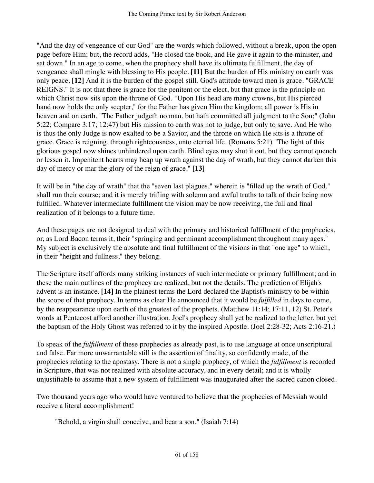"And the day of vengeance of our God" are the words which followed, without a break, upon the open page before Him; but, the record adds, "He closed the book, and He gave it again to the minister, and sat down." In an age to come, when the prophecy shall have its ultimate fulfillment, the day of vengeance shall mingle with blessing to His people. **[11]** But the burden of His ministry on earth was only peace. **[12]** And it is the burden of the gospel still. God's attitude toward men is grace. "GRACE REIGNS." It is not that there is grace for the penitent or the elect, but that grace is the principle on which Christ now sits upon the throne of God. "Upon His head are many crowns, but His pierced hand now holds the only scepter," for the Father has given Him the kingdom; all power is His in heaven and on earth. "The Father judgeth no man, but hath committed all judgment to the Son;" (John 5:22; Compare 3:17; 12:47) but His mission to earth was not to judge, but only to save. And He who is thus the only Judge is now exalted to be a Savior, and the throne on which He sits is a throne of grace. Grace is reigning, through righteousness, unto eternal life. (Romans 5:21) "The light of this glorious gospel now shines unhindered upon earth. Blind eyes may shut it out, but they cannot quench or lessen it. Impenitent hearts may heap up wrath against the day of wrath, but they cannot darken this day of mercy or mar the glory of the reign of grace." **[13]**

It will be in "the day of wrath" that the "seven last plagues," wherein is "filled up the wrath of God," shall run their course; and it is merely trifling with solemn and awful truths to talk of their being now fulfilled. Whatever intermediate fulfillment the vision may be now receiving, the full and final realization of it belongs to a future time.

And these pages are not designed to deal with the primary and historical fulfillment of the prophecies, or, as Lord Bacon terms it, their "springing and germinant accomplishment throughout many ages." My subject is exclusively the absolute and final fulfillment of the visions in that "one age" to which, in their "height and fullness," they belong.

The Scripture itself affords many striking instances of such intermediate or primary fulfillment; and in these the main outlines of the prophecy are realized, but not the details. The prediction of Elijah's advent is an instance. **[14]** In the plainest terms the Lord declared the Baptist's ministry to be within the scope of that prophecy. In terms as clear He announced that it would be *fulfilled* in days to come, by the reappearance upon earth of the greatest of the prophets. (Matthew 11:14; 17:11, 12) St. Peter's words at Pentecost afford another illustration. Joel's prophecy shall yet be realized to the letter, but yet the baptism of the Holy Ghost was referred to it by the inspired Apostle. (Joel 2:28-32; Acts 2:16-21.)

To speak of the *fulfillment* of these prophecies as already past, is to use language at once unscriptural and false. Far more unwarrantable still is the assertion of finality, so confidently made, of the prophecies relating to the apostasy. There is not a single prophecy, of which the *fulfillment* is recorded in Scripture, that was not realized with absolute accuracy, and in every detail; and it is wholly unjustifiable to assume that a new system of fulfillment was inaugurated after the sacred canon closed.

Two thousand years ago who would have ventured to believe that the prophecies of Messiah would receive a literal accomplishment!

"Behold, a virgin shall conceive, and bear a son." (Isaiah 7:14)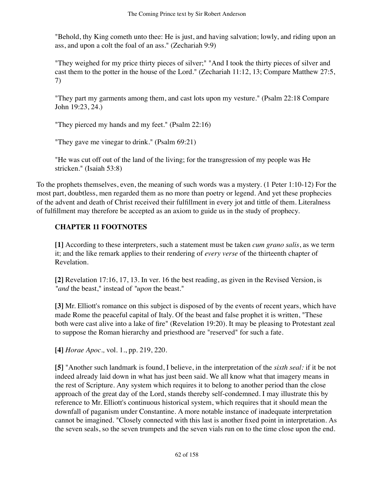"Behold, thy King cometh unto thee: He is just, and having salvation; lowly, and riding upon an ass, and upon a colt the foal of an ass." (Zechariah 9:9)

"They weighed for my price thirty pieces of silver;" "And I took the thirty pieces of silver and cast them to the potter in the house of the Lord." (Zechariah 11:12, 13; Compare Matthew 27:5, 7)

"They part my garments among them, and cast lots upon my vesture." (Psalm 22:18 Compare John 19:23, 24.)

"They pierced my hands and my feet." (Psalm 22:16)

"They gave me vinegar to drink." (Psalm 69:21)

"He was cut off out of the land of the living; for the transgression of my people was He stricken." (Isaiah 53:8)

To the prophets themselves, even, the meaning of such words was a mystery. (1 Peter 1:10-12) For the most part, doubtless, men regarded them as no more than poetry or legend. And yet these prophecies of the advent and death of Christ received their fulfillment in every jot and tittle of them. Literalness of fulfillment may therefore be accepted as an axiom to guide us in the study of prophecy.

# **CHAPTER 11 FOOTNOTES**

**[1]** According to these interpreters, such a statement must be taken *cum grano salis*, as we term it; and the like remark applies to their rendering of *every verse* of the thirteenth chapter of Revelation.

**[2]** Revelation 17:16, 17, 13. In ver. 16 the best reading, as given in the Revised Version, is *"and* the beast," instead of *"upon* the beast."

**[3]** Mr. Elliott's romance on this subject is disposed of by the events of recent years, which have made Rome the peaceful capital of Italy. Of the beast and false prophet it is written, "These both were cast alive into a lake of fire" (Revelation 19:20). It may be pleasing to Protestant zeal to suppose the Roman hierarchy and priesthood are "reserved" for such a fate.

**[4]** *Horae Apoc.,* vol. 1., pp. 219, 220.

**[5]** "Another such landmark is found, I believe, in the interpretation of the *sixth seal:* if it be not indeed already laid down in what has just been said. We all know what that imagery means in the rest of Scripture. Any system which requires it to belong to another period than the close approach of the great day of the Lord, stands thereby self-condemned. I may illustrate this by reference to Mr. Elliott's continuous historical system, which requires that it should mean the downfall of paganism under Constantine. A more notable instance of inadequate interpretation cannot be imagined. "Closely connected with this last is another fixed point in interpretation. As the seven seals, so the seven trumpets and the seven vials run on to the time close upon the end.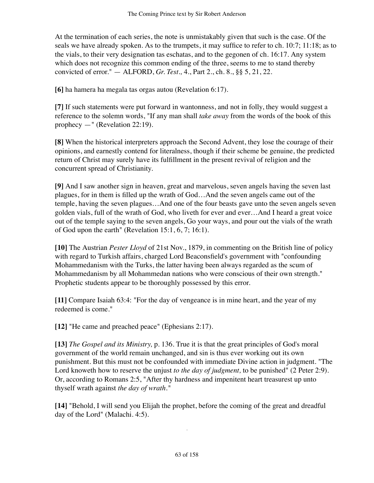At the termination of each series, the note is unmistakably given that such is the case. Of the seals we have already spoken. As to the trumpets, it may suffice to refer to ch. 10:7; 11:18; as to the vials, to their very designation tas eschatas, and to the gegonen of ch. 16:17. Any system which does not recognize this common ending of the three, seems to me to stand thereby convicted of error." — ALFORD, *Gr. Test.,* 4., Part 2., ch. 8., §§ 5, 21, 22.

**[6]** ha hamera ha megala tas orgas autou (Revelation 6:17).

**[7]** If such statements were put forward in wantonness, and not in folly, they would suggest a reference to the solemn words, "If any man shall *take away* from the words of the book of this prophecy —" (Revelation 22:19).

**[8]** When the historical interpreters approach the Second Advent, they lose the courage of their opinions, and earnestly contend for literalness, though if their scheme be genuine, the predicted return of Christ may surely have its fulfillment in the present revival of religion and the concurrent spread of Christianity.

**[9]** And I saw another sign in heaven, great and marvelous, seven angels having the seven last plagues, for in them is filled up the wrath of God…And the seven angels came out of the temple, having the seven plagues…And one of the four beasts gave unto the seven angels seven golden vials, full of the wrath of God, who liveth for ever and ever…And I heard a great voice out of the temple saying to the seven angels, Go your ways, and pour out the vials of the wrath of God upon the earth" (Revelation 15:1, 6, 7; 16:1).

**[10]** The Austrian *Pester Lloyd* of 21st Nov., 1879, in commenting on the British line of policy with regard to Turkish affairs, charged Lord Beaconsfield's government with "confounding Mohammedanism with the Turks, the latter having been always regarded as the scum of Mohammedanism by all Mohammedan nations who were conscious of their own strength." Prophetic students appear to be thoroughly possessed by this error.

**[11]** Compare Isaiah 63:4: "For the day of vengeance is in mine heart, and the year of my redeemed is come."

**[12]** "He came and preached peace" (Ephesians 2:17).

**[13]** *The Gospel and its Ministry,* p. 136. True it is that the great principles of God's moral government of the world remain unchanged, and sin is thus ever working out its own punishment. But this must not be confounded with immediate Divine action in judgment. "The Lord knoweth how to reserve the unjust *to the day of judgment,* to be punished" (2 Peter 2:9). Or, according to Romans 2:5, "After thy hardness and impenitent heart treasurest up unto thyself wrath against *the day of wrath."*

**[14]** "Behold, I will send you Elijah the prophet, before the coming of the great and dreadful day of the Lord" (Malachi. 4:5).

.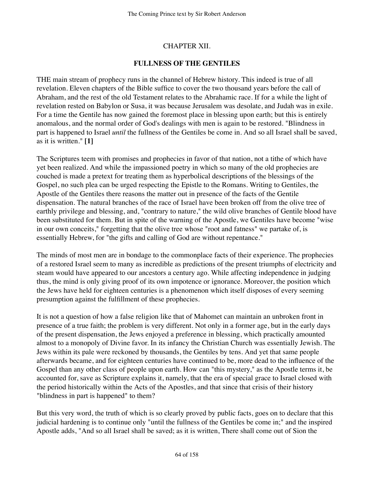# CHAPTER XII.

## **FULLNESS OF THE GENTILES**

THE main stream of prophecy runs in the channel of Hebrew history. This indeed is true of all revelation. Eleven chapters of the Bible suffice to cover the two thousand years before the call of Abraham, and the rest of the old Testament relates to the Abrahamic race. If for a while the light of revelation rested on Babylon or Susa, it was because Jerusalem was desolate, and Judah was in exile. For a time the Gentile has now gained the foremost place in blessing upon earth; but this is entirely anomalous, and the normal order of God's dealings with men is again to be restored. "Blindness in part is happened to Israel *until* the fullness of the Gentiles be come in. And so all Israel shall be saved, as it is written." **[1]**

The Scriptures teem with promises and prophecies in favor of that nation, not a tithe of which have yet been realized. And while the impassioned poetry in which so many of the old prophecies are couched is made a pretext for treating them as hyperbolical descriptions of the blessings of the Gospel, no such plea can be urged respecting the Epistle to the Romans. Writing to Gentiles, the Apostle of the Gentiles there reasons the matter out in presence of the facts of the Gentile dispensation. The natural branches of the race of Israel have been broken off from the olive tree of earthly privilege and blessing, and, "contrary to nature," the wild olive branches of Gentile blood have been substituted for them. But in spite of the warning of the Apostle, we Gentiles have become "wise in our own conceits," forgetting that the olive tree whose "root and fatness" we partake of, is essentially Hebrew, for "the gifts and calling of God are without repentance."

The minds of most men are in bondage to the commonplace facts of their experience. The prophecies of a restored Israel seem to many as incredible as predictions of the present triumphs of electricity and steam would have appeared to our ancestors a century ago. While affecting independence in judging thus, the mind is only giving proof of its own impotence or ignorance. Moreover, the position which the Jews have held for eighteen centuries is a phenomenon which itself disposes of every seeming presumption against the fulfillment of these prophecies.

It is not a question of how a false religion like that of Mahomet can maintain an unbroken front in presence of a true faith; the problem is very different. Not only in a former age, but in the early days of the present dispensation, the Jews enjoyed a preference in blessing, which practically amounted almost to a monopoly of Divine favor. In its infancy the Christian Church was essentially Jewish. The Jews within its pale were reckoned by thousands, the Gentiles by tens. And yet that same people afterwards became, and for eighteen centuries have continued to be, more dead to the influence of the Gospel than any other class of people upon earth. How can "this mystery," as the Apostle terms it, be accounted for, save as Scripture explains it, namely, that the era of special grace to Israel closed with the period historically within the Acts of the Apostles, and that since that crisis of their history "blindness in part is happened" to them?

But this very word, the truth of which is so clearly proved by public facts, goes on to declare that this judicial hardening is to continue only "until the fullness of the Gentiles be come in;" and the inspired Apostle adds, "And so all Israel shall be saved; as it is written, There shall come out of Sion the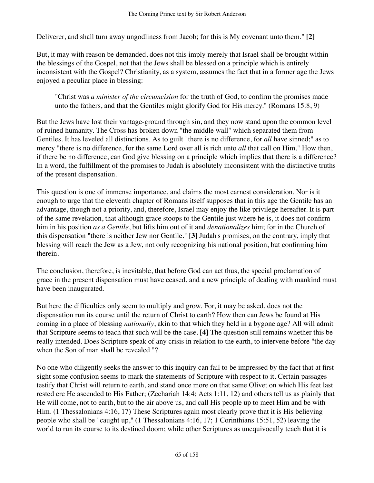Deliverer, and shall turn away ungodliness from Jacob; for this is My covenant unto them." **[2]**

But, it may with reason be demanded, does not this imply merely that Israel shall be brought within the blessings of the Gospel, not that the Jews shall be blessed on a principle which is entirely inconsistent with the Gospel? Christianity, as a system, assumes the fact that in a former age the Jews enjoyed a peculiar place in blessing:

"Christ was *a minister of the circumcision* for the truth of God, to confirm the promises made unto the fathers, and that the Gentiles might glorify God for His mercy." (Romans 15:8, 9)

But the Jews have lost their vantage-ground through sin, and they now stand upon the common level of ruined humanity. The Cross has broken down "the middle wall" which separated them from Gentiles. It has leveled all distinctions. As to guilt "there is no difference, for *all* have sinned;" as to mercy "there is no difference, for the same Lord over all is rich unto *all* that call on Him." How then, if there be no difference, can God give blessing on a principle which implies that there is a difference? In a word, the fulfillment of the promises to Judah is absolutely inconsistent with the distinctive truths of the present dispensation.

This question is one of immense importance, and claims the most earnest consideration. Nor is it enough to urge that the eleventh chapter of Romans itself supposes that in this age the Gentile has an advantage, though not a priority, and, therefore, Israel may enjoy the like privilege hereafter. It is part of the same revelation, that although grace stoops to the Gentile just where he is, it does not confirm him in his position *as a Gentile*, but lifts him out of it and *denationalizes* him; for in the Church of this dispensation "there is neither Jew nor Gentile." **[3]** Judah's promises, on the contrary, imply that blessing will reach the Jew as a Jew, not only recognizing his national position, but confirming him therein.

The conclusion, therefore, is inevitable, that before God can act thus, the special proclamation of grace in the present dispensation must have ceased, and a new principle of dealing with mankind must have been inaugurated.

But here the difficulties only seem to multiply and grow. For, it may be asked, does not the dispensation run its course until the return of Christ to earth? How then can Jews be found at His coming in a place of blessing *nationally*, akin to that which they held in a bygone age? All will admit that Scripture seems to teach that such will be the case. **[4]** The question still remains whether this be really intended. Does Scripture speak of any crisis in relation to the earth, to intervene before "the day when the Son of man shall be revealed "?

No one who diligently seeks the answer to this inquiry can fail to be impressed by the fact that at first sight some confusion seems to mark the statements of Scripture with respect to it. Certain passages testify that Christ will return to earth, and stand once more on that same Olivet on which His feet last rested ere He ascended to His Father; (Zechariah 14:4; Acts 1:11, 12) and others tell us as plainly that He will come, not to earth, but to the air above us, and call His people up to meet Him and be with Him. (1 Thessalonians 4:16, 17) These Scriptures again most clearly prove that it is His believing people who shall be "caught up," (1 Thessalonians 4:16, 17; 1 Corinthians 15:51, 52) leaving the world to run its course to its destined doom; while other Scriptures as unequivocally teach that it is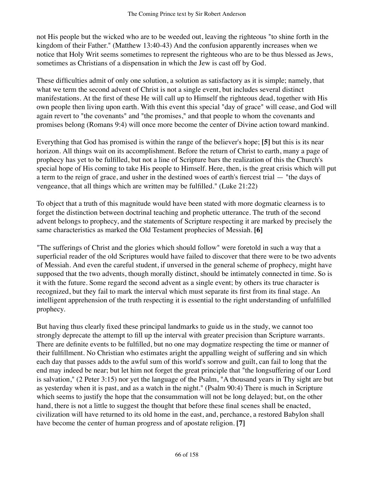not His people but the wicked who are to be weeded out, leaving the righteous "to shine forth in the kingdom of their Father." (Matthew 13:40-43) And the confusion apparently increases when we notice that Holy Writ seems sometimes to represent the righteous who are to be thus blessed as Jews, sometimes as Christians of a dispensation in which the Jew is cast off by God.

These difficulties admit of only one solution, a solution as satisfactory as it is simple; namely, that what we term the second advent of Christ is not a single event, but includes several distinct manifestations. At the first of these He will call up to Himself the righteous dead, together with His own people then living upon earth. With this event this special "day of grace" will cease, and God will again revert to "the covenants" and "the promises," and that people to whom the covenants and promises belong (Romans 9:4) will once more become the center of Divine action toward mankind.

Everything that God has promised is within the range of the believer's hope; **[5]** but this is its near horizon. All things wait on its accomplishment. Before the return of Christ to earth, many a page of prophecy has yet to be fulfilled, but not a line of Scripture bars the realization of this the Church's special hope of His coming to take His people to Himself. Here, then, is the great crisis which will put a term to the reign of grace, and usher in the destined woes of earth's fiercest trial — "the days of vengeance, that all things which are written may be fulfilled." (Luke 21:22)

To object that a truth of this magnitude would have been stated with more dogmatic clearness is to forget the distinction between doctrinal teaching and prophetic utterance. The truth of the second advent belongs to prophecy, and the statements of Scripture respecting it are marked by precisely the same characteristics as marked the Old Testament prophecies of Messiah. **[6]**

"The sufferings of Christ and the glories which should follow" were foretold in such a way that a superficial reader of the old Scriptures would have failed to discover that there were to be two advents of Messiah. And even the careful student, if unversed in the general scheme of prophecy, might have supposed that the two advents, though morally distinct, should be intimately connected in time. So is it with the future. Some regard the second advent as a single event; by others its true character is recognized, but they fail to mark the interval which must separate its first from its final stage. An intelligent apprehension of the truth respecting it is essential to the right understanding of unfulfilled prophecy.

But having thus clearly fixed these principal landmarks to guide us in the study, we cannot too strongly deprecate the attempt to fill up the interval with greater precision than Scripture warrants. There are definite events to be fulfilled, but no one may dogmatize respecting the time or manner of their fulfillment. No Christian who estimates aright the appalling weight of suffering and sin which each day that passes adds to the awful sum of this world's sorrow and guilt, can fail to long that the end may indeed be near; but let him not forget the great principle that "the longsuffering of our Lord is salvation," (2 Peter 3:15) nor yet the language of the Psalm, "A thousand years in Thy sight are but as yesterday when it is past, and as a watch in the night." (Psalm 90:4) There is much in Scripture which seems to justify the hope that the consummation will not be long delayed; but, on the other hand, there is not a little to suggest the thought that before these final scenes shall be enacted, civilization will have returned to its old home in the east, and, perchance, a restored Babylon shall have become the center of human progress and of apostate religion. **[7]**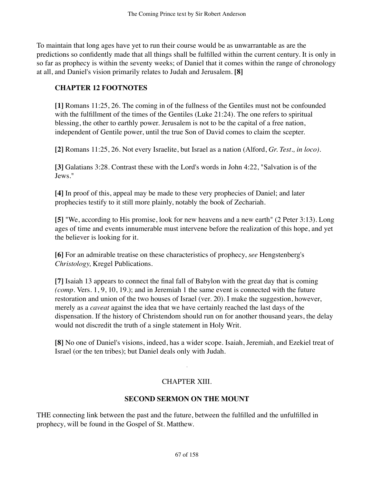To maintain that long ages have yet to run their course would be as unwarrantable as are the predictions so confidently made that all things shall be fulfilled within the current century. It is only in so far as prophecy is within the seventy weeks; of Daniel that it comes within the range of chronology at all, and Daniel's vision primarily relates to Judah and Jerusalem. **[8]**

### **CHAPTER 12 FOOTNOTES**

**[1]** Romans 11:25, 26. The coming in of the fullness of the Gentiles must not be confounded with the fulfillment of the times of the Gentiles (Luke 21:24). The one refers to spiritual blessing, the other to earthly power. Jerusalem is not to be the capital of a free nation, independent of Gentile power, until the true Son of David comes to claim the scepter.

**[2]** Romans 11:25, 26. Not every Israelite, but Israel as a nation (Alford, *Gr. Test., in loco).*

**[3]** Galatians 3:28. Contrast these with the Lord's words in John 4:22, "Salvation is of the Jews."

**[4]** In proof of this, appeal may be made to these very prophecies of Daniel; and later prophecies testify to it still more plainly, notably the book of Zechariah.

**[5]** "We, according to His promise, look for new heavens and a new earth" (2 Peter 3:13). Long ages of time and events innumerable must intervene before the realization of this hope, and yet the believer is looking for it.

**[6]** For an admirable treatise on these characteristics of prophecy, *see* Hengstenberg's *Christology,* Kregel Publications.

**[7]** Isaiah 13 appears to connect the final fall of Babylon with the great day that is coming *(comp.* Vers. 1, 9, 10, 19.); and in Jeremiah 1 the same event is connected with the future restoration and union of the two houses of Israel (ver. 20). I make the suggestion, however, merely as a *caveat* against the idea that we have certainly reached the last days of the dispensation. If the history of Christendom should run on for another thousand years, the delay would not discredit the truth of a single statement in Holy Writ.

**[8]** No one of Daniel's visions, indeed, has a wider scope. Isaiah, Jeremiah, and Ezekiel treat of Israel (or the ten tribes); but Daniel deals only with Judah.

### CHAPTER XIII.

.

### **SECOND SERMON ON THE MOUNT**

THE connecting link between the past and the future, between the fulfilled and the unfulfilled in prophecy, will be found in the Gospel of St. Matthew.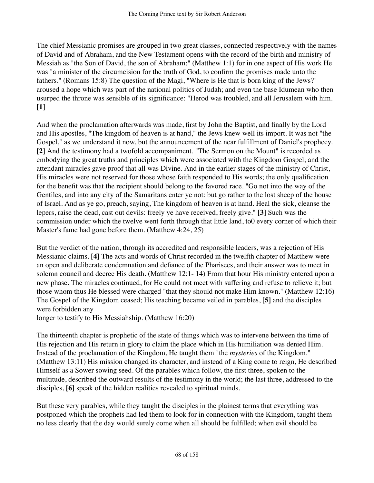The chief Messianic promises are grouped in two great classes, connected respectively with the names of David and of Abraham, and the New Testament opens with the record of the birth and ministry of Messiah as "the Son of David, the son of Abraham;" (Matthew 1:1) for in one aspect of His work He was "a minister of the circumcision for the truth of God, to confirm the promises made unto the fathers." (Romans 15:8) The question of the Magi, "Where is He that is born king of the Jews?" aroused a hope which was part of the national politics of Judah; and even the base Idumean who then usurped the throne was sensible of its significance: "Herod was troubled, and all Jerusalem with him. **[1]**

And when the proclamation afterwards was made, first by John the Baptist, and finally by the Lord and His apostles, "The kingdom of heaven is at hand," the Jews knew well its import. It was not "the Gospel," as we understand it now, but the announcement of the near fulfillment of Daniel's prophecy. **[2]** And the testimony had a twofold accompaniment. "The Sermon on the Mount" is recorded as embodying the great truths and principles which were associated with the Kingdom Gospel; and the attendant miracles gave proof that all was Divine. And in the earlier stages of the ministry of Christ, His miracles were not reserved for those whose faith responded to His words; the only qualification for the benefit was that the recipient should belong to the favored race. "Go not into the way of the Gentiles, and into any city of the Samaritans enter ye not: but go rather to the lost sheep of the house of Israel. And as ye go, preach, saying, The kingdom of heaven is at hand. Heal the sick, cleanse the lepers, raise the dead, cast out devils: freely ye have received, freely give." **[3]** Such was the commission under which the twelve went forth through that little land, to0 every corner of which their Master's fame had gone before them. (Matthew 4:24, 25)

But the verdict of the nation, through its accredited and responsible leaders, was a rejection of His Messianic claims. **[4]** The acts and words of Christ recorded in the twelfth chapter of Matthew were an open and deliberate condemnation and defiance of the Pharisees, and their answer was to meet in solemn council and decree His death. (Matthew 12:1- 14) From that hour His ministry entered upon a new phase. The miracles continued, for He could not meet with suffering and refuse to relieve it; but those whom thus He blessed were charged "that they should not make Him known." (Matthew 12:16) The Gospel of the Kingdom ceased; His teaching became veiled in parables, **[5]** and the disciples were forbidden any

longer to testify to His Messiahship. (Matthew 16:20)

The thirteenth chapter is prophetic of the state of things which was to intervene between the time of His rejection and His return in glory to claim the place which in His humiliation was denied Him. Instead of the proclamation of the Kingdom, He taught them "the *mysteries* of the Kingdom." (Matthew 13:11) His mission changed its character, and instead of a King come to reign, He described Himself as a Sower sowing seed. Of the parables which follow, the first three, spoken to the multitude, described the outward results of the testimony in the world; the last three, addressed to the disciples, **[6]** speak of the hidden realities revealed to spiritual minds.

But these very parables, while they taught the disciples in the plainest terms that everything was postponed which the prophets had led them to look for in connection with the Kingdom, taught them no less clearly that the day would surely come when all should be fulfilled; when evil should be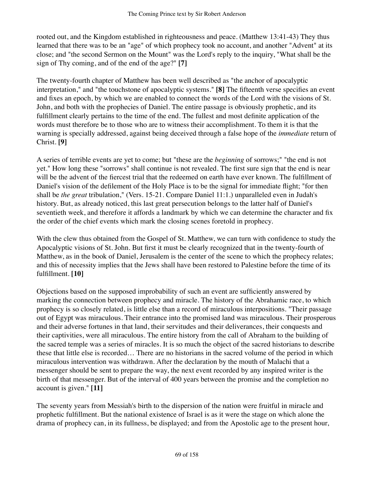rooted out, and the Kingdom established in righteousness and peace. (Matthew 13:41-43) They thus learned that there was to be an "age" of which prophecy took no account, and another "Advent" at its close; and "the second Sermon on the Mount" was the Lord's reply to the inquiry, "What shall be the sign of Thy coming, and of the end of the age?" **[7]**

The twenty-fourth chapter of Matthew has been well described as "the anchor of apocalyptic interpretation," and "the touchstone of apocalyptic systems." **[8]** The fifteenth verse specifies an event and fixes an epoch, by which we are enabled to connect the words of the Lord with the visions of St. John, and both with the prophecies of Daniel. The entire passage is obviously prophetic, and its fulfillment clearly pertains to the time of the end. The fullest and most definite application of the words must therefore be to those who are to witness their accomplishment. To them it is that the warning is specially addressed, against being deceived through a false hope of the *immediate* return of Christ. **[9]**

A series of terrible events are yet to come; but "these are the *beginning* of sorrows;" "the end is not yet." How long these "sorrows" shall continue is not revealed. The first sure sign that the end is near will be the advent of the fiercest trial that the redeemed on earth have ever known. The fulfillment of Daniel's vision of the defilement of the Holy Place is to be the signal for immediate flight; "for then shall be *the great* tribulation," (Vers. 15-21. Compare Daniel 11:1.) unparalleled even in Judah's history. But, as already noticed, this last great persecution belongs to the latter half of Daniel's seventieth week, and therefore it affords a landmark by which we can determine the character and fix the order of the chief events which mark the closing scenes foretold in prophecy.

With the clew thus obtained from the Gospel of St. Matthew, we can turn with confidence to study the Apocalyptic visions of St. John. But first it must be clearly recognized that in the twenty-fourth of Matthew, as in the book of Daniel, Jerusalem is the center of the scene to which the prophecy relates; and this of necessity implies that the Jews shall have been restored to Palestine before the time of its fulfillment. **[10]**

Objections based on the supposed improbability of such an event are sufficiently answered by marking the connection between prophecy and miracle. The history of the Abrahamic race, to which prophecy is so closely related, is little else than a record of miraculous interpositions. "Their passage out of Egypt was miraculous. Their entrance into the promised land was miraculous. Their prosperous and their adverse fortunes in that land, their servitudes and their deliverances, their conquests and their captivities, were all miraculous. The entire history from the call of Abraham to the building of the sacred temple was a series of miracles. It is so much the object of the sacred historians to describe these that little else is recorded… There are no historians in the sacred volume of the period in which miraculous intervention was withdrawn. After the declaration by the mouth of Malachi that a messenger should be sent to prepare the way, the next event recorded by any inspired writer is the birth of that messenger. But of the interval of 400 years between the promise and the completion no account is given." **[11]**

The seventy years from Messiah's birth to the dispersion of the nation were fruitful in miracle and prophetic fulfillment. But the national existence of Israel is as it were the stage on which alone the drama of prophecy can, in its fullness, be displayed; and from the Apostolic age to the present hour,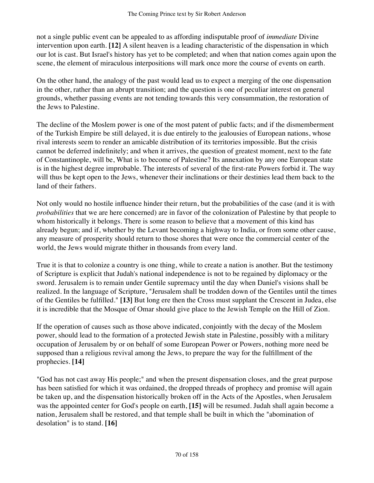not a single public event can be appealed to as affording indisputable proof of *immediate* Divine intervention upon earth. **[12]** A silent heaven is a leading characteristic of the dispensation in which our lot is cast. But Israel's history has yet to be completed; and when that nation comes again upon the scene, the element of miraculous interpositions will mark once more the course of events on earth.

On the other hand, the analogy of the past would lead us to expect a merging of the one dispensation in the other, rather than an abrupt transition; and the question is one of peculiar interest on general grounds, whether passing events are not tending towards this very consummation, the restoration of the Jews to Palestine.

The decline of the Moslem power is one of the most patent of public facts; and if the dismemberment of the Turkish Empire be still delayed, it is due entirely to the jealousies of European nations, whose rival interests seem to render an amicable distribution of its territories impossible. But the crisis cannot be deferred indefinitely; and when it arrives, the question of greatest moment, next to the fate of Constantinople, will be, What is to become of Palestine? Its annexation by any one European state is in the highest degree improbable. The interests of several of the first-rate Powers forbid it. The way will thus be kept open to the Jews, whenever their inclinations or their destinies lead them back to the land of their fathers.

Not only would no hostile influence hinder their return, but the probabilities of the case (and it is with *probabilities* that we are here concerned) are in favor of the colonization of Palestine by that people to whom historically it belongs. There is some reason to believe that a movement of this kind has already begun; and if, whether by the Levant becoming a highway to India, or from some other cause, any measure of prosperity should return to those shores that were once the commercial center of the world, the Jews would migrate thither in thousands from every land.

True it is that to colonize a country is one thing, while to create a nation is another. But the testimony of Scripture is explicit that Judah's national independence is not to be regained by diplomacy or the sword. Jerusalem is to remain under Gentile supremacy until the day when Daniel's visions shall be realized. In the language of Scripture, "Jerusalem shall be trodden down of the Gentiles until the times of the Gentiles be fulfilled." **[13]** But long ere then the Cross must supplant the Crescent in Judea, else it is incredible that the Mosque of Omar should give place to the Jewish Temple on the Hill of Zion.

If the operation of causes such as those above indicated, conjointly with the decay of the Moslem power, should lead to the formation of a protected Jewish state in Palestine, possibly with a military occupation of Jerusalem by or on behalf of some European Power or Powers, nothing more need be supposed than a religious revival among the Jews, to prepare the way for the fulfillment of the prophecies. **[14]**

"God has not cast away His people;" and when the present dispensation closes, and the great purpose has been satisfied for which it was ordained, the dropped threads of prophecy and promise will again be taken up, and the dispensation historically broken off in the Acts of the Apostles, when Jerusalem was the appointed center for God's people on earth, **[15]** will be resumed. Judah shall again become a nation, Jerusalem shall be restored, and that temple shall be built in which the "abomination of desolation" is to stand. **[16]**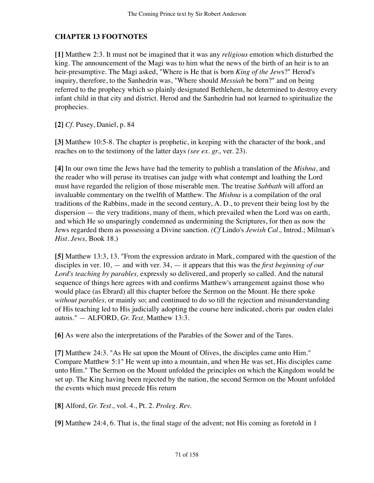## **CHAPTER 13 FOOTNOTES**

**[1]** Matthew 2:3. It must not be imagined that it was any *religious* emotion which disturbed the king. The announcement of the Magi was to him what the news of the birth of an heir is to an heir-presumptive. The Magi asked, "Where is He that is born *King of the Jew*s?" Herod's inquiry, therefore, to the Sanhedrin was, "Where should *Messiah* be born?" and on being referred to the prophecy which so plainly designated Bethlehem, he determined to destroy every infant child in that city and district. Herod and the Sanhedrin had not learned to spiritualize the prophecies.

**[2]** *Cf.* Pusey, Daniel, p. 84

**[3]** Matthew 10:5-8. The chapter is prophetic, in keeping with the character of the book, and reaches on to the testimony of the latter days *(see ex. gr.,* ver. 23).

**[4]** In our own time the Jews have had the temerity to publish a translation of the *Mishna*, and the reader who will peruse its treatises can judge with what contempt and loathing the Lord must have regarded the religion of those miserable men. The treatise *Sabbath* will afford an invaluable commentary on the twelfth of Matthew. The *Mishna* is a compilation of the oral traditions of the Rabbins, made in the second century, A. D., to prevent their being lost by the dispersion — the very traditions, many of them, which prevailed when the Lord was on earth, and which He so unsparingly condemned as undermining the Scriptures, for then as now the Jews regarded them as possessing a Divine sanction. *(Cf* Lindo's *Jewish Cal.,* Introd.; Milman's *Hist. Jews,* Book 18.)

**[5]** Matthew 13:3, 13. "From the expression ardzato in Mark, compared with the question of the disciples in ver. 10, — and with ver. 34, — it appears that this was the *first beginning of our Lord's teaching by parables,* expressly so delivered, and properly so called. And the natural sequence of things here agrees with and confirms Matthew's arrangement against those who would place (as Ebrard) all this chapter before the Sermon on the Mount. He there spoke *without parables,* or mainly so; and continued to do so till the rejection and misunderstanding of His teaching led to His judicially adopting the course here indicated, choris par. ouden elalei autois." *—* ALFORD, *Gr. Test,* Matthew 13:3.

**[6]** As were also the interpretations of the Parables of the Sower and of the Tares.

**[7]** Matthew 24:3. "As He sat upon the Mount of Olives, the disciples came unto Him." Compare Matthew 5:1" He went up into a mountain, and when He was set, His disciples came unto Him." The Sermon on the Mount unfolded the principles on which the Kingdom would be set up. The King having been rejected by the nation, the second Sermon on the Mount unfolded the events which must precede His return

**[8]** Alford, *Gr. Test.,* vol. 4., Pt. 2. *Proleg. Rev.*

**[9]** Matthew 24:4, 6. That is, the final stage of the advent; not His coming as foretold in 1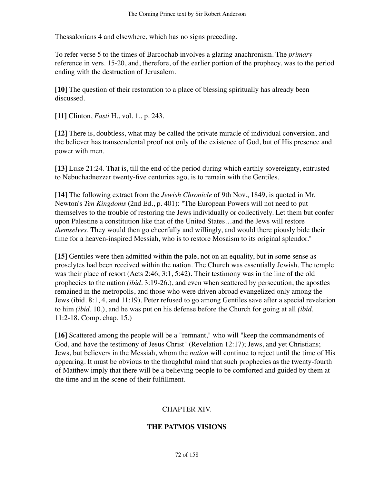Thessalonians 4 and elsewhere, which has no signs preceding.

To refer verse 5 to the times of Barcochab involves a glaring anachronism. The *primary* reference in vers. 15-20, and, therefore, of the earlier portion of the prophecy, was to the period ending with the destruction of Jerusalem.

**[10]** The question of their restoration to a place of blessing spiritually has already been discussed.

**[11]** Clinton, *Fasti* H., vol. 1., p. 243.

**[12]** There is, doubtless, what may be called the private miracle of individual conversion, and the believer has transcendental proof not only of the existence of God, but of His presence and power with men.

**[13]** Luke 21:24. That is, till the end of the period during which earthly sovereignty, entrusted to Nebuchadnezzar twenty-five centuries ago, is to remain with the Gentiles.

**[14]** The following extract from the *Jewish Chronicle* of 9th Nov., 1849, is quoted in Mr. Newton's *Ten Kingdoms* (2nd Ed., p. 401): "The European Powers will not need to put themselves to the trouble of restoring the Jews individually or collectively. Let them but confer upon Palestine a constitution like that of the United States…and the Jews will restore *themselves.* They would then go cheerfully and willingly, and would there piously bide their time for a heaven-inspired Messiah, who is to restore Mosaism to its original splendor."

**[15]** Gentiles were then admitted within the pale, not on an equality, but in some sense as proselytes had been received within the nation. The Church was essentially Jewish. The temple was their place of resort (Acts 2:46; 3:1, 5:42). Their testimony was in the line of the old prophecies to the nation *(ibid.* 3:19-26.), and even when scattered by persecution, the apostles remained in the metropolis, and those who were driven abroad evangelized only among the Jews (ibid. 8:1, 4, and 11:19). Peter refused to go among Gentiles save after a special revelation to him *(ibid.* 10.), and he was put on his defense before the Church for going at all *(ibid.* 11:2-18. Comp. chap. 15.)

**[16]** Scattered among the people will be a "remnant," who will "keep the commandments of God, and have the testimony of Jesus Christ" (Revelation 12:17); Jews, and yet Christians; Jews, but believers in the Messiah, whom the *nation* will continue to reject until the time of His appearing. It must be obvious to the thoughtful mind that such prophecies as the twenty-fourth of Matthew imply that there will be a believing people to be comforted and guided by them at the time and in the scene of their fulfillment.

## CHAPTER XIV.

.

### **THE PATMOS VISIONS**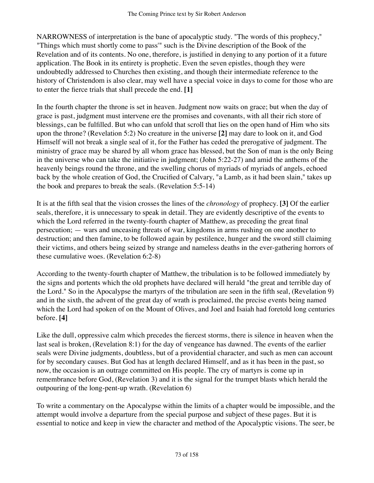NARROWNESS of interpretation is the bane of apocalyptic study. "The words of this prophecy," "Things which must shortly come to pass'" such is the Divine description of the Book of the Revelation and of its contents. No one, therefore, is justified in denying to any portion of it a future application. The Book in its entirety is prophetic. Even the seven epistles, though they were undoubtedly addressed to Churches then existing, and though their intermediate reference to the history of Christendom is also clear, may well have a special voice in days to come for those who are to enter the fierce trials that shall precede the end. **[1]**

In the fourth chapter the throne is set in heaven. Judgment now waits on grace; but when the day of grace is past, judgment must intervene ere the promises and covenants, with all their rich store of blessings, can be fulfilled. But who can unfold that scroll that lies on the open hand of Him who sits upon the throne? (Revelation 5:2) No creature in the universe **[2]** may dare to look on it, and God Himself will not break a single seal of it, for the Father has ceded the prerogative of judgment. The ministry of grace may be shared by all whom grace has blessed, but the Son of man is the only Being in the universe who can take the initiative in judgment; (John 5:22-27) and amid the anthems of the heavenly beings round the throne, and the swelling chorus of myriads of myriads of angels, echoed back by the whole creation of God, the Crucified of Calvary, "a Lamb, as it had been slain," takes up the book and prepares to break the seals. (Revelation 5:5-14)

It is at the fifth seal that the vision crosses the lines of the *chronology* of prophecy. **[3]** Of the earlier seals, therefore, it is unnecessary to speak in detail. They are evidently descriptive of the events to which the Lord referred in the twenty-fourth chapter of Matthew, as preceding the great final persecution; — wars and unceasing threats of war, kingdoms in arms rushing on one another to destruction; and then famine, to be followed again by pestilence, hunger and the sword still claiming their victims, and others being seized by strange and nameless deaths in the ever-gathering horrors of these cumulative woes. (Revelation 6:2-8)

According to the twenty-fourth chapter of Matthew, the tribulation is to be followed immediately by the signs and portents which the old prophets have declared will herald "the great and terrible day of the Lord." So in the Apocalypse the martyrs of the tribulation are seen in the fifth seal, (Revelation 9) and in the sixth, the advent of the great day of wrath is proclaimed, the precise events being named which the Lord had spoken of on the Mount of Olives, and Joel and Isaiah had foretold long centuries before. **[4]**

Like the dull, oppressive calm which precedes the fiercest storms, there is silence in heaven when the last seal is broken, (Revelation 8:1) for the day of vengeance has dawned. The events of the earlier seals were Divine judgments, doubtless, but of a providential character, and such as men can account for by secondary causes. But God has at length declared Himself, and as it has been in the past, so now, the occasion is an outrage committed on His people. The cry of martyrs is come up in remembrance before God, (Revelation 3) and it is the signal for the trumpet blasts which herald the outpouring of the long-pent-up wrath. (Revelation 6)

To write a commentary on the Apocalypse within the limits of a chapter would be impossible, and the attempt would involve a departure from the special purpose and subject of these pages. But it is essential to notice and keep in view the character and method of the Apocalyptic visions. The seer, be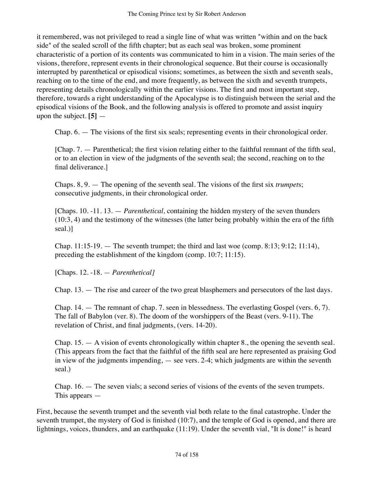it remembered, was not privileged to read a single line of what was written "within and on the back side" of the sealed scroll of the fifth chapter; but as each seal was broken, some prominent characteristic of a portion of its contents was communicated to him in a vision. The main series of the visions, therefore, represent events in their chronological sequence. But their course is occasionally interrupted by parenthetical or episodical visions; sometimes, as between the sixth and seventh seals, reaching on to the time of the end, and more frequently, as between the sixth and seventh trumpets, representing details chronologically within the earlier visions. The first and most important step, therefore, towards a right understanding of the Apocalypse is to distinguish between the serial and the episodical visions of the Book, and the following analysis is offered to promote and assist inquiry upon the subject. **[5]** —

Chap. 6. — The visions of the first six seals; representing events in their chronological order.

[Chap. 7. — Parenthetical; the first vision relating either to the faithful remnant of the fifth seal, or to an election in view of the judgments of the seventh seal; the second, reaching on to the final deliverance.]

Chaps. 8, 9. — The opening of the seventh seal. The visions of the first six *trumpet*s; consecutive judgments, in their chronological order.

[Chaps. 10. -11. 13. — *Parenthetical,* containing the hidden mystery of the seven thunders (10:3, 4) and the testimony of the witnesses (the latter being probably within the era of the fifth seal.)]

Chap.  $11:15-19.$  — The seventh trumpet; the third and last woe (comp.  $8:13$ ;  $9:12$ ;  $11:14$ ), preceding the establishment of the kingdom (comp. 10:7; 11:15).

[Chaps. 12. -18. *— Parenthetical]*

Chap. 13. — The rise and career of the two great blasphemers and persecutors of the last days.

Chap. 14. — The remnant of chap. 7. seen in blessedness. The everlasting Gospel (vers. 6, 7). The fall of Babylon (ver. 8). The doom of the worshippers of the Beast (vers. 9-11). The revelation of Christ, and final judgments, (vers. 14-20).

Chap.  $15. - A$  vision of events chronologically within chapter 8, the opening the seventh seal. (This appears from the fact that the faithful of the fifth seal are here represented as praising God in view of the judgments impending, — see vers. 2-4; which judgments are within the seventh seal.)

Chap. 16. — The seven vials; a second series of visions of the events of the seven trumpets. This appears —

First, because the seventh trumpet and the seventh vial both relate to the final catastrophe. Under the seventh trumpet, the mystery of God is finished (10:7), and the temple of God is opened, and there are lightnings, voices, thunders, and an earthquake (11:19). Under the seventh vial, "It is done!" is heard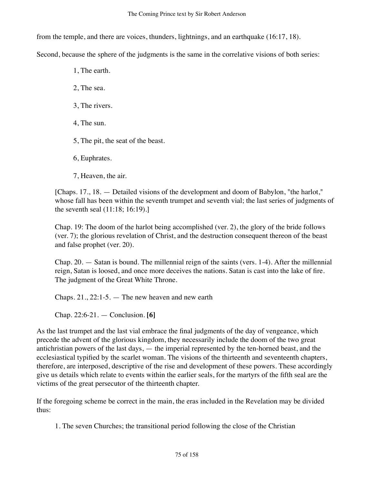from the temple, and there are voices, thunders, lightnings, and an earthquake (16:17, 18).

Second, because the sphere of the judgments is the same in the correlative visions of both series:

- 1, The earth.
- 2, The sea.
- 3, The rivers.
- 4, The sun.
- 5, The pit, the seat of the beast.
- 6, Euphrates.
- 7, Heaven, the air.

[Chaps. 17., 18. — Detailed visions of the development and doom of Babylon, "the harlot," whose fall has been within the seventh trumpet and seventh vial; the last series of judgments of the seventh seal (11:18; 16:19).]

Chap. 19: The doom of the harlot being accomplished (ver. 2), the glory of the bride follows (ver. 7); the glorious revelation of Christ, and the destruction consequent thereon of the beast and false prophet (ver. 20).

Chap. 20. — Satan is bound. The millennial reign of the saints (vers. 1-4). After the millennial reign, Satan is loosed, and once more deceives the nations. Satan is cast into the lake of fire. The judgment of the Great White Throne.

Chaps.  $21, 22:1-5.$  — The new heaven and new earth

Chap. 22:6-21. — Conclusion. **[6]**

As the last trumpet and the last vial embrace the final judgments of the day of vengeance, which precede the advent of the glorious kingdom, they necessarily include the doom of the two great antichristian powers of the last days, — the imperial represented by the ten-horned beast, and the ecclesiastical typified by the scarlet woman. The visions of the thirteenth and seventeenth chapters, therefore, are interposed, descriptive of the rise and development of these powers. These accordingly give us details which relate to events within the earlier seals, for the martyrs of the fifth seal are the victims of the great persecutor of the thirteenth chapter.

If the foregoing scheme be correct in the main, the eras included in the Revelation may be divided thus:

1. The seven Churches; the transitional period following the close of the Christian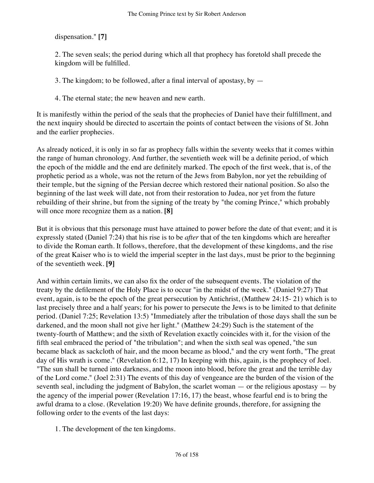dispensation." **[7]**

2. The seven seals; the period during which all that prophecy has foretold shall precede the kingdom will be fulfilled.

3. The kingdom; to be followed, after a final interval of apostasy, by —

4. The eternal state; the new heaven and new earth.

It is manifestly within the period of the seals that the prophecies of Daniel have their fulfillment, and the next inquiry should be directed to ascertain the points of contact between the visions of St. John and the earlier prophecies.

As already noticed, it is only in so far as prophecy falls within the seventy weeks that it comes within the range of human chronology. And further, the seventieth week will be a definite period, of which the epoch of the middle and the end are definitely marked. The epoch of the first week, that is, of the prophetic period as a whole, was not the return of the Jews from Babylon, nor yet the rebuilding of their temple, but the signing of the Persian decree which restored their national position. So also the beginning of the last week will date, not from their restoration to Judea, nor yet from the future rebuilding of their shrine, but from the signing of the treaty by "the coming Prince," which probably will once more recognize them as a nation. **[8]**

But it is obvious that this personage must have attained to power before the date of that event; and it is expressly stated (Daniel 7:24) that his rise is to be *after* that of the ten kingdoms which are hereafter to divide the Roman earth. It follows, therefore, that the development of these kingdoms, and the rise of the great Kaiser who is to wield the imperial scepter in the last days, must be prior to the beginning of the seventieth week. **[9]**

And within certain limits, we can also fix the order of the subsequent events. The violation of the treaty by the defilement of the Holy Place is to occur "in the midst of the week." (Daniel 9:27) That event, again, is to be the epoch of the great persecution by Antichrist, (Matthew 24:15- 21) which is to last precisely three and a half years; for his power to persecute the Jews is to be limited to that definite period. (Daniel 7:25; Revelation 13:5) "Immediately after the tribulation of those days shall the sun be darkened, and the moon shall not give her light." (Matthew 24:29) Such is the statement of the twenty-fourth of Matthew; and the sixth of Revelation exactly coincides with it, for the vision of the fifth seal embraced the period of "the tribulation"; and when the sixth seal was opened, "the sun became black as sackcloth of hair, and the moon became as blood," and the cry went forth, "The great day of His wrath is come." (Revelation 6:12, 17) In keeping with this, again, is the prophecy of Joel. "The sun shall be turned into darkness, and the moon into blood, before the great and the terrible day of the Lord come." (Joel 2:31) The events of this day of vengeance are the burden of the vision of the seventh seal, including the judgment of Babylon, the scarlet woman  $-$  or the religious apostasy  $-$  by the agency of the imperial power (Revelation 17:16, 17) the beast, whose fearful end is to bring the awful drama to a close. (Revelation 19:20) We have definite grounds, therefore, for assigning the following order to the events of the last days:

1. The development of the ten kingdoms.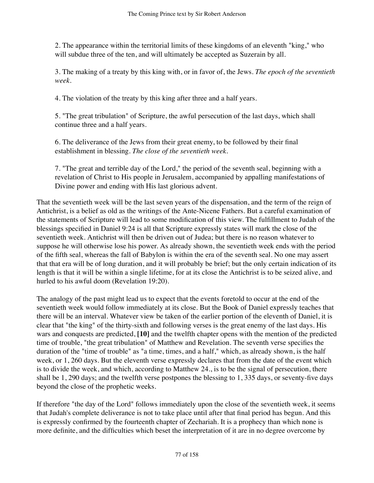2. The appearance within the territorial limits of these kingdoms of an eleventh "king," who will subdue three of the ten, and will ultimately be accepted as Suzerain by all.

3. The making of a treaty by this king with, or in favor of, the Jews. *The epoch of the seventieth week.*

4. The violation of the treaty by this king after three and a half years.

5. "The great tribulation" of Scripture, the awful persecution of the last days, which shall continue three and a half years.

6. The deliverance of the Jews from their great enemy, to be followed by their final establishment in blessing. *The close of the seventieth week.*

7. "The great and terrible day of the Lord," the period of the seventh seal, beginning with a revelation of Christ to His people in Jerusalem, accompanied by appalling manifestations of Divine power and ending with His last glorious advent.

That the seventieth week will be the last seven years of the dispensation, and the term of the reign of Antichrist, is a belief as old as the writings of the Ante-Nicene Fathers. But a careful examination of the statements of Scripture will lead to some modification of this view. The fulfillment to Judah of the blessings specified in Daniel 9:24 is all that Scripture expressly states will mark the close of the seventieth week. Antichrist will then be driven out of Judea; but there is no reason whatever to suppose he will otherwise lose his power. As already shown, the seventieth week ends with the period of the fifth seal, whereas the fall of Babylon is within the era of the seventh seal. No one may assert that that era will be of long duration, and it will probably be brief; but the only certain indication of its length is that it will be within a single lifetime, for at its close the Antichrist is to be seized alive, and hurled to his awful doom (Revelation 19:20).

The analogy of the past might lead us to expect that the events foretold to occur at the end of the seventieth week would follow immediately at its close. But the Book of Daniel expressly teaches that there will be an interval. Whatever view be taken of the earlier portion of the eleventh of Daniel, it is clear that "the king" of the thirty-sixth and following verses is the great enemy of the last days. His wars and conquests are predicted, **[10]** and the twelfth chapter opens with the mention of the predicted time of trouble, "the great tribulation" of Matthew and Revelation. The seventh verse specifies the duration of the "time of trouble" as "a time, times, and a half," which, as already shown, is the half week, or 1, 260 days. But the eleventh verse expressly declares that from the date of the event which is to divide the week, and which, according to Matthew 24., is to be the signal of persecution, there shall be 1, 290 days; and the twelfth verse postpones the blessing to 1, 335 days, or seventy-five days beyond the close of the prophetic weeks.

If therefore "the day of the Lord" follows immediately upon the close of the seventieth week, it seems that Judah's complete deliverance is not to take place until after that final period has begun. And this is expressly confirmed by the fourteenth chapter of Zechariah. It is a prophecy than which none is more definite, and the difficulties which beset the interpretation of it are in no degree overcome by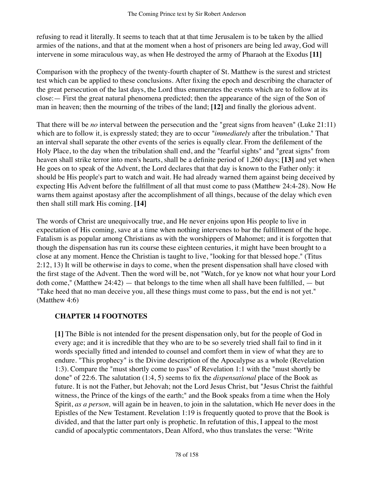refusing to read it literally. It seems to teach that at that time Jerusalem is to be taken by the allied armies of the nations, and that at the moment when a host of prisoners are being led away, God will intervene in some miraculous way, as when He destroyed the army of Pharaoh at the Exodus **[11]**

Comparison with the prophecy of the twenty-fourth chapter of St. Matthew is the surest and strictest test which can be applied to these conclusions. After fixing the epoch and describing the character of the great persecution of the last days, the Lord thus enumerates the events which are to follow at its close:— First the great natural phenomena predicted; then the appearance of the sign of the Son of man in heaven; then the mourning of the tribes of the land; **[12]** and finally the glorious advent.

That there will be *no* interval between the persecution and the "great signs from heaven" (Luke 21:11) which are to follow it, is expressly stated; they are to occur *"immediately* after the tribulation." That an interval shall separate the other events of the series is equally clear. From the defilement of the Holy Place, to the day when the tribulation shall end, and the "fearful sights" and "great signs" from heaven shall strike terror into men's hearts, shall be a definite period of 1,260 days; **[13]** and yet when He goes on to speak of the Advent, the Lord declares that that day is known to the Father only: it should be His people's part to watch and wait. He had already warned them against being deceived by expecting His Advent before the fulfillment of all that must come to pass (Matthew 24:4-28). Now He warns them against apostasy after the accomplishment of all things, because of the delay which even then shall still mark His coming. **[14]**

The words of Christ are unequivocally true, and He never enjoins upon His people to live in expectation of His coming, save at a time when nothing intervenes to bar the fulfillment of the hope. Fatalism is as popular among Christians as with the worshippers of Mahomet; and it is forgotten that though the dispensation has run its course these eighteen centuries, it might have been brought to a close at any moment. Hence the Christian is taught to live, "looking for that blessed hope." (Titus 2:12, 13) It will be otherwise in days to come, when the present dispensation shall have closed with the first stage of the Advent. Then the word will be, not "Watch, for ye know not what hour your Lord doth come," (Matthew  $24:42$ ) — that belongs to the time when all shall have been fulfilled, — but "Take heed that no man deceive you, all these things must come to pass, but the end is not yet." (Matthew 4:6)

# **CHAPTER 14 FOOTNOTES**

**[1]** The Bible is not intended for the present dispensation only, but for the people of God in every age; and it is incredible that they who are to be so severely tried shall fail to find in it words specially fitted and intended to counsel and comfort them in view of what they are to endure. "This prophecy" is the Divine description of the Apocalypse as a whole (Revelation 1:3). Compare the "must shortly come to pass" of Revelation 1:1 with the "must shortly be done" of 22:6. The salutation (1:4, 5) seems to fix the *dispensational* place of the Book as future. It is not the Father, but Jehovah; not the Lord Jesus Christ, but "Jesus Christ the faithful witness, the Prince of the kings of the earth;" and the Book speaks from a time when the Holy Spirit, *as a person*, will again be in heaven, to join in the salutation, which He never does in the Epistles of the New Testament. Revelation 1:19 is frequently quoted to prove that the Book is divided, and that the latter part only is prophetic. In refutation of this, I appeal to the most candid of apocalyptic commentators, Dean Alford, who thus translates the verse: "Write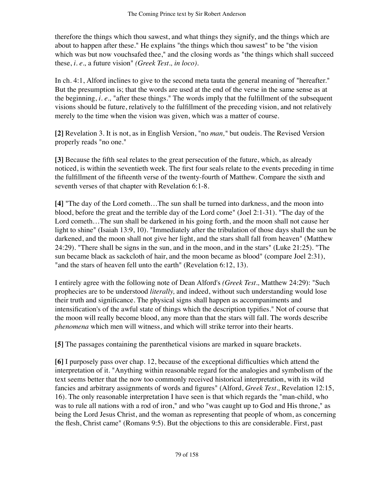therefore the things which thou sawest, and what things they signify, and the things which are about to happen after these." He explains "the things which thou sawest" to be "the vision which was but now vouchsafed thee," and the closing words as "the things which shall succeed these, *i. e.,* a future vision" *(Greek Test., in loco).*

In ch. 4:1, Alford inclines to give to the second meta tauta the general meaning of "hereafter." But the presumption is; that the words are used at the end of the verse in the same sense as at the beginning, *i. e.,* "after these things." The words imply that the fulfillment of the subsequent visions should be future, relatively to the fulfillment of the preceding vision, and not relatively merely to the time when the vision was given, which was a matter of course.

**[2]** Revelation 3. It is not, as in English Version, "no *man,"* but oudeis. The Revised Version properly reads "no one."

**[3]** Because the fifth seal relates to the great persecution of the future, which, as already noticed, is within the seventieth week. The first four seals relate to the events preceding in time the fulfillment of the fifteenth verse of the twenty-fourth of Matthew. Compare the sixth and seventh verses of that chapter with Revelation 6:1-8.

**[4]** "The day of the Lord cometh…The sun shall be turned into darkness, and the moon into blood, before the great and the terrible day of the Lord come" (Joel 2:1-31). "The day of the Lord cometh…The sun shall be darkened in his going forth, and the moon shall not cause her light to shine" (Isaiah 13:9, 10). "Immediately after the tribulation of those days shall the sun be darkened, and the moon shall not give her light, and the stars shall fall from heaven" (Matthew 24:29). "There shall be signs in the sun, and in the moon, and in the stars" (Luke 21:25). "The sun became black as sackcloth of hair, and the moon became as blood" (compare Joel 2:31), "and the stars of heaven fell unto the earth" (Revelation 6:12, 13).

I entirely agree with the following note of Dean Alford's *(Greek Test.,* Matthew 24:29): "Such prophecies are to be understood *literally,* and indeed, without such understanding would lose their truth and significance. The physical signs shall happen as accompaniments and intensification's of the awful state of things which the description typifies." Not of course that the moon will really become blood, any more than that the stars will fall. The words describe *phenomena* which men will witness, and which will strike terror into their hearts.

**[5]** The passages containing the parenthetical visions are marked in square brackets.

**[6]** I purposely pass over chap. 12, because of the exceptional difficulties which attend the interpretation of it. "Anything within reasonable regard for the analogies and symbolism of the text seems better that the now too commonly received historical interpretation, with its wild fancies and arbitrary assignments of words and figures" (Alford, *Greek Test.,* Revelation 12:15, 16). The only reasonable interpretation I have seen is that which regards the "man-child, who was to rule all nations with a rod of iron," and who "was caught up to God and His throne," as being the Lord Jesus Christ, and the woman as representing that people of whom, as concerning the flesh, Christ came" (Romans 9:5). But the objections to this are considerable. First, past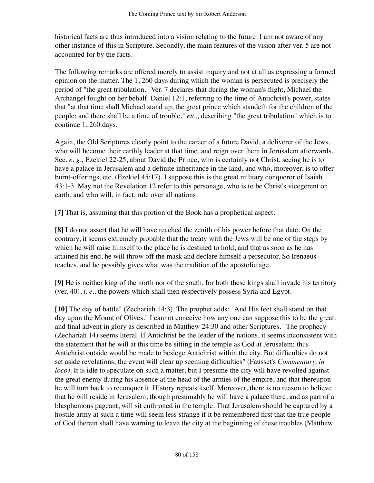historical facts are thus introduced into a vision relating to the future. I am not aware of any other instance of this in Scripture. Secondly, the main features of the vision after ver. 5 are not accounted for by the facts.

The following remarks are offered merely to assist inquiry and not at all as expressing a formed opinion on the matter. The 1, 260 days during which the woman is persecuted is precisely the period of "the great tribulation." Ver. 7 declares that during the woman's flight, Michael the Archangel fought on her behalf. Daniel 12:1, referring to the time of Antichrist's power, states that "at that time shall Michael stand up, the great prince which standeth for the children of the people; and there shall be a time of trouble," *etc.,* describing "the great tribulation" which is to continue 1, 260 days.

Again, the Old Scriptures clearly point to the career of a future David, a deliverer of the Jews, who will become their earthly leader at that time, and reign over them in Jerusalem afterwards. See, *e. g.,* Ezekiel 22-25, about David the Prince, who is certainly not Christ, seeing he is to have a palace in Jerusalem and a definite inheritance in the land, and who, moreover, is to offer burnt-offerings, etc. (Ezekiel 45:17). I suppose this is the great military conqueror of Isaiah 43:1-3. May not the Revelation 12 refer to this personage, who is to be Christ's vicegerent on earth, and who will, in fact, rule over all nations.

**[7]** That is, assuming that this portion of the Book has a prophetical aspect.

**[8]** I do not assert that he will have reached the zenith of his power before that date. On the contrary, it seems extremely probable that the treaty with the Jews will be one of the steps by which he will raise himself to the place he is destined to hold, and that as soon as he has attained his end, he will throw off the mask and declare himself a persecutor. So Irenaeus teaches, and he possibly gives what was the tradition of the apostolic age.

**[9]** He is neither king of the north nor of the south, for both these kings shall invade his territory (ver. 40), *i. e.,* the powers which shall then respectively possess Syria and Egypt.

**[10]** The day of battle" (Zechariah 14:3). The prophet adds: "And His feet shall stand on that day upon the Mount of Olives." I cannot conceive how any one can suppose this to be the great: and final advent in glory as described in Matthew 24:30 and other Scriptures. "The prophecy (Zechariah 14) seems literal. If Antichrist be the leader of the nations, it seems inconsistent with the statement that he will at this time be sitting in the temple as God at Jerusalem; thus Antichrist outside would be made to besiege Antichrist within the city. But difficulties do not set aside revelations; the event will clear up seeming difficulties" (Fausset's *Commentary, in loco*). It is idle to speculate on such a matter, but I presume the city will have revolted against the great enemy during his absence at the head of the armies of the empire, and that thereupon he will turn back to reconquer it. History repeats itself. Moreover, there is no reason to believe that he will reside in Jerusalem, though presumably he will have a palace there, and as part of a blasphemous pageant, will sit enthroned in the temple. That Jerusalem should be captured by a hostile army at such a time will seem less strange if it be remembered first that the true people of God therein shall have warning to leave the city at the beginning of these troubles (Matthew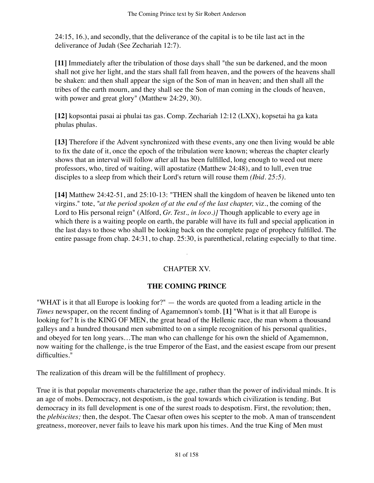24:15, 16.), and secondly, that the deliverance of the capital is to be tile last act in the deliverance of Judah (See Zechariah 12:7).

**[11]** Immediately after the tribulation of those days shall "the sun be darkened, and the moon shall not give her light, and the stars shall fall from heaven, and the powers of the heavens shall be shaken: and then shall appear the sign of the Son of man in heaven; and then shall all the tribes of the earth mourn, and they shall see the Son of man coming in the clouds of heaven, with power and great glory" (Matthew 24:29, 30).

**[12]** kopsontai pasai ai phulai tas gas. Comp. Zechariah 12:12 (LXX), kopsetai ha ga kata phulas phulas.

**[13]** Therefore if the Advent synchronized with these events, any one then living would be able to fix the date of it, once the epoch of the tribulation were known; whereas the chapter clearly shows that an interval will follow after all has been fulfilled, long enough to weed out mere professors, who, tired of waiting, will apostatize (Matthew 24:48), and to lull, even true disciples to a sleep from which their Lord's return will rouse them *(Ibid. 25:5).*

**[14]** Matthew 24:42-51, and 25:10-13: "THEN shall the kingdom of heaven be likened unto ten virgins." tote, *"at the period spoken of at the end of the last chapter,* viz., the coming of the Lord to His personal reign" (Alford, *Gr. Test., in loco.)]* Though applicable to every age in which there is a waiting people on earth, the parable will have its full and special application in the last days to those who shall be looking back on the complete page of prophecy fulfilled. The entire passage from chap. 24:31, to chap. 25:30, is parenthetical, relating especially to that time.

# CHAPTER XV.

.

# **THE COMING PRINCE**

"WHAT is it that all Europe is looking for?" — the words are quoted from a leading article in the *Times* newspaper, on the recent finding of Agamemnon's tomb. **[1]** "What is it that all Europe is looking for? It is the KING OF MEN, the great head of the Hellenic race, the man whom a thousand galleys and a hundred thousand men submitted to on a simple recognition of his personal qualities, and obeyed for ten long years…The man who can challenge for his own the shield of Agamemnon, now waiting for the challenge, is the true Emperor of the East, and the easiest escape from our present difficulties."

The realization of this dream will be the fulfillment of prophecy.

True it is that popular movements characterize the age, rather than the power of individual minds. It is an age of mobs. Democracy, not despotism, is the goal towards which civilization is tending. But democracy in its full development is one of the surest roads to despotism. First, the revolution; then, the *plebiscites;* then, the despot. The Caesar often owes his scepter to the mob. A man of transcendent greatness, moreover, never fails to leave his mark upon his times. And the true King of Men must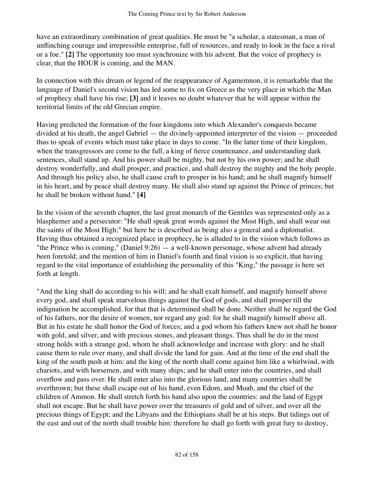have an extraordinary combination of great qualities. He must be "a scholar, a statesman, a man of unflinching courage and irrepressible enterprise, full of resources, and ready to look in the face a rival or a foe." **[2]** The opportunity too must synchronize with his advent. But the voice of prophecy is clear, that the HOUR is coming, and the MAN.

In connection with this dream or legend of the reappearance of Agamemnon, it is remarkable that the language of Daniel's second vision has led some to fix on Greece as the very place in which the Man of prophecy shall have his rise; **[3]** and it leaves no doubt whatever that he will appear within the territorial limits of the old Grecian empire.

Having predicted the formation of the four kingdoms into which Alexander's conquests became divided at his death, the angel Gabriel — the divinely-appointed interpreter of the vision — proceeded thus to speak of events which must take place in days to come. "In the latter time of their kingdom, when the transgressors are come to the full, a king of fierce countenance, and understanding dark sentences, shall stand up. And his power shall be mighty, but not by his own power; and he shall destroy wonderfully, and shall prosper, and practice, and shall destroy the mighty and the holy people. And through his policy also, he shall cause craft to prosper in his hand; and he shall magnify himself in his heart, and by peace shall destroy many. He shall also stand up against the Prince of princes; but he shall be broken without hand." **[4]**

In the vision of the seventh chapter, the last great monarch of the Gentiles was represented only as a blasphemer and a persecutor: "He shall speak great words against the Most High, and shall wear out the saints of the Most High;" but here he is described as being also a general and a diplomatist. Having thus obtained a recognized place in prophecy, he is alluded to in the vision which follows as "the Prince who is coming," (Daniel 9:26) — a well-known personage, whose advent had already been foretold; and the mention of him in Daniel's fourth and final vision is so explicit, that having regard to the vital importance of establishing the personality of this "King," the passage is here set forth at length.

"And the king shall do according to his will; and he shall exalt himself, and magnify himself above every god, and shall speak marvelous things against the God of gods, and shall prosper till the indignation be accomplished. for that that is determined shall be done. Neither shall he regard the God of his fathers, nor the desire of women, nor regard any god: for he shall magnify himself above all. But in his estate he shall honor the God of forces; and a god whom his fathers knew not shall he honor with gold, and silver, and with precious stones, and pleasant things. Thus shall he do in the most strong holds with a strange god, whom he shall acknowledge and increase with glory: and he shall cause them to rule over many, and shall divide the land for gain. And at the time of the end shall the king of the south push at him: and the king of the north shall come against him like a whirlwind, with chariots, and with horsemen, and with many ships; and he shall enter into the countries, and shall overflow and pass over. He shall enter also into the glorious land, and many countries shall be overthrown; but these shall escape out of his hand, even Edom, and Moab, and the chief of the children of Ammon. He shall stretch forth his hand also upon the countries: and the land of Egypt shall not escape. But he shall have power over the treasures of gold and of silver, and over all the precious things of Egypt; and the Libyans and the Ethiopians shall be at his steps. But tidings out of the east and out of the north shall trouble him: therefore he shall go forth with great fury to destroy,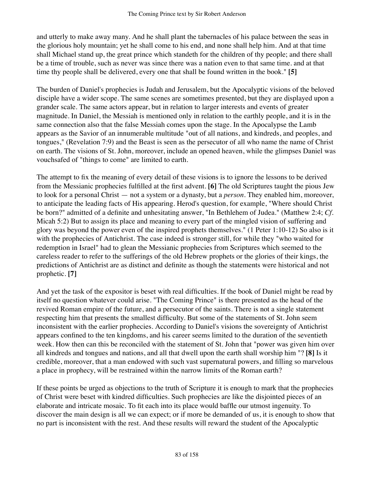and utterly to make away many. And he shall plant the tabernacles of his palace between the seas in the glorious holy mountain; yet he shall come to his end, and none shall help him. And at that time shall Michael stand up, the great prince which standeth for the children of thy people; and there shall be a time of trouble, such as never was since there was a nation even to that same time. and at that time thy people shall be delivered, every one that shall be found written in the book." **[5]**

The burden of Daniel's prophecies is Judah and Jerusalem, but the Apocalyptic visions of the beloved disciple have a wider scope. The same scenes are sometimes presented, but they are displayed upon a grander scale. The same actors appear, but in relation to larger interests and events of greater magnitude. In Daniel, the Messiah is mentioned only in relation to the earthly people, and it is in the same connection also that the false Messiah comes upon the stage. In the Apocalypse the Lamb appears as the Savior of an innumerable multitude "out of all nations, and kindreds, and peoples, and tongues," (Revelation 7:9) and the Beast is seen as the persecutor of all who name the name of Christ on earth. The visions of St. John, moreover, include an opened heaven, while the glimpses Daniel was vouchsafed of "things to come" are limited to earth.

The attempt to fix the meaning of every detail of these visions is to ignore the lessons to be derived from the Messianic prophecies fulfilled at the first advent. **[6]** The old Scriptures taught the pious Jew to look for a personal Christ — not a system or a dynasty, but a *person.* They enabled him, moreover, to anticipate the leading facts of His appearing. Herod's question, for example, "Where should Christ be born?" admitted of a definite and unhesitating answer, "In Bethlehem of Judea." (Matthew 2:4; *Cf.* Micah 5:2) But to assign its place and meaning to every part of the mingled vision of suffering and glory was beyond the power even of the inspired prophets themselves." (1 Peter 1:10-12) So also is it with the prophecies of Antichrist. The case indeed is stronger still, for while they "who waited for redemption in Israel" had to glean the Messianic prophecies from Scriptures which seemed to the careless reader to refer to the sufferings of the old Hebrew prophets or the glories of their kings, the predictions of Antichrist are as distinct and definite as though the statements were historical and not prophetic. **[7]**

And yet the task of the expositor is beset with real difficulties. If the book of Daniel might be read by itself no question whatever could arise. "The Coming Prince" is there presented as the head of the revived Roman empire of the future, and a persecutor of the saints. There is not a single statement respecting him that presents the smallest difficulty. But some of the statements of St. John seem inconsistent with the earlier prophecies. According to Daniel's visions the sovereignty of Antichrist appears confined to the ten kingdoms, and his career seems limited to the duration of the seventieth week. How then can this be reconciled with the statement of St. John that "power was given him over all kindreds and tongues and nations, and all that dwell upon the earth shall worship him "? **[8]** Is it credible, moreover, that a man endowed with such vast supernatural powers, and filling so marvelous a place in prophecy, will be restrained within the narrow limits of the Roman earth?

If these points be urged as objections to the truth of Scripture it is enough to mark that the prophecies of Christ were beset with kindred difficulties. Such prophecies are like the disjointed pieces of an elaborate and intricate mosaic. To fit each into its place would baffle our utmost ingenuity. To discover the main design is all we can expect; or if more be demanded of us, it is enough to show that no part is inconsistent with the rest. And these results will reward the student of the Apocalyptic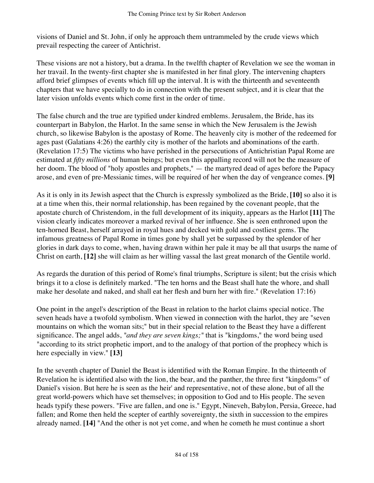visions of Daniel and St. John, if only he approach them untrammeled by the crude views which prevail respecting the career of Antichrist.

These visions are not a history, but a drama. In the twelfth chapter of Revelation we see the woman in her travail. In the twenty-first chapter she is manifested in her final glory. The intervening chapters afford brief glimpses of events which fill up the interval. It is with the thirteenth and seventeenth chapters that we have specially to do in connection with the present subject, and it is clear that the later vision unfolds events which come first in the order of time.

The false church and the true are typified under kindred emblems. Jerusalem, the Bride, has its counterpart in Babylon, the Harlot. In the same sense in which the New Jerusalem is the Jewish church, so likewise Babylon is the apostasy of Rome. The heavenly city is mother of the redeemed for ages past (Galatians 4:26) the earthly city is mother of the harlots and abominations of the earth. (Revelation 17:5) The victims who have perished in the persecutions of Antichristian Papal Rome are estimated at *fifty millions* of human beings; but even this appalling record will not be the measure of her doom. The blood of "holy apostles and prophets," — the martyred dead of ages before the Papacy arose, and even of pre-Messianic times, will be required of her when the day of vengeance comes. **[9]**

As it is only in its Jewish aspect that the Church is expressly symbolized as the Bride, **[10]** so also it is at a time when this, their normal relationship, has been regained by the covenant people, that the apostate church of Christendom, in the full development of its iniquity, appears as the Harlot **[11]** The vision clearly indicates moreover a marked revival of her influence. She is seen enthroned upon the ten-horned Beast, herself arrayed in royal hues and decked with gold and costliest gems. The infamous greatness of Papal Rome in times gone by shall yet be surpassed by the splendor of her glories in dark days to come, when, having drawn within her pale it may be all that usurps the name of Christ on earth, **[12]** she will claim as her willing vassal the last great monarch of the Gentile world.

As regards the duration of this period of Rome's final triumphs, Scripture is silent; but the crisis which brings it to a close is definitely marked. "The ten horns and the Beast shall hate the whore, and shall make her desolate and naked, and shall eat her flesh and burn her with fire." (Revelation 17:16)

One point in the angel's description of the Beast in relation to the harlot claims special notice. The seven heads have a twofold symbolism. When viewed in connection with the harlot, they are "seven mountains on which the woman sits;" but in their special relation to the Beast they have a different significance. The angel adds, *"and they are seven kings;"* that is "kingdoms," the word being used "according to its strict prophetic import, and to the analogy of that portion of the prophecy which is here especially in view." **[13]**

In the seventh chapter of Daniel the Beast is identified with the Roman Empire. In the thirteenth of Revelation he is identified also with the lion, the bear, and the panther, the three first "kingdoms'" of Daniel's vision. But here he is seen as the heir' and representative, not of these alone, but of all the great world-powers which have set themselves; in opposition to God and to His people. The seven heads typify these powers. "Five are fallen, and one is." Egypt, Nineveh, Babylon, Persia, Greece, had fallen; and Rome then held the scepter of earthly sovereignty, the sixth in succession to the empires already named. **[14]** "And the other is not yet come, and when he cometh he must continue a short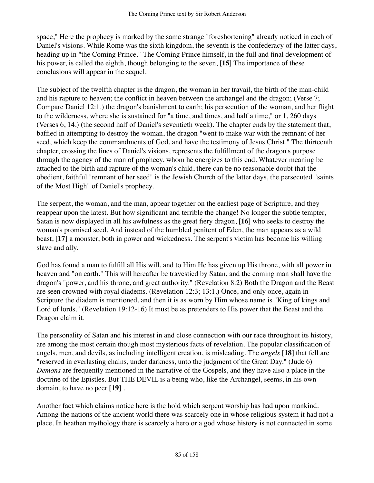space," Here the prophecy is marked by the same strange "foreshortening" already noticed in each of Daniel's visions. While Rome was the sixth kingdom, the seventh is the confederacy of the latter days, heading up in "the Coming Prince." The Coming Prince himself, in the full and final development of his power, is called the eighth, though belonging to the seven, **[15]** The importance of these conclusions will appear in the sequel.

The subject of the twelfth chapter is the dragon, the woman in her travail, the birth of the man-child and his rapture to heaven; the conflict in heaven between the archangel and the dragon; (Verse 7; Compare Daniel 12:1.) the dragon's banishment to earth; his persecution of the woman, and her flight to the wilderness, where she is sustained for "a time, and times, and half a time," or 1, 260 days (Verses 6, 14.) (the second half of Daniel's seventieth week). The chapter ends by the statement that, baffled in attempting to destroy the woman, the dragon "went to make war with the remnant of her seed, which keep the commandments of God, and have the testimony of Jesus Christ." The thirteenth chapter, crossing the lines of Daniel's visions, represents the fulfillment of the dragon's purpose through the agency of the man of prophecy, whom he energizes to this end. Whatever meaning be attached to the birth and rapture of the woman's child, there can be no reasonable doubt that the obedient, faithful "remnant of her seed" is the Jewish Church of the latter days, the persecuted "saints of the Most High" of Daniel's prophecy.

The serpent, the woman, and the man, appear together on the earliest page of Scripture, and they reappear upon the latest. But how significant and terrible the change! No longer the subtle tempter, Satan is now displayed in all his awfulness as the great fiery dragon, **[16]** who seeks to destroy the woman's promised seed. And instead of the humbled penitent of Eden, the man appears as a wild beast, **[17]** a monster, both in power and wickedness. The serpent's victim has become his willing slave and ally.

God has found a man to fulfill all His will, and to Him He has given up His throne, with all power in heaven and "on earth." This will hereafter be travestied by Satan, and the coming man shall have the dragon's "power, and his throne, and great authority." (Revelation 8:2) Both the Dragon and the Beast are seen crowned with royal diadems. (Revelation 12:3; 13:1.) Once, and only once, again in Scripture the diadem is mentioned, and then it is as worn by Him whose name is "King of kings and Lord of lords." (Revelation 19:12-16) It must be as pretenders to His power that the Beast and the Dragon claim it.

The personality of Satan and his interest in and close connection with our race throughout its history, are among the most certain though most mysterious facts of revelation. The popular classification of angels, men, and devils, as including intelligent creation, is misleading. The *angels* **[18]** that fell are "reserved in everlasting chains, under darkness, unto the judgment of the Great Day." (Jude 6) *Demons* are frequently mentioned in the narrative of the Gospels, and they have also a place in the doctrine of the Epistles. But THE DEVIL is a being who, like the Archangel, seems, in his own domain, to have no peer **[19]** .

Another fact which claims notice here is the hold which serpent worship has had upon mankind. Among the nations of the ancient world there was scarcely one in whose religious system it had not a place. In heathen mythology there is scarcely a hero or a god whose history is not connected in some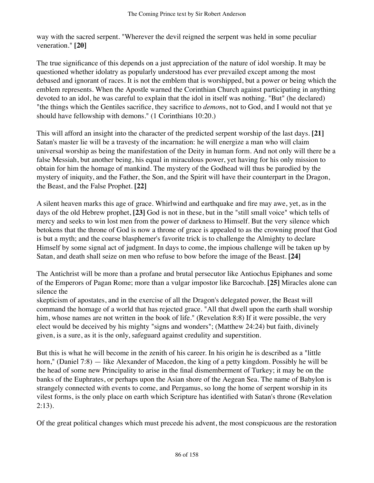way with the sacred serpent. "Wherever the devil reigned the serpent was held in some peculiar veneration." **[20]**

The true significance of this depends on a just appreciation of the nature of idol worship. It may be questioned whether idolatry as popularly understood has ever prevailed except among the most debased and ignorant of races. It is not the emblem that is worshipped, but a power or being which the emblem represents. When the Apostle warned the Corinthian Church against participating in anything devoted to an idol, he was careful to explain that the idol in itself was nothing. "But" (he declared) "the things which the Gentiles sacrifice, they sacrifice to *demon*s, not to God, and I would not that ye should have fellowship with demons." (1 Corinthians 10:20.)

This will afford an insight into the character of the predicted serpent worship of the last days. **[21]** Satan's master lie will be a travesty of the incarnation: he will energize a man who will claim universal worship as being the manifestation of the Deity in human form. And not only will there be a false Messiah, but another being, his equal in miraculous power, yet having for his only mission to obtain for him the homage of mankind. The mystery of the Godhead will thus be parodied by the mystery of iniquity, and the Father, the Son, and the Spirit will have their counterpart in the Dragon, the Beast, and the False Prophet. **[22]**

A silent heaven marks this age of grace. Whirlwind and earthquake and fire may awe, yet, as in the days of the old Hebrew prophet, **[23]** God is not in these, but in the "still small voice" which tells of mercy and seeks to win lost men from the power of darkness to Himself. But the very silence which betokens that the throne of God is now a throne of grace is appealed to as the crowning proof that God is but a myth; and the coarse blasphemer's favorite trick is to challenge the Almighty to declare Himself by some signal act of judgment. In days to come, the impious challenge will be taken up by Satan, and death shall seize on men who refuse to bow before the image of the Beast. **[24]**

The Antichrist will be more than a profane and brutal persecutor like Antiochus Epiphanes and some of the Emperors of Pagan Rome; more than a vulgar impostor like Barcochab. **[25]** Miracles alone can silence the

skepticism of apostates, and in the exercise of all the Dragon's delegated power, the Beast will command the homage of a world that has rejected grace. "All that dwell upon the earth shall worship him, whose names are not written in the book of life." (Revelation 8:8) If it were possible, the very elect would be deceived by his mighty "signs and wonders"; (Matthew 24:24) but faith, divinely given, is a sure, as it is the only, safeguard against credulity and superstition.

But this is what he will become in the zenith of his career. In his origin he is described as a "little horn," (Daniel 7:8) — like Alexander of Macedon, the king of a petty kingdom. Possibly he will be the head of some new Principality to arise in the final dismemberment of Turkey; it may be on the banks of the Euphrates, or perhaps upon the Asian shore of the Aegean Sea. The name of Babylon is strangely connected with events to come, and Pergamus, so long the home of serpent worship in its vilest forms, is the only place on earth which Scripture has identified with Satan's throne (Revelation 2:13).

Of the great political changes which must precede his advent, the most conspicuous are the restoration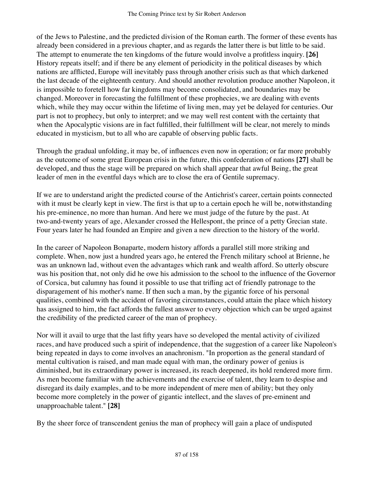of the Jews to Palestine, and the predicted division of the Roman earth. The former of these events has already been considered in a previous chapter, and as regards the latter there is but little to be said. The attempt to enumerate the ten kingdoms of the future would involve a profitless inquiry. **[26]** History repeats itself; and if there be any element of periodicity in the political diseases by which nations are afflicted, Europe will inevitably pass through another crisis such as that which darkened the last decade of the eighteenth century. And should another revolution produce another Napoleon, it is impossible to foretell how far kingdoms may become consolidated, and boundaries may be changed. Moreover in forecasting the fulfillment of these prophecies, we are dealing with events which, while they may occur within the lifetime of living men, may yet be delayed for centuries. Our part is not to prophecy, but only to interpret; and we may well rest content with the certainty that when the Apocalyptic visions are in fact fulfilled, their fulfillment will be clear, not merely to minds educated in mysticism, but to all who are capable of observing public facts.

Through the gradual unfolding, it may be, of influences even now in operation; or far more probably as the outcome of some great European crisis in the future, this confederation of nations **[27]** shall be developed, and thus the stage will be prepared on which shall appear that awful Being, the great leader of men in the eventful days which are to close the era of Gentile supremacy.

If we are to understand aright the predicted course of the Antichrist's career, certain points connected with it must be clearly kept in view. The first is that up to a certain epoch he will be, notwithstanding his pre-eminence, no more than human. And here we must judge of the future by the past. At two-and-twenty years of age, Alexander crossed the Hellespont, the prince of a petty Grecian state. Four years later he had founded an Empire and given a new direction to the history of the world.

In the career of Napoleon Bonaparte, modern history affords a parallel still more striking and complete. When, now just a hundred years ago, he entered the French military school at Brienne, he was an unknown lad, without even the advantages which rank and wealth afford. So utterly obscure was his position that, not only did he owe his admission to the school to the influence of the Governor of Corsica, but calumny has found it possible to use that trifling act of friendly patronage to the disparagement of his mother's name. If then such a man, by the gigantic force of his personal qualities, combined with the accident of favoring circumstances, could attain the place which history has assigned to him, the fact affords the fullest answer to every objection which can be urged against the credibility of the predicted career of the man of prophecy.

Nor will it avail to urge that the last fifty years have so developed the mental activity of civilized races, and have produced such a spirit of independence, that the suggestion of a career like Napoleon's being repeated in days to come involves an anachronism. "In proportion as the general standard of mental cultivation is raised, and man made equal with man, the ordinary power of genius is diminished, but its extraordinary power is increased, its reach deepened, its hold rendered more firm. As men become familiar with the achievements and the exercise of talent, they learn to despise and disregard its daily examples, and to be more independent of mere men of ability; but they only become more completely in the power of gigantic intellect, and the slaves of pre-eminent and unapproachable talent." **[28]**

By the sheer force of transcendent genius the man of prophecy will gain a place of undisputed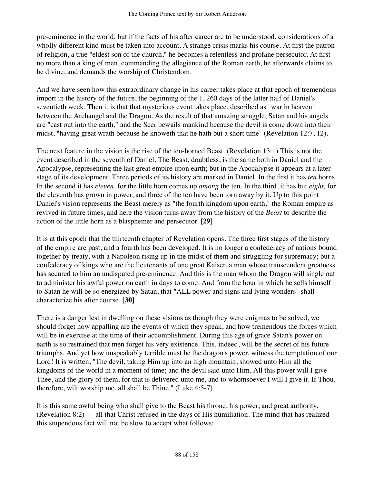pre-eminence in the world; but if the facts of his after career are to be understood, considerations of a wholly different kind must be taken into account. A strange crisis marks his course. At first the patron of religion, a true "eldest son of the church," he becomes a relentless and profane persecutor. At first no more than a king of men, commanding the allegiance of the Roman earth, he afterwards claims to be divine, and demands the worship of Christendom.

And we have seen how this extraordinary change in his career takes place at that epoch of tremendous import in the history of the future, the beginning of the 1, 260 days of the latter half of Daniel's seventieth week. Then it is that that mysterious event takes place, described as "war in heaven" between the Archangel and the Dragon. As the result of that amazing struggle, Satan and his angels are "cast out into the earth," and the Seer bewails mankind because the devil is come down into their midst, "having great wrath because he knoweth that he hath but a short time" (Revelation 12:7, 12).

The next feature in the vision is the rise of the ten-horned Beast. (Revelation 13:1) This is not the event described in the seventh of Daniel. The Beast, doubtless, is the same both in Daniel and the Apocalypse, representing the last great empire upon earth; but in the Apocalypse it appears at a later stage of its development. Three periods of its history are marked in Daniel. In the first it has *ten* horns. In the second it has *eleven,* for the little horn comes up *among* the ten. In the third, it has but *eight,* for the eleventh has grown in power, and three of the ten have been torn away by it. Up to this point Daniel's vision represents the Beast merely as "the fourth kingdom upon earth," the Roman empire as revived in future times, and here the vision turns away from the history of the *Beast* to describe the action of the little horn as a blasphemer and persecutor. **[29]**

It is at this epoch that the thirteenth chapter of Revelation opens. The three first stages of the history of the empire are past, and a fourth has been developed. It is no longer a confederacy of nations bound together by treaty, with a Napoleon rising up in the midst of them and struggling for supremacy; but a confederacy of kings who are the lieutenants of one great Kaiser, a man whose transcendent greatness has secured to him an undisputed pre-eminence. And this is the man whom the Dragon will single out to administer his awful power on earth in days to come. And from the hour in which he sells himself to Satan he will be so energized by Satan, that "ALL power and signs and lying wonders" shall characterize his after course. **[30]**

There is a danger lest in dwelling on these visions as though they were enigmas to be solved, we should forget how appalling are the events of which they speak, and how tremendous the forces which will be in exercise at the time of their accomplishment. During this age of grace Satan's power on earth is so restrained that men forget his very existence. This, indeed, will be the secret of his future triumphs. And yet how unspeakably terrible must be the dragon's power, witness the temptation of our Lord! It is written, "The devil, taking Him up into an high mountain, showed unto Him all the kingdoms of the world in a moment of time; and the devil said unto Him, All this power will I give Thee, and the glory of them, for that is delivered unto me, and to whomsoever I will I give it. If Thou, therefore, wilt worship me, all shall be Thine." (Luke 4:5-7)

It is this same awful being who shall give to the Beast his throne, his power, and great authority, (Revelation 8:2) — all that Christ refused in the days of His humiliation. The mind that has realized this stupendous fact will not be slow to accept what follows: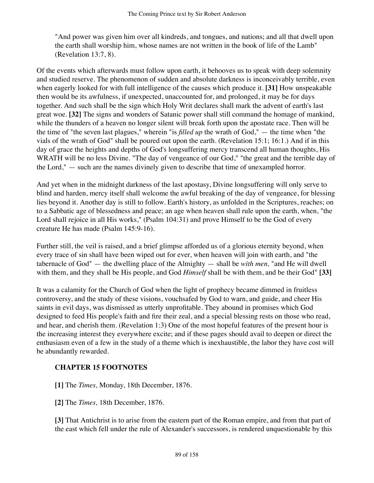"And power was given him over all kindreds, and tongues, and nations; and all that dwell upon the earth shall worship him, whose names are not written in the book of life of the Lamb" (Revelation 13:7, 8).

Of the events which afterwards must follow upon earth, it behooves us to speak with deep solemnity and studied reserve. The phenomenon of sudden and absolute darkness is inconceivably terrible, even when eagerly looked for with full intelligence of the causes which produce it. **[31]** How unspeakable then would be its awfulness, if unexpected, unaccounted for, and prolonged, it may be for days together. And such shall be the sign which Holy Writ declares shall mark the advent of earth's last great woe. **[32]** The signs and wonders of Satanic power shall still command the homage of mankind, while the thunders of a heaven no longer silent will break forth upon the apostate race. Then will be the time of "the seven last plagues," wherein "is *filled up* the wrath of God," — the time when "the vials of the wrath of God" shall be poured out upon the earth. (Revelation 15:1; 16:1.) And if in this day of grace the heights and depths of God's longsuffering mercy transcend all human thoughts, His WRATH will be no less Divine. "The day of vengeance of our God," "the great and the terrible day of the Lord," — such are the names divinely given to describe that time of unexampled horror.

And yet when in the midnight darkness of the last apostasy, Divine longsuffering will only serve to blind and harden, mercy itself shall welcome the awful breaking of the day of vengeance, for blessing lies beyond it. Another day is still to follow. Earth's history, as unfolded in the Scriptures, reaches; on to a Sabbatic age of blessedness and peace; an age when heaven shall rule upon the earth, when, "the Lord shall rejoice in all His works," (Psalm 104:31) and prove Himself to be the God of every creature He has made (Psalm 145:9-16).

Further still, the veil is raised, and a brief glimpse afforded us of a glorious eternity beyond, when every trace of sin shall have been wiped out for ever, when heaven will join with earth, and "the tabernacle of God" — the dwelling place of the Almighty — shall be *with men,* "and He will dwell with them, and they shall be His people, and God *Himself* shall be with them, and be their God" **[33]**

It was a calamity for the Church of God when the light of prophecy became dimmed in fruitless controversy, and the study of these visions, vouchsafed by God to warn, and guide, and cheer His saints in evil days, was dismissed as utterly unprofitable. They abound in promises which God designed to feed His people's faith and fire their zeal, and a special blessing rests on those who read, and hear, and cherish them. (Revelation 1:3) One of the most hopeful features of the present hour is the increasing interest they everywhere excite; and if these pages should avail to deepen or direct the enthusiasm even of a few in the study of a theme which is inexhaustible, the labor they have cost will be abundantly rewarded.

# **CHAPTER 15 FOOTNOTES**

**[1]** The *Times,* Monday, 18th December, 1876.

**[2]** The *Times,* 18th December, 1876.

**[3]** That Antichrist is to arise from the eastern part of the Roman empire, and from that part of the east which fell under the rule of Alexander's successors, is rendered unquestionable by this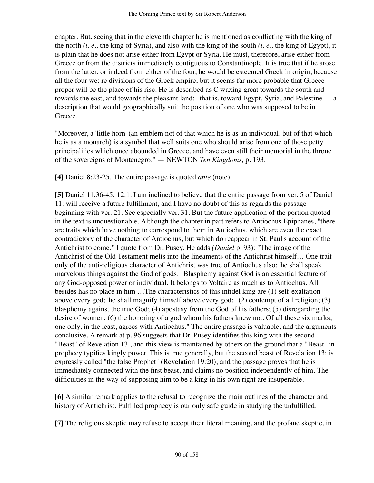chapter. But, seeing that in the eleventh chapter he is mentioned as conflicting with the king of the north *(i. e.,* the king of Syria), and also with the king of the south *(i. e.,* the king of Egypt), it is plain that he does not arise either from Egypt or Syria. He must, therefore, arise either from Greece or from the districts immediately contiguous to Constantinople. It is true that if he arose from the latter, or indeed from either of the four, he would be esteemed Greek in origin, because all the four we: re divisions of the Greek empire; but it seems far more probable that Greece proper will be the place of his rise. He is described as C waxing great towards the south and towards the east, and towards the pleasant land; ' that is, toward Egypt, Syria, and Palestine — a description that would geographically suit the position of one who was supposed to be in Greece.

"Moreover, a 'little horn' (an emblem not of that which he is as an individual, but of that which he is as a monarch) is a symbol that well suits one who should arise from one of those petty principalities which once abounded in Greece, and have even still their memorial in the throne of the sovereigns of Montenegro." — NEWTON *Ten Kingdoms,* p. 193.

**[4]** Daniel 8:23-25. The entire passage is quoted *ante* (note).

**[5]** Daniel 11:36-45; 12:1. I am inclined to believe that the entire passage from ver. 5 of Daniel 11: will receive a future fulfillment, and I have no doubt of this as regards the passage beginning with ver. 21. See especially ver. 31. But the future application of the portion quoted in the text is unquestionable. Although the chapter in part refers to Antiochus Epiphanes, "there are traits which have nothing to correspond to them in Antiochus, which are even the exact contradictory of the character of Antiochus, but which do reappear in St. Paul's account of the Antichrist to come." I quote from Dr. Pusey. He adds *(Daniel* p. 93): "The image of the Antichrist of the Old Testament melts into the lineaments of the Antichrist himself… One trait only of the anti-religious character of Antichrist was true of Antiochus also; 'he shall speak marvelous things against the God of gods. ' Blasphemy against God is an essential feature of any God-opposed power or individual. It belongs to Voltaire as much as to Antiochus. All besides has no place in him …The characteristics of this infidel king are (1) self-exaltation above every god; 'he shall magnify himself above every god; ' (2) contempt of all religion; (3) blasphemy against the true God; (4) apostasy from the God of his fathers; (5) disregarding the desire of women; (6) the honoring of a god whom his fathers knew not. Of all these six marks, one only, in the least, agrees with Antiochus." The entire passage is valuable, and the arguments conclusive. A remark at p. 96 suggests that Dr. Pusey identifies this king with the second "Beast" of Revelation 13., and this view is maintained by others on the ground that a "Beast" in prophecy typifies kingly power. This is true generally, but the second beast of Revelation 13: is expressly called "the false Prophet" (Revelation 19:20); and the passage proves that he is immediately connected with the first beast, and claims no position independently of him. The difficulties in the way of supposing him to be a king in his own right are insuperable.

**[6]** A similar remark applies to the refusal to recognize the main outlines of the character and history of Antichrist. Fulfilled prophecy is our only safe guide in studying the unfulfilled.

**[7]** The religious skeptic may refuse to accept their literal meaning, and the profane skeptic, in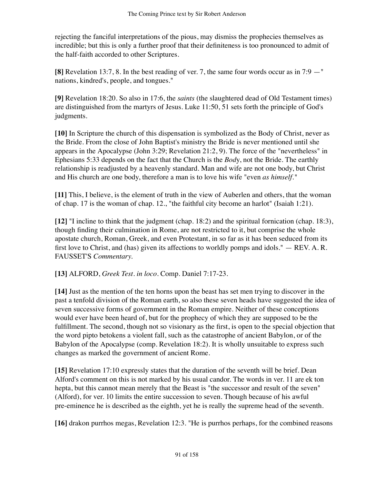rejecting the fanciful interpretations of the pious, may dismiss the prophecies themselves as incredible; but this is only a further proof that their definiteness is too pronounced to admit of the half-faith accorded to other Scriptures.

**[8]** Revelation 13:7, 8. In the best reading of ver. 7, the same four words occur as in 7:9 —" nations, kindred's, people, and tongues."

**[9]** Revelation 18:20. So also in 17:6, the *saints* (the slaughtered dead of Old Testament times) are distinguished from the martyrs of Jesus. Luke 11:50, 51 sets forth the principle of God's judgments.

**[10]** In Scripture the church of this dispensation is symbolized as the Body of Christ, never as the Bride. From the close of John Baptist's ministry the Bride is never mentioned until she appears in the Apocalypse (John 3:29; Revelation 21:2, 9). The force of the "nevertheless" in Ephesians 5:33 depends on the fact that the Church is the *Bod*y, not the Bride. The earthly relationship is readjusted by a heavenly standard. Man and wife are not one body, but Christ and His church are one body, therefore a man is to love his wife "even *as himself."*

**[11]** This, I believe, is the element of truth in the view of Auberlen and others, that the woman of chap. 17 is the woman of chap. 12., "the faithful city become an harlot" (Isaiah 1:21).

**[12]** "I incline to think that the judgment (chap. 18:2) and the spiritual fornication (chap. 18:3), though finding their culmination in Rome, are not restricted to it, but comprise the whole apostate church, Roman, Greek, and even Protestant, in so far as it has been seduced from its first love to Christ, and (has) given its affections to worldly pomps and idols." — REV. A. R. FAUSSET'S *Commentary.*

**[13]** ALFORD, *Greek Test. in loco.* Comp. Daniel 7:17-23.

**[14]** Just as the mention of the ten horns upon the beast has set men trying to discover in the past a tenfold division of the Roman earth, so also these seven heads have suggested the idea of seven successive forms of government in the Roman empire. Neither of these conceptions would ever have been heard of, but for the prophecy of which they are supposed to be the fulfillment. The second, though not so visionary as the first, is open to the special objection that the word pipto betokens a violent fall, such as the catastrophe of ancient Babylon, or of the Babylon of the Apocalypse (comp. Revelation 18:2). It is wholly unsuitable to express such changes as marked the government of ancient Rome.

**[15]** Revelation 17:10 expressly states that the duration of the seventh will be brief. Dean Alford's comment on this is not marked by his usual candor. The words in ver. 11 are ek ton hepta, but this cannot mean merely that the Beast is "the successor and result of the seven" (Alford), for ver. 10 limits the entire succession to seven. Though because of his awful pre-eminence he is described as the eighth, yet he is really the supreme head of the seventh.

**[16]** drakon purrhos megas, Revelation 12:3. "He is purrhos perhaps, for the combined reasons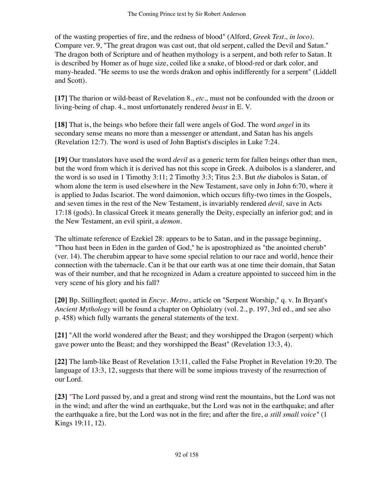of the wasting properties of fire, and the redness of blood" (Alford, *Greek Test., in loco).* Compare ver. 9, "The great dragon was cast out, that old serpent, called the Devil and Satan." The dragon both of Scripture and of heathen mythology is a serpent, and both refer to Satan. It is described by Homer as of huge size, coiled like a snake, of blood-red or dark color, and many-headed. "He seems to use the words drakon and ophis indifferently for a serpent" (Liddell and Scott).

**[17]** The tharion or wild-beast of Revelation 8., *etc.,* must not be confounded with the dzoon or living-being of chap. 4., most unfortunately rendered *beast* in E. V.

**[18]** That is, the beings who before their fall were angels of God. The word *angel* in its secondary sense means no more than a messenger or attendant, and Satan has his angels (Revelation 12:7). The word is used of John Baptist's disciples in Luke 7:24.

**[19]** Our translators have used the word *devil* as a generic term for fallen beings other than men, but the word from which it is derived has not this scope in Greek. A duibolos is a slanderer, and the word is so used in 1 Timothy 3:11; 2 Timothy 3:3; Titus 2:3. But *the* diabolos is Satan, of whom alone the term is used elsewhere in the New Testament, save only in John 6:70, where it is applied to Judas Iscariot. The word daimonion, which occurs fifty-two times in the Gospels, and seven times in the rest of the New Testament, is invariably rendered *devil,* save in Acts 17:18 (gods). In classical Greek it means generally the Deity, especially an inferior god; and in the New Testament, an evil spirit, a *demon.*

The ultimate reference of Ezekiel 28: appears to be to Satan, and in the passage beginning, "Thou hast been in Eden in the garden of God," he is apostrophized as "the anointed cherub" (ver. 14). The cherubim appear to have some special relation to our race and world, hence their connection with the tabernacle. Can it be that our earth was at one time their domain, that Satan was of their number, and that he recognized in Adam a creature appointed to succeed him in the very scene of his glory and his fall?

**[20]** Bp. Stillingfleet; quoted in *Encyc. Metro.,* article on "Serpent Worship," q. v. In Bryant's *Ancient Mythology* will be found a chapter on Ophiolatry (vol. 2., p. 197, 3rd ed., and see also p. 458) which fully warrants the general statements of the text.

**[21]** "All the world wondered after the Beast; and they worshipped the Dragon (serpent) which gave power unto the Beast; and they worshipped the Beast" (Revelation 13:3, 4).

**[22]** The lamb-like Beast of Revelation 13:11, called the False Prophet in Revelation 19:20. The language of 13:3, 12, suggests that there will be some impious travesty of the resurrection of our Lord.

**[23]** "The Lord passed by, and a great and strong wind rent the mountains, but the Lord was not in the wind; and after the wind an earthquake, but the Lord was not in the earthquake; and after the earthquake a fire, but the Lord was not in the fire; and after the fire, *a still small voice"* (1 Kings 19:11, 12).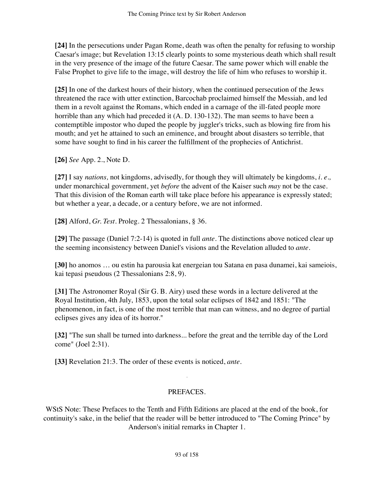**[24]** In the persecutions under Pagan Rome, death was often the penalty for refusing to worship Caesar's image; but Revelation 13:15 clearly points to some mysterious death which shall result in the very presence of the image of the future Caesar. The same power which will enable the False Prophet to give life to the image, will destroy the life of him who refuses to worship it.

**[25]** In one of the darkest hours of their history, when the continued persecution of the Jews threatened the race with utter extinction, Barcochab proclaimed himself the Messiah, and led them in a revolt against the Romans, which ended in a carnage of the ill-fated people more horrible than any which had preceded it (A. D. 130-132). The man seems to have been a contemptible impostor who duped the people by juggler's tricks, such as blowing fire from his mouth; and yet he attained to such an eminence, and brought about disasters so terrible, that some have sought to find in his career the fulfillment of the prophecies of Antichrist.

**[26]** *See* App. 2., Note D.

**[27]** I say *nations,* not kingdoms, advisedly, for though they will ultimately be kingdoms, *i. e.,* under monarchical government, yet *before* the advent of the Kaiser such *may* not be the case. That this division of the Roman earth will take place before his appearance is expressly stated; but whether a year, a decade, or a century before, we are not informed.

**[28]** Alford, *Gr. Test.* Proleg. 2 Thessalonians, § 36.

**[29]** The passage (Daniel 7:2-14) is quoted in full *ante.* The distinctions above noticed clear up the seeming inconsistency between Daniel's visions and the Revelation alluded to *ante.*

**[30]** ho anomos … ou estin ha parousia kat energeian tou Satana en pasa dunamei, kai sameiois, kai tepasi pseudous (2 Thessalonians 2:8, 9).

**[31]** The Astronomer Royal (Sir G. B. Airy) used these words in a lecture delivered at the Royal Institution, 4th July, 1853, upon the total solar eclipses of 1842 and 1851: "The phenomenon, in fact, is one of the most terrible that man can witness, and no degree of partial eclipses gives any idea of its horror."

**[32]** "The sun shall be turned into darkness... before the great and the terrible day of the Lord come" (Joel 2:31).

**[33]** Revelation 21:3. The order of these events is noticed, *ante.*

### PREFACES.

.

WStS Note: These Prefaces to the Tenth and Fifth Editions are placed at the end of the book, for continuity's sake, in the belief that the reader will be better introduced to "The Coming Prince" by Anderson's initial remarks in Chapter 1.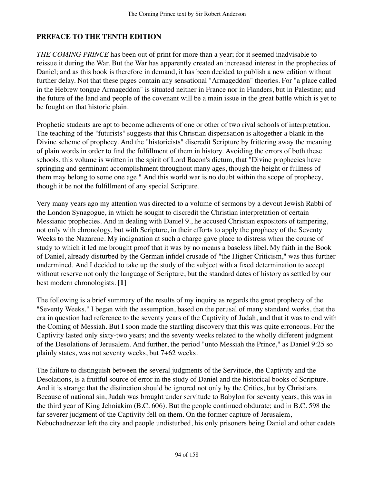# **PREFACE TO THE TENTH EDITION**

*THE COMING PRINCE* has been out of print for more than a year; for it seemed inadvisable to reissue it during the War. But the War has apparently created an increased interest in the prophecies of Daniel; and as this book is therefore in demand, it has been decided to publish a new edition without further delay. Not that these pages contain any sensational "Armageddon" theories. For "a place called in the Hebrew tongue Armageddon" is situated neither in France nor in Flanders, but in Palestine; and the future of the land and people of the covenant will be a main issue in the great battle which is yet to be fought on that historic plain.

Prophetic students are apt to become adherents of one or other of two rival schools of interpretation. The teaching of the "futurists" suggests that this Christian dispensation is altogether a blank in the Divine scheme of prophecy. And the "historicists" discredit Scripture by frittering away the meaning of plain words in order to find the fulfillment of them in history. Avoiding the errors of both these schools, this volume is written in the spirit of Lord Bacon's dictum, that "Divine prophecies have springing and germinant accomplishment throughout many ages, though the height or fullness of them may belong to some one age." And this world war is no doubt within the scope of prophecy, though it be not the fulfillment of any special Scripture.

Very many years ago my attention was directed to a volume of sermons by a devout Jewish Rabbi of the London Synagogue, in which he sought to discredit the Christian interpretation of certain Messianic prophecies. And in dealing with Daniel 9., he accused Christian expositors of tampering, not only with chronology, but with Scripture, in their efforts to apply the prophecy of the Seventy Weeks to the Nazarene. My indignation at such a charge gave place to distress when the course of study to which it led me brought proof that it was by no means a baseless libel. My faith in the Book of Daniel, already disturbed by the German infidel crusade of "the Higher Criticism," was thus further undermined. And I decided to take up the study of the subject with a fixed determination to accept without reserve not only the language of Scripture, but the standard dates of history as settled by our best modern chronologists. **[1]**

The following is a brief summary of the results of my inquiry as regards the great prophecy of the "Seventy Weeks." I began with the assumption, based on the perusal of many standard works, that the era in question had reference to the seventy years of the Captivity of Judah, and that it was to end with the Coming of Messiah. But I soon made the startling discovery that this was quite erroneous. For the Captivity lasted only sixty-two years; and the seventy weeks related to the wholly different judgment of the Desolations of Jerusalem. And further, the period "unto Messiah the Prince," as Daniel 9:25 so plainly states, was not seventy weeks, but 7+62 weeks.

The failure to distinguish between the several judgments of the Servitude, the Captivity and the Desolations, is a fruitful source of error in the study of Daniel and the historical books of Scripture. And it is strange that the distinction should be ignored not only by the Critics, but by Christians. Because of national sin, Judah was brought under servitude to Babylon for seventy years, this was in the third year of King Jehoiakim (B.C. 606). But the people continued obdurate; and in B.C. 598 the far severer judgment of the Captivity fell on them. On the former capture of Jerusalem, Nebuchadnezzar left the city and people undisturbed, his only prisoners being Daniel and other cadets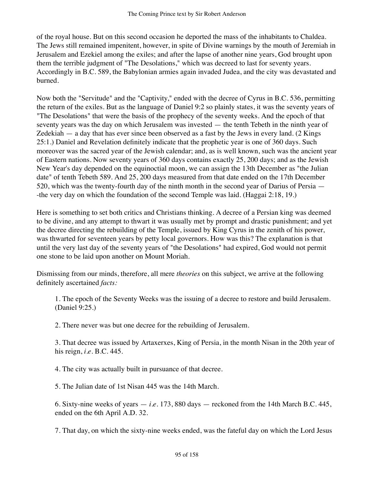of the royal house. But on this second occasion he deported the mass of the inhabitants to Chaldea. The Jews still remained impenitent, however, in spite of Divine warnings by the mouth of Jeremiah in Jerusalem and Ezekiel among the exiles; and after the lapse of another nine years, God brought upon them the terrible judgment of "The Desolations," which was decreed to last for seventy years. Accordingly in B.C. 589, the Babylonian armies again invaded Judea, and the city was devastated and burned.

Now both the "Servitude" and the "Captivity," ended with the decree of Cyrus in B.C. 536, permitting the return of the exiles. But as the language of Daniel 9:2 so plainly states, it was the seventy years of "The Desolations" that were the basis of the prophecy of the seventy weeks. And the epoch of that seventy years was the day on which Jerusalem was invested — the tenth Tebeth in the ninth year of Zedekiah — a day that has ever since been observed as a fast by the Jews in every land. (2 Kings 25:1.) Daniel and Revelation definitely indicate that the prophetic year is one of 360 days. Such moreover was the sacred year of the Jewish calendar; and, as is well known, such was the ancient year of Eastern nations. Now seventy years of 360 days contains exactly 25, 200 days; and as the Jewish New Year's day depended on the equinoctial moon, we can assign the 13th December as "the Julian date" of tenth Tebeth 589. And 25, 200 days measured from that date ended on the 17th December 520, which was the twenty-fourth day of the ninth month in the second year of Darius of Persia — -the very day on which the foundation of the second Temple was laid. (Haggai 2:18, 19.)

Here is something to set both critics and Christians thinking. A decree of a Persian king was deemed to be divine, and any attempt to thwart it was usually met by prompt and drastic punishment; and yet the decree directing the rebuilding of the Temple, issued by King Cyrus in the zenith of his power, was thwarted for seventeen years by petty local governors. How was this? The explanation is that until the very last day of the seventy years of "the Desolations" had expired, God would not permit one stone to be laid upon another on Mount Moriah.

Dismissing from our minds, therefore, all mere *theories* on this subject, we arrive at the following definitely ascertained *facts:*

1. The epoch of the Seventy Weeks was the issuing of a decree to restore and build Jerusalem. (Daniel 9:25.)

2. There never was but one decree for the rebuilding of Jerusalem.

3. That decree was issued by Artaxerxes, King of Persia, in the month Nisan in the 20th year of his reign, *i.e.* B.C. 445.

4. The city was actually built in pursuance of that decree.

5. The Julian date of 1st Nisan 445 was the 14th March.

6. Sixty-nine weeks of years — *i.e.* 173, 880 days — reckoned from the 14th March B.C. 445, ended on the 6th April A.D. 32.

7. That day, on which the sixty-nine weeks ended, was the fateful day on which the Lord Jesus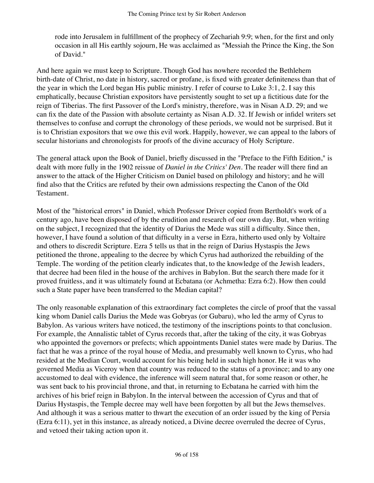rode into Jerusalem in fulfillment of the prophecy of Zechariah 9:9; when, for the first and only occasion in all His earthly sojourn, He was acclaimed as "Messiah the Prince the King, the Son of David."

And here again we must keep to Scripture. Though God has nowhere recorded the Bethlehem birth-date of Christ, no date in history, sacred or profane, is fixed with greater definiteness than that of the year in which the Lord began His public ministry. I refer of course to Luke 3:1, 2. I say this emphatically, because Christian expositors have persistently sought to set up a fictitious date for the reign of Tiberias. The first Passover of the Lord's ministry, therefore, was in Nisan A.D. 29; and we can fix the date of the Passion with absolute certainty as Nisan A.D. 32. If Jewish or infidel writers set themselves to confuse and corrupt the chronology of these periods, we would not be surprised. But it is to Christian expositors that we owe this evil work. Happily, however, we can appeal to the labors of secular historians and chronologists for proofs of the divine accuracy of Holy Scripture.

The general attack upon the Book of Daniel, briefly discussed in the "Preface to the Fifth Edition," is dealt with more fully in the 1902 reissue of *Daniel in the Critics' Den.* The reader will there find an answer to the attack of the Higher Criticism on Daniel based on philology and history; and he will find also that the Critics are refuted by their own admissions respecting the Canon of the Old Testament.

Most of the "historical errors" in Daniel, which Professor Driver copied from Bertholdt's work of a century ago, have been disposed of by the erudition and research of our own day. But, when writing on the subject, I recognized that the identity of Darius the Mede was still a difficulty. Since then, however, I have found a solution of that difficulty in a verse in Ezra, hitherto used only by Voltaire and others to discredit Scripture. Ezra 5 tells us that in the reign of Darius Hystaspis the Jews petitioned the throne, appealing to the decree by which Cyrus had authorized the rebuilding of the Temple. The wording of the petition clearly indicates that, to the knowledge of the Jewish leaders, that decree had been filed in the house of the archives in Babylon. But the search there made for it proved fruitless, and it was ultimately found at Ecbatana (or Achmetha: Ezra 6:2). How then could such a State paper have been transferred to the Median capital?

The only reasonable explanation of this extraordinary fact completes the circle of proof that the vassal king whom Daniel calls Darius the Mede was Gobryas (or Gubaru), who led the army of Cyrus to Babylon. As various writers have noticed, the testimony of the inscriptions points to that conclusion. For example, the Annalistic tablet of Cyrus records that, after the taking of the city, it was Gobryas who appointed the governors or prefects; which appointments Daniel states were made by Darius. The fact that he was a prince of the royal house of Media, and presumably well known to Cyrus, who had resided at the Median Court, would account for his being held in such high honor. He it was who governed Media as Viceroy when that country was reduced to the status of a province; and to any one accustomed to deal with evidence, the inference will seem natural that, for some reason or other, he was sent back to his provincial throne, and that, in returning to Ecbatana he carried with him the archives of his brief reign in Babylon. In the interval between the accession of Cyrus and that of Darius Hystaspis, the Temple decree may well have been forgotten by all but the Jews themselves. And although it was a serious matter to thwart the execution of an order issued by the king of Persia (Ezra 6:11), yet in this instance, as already noticed, a Divine decree overruled the decree of Cyrus, and vetoed their taking action upon it.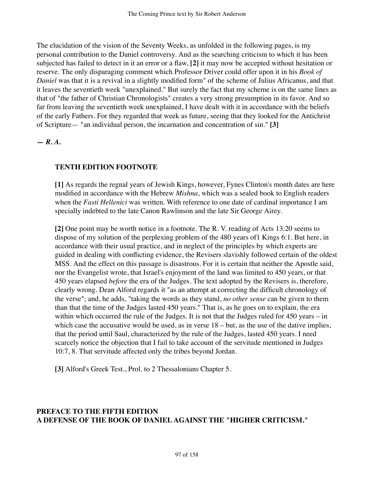The elucidation of the vision of the Seventy Weeks, as unfolded in the following pages, is my personal contribution to the Daniel controversy. And as the searching criticism to which it has been subjected has failed to detect in it an error or a flaw, **[2]** it may now be accepted without hesitation or reserve. The only disparaging comment which Professor Driver could offer upon it in his *Book of Daniel* was that it is a revival in a slightly modified form" of the scheme of Julius Africanus, and that it leaves the seventieth week "unexplained." But surely the fact that my scheme is on the same lines as that of "the father of Christian Chronologists" creates a very strong presumption in its favor. And so far from leaving the seventieth week unexplained, I have dealt with it in accordance with the beliefs of the early Fathers. For they regarded that week as future, seeing that they looked for the Antichrist of Scripture— "an individual person, the incarnation and concentration of sin." **[3]**

*— R. A.*

# **TENTH EDITION FOOTNOTE**

**[1]** As regards the regnal years of Jewish Kings, however, Fynes Clinton's month dates are here modified in accordance with the Hebrew *Mishna*, which was a sealed book to English readers when the *Fasti Hellenici* was written. With reference to one date of cardinal importance I am specially indebted to the late Canon Rawlinson and the late Sir George Airey.

**[2]** One point may be worth notice in a footnote. The R. V. reading of Acts 13:20 seems to dispose of my solution of the perplexing problem of the 480 years of1 Kings 6:1. But here, in accordance with their usual practice, and in neglect of the principles by which experts are guided in dealing with conflicting evidence, the Revisers slavishly followed certain of the oldest MSS. And the effect on this passage is disastrous. For it is certain that neither the Apostle said, nor the Evangelist wrote, that Israel's enjoyment of the land was limited to 450 years, or that 450 years elapsed *before* the era of the Judges. The text adopted by the Revisers is, therefore, clearly wrong. Dean Alford regards it "as an attempt at correcting the difficult chronology of the verse"; and, he adds, "taking the words as they stand, *no other sense* can be given to them than that the time of the Judges lasted 450 years." That is, as he goes on to explain, the era within which occurred the rule of the Judges. It is not that the Judges ruled for 450 years – in which case the accusative would be used, as in verse  $18 - \text{but}$ , as the use of the dative implies, that the period until Saul, characterized by the rule of the Judges, lasted 450 years. I need scarcely notice the objection that I fail to take account of the servitude mentioned in Judges 10:7, 8. That servitude affected only the tribes beyond Jordan.

**[3]** Alford's Greek Test., Prol. to 2 Thessalonians Chapter 5.

# **PREFACE TO THE FIFTH EDITION A DEFENSE OF THE BOOK OF DANIEL AGAINST THE "HIGHER CRITICISM."**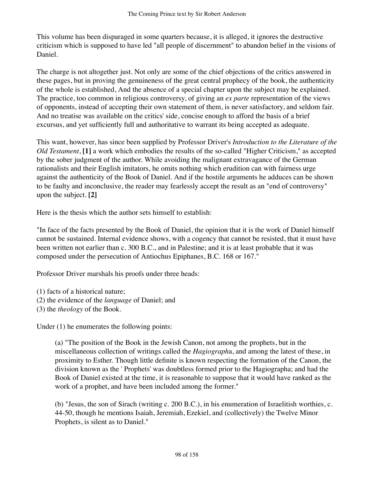This volume has been disparaged in some quarters because, it is alleged, it ignores the destructive criticism which is supposed to have led "all people of discernment" to abandon belief in the visions of Daniel.

The charge is not altogether just. Not only are some of the chief objections of the critics answered in these pages, but in proving the genuineness of the great central prophecy of the book, the authenticity of the whole is established, And the absence of a special chapter upon the subject may be explained. The practice, too common in religious controversy, of giving an *ex parte* representation of the views of opponents, instead of accepting their own statement of them, is never satisfactory, and seldom fair. And no treatise was available on the critics' side, concise enough to afford the basis of a brief excursus, and yet sufficiently full and authoritative to warrant its being accepted as adequate.

This want, however, has since been supplied by Professor Driver's *Introduction to the Literature of the Old Testament*, **[1]** a work which embodies the results of the so-called "Higher Criticism," as accepted by the sober judgment of the author. While avoiding the malignant extravagance of the German rationalists and their English imitators, he omits nothing which erudition can with fairness urge against the authenticity of the Book of Daniel. And if the hostile arguments he adduces can be shown to be faulty and inconclusive, the reader may fearlessly accept the result as an "end of controversy" upon the subject. **[2]**

Here is the thesis which the author sets himself to establish:

"In face of the facts presented by the Book of Daniel, the opinion that it is the work of Daniel himself cannot be sustained. Internal evidence shows, with a cogency that cannot be resisted, that it must have been written not earlier than c. 300 B.C., and in Palestine; and it is at least probable that it was composed under the persecution of Antiochus Epiphanes, B.C. 168 or 167."

Professor Driver marshals his proofs under three heads:

- (1) facts of a historical nature;
- (2) the evidence of the *language* of Daniel; and
- (3) the *theology* of the Book.

Under (1) he enumerates the following points:

(a) "The position of the Book in the Jewish Canon, not among the prophets, but in the miscellaneous collection of writings called the *Hagiograph*a, and among the latest of these, in proximity to Esther. Though little definite is known respecting the formation of the Canon, the division known as the ' Prophets' was doubtless formed prior to the Hagiographa; and had the Book of Daniel existed at the time, it is reasonable to suppose that it would have ranked as the work of a prophet, and have been included among the former."

(b) "Jesus, the son of Sirach (writing c. 200 B.C.), in his enumeration of Israelitish worthies, c. 44-50, though he mentions Isaiah, Jeremiah, Ezekiel, and (collectively) the Twelve Minor Prophets, is silent as to Daniel."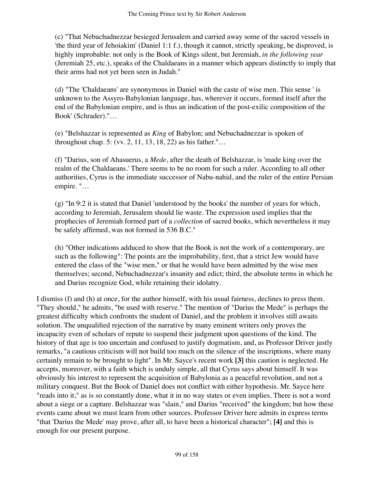(c) "That Nebuchadnezzar besieged Jerusalem and carried away some of the sacred vessels in 'the third year of Jehoiakim' (Daniel 1:1 f.), though it cannot, strictly speaking, be disproved, is highly improbable: not only is the Book of Kings silent, but Jeremiah, *in the following year* (Jeremiah 25, etc.), speaks of the Chaldaeans in a manner which appears distinctly to imply that their arms had not yet been seen in Judah."

(d) "The 'Chaldaeans' are synonymous in Daniel with the caste of wise men. This sense ' is unknown to the Assyro-Babylonian language, has, wherever it occurs, formed itself after the end of the Babylonian empire, and is thus an indication of the post-exilic composition of the Book' (Schrader)."…

(e) "Belshazzar is represented as *King* of Babylon; and Nebuchadnezzar is spoken of throughout chap. 5: (vv. 2, 11, 13, 18, 22) as his father."…

(f) "Darius, son of Ahasuerus, a *Mede*, after the death of Belshazzar, is 'made king over the realm of the Chaldaeans.' There seems to be no room for such a ruler. According to all other authorities, Cyrus is the immediate successor of Nabu-nahid, and the ruler of the entire Persian empire. "…

(g) "In 9:2 it is stated that Daniel 'understood by the books' the number of years for which, according to Jeremiah, Jerusalem should lie waste. The expression used implies that the prophecies of Jeremiah formed part of a *collection* of sacred books, which nevertheless it may be safely affirmed, was not formed in 536 B.C."

(h) "Other indications adduced to show that the Book is not the work of a contemporary, are such as the following": The points are the improbability, first, that a strict Jew would have entered the class of the "wise men," or that he would have been admitted by the wise men themselves; second, Nebuchadnezzar's insanity and edict; third, the absolute terms in which he and Darius recognize God, while retaining their idolatry.

I dismiss (f) and (h) at once, for the author himself, with his usual fairness, declines to press them. "They should," he admits, "be used with reserve." The mention of "Darius the Mede" is perhaps the greatest difficulty which confronts the student of Daniel, and the problem it involves still awaits solution. The unqualified rejection of the narrative by many eminent writers only proves the incapacity even of scholars of repute to suspend their judgment upon questions of the kind. The history of that age is too uncertain and confused to justify dogmatism, and, as Professor Driver justly remarks, "a cautious criticism will not build too much on the silence of the inscriptions, where many certainly remain to be brought to light". In Mr. Sayce's recent work **[3]** this caution is neglected. He accepts, moreover, with a faith which is unduly simple, all that Cyrus says about himself. It was obviously his interest to represent the acquisition of Babylonia as a peaceful revolution, and not a military conquest. But the Book of Daniel does not conflict with either hypothesis. Mr. Sayce here "reads into it," as is so constantly done, what it in no way states or even implies. There is not a word about a siege or a capture. Belshazzar was "slain," and Darius "received" the kingdom; but how these events came about we must learn from other sources. Professor Driver here admits in express terms "that 'Darius the Mede' may prove, after all, to have been a historical character"; **[4]** and this is enough for our present purpose.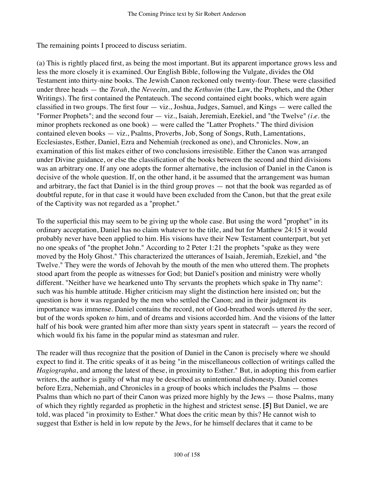The remaining points I proceed to discuss seriatim.

(a) This is rightly placed first, as being the most important. But its apparent importance grows less and less the more closely it is examined. Our English Bible, following the Vulgate, divides the Old Testament into thirty-nine books. The Jewish Canon reckoned only twenty-four. These were classified under three heads — the *Torah*, the *Neveei*m, and the *Kethuvim* (the Law, the Prophets, and the Other Writings). The first contained the Pentateuch. The second contained eight books, which were again classified in two groups. The first four — viz., Joshua, Judges, Samuel, and Kings — were called the "Former Prophets"; and the second four — viz., Isaiah, Jeremiah, Ezekiel, and "the Twelve" *(i.e.* the minor prophets reckoned as one book) — were called the "Latter Prophets." The third division contained eleven books — viz., Psalms, Proverbs, Job, Song of Songs, Ruth, Lamentations, Ecclesiastes, Esther, Daniel, Ezra and Nehemiah (reckoned as one), and Chronicles. Now, an examination of this list makes either of two conclusions irresistible. Either the Canon was arranged under Divine guidance, or else the classification of the books between the second and third divisions was an arbitrary one. If any one adopts the former alternative, the inclusion of Daniel in the Canon is decisive of the whole question. If, on the other hand, it be assumed that the arrangement was human and arbitrary, the fact that Daniel is in the third group proves — not that the book was regarded as of doubtful repute, for in that case it would have been excluded from the Canon, but that the great exile of the Captivity was not regarded as a "prophet."

To the superficial this may seem to be giving up the whole case. But using the word "prophet" in its ordinary acceptation, Daniel has no claim whatever to the title, and but for Matthew 24:15 it would probably never have been applied to him. His visions have their New Testament counterpart, but yet no one speaks of "the prophet John." According to 2 Peter 1:21 the prophets "spake as they were moved by the Holy Ghost." This characterized the utterances of Isaiah, Jeremiah, Ezekiel, and "the Twelve." They were the words of Jehovah by the mouth of the men who uttered them. The prophets stood apart from the people as witnesses for God; but Daniel's position and ministry were wholly different. "Neither have we hearkened unto Thy servants the prophets which spake in Thy name": such was his humble attitude. Higher criticism may slight the distinction here insisted on; but the question is how it was regarded by the men who settled the Canon; and in their judgment its importance was immense. Daniel contains the record, not of God-breathed words uttered *by* the seer, but of the words spoken *to* him, and of dreams and visions accorded him. And the visions of the latter half of his book were granted him after more than sixty years spent in statecraft — years the record of which would fix his fame in the popular mind as statesman and ruler.

The reader will thus recognize that the position of Daniel in the Canon is precisely where we should expect to find it. The critic speaks of it as being "in the miscellaneous collection of writings called the *Hagiographa*, and among the latest of these, in proximity to Esther." But, in adopting this from earlier writers, the author is guilty of what may be described as unintentional dishonesty. Daniel comes before Ezra, Nehemiah, and Chronicles in a group of books which includes the Psalms — those Psalms than which no part of their Canon was prized more highly by the Jews — those Psalms, many of which they rightly regarded as prophetic in the highest and strictest sense. **[5]** But Daniel, we are told, was placed "in proximity to Esther." What does the critic mean by this? He cannot wish to suggest that Esther is held in low repute by the Jews, for he himself declares that it came to be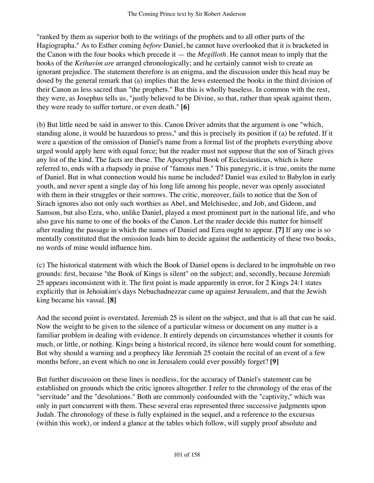"ranked by them as superior both to the writings of the prophets and to all other parts of the Hagiographa." As to Esther coming *before* Daniel, he cannot have overlooked that it is bracketed in the Canon with the four books which precede it — the *Megilloth*. He cannot mean to imply that the books of the *Kethuvim are* arranged chronologically; and he certainly cannot wish to create an ignorant prejudice. The statement therefore is an enigma, and the discussion under this head may be dosed by the general remark that (a) implies that the Jews esteemed the books in the third division of their Canon as less sacred than "the prophets." But this is wholly baseless. In common with the rest, they were, as Josephus tells us, "justly believed to be Divine, so that, rather than speak against them, they were ready to suffer torture, or even death." **[6]**

(b) But little need be said in answer to this. Canon Driver admits that the argument is one "which, standing alone, it would be hazardous to press," and this is precisely its position if (a) be refuted. If it were a question of the omission of Daniel's name from a formal list of the prophets everything above urged would apply here with equal force; but the reader must not suppose that the son of Sirach gives any list of the kind. The facts are these. The Apocryphal Book of Ecclesiasticus, which is here referred to, ends with a rhapsody in praise of "famous men." This panegyric, it is true, omits the name of Daniel. But in what connection would his name be included? Daniel was exiled to Babylon in early youth, and never spent a single day of his long life among his people, never was openly associated with them in their struggles or their sorrows. The critic, moreover, fails to notice that the Son of Sirach ignores also not only such worthies as Abel, and Melchisedec, and Job, and Gideon, and Samson, but also Ezra, who, unlike Daniel, played a most prominent part in the national life, and who also gave his name to one of the books of the Canon. Let the reader decide this matter for himself after reading the passage in which the names of Daniel and Ezra ought to appear. **[7]** If any one is so mentally constituted that the omission leads him to decide against the authenticity of these two books, no words of mine would influence him.

(c) The historical statement with which the Book of Daniel opens is declared to be improbable on two grounds: first, because "the Book of Kings is silent" on the subject; and, secondly, because Jeremiah 25 appears inconsistent with it. The first point is made apparently in error, for 2 Kings 24:1 states explicitly that in Jehoiakim's days Nebuchadnezzar came up against Jerusalem, and that the Jewish king became his vassal. **[8]**

And the second point is overstated. Jeremiah 25 is silent on the subject, and that is all that can be said. Now the weight to be given to the silence of a particular witness or document on any matter is a familiar problem in dealing with evidence. It entirely depends on circumstances whether it counts for much, or little, or nothing. Kings being a historical record, its silence here would count for something. But why should a warning and a prophecy like Jeremiah 25 contain the recital of an event of a few months before, an event which no one in Jerusalem could ever possibly forget? **[9]**

But further discussion on these lines is needless, for the accuracy of Daniel's statement can be established on grounds which the critic ignores altogether. I refer to the chronology of the eras of the "servitude" and the "desolations." Both are commonly confounded with the "captivity," which was only in part concurrent with them. These several eras represented three successive judgments upon Judah. The chronology of these is fully explained in the sequel, and a reference to the excursus (within this work), or indeed a glance at the tables which follow, will supply proof absolute and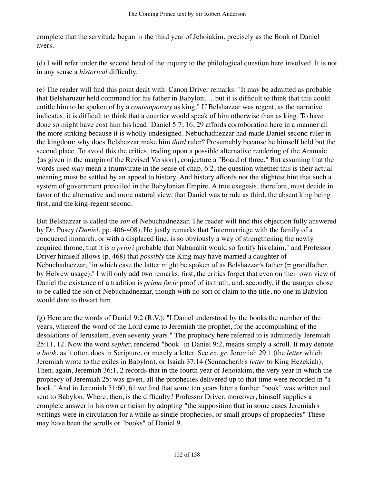complete that the servitude began in the third year of Jehoiakim, precisely as the Book of Daniel avers.

(d) I will refer under the second head of the inquiry to the philological question here involved. It is not in any sense a *historical* difficulty.

(e) The reader will find this point dealt with. Canon Driver remarks: "It may be admitted as probable that Belsharuzur held command for his father in Babylon; …but it is difficult to think that this could entitle him to be spoken of by a *contemporary* as king." If Belshazzar was regent, as the narrative indicates, it is difficult to think that a courtier would speak of him otherwise than as king. To have done so might have cost him his head! Daniel 5:7, 16, 29 affords corroboration here in a manner all the more striking because it is wholly undesigned. Nebuchadnezzar had made Daniel second ruler in the kingdom: why does Belshazzar make him *third* ruler? Presumably because he himself held but the second place. To avoid this the critics, trading upon a possible alternative rendering of the Aramaic {as given in the margin of the Revised Version}, conjecture a "Board of three." But assuming that the words used *may* mean a triumvirate in the sense of chap. 6:2, the question whether this is their actual meaning must be settled by an appeal to history. And history affords not the slightest hint that such a system of government prevailed in the Babylonian Empire. A true exegesis, therefore, must decide in favor of the alternative and more natural view, that Daniel was to rule as third, the absent king being first, and the king-regent second.

But Belshazzar is called the *son* of Nebuchadnezzar. The reader will find this objection fully answered by Dr. Pusey *(Daniel*, pp. 406-408). He justly remarks that "intermarriage with the family of a conquered monarch, or with a displaced line, is so obviously a way of strengthening the newly acquired throne, that it is *a priori* probable that Nabunahit would so fortify his claim," and Professor Driver himself allows (p. 468) that *possibly* the King may have married a daughter of Nebuchadnezzar, "in which case the latter might be spoken of as Belshazzar's father (= grandfather, by Hebrew usage)." I will only add two remarks: first, the critics forget that even on their own view of Daniel the existence of a tradition is *prima facie* proof of its truth; and, secondly, if the usurper chose to be called the son of Nebuchadnezzar, though with no sort of claim to the title, no one in Babylon would dare to thwart him.

(g) Here are the words of Daniel 9:2 (R.V.): "I Daniel understood by the books the number of the years, whereof the word of the Lord came to Jeremiah the prophet, for the accomplishing of the desolations of Jerusalem, even seventy years." The prophecy here referred to is admittedly Jeremiah 25:11, 12. Now the word *sephe*r, rendered "book" in Daniel 9:2, means simply a scroll. It may denote *a book*, as it often does in Scripture, or merely a letter. See *ex*. *gr*. Jeremiah 29:1 (the *letter* which Jeremiah wrote to the exiles in Babylon), or Isaiah 37:14 (Sennacherib's *letter* to King Hezekiah). Then, again, Jeremiah 36:1, 2 records that in the fourth year of Jehoiakim, the very year in which the prophecy of Jeremiah 25: was given, all the prophecies delivered up to that time were recorded in "a book." And in Jeremiah 51:60, 61 we find that some ten years later a further "book" was written and sent to Babylon. Where, then, is the difficulty? Professor Driver, moreover, himself supplies a complete answer in his own criticism by adopting "the supposition that in some cases Jeremiah's writings were in circulation for a while as single prophecies, or small groups of prophecies" These may have been the scrolls or "books" of Daniel 9.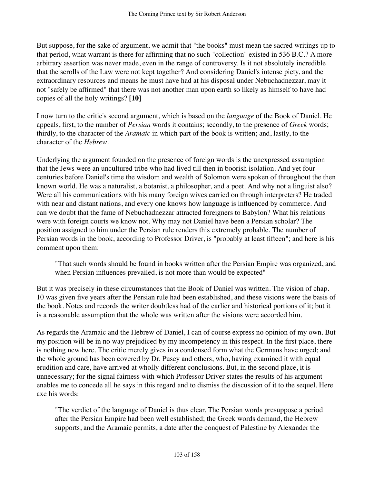But suppose, for the sake of argument, we admit that "the books" must mean the sacred writings up to that period, what warrant is there for affirming that no such "collection" existed in 536 B.C.? A more arbitrary assertion was never made, even in the range of controversy. Is it not absolutely incredible that the scrolls of the Law were not kept together? And considering Daniel's intense piety, and the extraordinary resources and means he must have had at his disposal under Nebuchadnezzar, may it not "safely be affirmed" that there was not another man upon earth so likely as himself to have had copies of all the holy writings? **[10]**

I now turn to the critic's second argument, which is based on the *language* of the Book of Daniel. He appeals, first, to the number of *Persian* words it contains; secondly, to the presence of *Greek* words; thirdly, to the character of the *Aramaic* in which part of the book is written; and, lastly, to the character of the *Hebrew*.

Underlying the argument founded on the presence of foreign words is the unexpressed assumption that the Jews were an uncultured tribe who had lived till then in boorish isolation. And yet four centuries before Daniel's time the wisdom and wealth of Solomon were spoken of throughout the then known world. He was a naturalist, a botanist, a philosopher, and a poet. And why not a linguist also? Were all his communications with his many foreign wives carried on through interpreters? He traded with near and distant nations, and every one knows how language is influenced by commerce. And can we doubt that the fame of Nebuchadnezzar attracted foreigners to Babylon? What his relations were with foreign courts we know not. Why may not Daniel have been a Persian scholar? The position assigned to him under the Persian rule renders this extremely probable. The number of Persian words in the book, according to Professor Driver, is "probably at least fifteen"; and here is his comment upon them:

"That such words should be found in books written after the Persian Empire was organized, and when Persian influences prevailed, is not more than would be expected"

But it was precisely in these circumstances that the Book of Daniel was written. The vision of chap. 10 was given five years after the Persian rule had been established, and these visions were the basis of the book. Notes and records the writer doubtless had of the earlier and historical portions of it; but it is a reasonable assumption that the whole was written after the visions were accorded him.

As regards the Aramaic and the Hebrew of Daniel, I can of course express no opinion of my own. But my position will be in no way prejudiced by my incompetency in this respect. In the first place, there is nothing new here. The critic merely gives in a condensed form what the Germans have urged; and the whole ground has been covered by Dr. Pusey and others, who, having examined it with equal erudition and care, have arrived at wholly different conclusions. But, in the second place, it is unnecessary; for the signal fairness with which Professor Driver states the results of his argument enables me to concede all he says in this regard and to dismiss the discussion of it to the sequel. Here axe his words:

"The verdict of the language of Daniel is thus clear. The Persian words presuppose a period after the Persian Empire had been well established; the Greek words demand, the Hebrew supports, and the Aramaic permits, a date after the conquest of Palestine by Alexander the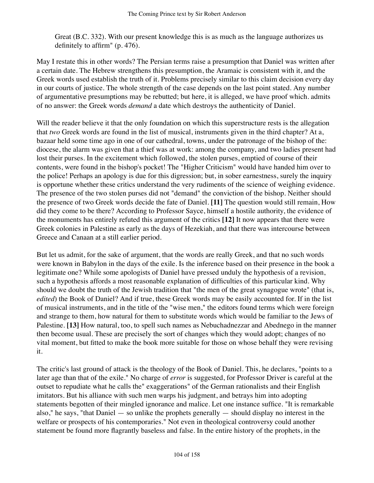Great (B.C. 332). With our present knowledge this is as much as the language authorizes us definitely to affirm" (p. 476).

May I restate this in other words? The Persian terms raise a presumption that Daniel was written after a certain date. The Hebrew strengthens this presumption, the Aramaic is consistent with it, and the Greek words used establish the truth of it. Problems precisely similar to this claim decision every day in our courts of justice. The whole strength of the case depends on the last point stated. Any number of argumentative presumptions may be rebutted; but here, it is alleged, we have proof which. admits of no answer: the Greek words *demand* a date which destroys the authenticity of Daniel.

Will the reader believe it that the only foundation on which this superstructure rests is the allegation that *two* Greek words are found in the list of musical, instruments given in the third chapter? At a, bazaar held some time ago in one of our cathedral, towns, under the patronage of the bishop of the: diocese, the alarm was given that a thief was at work: among the company, and two ladies present had lost their purses. In the excitement which followed, the stolen purses, emptied of course of their contents, were found in the bishop's pocket! The "Higher Criticism" would have handed him over to the police! Perhaps an apology is due for this digression; but, in sober earnestness, surely the inquiry is opportune whether these critics understand the very rudiments of the science of weighing evidence. The presence of the two stolen purses did not "demand" the conviction of the bishop. Neither should the presence of two Greek words decide the fate of Daniel. **[11]** The question would still remain, How did they come to be there? According to Professor Sayce, himself a hostile authority, the evidence of the monuments has entirely refuted this argument of the critics **[12]** It now appears that there were Greek colonies in Palestine as early as the days of Hezekiah, and that there was intercourse between Greece and Canaan at a still earlier period.

But let us admit, for the sake of argument, that the words are really Greek, and that no such words were known in Babylon in the days of the exile. Is the inference based on their presence in the book a legitimate one? While some apologists of Daniel have pressed unduly the hypothesis of a revision, such a hypothesis affords a most reasonable explanation of difficulties of this particular kind. Why should we doubt the truth of the Jewish tradition that "the men of the great synagogue wrote" (that is, *edited*) the Book of Daniel? And if true, these Greek words may be easily accounted for. If in the list of musical instruments, and in the title of the "wise men," the editors found terms which were foreign and strange to them, how natural for them to substitute words which would be familiar to the Jews of Palestine. **[13]** How natural, too, to spell such names as Nebuchadnezzar and Abednego in the manner then become usual. These are precisely the sort of changes which they would adopt; changes of no vital moment, but fitted to make the book more suitable for those on whose behalf they were revising it.

The critic's last ground of attack is the theology of the Book of Daniel. This, he declares, "points to a later age than that of the exile." No charge of *error* is suggested, for Professor Driver is careful at the outset to repudiate what he calls the" exaggerations" of the German rationalists and their English imitators. But his alliance with such men warps his judgment, and betrays him into adopting statements begotten of their mingled ignorance and malice. Let one instance suffice. "It is remarkable also," he says, "that Daniel  $-$  so unlike the prophets generally  $-$  should display no interest in the welfare or prospects of his contemporaries." Not even in theological controversy could another statement be found more flagrantly baseless and false. In the entire history of the prophets, in the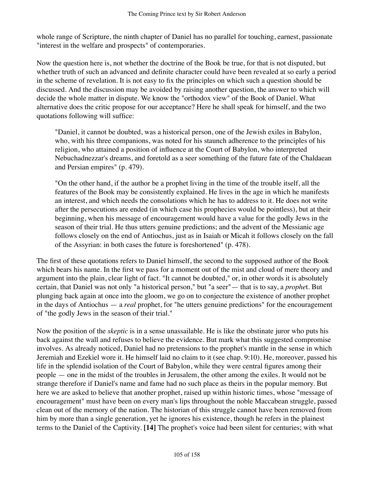whole range of Scripture, the ninth chapter of Daniel has no parallel for touching, earnest, passionate "interest in the welfare and prospects" of contemporaries.

Now the question here is, not whether the doctrine of the Book be true, for that is not disputed, but whether truth of such an advanced and definite character could have been revealed at so early a period in the scheme of revelation. It is not easy to fix the principles on which such a question should be discussed. And the discussion may be avoided by raising another question, the answer to which will decide the whole matter in dispute. We know the "orthodox view" of the Book of Daniel. What alternative does the critic propose for our acceptance? Here he shall speak for himself, and the two quotations following will suffice:

"Daniel, it cannot be doubted, was a historical person, one of the Jewish exiles in Babylon, who, with his three companions, was noted for his staunch adherence to the principles of his religion, who attained a position of influence at the Court of Babylon, who interpreted Nebuchadnezzar's dreams, and foretold as a seer something of the future fate of the Chaldaean and Persian empires" (p. 479).

"On the other hand, if the author be a prophet living in the time of the trouble itself, all the features of the Book may be consistently explained. He lives in the age in which he manifests an interest, and which needs the consolations which he has to address to it. He does not write after the persecutions are ended (in which case his prophecies would be pointless), but at their beginning, when his message of encouragement would have a value for the godly Jews in the season of their trial. He thus utters genuine predictions; and the advent of the Messianic age follows closely on the end of Antiochus, just as in Isaiah or Micah it follows closely on the fall of the Assyrian: in both cases the future is foreshortened" (p. 478).

The first of these quotations refers to Daniel himself, the second to the supposed author of the Book which bears his name. In the first we pass for a moment out of the mist and cloud of mere theory and argument into the plain, clear light of fact. "It cannot be doubted," or, in other words it is absolutely certain, that Daniel was not only "a historical person," but "a seer"— that is to say, a *prophe*t. But plunging back again at once into the gloom, we go on to conjecture the existence of another prophet in the days of Antiochus — a *real* prophet, for "he utters genuine predictions" for the encouragement of "the godly Jews in the season of their trial."

Now the position of the *skeptic* is in a sense unassailable. He is like the obstinate juror who puts his back against the wall and refuses to believe the evidence. But mark what this suggested compromise involves. As already noticed, Daniel had no pretensions to the prophet's mantle in the sense in which Jeremiah and Ezekiel wore it. He himself laid no claim to it (see chap. 9:10). He, moreover, passed his life in the splendid isolation of the Court of Babylon, while they were central figures among their people — one in the midst of the troubles in Jerusalem, the other among the exiles. It would not be strange therefore if Daniel's name and fame had no such place as theirs in the popular memory. But here we are asked to believe that another prophet, raised up within historic times, whose "message of encouragement" must have been on every man's lips throughout the noble Maccabean struggle, passed clean out of the memory of the nation. The historian of this struggle cannot have been removed from him by more than a single generation, yet he ignores his existence, though he refers in the plainest terms to the Daniel of the Captivity. **[14]** The prophet's voice had been silent for centuries; with what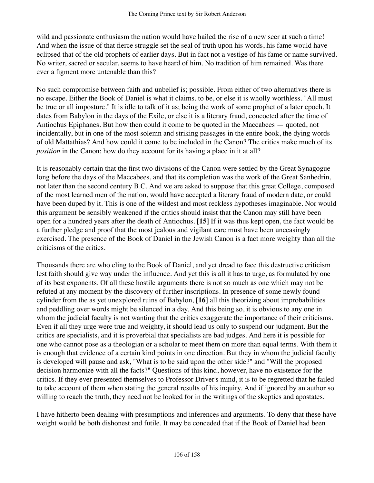wild and passionate enthusiasm the nation would have hailed the rise of a new seer at such a time! And when the issue of that fierce struggle set the seal of truth upon his words, his fame would have eclipsed that of the old prophets of earlier days. But in fact not a vestige of his fame or name survived. No writer, sacred or secular, seems to have heard of him. No tradition of him remained. Was there ever a figment more untenable than this?

No such compromise between faith and unbelief is; possible. From either of two alternatives there is no escape. Either the Book of Daniel is what it claims. to be, or else it is wholly worthless. "All must be true or all imposture." It is idle to talk of it as; being the work of some prophet of a later epoch. It dates from Babylon in the days of the Exile, or else it is a literary fraud, concocted after the time of Antiochus Epiphanes. But how then could it come to be quoted in the Maccabees — quoted, not incidentally, but in one of the most solemn and striking passages in the entire book, the dying words of old Mattathias? And how could it come to be included in the Canon? The critics make much of its *position* in the Canon: how do they account for its having a place in it at all?

It is reasonably certain that the first two divisions of the Canon were settled by the Great Synagogue long before the days of the Maccabees, and that its completion was the work of the Great Sanhedrin, not later than the second century B.C. And we are asked to suppose that this great College, composed of the most learned men of the nation, would have accepted a literary fraud of modern date, or could have been duped by it. This is one of the wildest and most reckless hypotheses imaginable. Nor would this argument be sensibly weakened if the critics should insist that the Canon may still have been open for a hundred years after the death of Antiochus. **[15]** If it was thus kept open, the fact would be a further pledge and proof that the most jealous and vigilant care must have been unceasingly exercised. The presence of the Book of Daniel in the Jewish Canon is a fact more weighty than all the criticisms of the critics.

Thousands there are who cling to the Book of Daniel, and yet dread to face this destructive criticism lest faith should give way under the influence. And yet this is all it has to urge, as formulated by one of its best exponents. Of all these hostile arguments there is not so much as one which may not be refuted at any moment by the discovery of further inscriptions. In presence of some newly found cylinder from the as yet unexplored ruins of Babylon, **[16]** all this theorizing about improbabilities and peddling over words might be silenced in a day. And this being so, it is obvious to any one in whom the judicial faculty is not wanting that the critics exaggerate the importance of their criticisms. Even if all they urge were true and weighty, it should lead us only to suspend our judgment. But the critics are specialists, and it is proverbial that specialists are bad judges. And here it is possible for one who cannot pose as a theologian or a scholar to meet them on more than equal terms. With them it is enough that evidence of a certain kind points in one direction. But they in whom the judicial faculty is developed will pause and ask, "What is to be said upon the other side?" and "Will the proposed decision harmonize with all the facts?" Questions of this kind, however, have no existence for the critics. If they ever presented themselves to Professor Driver's mind, it is to be regretted that he failed to take account of them when stating the general results of his inquiry. And if ignored by an author so willing to reach the truth, they need not be looked for in the writings of the skeptics and apostates.

I have hitherto been dealing with presumptions and inferences and arguments. To deny that these have weight would be both dishonest and futile. It may be conceded that if the Book of Daniel had been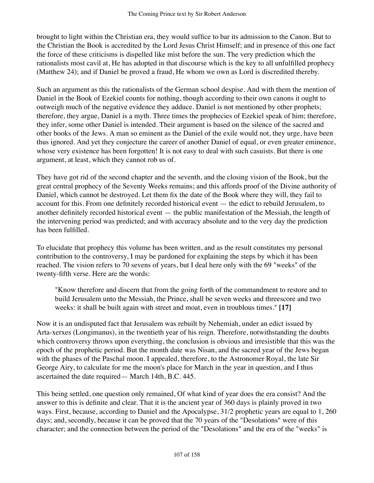brought to light within the Christian era, they would suffice to bar its admission to the Canon. But to the Christian the Book is accredited by the Lord Jesus Christ Himself; and in presence of this one fact the force of these criticisms is dispelled like mist before the sun. The very prediction which the rationalists most cavil at, He has adopted in that discourse which is the key to all unfulfilled prophecy (Matthew 24); and if Daniel be proved a fraud, He whom we own as Lord is discredited thereby.

Such an argument as this the rationalists of the German school despise. And with them the mention of Daniel in the Book of Ezekiel counts for nothing, though according to their own canons it ought to outweigh much of the negative evidence they adduce. Daniel is not mentioned by other prophets; therefore, they argue, Daniel is a myth. Three times the prophecies of Ezekiel speak of him; therefore, they infer, some other Daniel is intended. Their argument is based on the silence of the sacred and other books of the Jews. A man so eminent as the Daniel of the exile would not, they urge, have been thus ignored. And yet they conjecture the career of another Daniel of equal, or even greater eminence, whose very existence has been forgotten! It is not easy to deal with such casuists. But there is one argument, at least, which they cannot rob us of.

They have got rid of the second chapter and the seventh, and the closing vision of the Book, but the great central prophecy of the Seventy Weeks remains; and this affords proof of the Divine authority of Daniel, which cannot be destroyed. Let them fix the date of the Book where they will, they fail to account for this. From one definitely recorded historical event — the edict to rebuild Jerusalem, to another definitely recorded historical event — the public manifestation of the Messiah, the length of the intervening period was predicted; and with accuracy absolute and to the very day the prediction has been fulfilled.

To elucidate that prophecy this volume has been written, and as the result constitutes my personal contribution to the controversy, I may be pardoned for explaining the steps by which it has been reached. The vision refers to 70 sevens of years, but I deal here only with the 69 "weeks" of the twenty-fifth verse. Here are the words:

"Know therefore and discern that from the going forth of the commandment to restore and to build Jerusalem unto the Messiah, the Prince, shall be seven weeks and threescore and two weeks: it shall be built again with street and moat, even in troublous times." **[17]**

Now it is an undisputed fact that Jerusalem was rebuilt by Nehemiah, under an edict issued by Arta-xerxes (Longimanus), in the twentieth year of his reign. Therefore, notwithstanding the doubts which controversy throws upon everything, the conclusion is obvious and irresistible that this was the epoch of the prophetic period. But the month date was Nisan, and the sacred year of the Jews began with the phases of the Paschal moon. I appealed, therefore, to the Astronomer Royal, the late Sir George Airy, to calculate for me the moon's place for March in the year in question, and I thus ascertained the date required— March 14th, B.C. 445.

This being settled, one question only remained, Of what kind of year does the era consist? And the answer to this is definite and clear. That it is the ancient year of 360 days is plainly proved in two ways. First, because, according to Daniel and the Apocalypse, 31/2 prophetic years are equal to 1, 260 days; and, secondly, because it can be proved that the 70 years of the "Desolations" were of this character; and the connection between the period of the "Desolations" and the era of the "weeks" is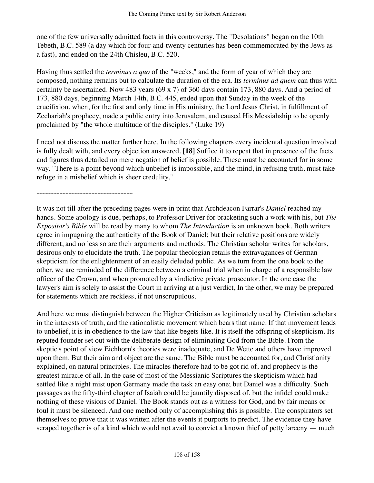one of the few universally admitted facts in this controversy. The "Desolations" began on the 10th Tebeth, B.C. 589 (a day which for four-and-twenty centuries has been commemorated by the Jews as a fast), and ended on the 24th Chisleu, B.C. 520.

Having thus settled the *terminus a quo* of the "weeks," and the form of year of which they are composed, nothing remains but to calculate the duration of the era. Its *terminus ad quem* can thus with certainty be ascertained. Now 483 years (69 x 7) of 360 days contain 173, 880 days. And a period of 173, 880 days, beginning March 14th, B.C. 445, ended upon that Sunday in the week of the crucifixion, when, for the first and only time in His ministry, the Lord Jesus Christ, in fulfillment of Zechariah's prophecy, made a public entry into Jerusalem, and caused His Messiahship to be openly proclaimed by "the whole multitude of the disciples." (Luke 19)

I need not discuss the matter further here. In the following chapters every incidental question involved is fully dealt with, and every objection answered. **[18]** Suffice it to repeat that in presence of the facts and figures thus detailed no mere negation of belief is possible. These must be accounted for in some way. "There is a point beyond which unbelief is impossible, and the mind, in refusing truth, must take refuge in a misbelief which is sheer credulity."

---------------------------------------------------------------

It was not till after the preceding pages were in print that Archdeacon Farrar's *Daniel* reached my hands. Some apology is due, perhaps, to Professor Driver for bracketing such a work with his, but *The Expositor's Bible* will be read by many to whom *The Introduction* is an unknown book. Both writers agree in impugning the authenticity of the Book of Daniel; but their relative positions are widely different, and no less so are their arguments and methods. The Christian scholar writes for scholars, desirous only to elucidate the truth. The popular theologian retails the extravagances of German skepticism for the enlightenment of an easily deluded public. As we turn from the one book to the other, we are reminded of the difference between a criminal trial when in charge of a responsible law officer of the Crown, and when promoted by a vindictive private prosecutor. In the one case the lawyer's aim is solely to assist the Court in arriving at a just verdict, In the other, we may be prepared for statements which are reckless, if not unscrupulous.

And here we must distinguish between the Higher Criticism as legitimately used by Christian scholars in the interests of truth, and the rationalistic movement which bears that name. If that movement leads to unbelief, it is in obedience to the law that like begets like. It is itself the offspring of skepticism. Its reputed founder set out with the deliberate design of eliminating God from the Bible. From the skeptic's point of view Eichhorn's theories were inadequate, and De Wette and others have improved upon them. But their aim and object are the same. The Bible must be accounted for, and Christianity explained, on natural principles. The miracles therefore had to be got rid of, and prophecy is the greatest miracle of all. In the case of most of the Messianic Scriptures the skepticism which had settled like a night mist upon Germany made the task an easy one; but Daniel was a difficulty. Such passages as the fifty-third chapter of Isaiah could be jauntily disposed of, but the infidel could make nothing of these visions of Daniel. The Book stands out as a witness for God, and by fair means or foul it must be silenced. And one method only of accomplishing this is possible. The conspirators set themselves to prove that it was written after the events it purports to predict. The evidence they have scraped together is of a kind which would not avail to convict a known thief of petty larceny — much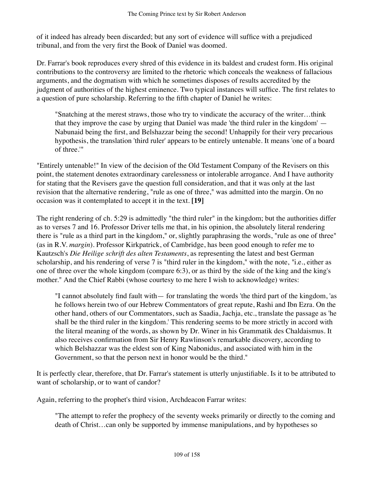of it indeed has already been discarded; but any sort of evidence will suffice with a prejudiced tribunal, and from the very first the Book of Daniel was doomed.

Dr. Farrar's book reproduces every shred of this evidence in its baldest and crudest form. His original contributions to the controversy are limited to the rhetoric which conceals the weakness of fallacious arguments, and the dogmatism with which he sometimes disposes of results accredited by the judgment of authorities of the highest eminence. Two typical instances will suffice. The first relates to a question of pure scholarship. Referring to the fifth chapter of Daniel he writes:

"Snatching at the merest straws, those who try to vindicate the accuracy of the writer…think that they improve the case by urging that Daniel was made 'the third ruler in the kingdom' — Nabunaid being the first, and Belshazzar being the second! Unhappily for their very precarious hypothesis, the translation 'third ruler' appears to be entirely untenable. It means 'one of a board of three.'"

"Entirely untenable!" In view of the decision of the Old Testament Company of the Revisers on this point, the statement denotes extraordinary carelessness or intolerable arrogance. And I have authority for stating that the Revisers gave the question full consideration, and that it was only at the last revision that the alternative rendering, "rule as one of three," was admitted into the margin. On no occasion was it contemplated to accept it in the text. **[19]**

The right rendering of ch. 5:29 is admittedly "the third ruler" in the kingdom; but the authorities differ as to verses 7 and 16. Professor Driver tells me that, in his opinion, the absolutely literal rendering there is "rule as a third part in the kingdom," or, slightly paraphrasing the words, "rule as one of three" (as in R.V. *margin*). Professor Kirkpatrick, of Cambridge, has been good enough to refer me to Kautzsch's *Die Heilige schrift des alten Testaments*, as representing the latest and best German scholarship, and his rendering of verse 7 is "third ruler in the kingdom," with the note, *"*i.e., either as one of three over the whole kingdom (compare 6:3), or as third by the side of the king and the king's mother." And the Chief Rabbi (whose courtesy to me here I wish to acknowledge) writes:

"I cannot absolutely find fault with— for translating the words 'the third part of the kingdom, 'as he follows herein two of our Hebrew Commentators of great repute, Rashi and Ibn Ezra. On the other hand, others of our Commentators, such as Saadia, Jachja, etc., translate the passage as 'he shall be the third ruler in the kingdom.' This rendering seems to be more strictly in accord with the literal meaning of the words, as shown by Dr. Winer in his Grammatik des Chaldaismus. It also receives confirmation from Sir Henry Rawlinson's remarkable discovery, according to which Belshazzar was the eldest son of King Nabonidus, and associated with him in the Government, so that the person next in honor would be the third."

It is perfectly clear, therefore, that Dr. Farrar's statement is utterly unjustifiable. Is it to be attributed to want of scholarship, or to want of candor?

Again, referring to the prophet's third vision, Archdeacon Farrar writes:

"The attempt to refer the prophecy of the seventy weeks primarily or directly to the coming and death of Christ…can only be supported by immense manipulations, and by hypotheses so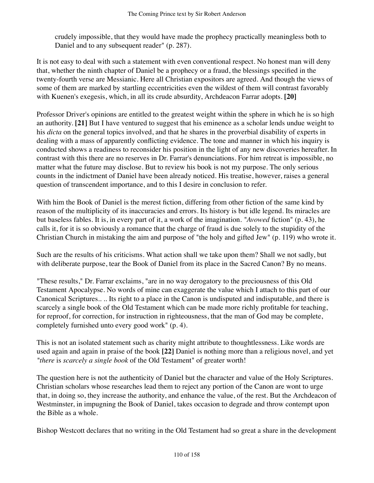crudely impossible, that they would have made the prophecy practically meaningless both to Daniel and to any subsequent reader" (p. 287).

It is not easy to deal with such a statement with even conventional respect. No honest man will deny that, whether the ninth chapter of Daniel be a prophecy or a fraud, the blessings specified in the twenty-fourth verse are Messianic. Here all Christian expositors are agreed. And though the views of some of them are marked by startling eccentricities even the wildest of them will contrast favorably with Kuenen's exegesis, which, in all its crude absurdity, Archdeacon Farrar adopts. **[20]**

Professor Driver's opinions are entitled to the greatest weight within the sphere in which he is so high an authority. **[21]** But I have ventured to suggest that his eminence as a scholar lends undue weight to his *dicta* on the general topics involved, and that he shares in the proverbial disability of experts in dealing with a mass of apparently conflicting evidence. The tone and manner in which his inquiry is conducted shows a readiness to reconsider his position in the light of any new discoveries hereafter. In contrast with this there are no reserves in Dr. Farrar's denunciations. For him retreat is impossible, no matter what the future may disclose. But to review his book is not my purpose. The only serious counts in the indictment of Daniel have been already noticed. His treatise, however, raises a general question of transcendent importance, and to this I desire in conclusion to refer.

With him the Book of Daniel is the merest fiction, differing from other fiction of the same kind by reason of the multiplicity of its inaccuracies and errors. Its history is but idle legend. Its miracles are but baseless fables. It is, in every part of it, a work of the imagination. *"Avowed* fiction" (p. 43), he calls it, for it is so obviously a romance that the charge of fraud is due solely to the stupidity of the Christian Church in mistaking the aim and purpose of "the holy and gifted Jew" (p. 119) who wrote it.

Such are the results of his criticisms. What action shall we take upon them? Shall we not sadly, but with deliberate purpose, tear the Book of Daniel from its place in the Sacred Canon? By no means.

"These results," Dr. Farrar exclaims, "are in no way derogatory to the preciousness of this Old Testament Apocalypse. No words of mine can exaggerate the value which I attach to this part of our Canonical Scriptures.. .. Its right to a place in the Canon is undisputed and indisputable, and there is scarcely a single book of the Old Testament which can be made more richly profitable for teaching, for reproof, for correction, for instruction in righteousness, that the man of God may be complete, completely furnished unto every good work" (p. 4).

This is not an isolated statement such as charity might attribute to thoughtlessness. Like words are used again and again in praise of the book **[22]** Daniel is nothing more than a religious novel, and yet *"there* is *scarcely a single book* of the Old Testament" of greater worth!

The question here is not the authenticity of Daniel but the character and value of the Holy Scriptures. Christian scholars whose researches lead them to reject any portion of the Canon are wont to urge that, in doing so, they increase the authority, and enhance the value, of the rest. But the Archdeacon of Westminster, in impugning the Book of Daniel, takes occasion to degrade and throw contempt upon the Bible as a whole.

Bishop Westcott declares that no writing in the Old Testament had so great a share in the development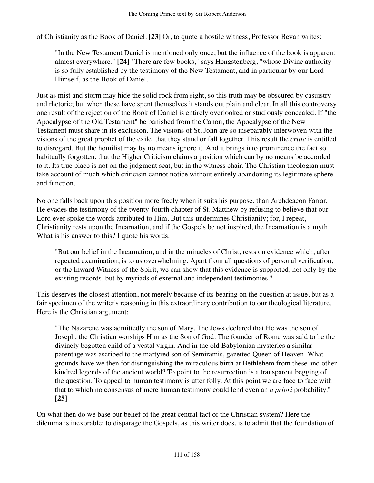of Christianity as the Book of Daniel. **[23]** Or, to quote a hostile witness, Professor Bevan writes:

"In the New Testament Daniel is mentioned only once, but the influence of the book is apparent almost everywhere." **[24]** "There are few books," says Hengstenberg, "whose Divine authority is so fully established by the testimony of the New Testament, and in particular by our Lord Himself, as the Book of Daniel."

Just as mist and storm may hide the solid rock from sight, so this truth may be obscured by casuistry and rhetoric; but when these have spent themselves it stands out plain and clear. In all this controversy one result of the rejection of the Book of Daniel is entirely overlooked or studiously concealed. If "the Apocalypse of the Old Testament" be banished from the Canon, the Apocalypse of the New Testament must share in its exclusion. The visions of St. John are so inseparably interwoven with the visions of the great prophet of the exile, that they stand or fall together. This result the *critic* is entitled to disregard. But the homilist may by no means ignore it. And it brings into prominence the fact so habitually forgotten, that the Higher Criticism claims a position which can by no means be accorded to it. Its true place is not on the judgment seat, but in the witness chair. The Christian theologian must take account of much which criticism cannot notice without entirely abandoning its legitimate sphere and function.

No one falls back upon this position more freely when it suits his purpose, than Archdeacon Farrar. He evades the testimony of the twenty-fourth chapter of St. Matthew by refusing to believe that our Lord ever spoke the words attributed to Him. But this undermines Christianity; for, I repeat, Christianity rests upon the Incarnation, and if the Gospels be not inspired, the Incarnation is a myth. What is his answer to this? I quote his words:

"But our belief in the Incarnation, and in the miracles of Christ, rests on evidence which, after repeated examination, is to us overwhelming. Apart from all questions of personal verification, or the Inward Witness of the Spirit, we can show that this evidence is supported, not only by the existing records, but by myriads of external and independent testimonies."

This deserves the closest attention, not merely because of its bearing on the question at issue, but as a fair specimen of the writer's reasoning in this extraordinary contribution to our theological literature. Here is the Christian argument:

"The Nazarene was admittedly the son of Mary. The Jews declared that He was the son of Joseph; the Christian worships Him as the Son of God. The founder of Rome was said to be the divinely begotten child of a vestal virgin. And in the old Babylonian mysteries a similar parentage was ascribed to the martyred son of Semiramis, gazetted Queen of Heaven. What grounds have we then for distinguishing the miraculous birth at Bethlehem from these and other kindred legends of the ancient world? To point to the resurrection is a transparent begging of the question. To appeal to human testimony is utter folly. At this point we are face to face with that to which no consensus of mere human testimony could lend even an *a priori* probability." **[25]**

On what then do we base our belief of the great central fact of the Christian system? Here the dilemma is inexorable: to disparage the Gospels, as this writer does, is to admit that the foundation of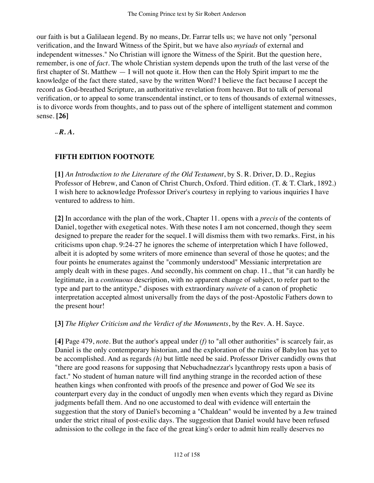our faith is but a Galilaean legend. By no means, Dr. Farrar tells us; we have not only "personal verification, and the Inward Witness of the Spirit, but we have also *myriads* of external and independent witnesses." No Christian will ignore the Witness of the Spirit. But the question here, remember, is one of *fact*. The whole Christian system depends upon the truth of the last verse of the first chapter of St. Matthew  $-1$  will not quote it. How then can the Holy Spirit impart to me the knowledge of the fact there stated, save by the written Word? I believe the fact because I accept the record as God-breathed Scripture, an authoritative revelation from heaven. But to talk of personal verification, or to appeal to some transcendental instinct, or to tens of thousands of external witnesses, is to divorce words from thoughts, and to pass out of the sphere of intelligent statement and common sense. **[26]**

*-- R. A.*

## **FIFTH EDITION FOOTNOTE**

**[1]** *An Introduction to the Literature of the Old Testament*, by S. R. Driver, D. D., Regius Professor of Hebrew, and Canon of Christ Church, Oxford. Third edition. (T. & T. Clark, 1892.) I wish here to acknowledge Professor Driver's courtesy in replying to various inquiries I have ventured to address to him.

**[2]** In accordance with the plan of the work, Chapter 11. opens with a *precis* of the contents of Daniel, together with exegetical notes. With these notes I am not concerned, though they seem designed to prepare the reader for the sequel. I will dismiss them with two remarks. First, in his criticisms upon chap. 9:24-27 he ignores the scheme of interpretation which I have followed, albeit it is adopted by some writers of more eminence than several of those he quotes; and the four points he enumerates against the "commonly understood" Messianic interpretation are amply dealt with in these pages. And secondly, his comment on chap. 11., that "it can hardly be legitimate, in a *continuous* description, with no apparent change of subject, to refer part to the type and part to the antitype," disposes with extraordinary *naivete* of a canon of prophetic interpretation accepted almost universally from the days of the post-Apostolic Fathers down to the present hour!

**[3]** *The Higher Criticism and the Verdict of the Monuments*, by the Rev. A. H. Sayce.

**[4]** Page 479, *not*e. But the author's appeal under *(f)* to "all other authorities" is scarcely fair, as Daniel is the only contemporary historian, and the exploration of the ruins of Babylon has yet to be accomplished. And as regards *(h)* but little need be said. Professor Driver candidly owns that "there are good reasons for supposing that Nebuchadnezzar's lycanthropy rests upon a basis of fact." No student of human nature will find anything strange in the recorded action of these heathen kings when confronted with proofs of the presence and power of God We see its counterpart every day in the conduct of ungodly men when events which they regard as Divine judgments befall them. And no one accustomed to deal with evidence will entertain the suggestion that the story of Daniel's becoming a "Chaldean" would be invented by a Jew trained under the strict ritual of post-exilic days. The suggestion that Daniel would have been refused admission to the college in the face of the great king's order to admit him really deserves no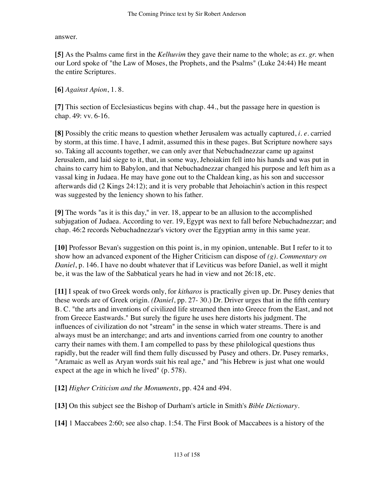answer.

**[5]** As the Psalms came first in the *Kelhuvim* they gave their name to the whole; as *ex. gr.* when our Lord spoke of "the Law of Moses, the Prophets, and the Psalms" (Luke 24:44) He meant the entire Scriptures.

**[6]** *Against Apion*, 1. 8.

**[7]** This section of Ecclesiasticus begins with chap. 44., but the passage here in question is chap. 49: vv. 6-16.

**[8]** Possibly the critic means to question whether Jerusalem was actually captured, *i. e.* carried by storm, at this time. I have, I admit, assumed this in these pages. But Scripture nowhere says so. Taking all accounts together, we can only aver that Nebuchadnezzar came up against Jerusalem, and laid siege to it, that, in some way, Jehoiakim fell into his hands and was put in chains to carry him to Babylon, and that Nebuchadnezzar changed his purpose and left him as a vassal king in Judaea. He may have gone out to the Chaldean king, as his son and successor afterwards did (2 Kings 24:12); and it is very probable that Jehoiachin's action in this respect was suggested by the leniency shown to his father.

**[9]** The words "as it is this day," in ver. 18, appear to be an allusion to the accomplished subjugation of Judaea. According to ver. 19, Egypt was next to fall before Nebuchadnezzar; and chap. 46:2 records Nebuchadnezzar's victory over the Egyptian army in this same year.

**[10]** Professor Bevan's suggestion on this point is, in my opinion, untenable. But I refer to it to show how an advanced exponent of the Higher Criticism can dispose of *(g)*. *Commentary on Daniel*, p. 146. I have no doubt whatever that if Leviticus was before Daniel, as well it might be, it was the law of the Sabbatical years he had in view and not 26:18, etc.

**[11]** I speak of two Greek words only, for *kitharos* is practically given up. Dr. Pusey denies that these words are of Greek origin. *(Daniel*, pp. 27- 30.) Dr. Driver urges that in the fifth century B. C. "the arts and inventions of civilized life streamed then into Greece from the East, and not from Greece Eastwards." But surely the figure he uses here distorts his judgment. The influences of civilization do not "stream" in the sense in which water streams. There is and always must be an interchange; and arts and inventions carried from one country to another carry their names with them. I am compelled to pass by these philological questions thus rapidly, but the reader will find them fully discussed by Pusey and others. Dr. Pusey remarks, "Aramaic as well as Aryan words suit his real age," and "his Hebrew is just what one would expect at the age in which he lived" (p. 578).

**[12]** *Higher Criticism and the Monuments*, pp. 424 and 494.

**[13]** On this subject see the Bishop of Durham's article in Smith's *Bible Dictionary*.

**[14]** 1 Maccabees 2:60; see also chap. 1:54. The First Book of Maccabees is a history of the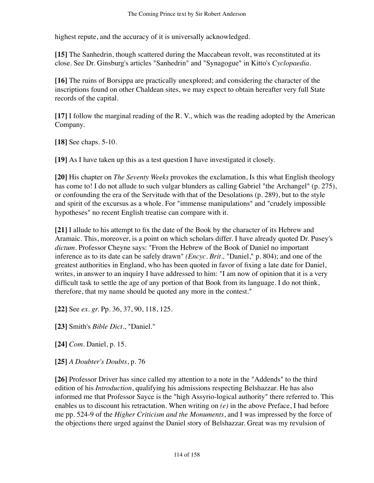highest repute, and the accuracy of it is universally acknowledged.

**[15]** The Sanhedrin, though scattered during the Maccabean revolt, was reconstituted at its close. See Dr. Ginsburg's articles "Sanhedrin" and "Synagogue" in Kitto's *Cyclopaedia*.

**[16]** The ruins of Borsippa are practically unexplored; and considering the character of the inscriptions found on other Chaldean sites, we may expect to obtain hereafter very full State records of the capital.

**[17]** I follow the marginal reading of the R. V., which was the reading adopted by the American Company.

**[18]** See chaps. 5-10.

**[19]** As I have taken up this as a test question I have investigated it closely.

**[20]** His chapter on *The Seventy Weeks* provokes the exclamation, Is this what English theology has come to! I do not allude to such vulgar blunders as calling Gabriel "the Archangel" (p. 275), or confounding the era of the Servitude with that of the Desolations (p. 289), but to the style and spirit of the excursus as a whole. For "immense manipulations" and "crudely impossible hypotheses" no recent English treatise can compare with it.

**[21]** I allude to his attempt to fix the date of the Book by the character of its Hebrew and Aramaic. This, moreover, is a point on which scholars differ. I have already quoted Dr. Pusey's *dictum*. Professor Cheyne says: "From the Hebrew of the Book of Daniel no important inference as to its date can be safely drawn" *(Encyc. Brit.,* "Daniel," p. 804); and one of the greatest authorities in England, who has been quoted in favor of fixing a late date for Daniel, writes, in answer to an inquiry I have addressed to him: "I am now of opinion that it is a very difficult task to settle the age of any portion of that Book from its language. I do not think, therefore, that my name should be quoted any more in the contest."

**[22]** See *ex. gr.* Pp. 36, 37, 90, 118, 125.

**[23]** Smith's *Bible Dict*., "Daniel."

**[24]** *Com.* Daniel, p. 15.

**[25]** *A Doubter's Doubts*, p. 76

**[26]** Professor Driver has since called my attention to a note in the "Addends" to the third edition of his *Introduction*, qualifying his admissions respecting Belshazzar. He has also informed me that Professor Sayce is the "high Assyrio-logical authority" there referred to. This enables us to discount his retractation. When writing on *(e)* in the above Preface, I had before me pp. 524-9 of the *Higher Criticism and the Monuments*, and I was impressed by the force of the objections there urged against the Daniel story of Belshazzar. Great was my revulsion of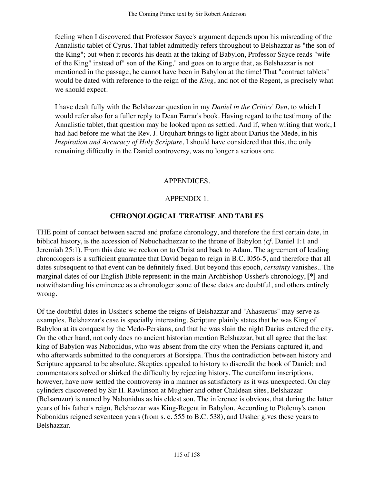feeling when I discovered that Professor Sayce's argument depends upon his misreading of the Annalistic tablet of Cyrus. That tablet admittedly refers throughout to Belshazzar as "the son of the King"; but when it records his death at the taking of Babylon, Professor Sayce reads "wife of the King" instead of" son of the King," and goes on to argue that, as Belshazzar is not mentioned in the passage, he cannot have been in Babylon at the time! That "contract tablets" would be dated with reference to the reign of the *King*, and not of the Regent, is precisely what we should expect.

I have dealt fully with the Belshazzar question in my *Daniel in the Critics' Den*, to which I would refer also for a fuller reply to Dean Farrar's book. Having regard to the testimony of the Annalistic tablet, that question may be looked upon as settled. And if, when writing that work, I had had before me what the Rev. J. Urquhart brings to light about Darius the Mede, in his *Inspiration and Accuracy of Holy Scripture*, I should have considered that this, the only remaining difficulty in the Daniel controversy, was no longer a serious one.

# APPENDICES.

.

# APPENDIX 1.

# **CHRONOLOGICAL TREATISE AND TABLES**

THE point of contact between sacred and profane chronology, and therefore the first certain date, in biblical history, is the accession of Nebuchadnezzar to the throne of Babylon *(cf.* Daniel 1:1 and Jeremiah 25:1). From this date we reckon on to Christ and back to Adam. The agreement of leading chronologers is a sufficient guarantee that David began to reign in B.C. l056-5, and therefore that all dates subsequent to that event can be definitely fixed. But beyond this epoch, *certainty* vanishes.. The marginal dates of our English Bible represent: in the main Archbishop Ussher's chronology, **[\*]** and notwithstanding his eminence as a chronologer some of these dates are doubtful, and others entirely wrong.

Of the doubtful dates in Ussher's scheme the reigns of Belshazzar and "Ahasuerus" may serve as examples. Belshazzar's case is specially interesting. Scripture plainly states that he was King of Babylon at its conquest by the Medo-Persians, and that he was slain the night Darius entered the city. On the other hand, not only does no ancient historian mention Belshazzar, but all agree that the last king of Babylon was Nabonidus, who was absent from the city when the Persians captured it, and who afterwards submitted to the conquerors at Borsippa. Thus the contradiction between history and Scripture appeared to be absolute. Skeptics appealed to history to discredit the book of Daniel; and commentators solved or shirked the difficulty by rejecting history. The cuneiform inscriptions, however, have now settled the controversy in a manner as satisfactory as it was unexpected. On clay cylinders discovered by Sir H. Rawlinson at Mughier and other Chaldean sites, Belshazzar (Belsaruzur) is named by Nabonidus as his eldest son. The inference is obvious, that during the latter years of his father's reign, Belshazzar was King-Regent in Babylon. According to Ptolemy's canon Nabonidus reigned seventeen years (from s. c. 555 to B.C. 538), and Ussher gives these years to Belshazzar.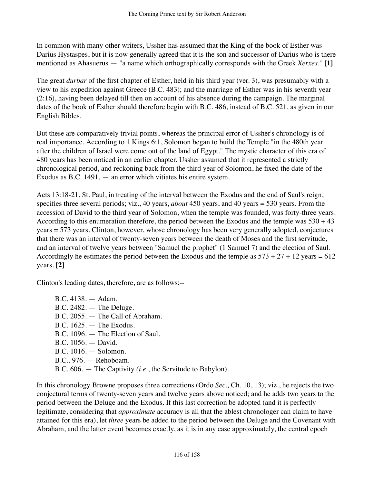In common with many other writers, Ussher has assumed that the King of the book of Esther was Darius Hystaspes, but it is now generally agreed that it is the son and successor of Darius who is there mentioned as Ahasuerus — "a name which orthographically corresponds with the Greek *Xerxes."* **[1]**

The great *durbar* of the first chapter of Esther, held in his third year (ver. 3), was presumably with a view to his expedition against Greece (B.C. 483); and the marriage of Esther was in his seventh year (2:16), having been delayed till then on account of his absence during the campaign. The marginal dates of the book of Esther should therefore begin with B.C. 486, instead of B.C. 521, as given in our English Bibles.

But these are comparatively trivial points, whereas the principal error of Ussher's chronology is of real importance. According to 1 Kings 6:1, Solomon began to build the Temple "in the 480th year after the children of Israel were come out of the land of Egypt." The mystic character of this era of 480 years has been noticed in an earlier chapter. Ussher assumed that it represented a strictly chronological period, and reckoning back from the third year of Solomon, he fixed the date of the Exodus as B.C. 1491, — an error which vitiates his entire system.

Acts 13:18-21, St. Paul, in treating of the interval between the Exodus and the end of Saul's reign, specifies three several periods; viz., 40 years, *about* 450 years, and 40 years = 530 years. From the accession of David to the third year of Solomon, when the temple was founded, was forty-three years. According to this enumeration therefore, the period between the Exodus and the temple was  $530 + 43$ years = 573 years. Clinton, however, whose chronology has been very generally adopted, conjectures that there was an interval of twenty-seven years between the death of Moses and the first servitude, and an interval of twelve years between "Samuel the prophet" (1 Samuel 7) and the election of Saul. Accordingly he estimates the period between the Exodus and the temple as  $573 + 27 + 12$  years = 612 years. **[2]**

Clinton's leading dates, therefore, are as follows:--

B.C. 4138. — Adam. B.C. 2482. — The Deluge. B.C. 2055. — The Call of Abraham. B.C. 1625. — The Exodus. B.C. 1096. — The Election of Saul. B.C. 1056. — David. B.C. 1016. — Solomon. B.C.. 976. — Rehoboam. B.C. 606. — The Captivity *(i.e*., the Servitude to Babylon).

In this chronology Browne proposes three corrections (Ordo *Sec.,* Ch. 10, 13); viz., he rejects the two conjectural terms of twenty-seven years and twelve years above noticed; and he adds two years to the period between the Deluge and the Exodus. If this last correction be adopted (and it is perfectly legitimate, considering that *approximate* accuracy is all that the ablest chronologer can claim to have attained for this era), let *three* years be added to the period between the Deluge and the Covenant with Abraham, and the latter event becomes exactly, as it is in any case approximately, the central epoch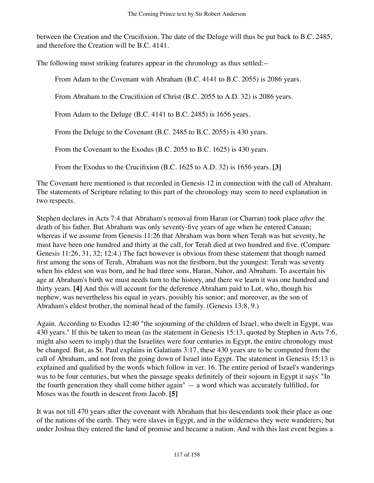between the Creation and the Crucifixion. The date of the Deluge will thus be put back to B.C. 2485, and therefore the Creation will be B.C. 4141.

The following most striking features appear in the chronology as thus settled:--

From Adam to the Covenant with Abraham (B.C. 4141 to B.C. 2055) is 2086 years.

From Abraham to the Crucifixion of Christ (B.C. 2055 to A.D. 32) is 2086 years.

From Adam to the Deluge (B.C. 4141 to B.C. 2485) is 1656 years.

From the Deluge to the Covenant (B.C. 2485 to B.C. 2055) is 430 years.

From the Covenant to the Exodus (B.C. 2055 to B.C. 1625) is 430 years.

From the Exodus to the Crucifixion (B.C. 1625 to A.D. 32) is 1656 years. **[3]**

The Covenant here mentioned is that recorded in Genesis 12 in connection with the call of Abraham. The statements of Scripture relating to this part of the chronology may seem to need explanation in two respects.

Stephen declares in Acts 7:4 that Abraham's removal from Haran (or Charran) took place *after* the death of his father. But Abraham was only seventy-five years of age when he entered Canaan; whereas if we assume from Genesis 11:26 that Abraham was born when Terah was but seventy, he must have been one hundred and thirty at the call, for Terah died at two hundred and five. (Compare Genesis 11:26, 31, 32; 12:4.) The fact however is obvious from these statement that though named first among the sons of Terah, Abraham was not the firstborn, but the youngest: Terah was seventy when his eldest son was born, and he had three sons, Haran, Nahor, and Abraham. To ascertain his age at Abraham's birth we must needs turn to the history, and there we learn it was one hundred and thirty years. **[4]** And this will account for the deference Abraham paid to Lot, who, though his nephew, was nevertheless his equal in years, possibly his senior; and moreover, as the son of Abraham's eldest brother, the nominal head of the family. (Genesis 13:8, 9.)

Again. According to Exodus 12:40 "the sojourning of the children of Israel, who dwelt in Egypt, was 430 years." If this be taken to mean (as the statement in Genesis 15:13, quoted by Stephen in Acts 7:6, might also seem to imply) that the Israelites were four centuries in Egypt, the entire chronology must be changed. But, as St. Paul explains in Galatians 3:17, these 430 years are to be computed from the call of Abraham, and not from the going down of Israel into Egypt. The statement in Genesis 15:13 is explained and qualified by the words which follow in ver. 16. The entire period of Israel's wanderings was to be four centuries, but when the passage speaks definitely of their sojourn in Egypt it says' "In the fourth generation they shall come hither again" — a word which was accurately fulfilled, for Moses was the fourth in descent from Jacob. **[5]**

It was not till 470 years after the covenant with Abraham that his descendants took their place as one of the nations of the earth. They were slaves in Egypt, and in the wilderness they were wanderers; but under Joshua they entered the land of promise and became a nation. And with this last event begins a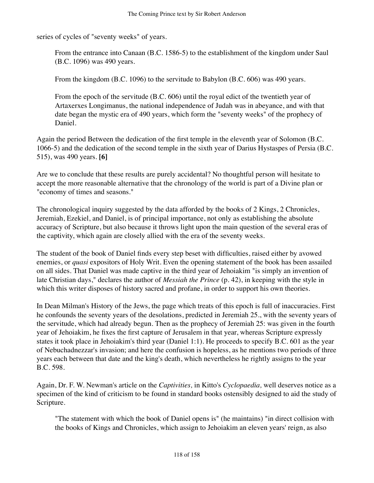series of cycles of "seventy weeks" of years.

From the entrance into Canaan (B.C. 1586-5) to the establishment of the kingdom under Saul (B.C. 1096) was 490 years.

From the kingdom (B.C. 1096) to the servitude to Babylon (B.C. 606) was 490 years.

From the epoch of the servitude (B.C. 606) until the royal edict of the twentieth year of Artaxerxes Longimanus, the national independence of Judah was in abeyance, and with that date began the mystic era of 490 years, which form the "seventy weeks" of the prophecy of Daniel.

Again the period Between the dedication of the first temple in the eleventh year of Solomon (B.C. 1066-5) and the dedication of the second temple in the sixth year of Darius Hystaspes of Persia (B.C. 515), was 490 years. **[6]**

Are we to conclude that these results are purely accidental? No thoughtful person will hesitate to accept the more reasonable alternative that the chronology of the world is part of a Divine plan or "economy of times and seasons."

The chronological inquiry suggested by the data afforded by the books of 2 Kings, 2 Chronicles, Jeremiah, Ezekiel, and Daniel, is of principal importance, not only as establishing the absolute accuracy of Scripture, but also because it throws light upon the main question of the several eras of the captivity, which again are closely allied with the era of the seventy weeks.

The student of the book of Daniel finds every step beset with difficulties, raised either by avowed enemies, or *quasi* expositors of Holy Writ. Even the opening statement of the book has been assailed on all sides. That Daniel was made captive in the third year of Jehoiakim "is simply an invention of late Christian days," declares the author of *Messiah the Prince* (p. 42), in keeping with the style in which this writer disposes of history sacred and profane, in order to support his own theories.

In Dean Milman's History of the Jews, the page which treats of this epoch is full of inaccuracies. First he confounds the seventy years of the desolations, predicted in Jeremiah 25., with the seventy years of the servitude, which had already begun. Then as the prophecy of Jeremiah 25: was given in the fourth year of Jehoiakim, he fixes the first capture of Jerusalem in that year, whereas Scripture expressly states it took place in Jehoiakim's third year (Daniel 1:1). He proceeds to specify B.C. 601 as the year of Nebuchadnezzar's invasion; and here the confusion is hopeless, as he mentions two periods of three years each between that date and the king's death, which nevertheless he rightly assigns to the year B.C. 598.

Again, Dr. F. W. Newman's article on the *Captivities,* in Kitto's *Cyclopaedia,* well deserves notice as a specimen of the kind of criticism to be found in standard books ostensibly designed to aid the study of Scripture.

"The statement with which the book of Daniel opens is" (he maintains) "in direct collision with the books of Kings and Chronicles, which assign to Jehoiakim an eleven years' reign, as also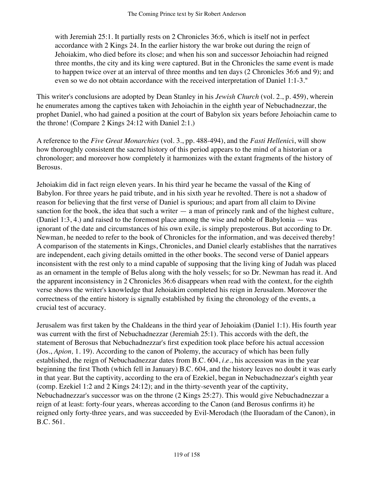with Jeremiah 25:1. It partially rests on 2 Chronicles 36:6, which is itself not in perfect accordance with 2 Kings 24. In the earlier history the war broke out during the reign of Jehoiakim, who died before its close; and when his son and successor Jehoiachin had reigned three months, the city and its king were captured. But in the Chronicles the same event is made to happen twice over at an interval of three months and ten days (2 Chronicles 36:6 and 9); and even so we do not obtain accordance with the received interpretation of Daniel 1:1-3."

This writer's conclusions are adopted by Dean Stanley in his *Jewish Church* (vol. 2., p. 459), wherein he enumerates among the captives taken with Jehoiachin in the eighth year of Nebuchadnezzar, the prophet Daniel, who had gained a position at the court of Babylon six years before Jehoiachin came to the throne! (Compare 2 Kings 24:12 with Daniel 2:1.)

A reference to the *Five Great Monarchies* (vol. 3., pp. 488-494), and the *Fasti Hellenic*i, will show how thoroughly consistent the sacred history of this period appears to the mind of a historian or a chronologer; and moreover how completely it harmonizes with the extant fragments of the history of Berosus.

Jehoiakim did in fact reign eleven years. In his third year he became the vassal of the King of Babylon. For three years he paid tribute, and in his sixth year he revolted. There is not a shadow of reason for believing that the first verse of Daniel is spurious; and apart from all claim to Divine sanction for the book, the idea that such a writer  $-$  a man of princely rank and of the highest culture, (Daniel 1:3, 4.) and raised to the foremost place among the wise and noble of Babylonia — was ignorant of the date and circumstances of his own exile, is simply preposterous. But according to Dr. Newman, he needed to refer to the book of Chronicles for the information, and was deceived thereby! A comparison of the statements in Kings, Chronicles, and Daniel clearly establishes that the narratives are independent, each giving details omitted in the other books. The second verse of Daniel appears inconsistent with the rest only to a mind capable of supposing that the living king of Judah was placed as an ornament in the temple of Belus along with the holy vessels; for so Dr. Newman has read it. And the apparent inconsistency in 2 Chronicles 36:6 disappears when read with the context, for the eighth verse shows the writer's knowledge that Jehoiakim completed his reign in Jerusalem. Moreover the correctness of the entire history is signally established by fixing the chronology of the events, a crucial test of accuracy.

Jerusalem was first taken by the Chaldeans in the third year of Jehoiakim (Daniel 1:1). His fourth year was current with the first of Nebuchadnezzar (Jeremiah 25:1). This accords with the deft, the statement of Berosus that Nebuchadnezzar's first expedition took place before his actual accession (Jos., *Apion,* 1. 19). According to the canon of Ptolemy, the accuracy of which has been fully established, the reign of Nebuchadnezzar dates from B.C. 604, *i.e*., his accession was in the year beginning the first Thoth (which fell in January) B.C. 604, and the history leaves no doubt it was early in that year. But the captivity, according to the era of Ezekiel, began in Nebuchadnezzar's eighth year (comp. Ezekiel 1:2 and 2 Kings 24:12); and in the thirty-seventh year of the captivity, Nebuchadnezzar's successor was on the throne (2 Kings 25:27). This would give Nebuchadnezzar a reign of at least: forty-four years, whereas according to the Canon (and Berosus confirms it) he reigned only forty-three years, and was succeeded by Evil-Merodach (the Iluoradam of the Canon), in B.C. 561.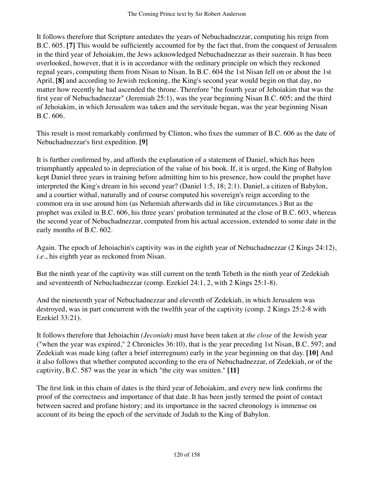It follows therefore that Scripture antedates the years of Nebuchadnezzar, computing his reign from B.C. 605. **[7]** This would be sufficiently accounted for by the fact that, from the conquest of Jerusalem in the third year of Jehoiakim, the Jews acknowledged Nebuchadnezzar as their suzerain. It has been overlooked, however, that it is in accordance with the ordinary principle on which they reckoned regnal years, computing them from Nisan to Nisan. In B.C. 604 the 1st Nisan fell on or about the 1st April, **[8]** and according to Jewish reckoning, the King's second year would begin on that day, no matter how recently he had ascended the throne. Therefore "the fourth year of Jehoiakim that was the first year of Nebuchadnezzar" (Jeremiah 25:1), was the year beginning Nisan B.C. 605; and the third of Jehoiakim, in which Jerusalem was taken and the servitude began, was the year beginning Nisan B.C. 606.

This result is most remarkably confirmed by Clinton, who fixes the summer of B.C. 606 as the date of Nebuchadnezzar's first expedition. **[9]**

It is further confirmed by, and affords the explanation of a statement of Daniel, which has been triumphantly appealed to in depreciation of the value of his book. If, it is urged, the King of Babylon kept Daniel three years in training before admitting him to his presence, how could the prophet have interpreted the King's dream in his second year? (Daniel 1:5, 18; 2:1). Daniel, a citizen of Babylon, and a courtier withal, naturally and of course computed his sovereign's reign according to the common era in use around him (as Nehemiah afterwards did in like circumstances.) But as the prophet was exiled in B.C. 606, his three years' probation terminated at the close of B.C. 603, whereas the second year of Nebuchadnezzar, computed from his actual accession, extended to some date in the early months of B.C. 602.

Again. The epoch of Jehoiachin's captivity was in the eighth year of Nebuchadnezzar (2 Kings 24:12), *i.e*., his eighth year as reckoned from Nisan.

But the ninth year of the captivity was still current on the tenth Tebeth in the ninth year of Zedekiah and seventeenth of Nebuchadnezzar (comp. Ezekiel 24:1, 2, with 2 Kings 25:1-8).

And the nineteenth year of Nebuchadnezzar and eleventh of Zedekiah, in which Jerusalem was destroyed, was in part concurrent with the twelfth year of the captivity (comp. 2 Kings 25:2-8 with Ezekiel 33:21).

It follows therefore that Jehoiachin *(Jeconiah)* must have been taken at *the close* of the Jewish year ("when the year was expired," 2 Chronicles 36:10), that is the year preceding 1st Nisan, B.C. 597; and Zedekiah was made king (after a brief interregnum) early in the year beginning on that day. **[10]** And it also follows that whether computed according to the era of Nebuchadnezzar, of Zedekiah, or of the captivity, B.C. 587 was the year in which "the city was smitten." **[11]**

The first link in this chain of dates is the third year of Jehoiakim, and every new link confirms the proof of the correctness and importance of that date. It has been justly termed the point of contact between sacred and profane history; and its importance in the sacred chronology is immense on account of its being the epoch of the servitude of Judah to the King of Babylon.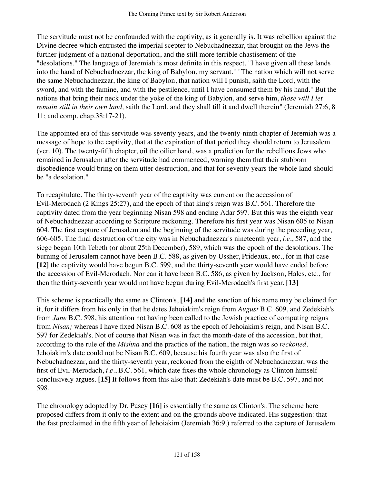The servitude must not be confounded with the captivity, as it generally is. It was rebellion against the Divine decree which entrusted the imperial scepter to Nebuchadnezzar, that brought on the Jews the further judgment of a national deportation, and the still more terrible chastisement of the "desolations." The language of Jeremiah is most definite in this respect. "I have given all these lands into the hand of Nebuchadnezzar, the king of Babylon, my servant." "The nation which will not serve the same Nebuchadnezzar, the king of Babylon, that nation will I punish, saith the Lord, with the sword, and with the famine, and with the pestilence, until I have consumed them by his hand." But the nations that bring their neck under the yoke of the king of Babylon, and serve him, *those will I let remain still in their own land,* saith the Lord, and they shall till it and dwell therein" (Jeremiah 27:6, 8 11; and comp. chap.38:17-21).

The appointed era of this servitude was seventy years, and the twenty-ninth chapter of Jeremiah was a message of hope to the captivity, that at the expiration of that period they should return to Jerusalem (ver. 10). The twenty-fifth chapter, oil the oilier hand, was a prediction for the rebellious Jews who remained in Jerusalem after the servitude had commenced, warning them that their stubborn disobedience would bring on them utter destruction, and that for seventy years the whole land should be "a desolation."

To recapitulate. The thirty-seventh year of the captivity was current on the accession of Evil-Merodach (2 Kings 25:27), and the epoch of that king's reign was B.C. 561. Therefore the captivity dated from the year beginning Nisan 598 and ending Adar 597. But this was the eighth year of Nebuchadnezzar according to Scripture reckoning. Therefore his first year was Nisan 605 to Nisan 604. The first capture of Jerusalem and the beginning of the servitude was during the preceding year, 606-605. The final destruction of the city was in Nebuchadnezzar's nineteenth year, *i.e*., 587, and the siege began 10th Tebeth (or about 25th December), 589, which was the epoch of the desolations. The burning of Jerusalem cannot have been B.C. 588, as given by Ussher, Prideaux, etc., for in that case **[12]** the captivity would have begun B.C. 599, and the thirty-seventh year would have ended before the accession of Evil-Merodach. Nor can it have been B.C. 586, as given by Jackson, Hales, etc., for then the thirty-seventh year would not have begun during Evil-Merodach's first year. **[13]**

This scheme is practically the same as Clinton's, **[14]** and the sanction of his name may be claimed for it, for it differs from his only in that he dates Jehoiakim's reign from *August* B.C. 609, and Zedekiah's from *June* B.C. 598, his attention not having been called to the Jewish practice of computing reigns from *Nisan;* whereas I have fixed Nisan B.C. 608 as the epoch of Jehoiakim's reign, and Nisan B.C. 597 for Zedekiah's. Not of course that Nisan was in fact the month-date of the accession, but that, according to the rule of the *Mishna* and the practice of the nation, the reign was so *reckoned.* Jehoiakim's date could not be Nisan B.C. 609, because his fourth year was also the first of Nebuchadnezzar, and the thirty-seventh year, reckoned from the eighth of Nebuchadnezzar, was the first of Evil-Merodach, *i.e*., B.C. 561, which date fixes the whole chronology as Clinton himself conclusively argues. **[15]** It follows from this also that: Zedekiah's date must be B.C. 597, and not 598.

The chronology adopted by Dr. Pusey **[16]** is essentially the same as Clinton's. The scheme here proposed differs from it only to the extent and on the grounds above indicated. His suggestion: that the fast proclaimed in the fifth year of Jehoiakim (Jeremiah 36:9.) referred to the capture of Jerusalem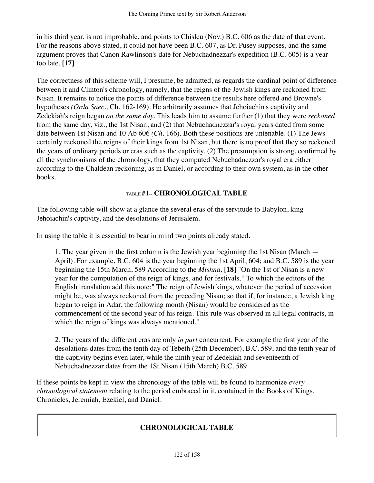in his third year, is not improbable, and points to Chisleu (Nov.) B.C. 606 as the date of that event. For the reasons above stated, it could not have been B.C. 607, as Dr. Pusey supposes, and the same argument proves that Canon Rawlinson's date for Nebuchadnezzar's expedition (B.C. 605) is a year too late. **[17]**

The correctness of this scheme will, I presume, be admitted, as regards the cardinal point of difference between it and Clinton's chronology, namely, that the reigns of the Jewish kings are reckoned from Nisan. It remains to notice the points of difference between the results here offered and Browne's hypotheses *(Orda Saec.,* Ch. 162-169). He arbitrarily assumes that Jehoiachin's captivity and Zedekiah's reign began *on the same day.* This leads him to assume further (1) that they were *reckoned* from the same day, viz., the 1st Nisan, and (2) that Nebuchadnezzar's royal years dated from some date between 1st Nisan and 10 Ab 606 *(Ch.* 166). Both these positions are untenable. (1) The Jews certainly reckoned the reigns of their kings from 1st Nisan, but there is no proof that they so reckoned the years of ordinary periods or eras such as the captivity. (2) The presumption is strong, confirmed by all the synchronisms of the chronology, that they computed Nebuchadnezzar's royal era either according to the Chaldean reckoning, as in Daniel, or according to their own system, as in the other books.

## TABLE #1-- **CHRONOLOGICAL TABLE**

The following table will show at a glance the several eras of the servitude to Babylon, king Jehoiachin's captivity, and the desolations of Jerusalem.

In using the table it is essential to bear in mind two points already stated.

1. The year given in the first column is the Jewish year beginning the 1st Nisan (March — April). For example, B.C. 604 is the year beginning the 1st April, 604; and B.C. 589 is the year beginning the 15th March, 589 According to the *Mishna,* **[18]** "On the 1st of Nisan is a new year for the computation of the reign of kings, and for festivals." To which the editors of the English translation add this note:" The reign of Jewish kings, whatever the period of accession might be, was always reckoned from the preceding Nisan; so that if, for instance, a Jewish king began to reign in Adar, the following month (Nisan) would be considered as the commencement of the second year of his reign. This rule was observed in all legal contracts, in which the reign of kings was always mentioned."

2. The years of the different eras are only *in part* concurrent. For example the first year of the desolations dates from the tenth day of Tebeth (25th December), B.C. 589, and the tenth year of the captivity begins even later, while the ninth year of Zedekiah and seventeenth of Nebuchadnezzar dates from the 1St Nisan (15th March) B.C. 589.

If these points be kept in view the chronology of the table will be found to harmonize *every chronological statement* relating to the period embraced in it, contained in the Books of Kings, Chronicles, Jeremiah, Ezekiel, and Daniel.

# **CHRONOLOGICAL TABLE**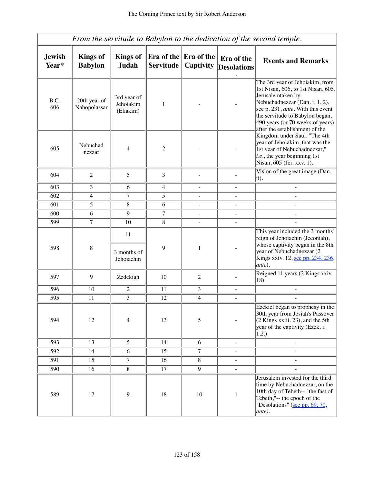| <b>Jewish</b><br>Year* | <b>Kings of</b><br><b>Babylon</b> | <b>Kings of</b><br>Judah              | Era of the<br><b>Servitude</b> | Era of the<br>Captivity  | Era of the<br><b>Desolations</b> | <b>Events and Remarks</b>                                                                                                                                                                                                                                                  |  |
|------------------------|-----------------------------------|---------------------------------------|--------------------------------|--------------------------|----------------------------------|----------------------------------------------------------------------------------------------------------------------------------------------------------------------------------------------------------------------------------------------------------------------------|--|
| B.C.<br>606            | 20th year of<br>Nabopolassar      | 3rd year of<br>Jehoiakim<br>(Eliakim) | $\mathbf{1}$                   |                          |                                  | The 3rd year of Jehoiakim, from<br>1st Nisan, 606, to 1st Nisan, 605.<br>Jerusalemtaken by<br>Nebuchadnezzar (Dan. i. 1, 2),<br>see p. 231, ante. With this event<br>the servitude to Babylon began,<br>490 years (or 70 weeks of years)<br>after the establishment of the |  |
| 605                    | Nebuchad<br>nezzar                | 4                                     | 2                              |                          |                                  | Kingdom under Saul. "The 4th<br>year of Jehoiakim, that was the<br>1st year of Nebuchadnezzar,"<br>i.e., the year beginning 1st<br>Nisan, 605 (Jer. xxv. 1).                                                                                                               |  |
| 604                    | $\overline{2}$                    | 5                                     | 3                              | ÷,                       |                                  | Vision of the great image (Dan.<br>ii).                                                                                                                                                                                                                                    |  |
| 603                    | $\overline{3}$                    | 6                                     | $\overline{4}$                 | $\equiv$                 | $\frac{1}{2}$                    | $\overline{\phantom{a}}$                                                                                                                                                                                                                                                   |  |
| 602                    | $\overline{4}$                    | $\overline{7}$                        | 5                              | $\overline{\phantom{a}}$ | $\overline{a}$                   |                                                                                                                                                                                                                                                                            |  |
| 601                    | 5                                 | 8                                     | 6                              | $\overline{\phantom{a}}$ | $\frac{1}{2}$                    |                                                                                                                                                                                                                                                                            |  |
| 600                    | 6                                 | 9                                     | $\overline{7}$                 | $\overline{\phantom{a}}$ | $\overline{a}$                   | $\equiv$                                                                                                                                                                                                                                                                   |  |
| 599                    | $\overline{7}$                    | 10                                    | $\overline{8}$                 | $\frac{1}{2}$            |                                  |                                                                                                                                                                                                                                                                            |  |
| 598                    | $\,8\,$                           | 11<br>3 months of<br>Jehoiachin       | 9                              | $\mathbf{1}$             |                                  | This year included the 3 months'<br>reign of Jehoiachin (Jeconiah),<br>whose captivity began in the 8th<br>year of Nebuchadnezzar (2<br>Kings xxiv. 12, see pp. 234, 236,<br>ante).                                                                                        |  |
| 597                    | 9                                 | Zedekiah                              | 10                             | $\overline{c}$           |                                  | Reigned 11 years (2 Kings xxiv.<br>18).                                                                                                                                                                                                                                    |  |
| 596                    | $\overline{10}$                   | $\overline{2}$                        | 11                             | 3                        | $\frac{1}{2}$                    |                                                                                                                                                                                                                                                                            |  |
| 595                    | 11                                | $\overline{3}$                        | 12                             | $\overline{4}$           | $\overline{a}$                   |                                                                                                                                                                                                                                                                            |  |
| 594                    | 12                                | 4                                     | 13                             | 5                        | $\overline{\phantom{0}}$         | Ezekiel began to prophesy in the<br>30th year from Josiah's Passover<br>$(2$ Kings xxiii. 23), and the 5th<br>year of the captivity (Ezek. i.<br>1,2.                                                                                                                      |  |
| 593                    | 13                                | 5                                     | 14                             | 6                        | $\bar{a}$                        | $\equiv$                                                                                                                                                                                                                                                                   |  |
| 592                    | $\overline{14}$                   | $\overline{6}$                        | 15                             | 7                        | $\qquad \qquad -$                | $\overline{\phantom{a}}$                                                                                                                                                                                                                                                   |  |
| 591                    | 15                                | $\overline{7}$                        | 16                             | 8                        | $\bar{\phantom{a}}$              |                                                                                                                                                                                                                                                                            |  |
| 590                    | $\overline{16}$                   | $\overline{8}$                        | $\overline{17}$                | $\overline{9}$           |                                  |                                                                                                                                                                                                                                                                            |  |
| 589                    | 17                                | $\overline{9}$                        | 18                             | 10                       | $\mathbf{1}$                     | Jerusalem invested for the third<br>time by Nebuchadnezzar, on the<br>10th day of Tebeth-- "the fast of<br>Tebeth,"-- the epoch of the<br>"Desolations" (see pp. 69, 70,<br>ante).                                                                                         |  |

*From the servitude to Babylon to the dedication of the second temple.*

 $\overline{\phantom{a}}$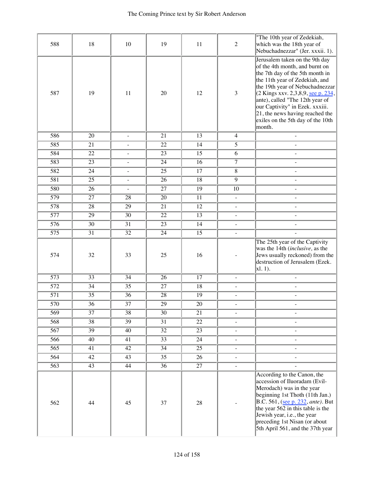| 588              | 18              | 10                       | 19              | 11              | $\sqrt{2}$               | "The 10th year of Zedekiah,<br>which was the 18th year of<br>Nebuchadnezzar" (Jer. xxxii. 1).                                                                                                                                                                                                                                                                          |
|------------------|-----------------|--------------------------|-----------------|-----------------|--------------------------|------------------------------------------------------------------------------------------------------------------------------------------------------------------------------------------------------------------------------------------------------------------------------------------------------------------------------------------------------------------------|
| 587              | 19              | 11                       | 20              | 12              | 3                        | Jerusalem taken on the 9th day<br>of the 4th month, and burnt on<br>the 7th day of the 5th month in<br>the 11th year of Zedekiah, and<br>the 19th year of Nebuchadnezzar<br>(2 Kings xxv. 2,3,8,9, see p. 234,<br>ante), called "The 12th year of<br>our Captivity" in Ezek. xxxiii.<br>21, the news having reached the<br>exiles on the 5th day of the 10th<br>month. |
| 586              | 20              | $\overline{\phantom{a}}$ | 21              | 13              | $\overline{4}$           | $\overline{\phantom{a}}$                                                                                                                                                                                                                                                                                                                                               |
| 585              | 21              | $\overline{\phantom{a}}$ | 22              | 14              | $\overline{5}$           | $\overline{a}$                                                                                                                                                                                                                                                                                                                                                         |
| 584              | 22              | $\overline{\phantom{a}}$ | 23              | 15              | 6                        | $\overline{a}$                                                                                                                                                                                                                                                                                                                                                         |
| 583              | $\overline{23}$ | $\overline{\phantom{a}}$ | 24              | 16              | $\overline{7}$           | $\overline{\phantom{a}}$                                                                                                                                                                                                                                                                                                                                               |
| 582              | 24              | $\overline{\phantom{a}}$ | 25              | 17              | $\overline{8}$           | $\overline{\phantom{0}}$                                                                                                                                                                                                                                                                                                                                               |
| $\overline{581}$ | $\overline{25}$ | $\overline{\phantom{a}}$ | 26              | 18              | $\overline{9}$           | $\equiv$                                                                                                                                                                                                                                                                                                                                                               |
| 580              | 26              | $\equiv$                 | 27              | 19              | 10                       | $\overline{\phantom{0}}$                                                                                                                                                                                                                                                                                                                                               |
| 579              | $\overline{27}$ | 28                       | $\overline{20}$ | 11              | $\frac{1}{2}$            | $\overline{a}$                                                                                                                                                                                                                                                                                                                                                         |
| 578              | 28              | 29                       | 21              | 12              | $\overline{a}$           | $\overline{a}$                                                                                                                                                                                                                                                                                                                                                         |
| 577              | $\overline{29}$ | $\overline{30}$          | $\overline{22}$ | $\overline{13}$ | $\overline{a}$           | $\overline{\phantom{a}}$                                                                                                                                                                                                                                                                                                                                               |
| 576              | 30              | 31                       | 23              | 14              | $\frac{1}{2}$            | $\qquad \qquad -$                                                                                                                                                                                                                                                                                                                                                      |
| 575              | $\overline{31}$ | $\overline{32}$          | $\overline{24}$ | $\overline{15}$ | $\overline{\phantom{0}}$ | $\overline{a}$                                                                                                                                                                                                                                                                                                                                                         |
| 574              | 32              | 33                       | 25              | 16              |                          | The 25th year of the Captivity<br>was the 14th (inclusive, as the<br>Jews usually reckoned) from the<br>destruction of Jerusalem (Ezek.<br>xl. 1).                                                                                                                                                                                                                     |
| $\overline{573}$ | $\overline{33}$ | 34                       | $\overline{26}$ | $\overline{17}$ | $\overline{a}$           | $\overline{\phantom{0}}$                                                                                                                                                                                                                                                                                                                                               |
| 572              | 34              | 35                       | 27              | 18              | $\frac{1}{2}$            | ÷,                                                                                                                                                                                                                                                                                                                                                                     |
| 571              | $\overline{35}$ | 36                       | $\overline{28}$ | 19              | $\overline{\phantom{a}}$ | $\overline{a}$                                                                                                                                                                                                                                                                                                                                                         |
| 570              | 36              | 37                       | 29              | 20              | L,                       |                                                                                                                                                                                                                                                                                                                                                                        |
| 569              | $\overline{37}$ | $\overline{38}$          | $\overline{30}$ | 21              | $\overline{\phantom{0}}$ | $\overline{\phantom{a}}$                                                                                                                                                                                                                                                                                                                                               |
| 568              | $\overline{38}$ | $\overline{39}$          | 31              | $22\,$          |                          |                                                                                                                                                                                                                                                                                                                                                                        |
| 567              | $\overline{39}$ | 40                       | $\overline{32}$ | 23              | $\overline{\phantom{0}}$ | $\overline{\phantom{0}}$                                                                                                                                                                                                                                                                                                                                               |
| 566              | 40              | 41                       | 33              | 24              | $\overline{a}$           | $\overline{\phantom{0}}$                                                                                                                                                                                                                                                                                                                                               |
| $\overline{565}$ | 41              | 42                       | 34              | 25              | $\overline{\phantom{a}}$ | $\equiv$                                                                                                                                                                                                                                                                                                                                                               |
| 564              | 42              | 43                       | 35              | 26              | $\overline{\phantom{0}}$ | $\overline{a}$                                                                                                                                                                                                                                                                                                                                                         |
| $\overline{563}$ | $\overline{43}$ | 44                       | $\overline{36}$ | 27              | $\frac{1}{2}$            |                                                                                                                                                                                                                                                                                                                                                                        |
| 562              | 44              | 45                       | 37              | 28              |                          | According to the Canon, the<br>accession of Iluoradam (Evil-<br>Merodach) was in the year<br>beginning 1st Thoth (11th Jan.)<br>B.C. 561, (see p. 232, ante). But<br>the year 562 in this table is the<br>Jewish year, i.e., the year<br>preceding 1st Nisan (or about<br>5th April 561, and the 37th year                                                             |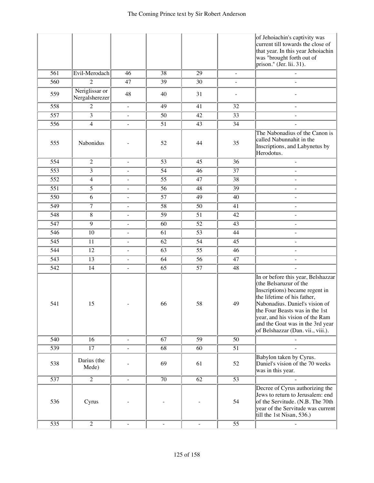#### The Coming Prince text by Sir Robert Anderson

|                  |                                  |                          |                 |                 |                          | of Jehoiachin's captivity was<br>current till towards the close of<br>that year. In this year Jehoiachin<br>was "brought forth out of<br>prison." (Jer. lii. 31).                                                                                                                                             |
|------------------|----------------------------------|--------------------------|-----------------|-----------------|--------------------------|---------------------------------------------------------------------------------------------------------------------------------------------------------------------------------------------------------------------------------------------------------------------------------------------------------------|
| 561              | Evil-Merodach                    | 46                       | $\overline{38}$ | 29              | $\overline{\phantom{a}}$ |                                                                                                                                                                                                                                                                                                               |
| 560              | $\overline{2}$                   | 47                       | $\overline{39}$ | 30              | $\overline{a}$           |                                                                                                                                                                                                                                                                                                               |
| 559              | Neriglissar or<br>Nergalsherezer | 48                       | 40              | 31              |                          |                                                                                                                                                                                                                                                                                                               |
| 558              | $\overline{2}$                   | $\equiv$                 | 49              | 41              | 32                       | $\overline{a}$                                                                                                                                                                                                                                                                                                |
| 557              | $\overline{3}$                   | $\overline{\phantom{0}}$ | $\overline{50}$ | 42              | $\overline{33}$          |                                                                                                                                                                                                                                                                                                               |
| 556              | $\overline{4}$                   | $\equiv$                 | 51              | 43              | 34                       |                                                                                                                                                                                                                                                                                                               |
| 555              | Nabonidus                        |                          | 52              | 44              | 35                       | The Nabonadius of the Canon is<br>called Nabunnahit in the<br>Inscriptions, and Labynetus by<br>Herodotus.                                                                                                                                                                                                    |
| 554              | $\overline{c}$                   | $\overline{\phantom{0}}$ | 53              | 45              | 36                       | $\overline{a}$                                                                                                                                                                                                                                                                                                |
| 553              | $\overline{\mathbf{3}}$          | $\overline{\phantom{0}}$ | $\overline{54}$ | 46              | $\overline{37}$          | $\overline{\phantom{0}}$                                                                                                                                                                                                                                                                                      |
| 552              | $\overline{4}$                   | $\overline{\phantom{0}}$ | 55              | 47              | 38                       | $\overline{a}$                                                                                                                                                                                                                                                                                                |
| $\overline{551}$ | 5                                | $\overline{\phantom{0}}$ | $\overline{56}$ | 48              | $\overline{39}$          | $\overline{a}$                                                                                                                                                                                                                                                                                                |
| 550              | 6                                | $\equiv$                 | 57              | 49              | 40                       | $\overline{a}$                                                                                                                                                                                                                                                                                                |
| 549              | 7                                | $\overline{\phantom{0}}$ | $\overline{58}$ | 50              | $\overline{41}$          | $\overline{\phantom{0}}$                                                                                                                                                                                                                                                                                      |
| 548              | $\,8$                            | $\equiv$                 | 59              | 51              | 42                       | $\overline{\phantom{0}}$                                                                                                                                                                                                                                                                                      |
| 547              | $\overline{9}$                   | $\overline{\phantom{0}}$ | $\overline{60}$ | $\overline{52}$ | $\overline{43}$          | $\overline{\phantom{0}}$                                                                                                                                                                                                                                                                                      |
| 546              | 10                               | $\overline{\phantom{0}}$ | 61              | 53              | 44                       | $\overline{a}$                                                                                                                                                                                                                                                                                                |
| 545              | 11                               | $\overline{\phantom{0}}$ | 62              | 54              | 45                       | $\overline{a}$                                                                                                                                                                                                                                                                                                |
| 544              | 12                               | $\overline{\phantom{0}}$ | 63              | 55              | 46                       | $\overline{\phantom{0}}$                                                                                                                                                                                                                                                                                      |
| 543              | $\overline{13}$                  | $\equiv$                 | 64              | 56              | $\overline{47}$          | $\equiv$                                                                                                                                                                                                                                                                                                      |
| 542              | 14                               | $\equiv$                 | 65              | 57              | 48                       | L.                                                                                                                                                                                                                                                                                                            |
| 541              | 15                               |                          | 66              | 58              | 49                       | In or before this year, Belshazzar<br>(the Belsaruzur of the<br>Inscriptions) became regent in<br>the lifetime of his father,<br>Nabonadius. Daniel's vision of<br>the Four Beasts was in the 1st<br>year, and his vision of the Ram<br>and the Goat was in the 3rd year<br>of Belshazzar (Dan. vii., viii.). |
| 540              | 16                               | $\overline{\phantom{a}}$ | 67              | 59              | 50                       |                                                                                                                                                                                                                                                                                                               |
| 539              | $\overline{17}$                  | $\equiv$                 | $\overline{68}$ | 60              | $\overline{51}$          |                                                                                                                                                                                                                                                                                                               |
| 538              | Darius (the<br>Mede)             |                          | 69              | 61              | 52                       | Babylon taken by Cyrus.<br>Daniel's vision of the 70 weeks<br>was in this year.                                                                                                                                                                                                                               |
| 537              | $\overline{2}$                   | $\qquad \qquad -$        | $\overline{70}$ | $\overline{62}$ | $\overline{53}$          |                                                                                                                                                                                                                                                                                                               |
| 536              | Cyrus                            |                          |                 |                 | 54                       | Decree of Cyrus authorizing the<br>Jews to return to Jerusalem: end<br>of the Servitude. (N.B. The 70th<br>year of the Servitude was current<br>till the 1st Nisan, 536.)                                                                                                                                     |
| $\overline{535}$ | $\overline{2}$                   | $\equiv$                 | $\blacksquare$  | $\Box$          | $\overline{55}$          | $\overline{\phantom{a}}$                                                                                                                                                                                                                                                                                      |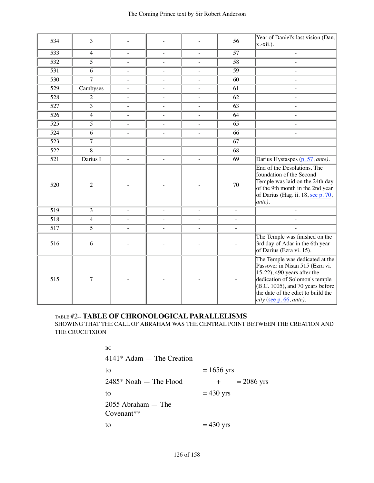| 534              | 3                |                          |                          |                          | 56              | Year of Daniel's last vision (Dan.<br>$x - xii.$ ).                                                                                                                                                                                         |
|------------------|------------------|--------------------------|--------------------------|--------------------------|-----------------|---------------------------------------------------------------------------------------------------------------------------------------------------------------------------------------------------------------------------------------------|
| $\overline{533}$ | $\overline{4}$   | $\equiv$                 | $\equiv$                 | $\overline{\phantom{a}}$ | $\overline{57}$ | $\overline{a}$                                                                                                                                                                                                                              |
| $\overline{532}$ | $\overline{5}$   | $\overline{\phantom{a}}$ | $\overline{a}$           | $\qquad \qquad -$        | $\overline{58}$ | $\overline{\phantom{0}}$                                                                                                                                                                                                                    |
| $\overline{531}$ | $\overline{6}$   | $\frac{1}{2}$            | $\equiv$                 | $\bar{\phantom{a}}$      | $\overline{59}$ | $\frac{1}{2}$                                                                                                                                                                                                                               |
| 530              | $\overline{7}$   | $\equiv$                 | $\overline{a}$           | $\qquad \qquad -$        | 60              | $\overline{a}$                                                                                                                                                                                                                              |
| 529              | Cambyses         | $\equiv$                 | $\bar{\phantom{a}}$      | $\equiv$                 | $\overline{61}$ | $\overline{a}$                                                                                                                                                                                                                              |
| 528              | $\overline{2}$   | $\overline{\phantom{a}}$ | $\overline{\phantom{a}}$ | $\overline{a}$           | $\overline{62}$ | $\overline{\phantom{0}}$                                                                                                                                                                                                                    |
| $\overline{527}$ | $\overline{3}$   | $\Box$                   | $\equiv$                 | $\equiv$                 | $\overline{63}$ | $\overline{\phantom{a}}$                                                                                                                                                                                                                    |
| 526              | $\overline{4}$   | $\equiv$                 | $\overline{\phantom{a}}$ | $\overline{\phantom{a}}$ | 64              | $\overline{a}$                                                                                                                                                                                                                              |
| 525              | $\overline{5}$   | $\equiv$                 | $\equiv$                 | $\overline{\phantom{a}}$ | $\overline{65}$ | $\equiv$                                                                                                                                                                                                                                    |
| 524              | $\overline{6}$   | $\equiv$                 | $\overline{a}$           | $\frac{1}{2}$            | 66              | $\overline{a}$                                                                                                                                                                                                                              |
| $\overline{523}$ | $\overline{7}$   | $\overline{\phantom{a}}$ | $\overline{\phantom{a}}$ | $\overline{\phantom{a}}$ | $\overline{67}$ | $\equiv$                                                                                                                                                                                                                                    |
| 522              | $\overline{8}$   | $\overline{\phantom{0}}$ | $\equiv$                 | $\overline{\phantom{a}}$ | $\overline{68}$ |                                                                                                                                                                                                                                             |
| $\overline{521}$ | Darius I         | $\overline{a}$           | $\overline{a}$           | $\overline{a}$           | $\overline{69}$ | Darius Hystaspes (p. 57, ante).                                                                                                                                                                                                             |
| 520              | $\overline{2}$   |                          |                          |                          | 70              | End of the Desolations. The<br>foundation of the Second<br>Temple was laid on the 24th day<br>of the 9th month in the 2nd year<br>of Darius (Hag. ii. 18, see p. 70,<br>$ $ ante).                                                          |
| 519              | 3                | $\overline{\phantom{a}}$ | $\overline{\phantom{a}}$ | $\overline{\phantom{a}}$ | $\blacksquare$  | $\overline{\phantom{0}}$                                                                                                                                                                                                                    |
| $\overline{518}$ | $\overline{4}$   | $\overline{a}$           | $\overline{a}$           | $\overline{a}$           | $\overline{a}$  |                                                                                                                                                                                                                                             |
| $\overline{517}$ | $\overline{5}$   | $\qquad \qquad -$        | $\overline{\phantom{a}}$ | $\qquad \qquad -$        | $\overline{a}$  |                                                                                                                                                                                                                                             |
| 516              | 6                |                          |                          |                          |                 | The Temple was finished on the<br>3rd day of Adar in the 6th year<br>of Darius (Ezra vi. 15).                                                                                                                                               |
| 515              | $\boldsymbol{7}$ |                          |                          |                          |                 | The Temple was dedicated at the<br>Passover in Nisan 515 (Ezra vi.<br>15-22), 490 years after the<br>dedication of Solomon's temple<br>$($ B.C. 1005), and 70 years before<br>the date of the edict to build the<br>city (see p. 66, ante). |

## TABLE #2-- **TABLE OF CHRONOLOGICAL PARALLELISMS**

SHOWING THAT THE CALL OF ABRAHAM WAS THE CENTRAL POINT BETWEEN THE CREATION AND THE CRUCIFIXION

| ВC                                     |              |              |
|----------------------------------------|--------------|--------------|
| $4141*$ Adam $-$ The Creation          |              |              |
| to                                     | $= 1656$ yrs |              |
| $2485*$ Noah $-$ The Flood             | $+$          | $= 2086$ yrs |
| tο                                     | $= 430$ yrs  |              |
| $2055$ Abraham $-$ The<br>$Covenant**$ |              |              |
| tο                                     | $= 430$ yrs  |              |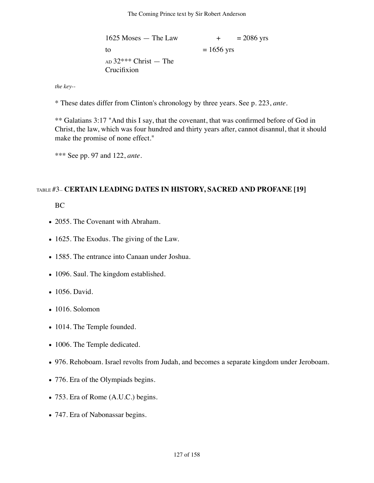$1625$  Moses  $-$  The Law  $+$  = 2086 yrs to  $= 1656 \text{ yrs}$ AD 32\*\*\* Christ — The **Crucifixion** 

*the key--*

\* These dates differ from Clinton's chronology by three years. See p. 223, *ante.*

\*\* Galatians 3:17 "And this I say, that the covenant, that was confirmed before of God in Christ, the law, which was four hundred and thirty years after, cannot disannul, that it should make the promise of none effect."

\*\*\* See pp. 97 and 122, *ante.*

#### TABLE #3-- **CERTAIN LEADING DATES IN HISTORY, SACRED AND PROFANE [19]**

#### BC

- 2055. The Covenant with Abraham.
- 1625. The Exodus. The giving of the Law.
- 1585. The entrance into Canaan under Joshua.
- 1096. Saul. The kingdom established.
- 1056. David.
- 1016. Solomon
- 1014. The Temple founded.
- 1006. The Temple dedicated.
- 976. Rehoboam. Israel revolts from Judah, and becomes a separate kingdom under Jeroboam.
- 776. Era of the Olympiads begins.
- 753. Era of Rome (A.U.C.) begins.
- 747. Era of Nabonassar begins.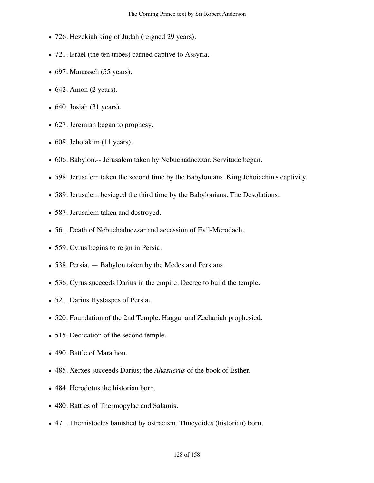- 726. Hezekiah king of Judah (reigned 29 years).
- 721. Israel (the ten tribes) carried captive to Assyria.
- 697. Manasseh (55 years).
- 642. Amon (2 years).
- 640. Josiah (31 years).
- 627. Jeremiah began to prophesy.
- 608. Jehoiakim (11 years).
- 606. Babylon.-- Jerusalem taken by Nebuchadnezzar. Servitude began.
- 598. Jerusalem taken the second time by the Babylonians. King Jehoiachin's captivity.
- 589. Jerusalem besieged the third time by the Babylonians. The Desolations.
- 587. Jerusalem taken and destroyed.
- 561. Death of Nebuchadnezzar and accession of Evil-Merodach.
- 559. Cyrus begins to reign in Persia.
- 538. Persia. Babylon taken by the Medes and Persians.
- 536. Cyrus succeeds Darius in the empire. Decree to build the temple.
- 521. Darius Hystaspes of Persia.
- 520. Foundation of the 2nd Temple. Haggai and Zechariah prophesied.
- 515. Dedication of the second temple.
- 490. Battle of Marathon.
- 485. Xerxes succeeds Darius; the *Ahasuerus* of the book of Esther.
- 484. Herodotus the historian born.
- 480. Battles of Thermopylae and Salamis.
- 471. Themistocles banished by ostracism. Thucydides (historian) born.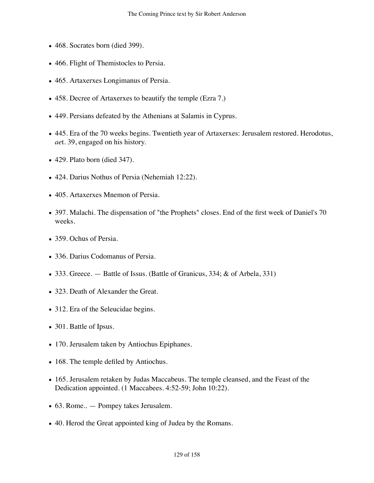- 468. Socrates born (died 399).
- 466. Flight of Themistocles to Persia.
- 465. Artaxerxes Longimanus of Persia.
- 458. Decree of Artaxerxes to beautify the temple (Ezra 7.)
- 449. Persians defeated by the Athenians at Salamis in Cyprus.
- 445. Era of the 70 weeks begins. Twentieth year of Artaxerxes: Jerusalem restored. Herodotus, *ae*t. 39, engaged on his history.
- 429. Plato born (died 347).
- 424. Darius Nothus of Persia (Nehemiah 12:22).
- 405. Artaxerxes Mnemon of Persia.
- 397. Malachi. The dispensation of "the Prophets" closes. End of the first week of Daniel's 70 weeks.
- 359. Ochus of Persia.
- 336. Darius Codomanus of Persia.
- 333. Greece. Battle of Issus. (Battle of Granicus, 334;  $\&$  of Arbela, 331)
- 323. Death of Alexander the Great.
- 312. Era of the Seleucidae begins.
- 301. Battle of Ipsus.
- 170. Jerusalem taken by Antiochus Epiphanes.
- 168. The temple defiled by Antiochus.
- 165. Jerusalem retaken by Judas Maccabeus. The temple cleansed, and the Feast of the Dedication appointed. (1 Maccabees. 4:52-59; John 10:22).
- 63. Rome.. Pompey takes Jerusalem.
- 40. Herod the Great appointed king of Judea by the Romans.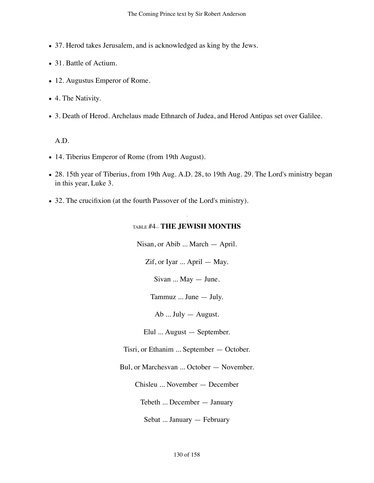- 37. Herod takes Jerusalem, and is acknowledged as king by the Jews.
- 31. Battle of Actium.
- 12. Augustus Emperor of Rome.
- 4. The Nativity.
- 3. Death of Herod. Archelaus made Ethnarch of Judea, and Herod Antipas set over Galilee.

#### A.D.

- 14. Tiberius Emperor of Rome (from 19th August).
- 28. 15th year of Tiberius, from 19th Aug. A.D. 28, to 19th Aug. 29. The Lord's ministry began in this year, Luke 3.
- 32. The crucifixion (at the fourth Passover of the Lord's ministry).

# Zif, or Iyar ... April — May. Sivan ... May — June. Tammuz ... June — July. Ab ... July — August. Elul ... August — September.

Tisri, or Ethanim ... September — October.

Bul, or Marchesvan ... October — November.

Chisleu ... November — December

Tebeth ... December — January

Sebat ... January — February

#### . . TABLE #4-- **THE JEWISH MONTHS**

Nisan, or Abib ... March — April.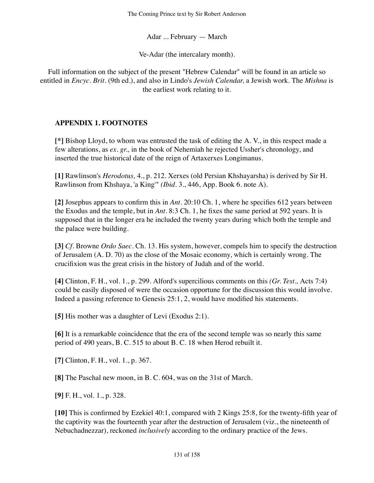The Coming Prince text by Sir Robert Anderson

Adar ... February — March

Ve-Adar (the intercalary month).

Full information on the subject of the present "Hebrew Calendar" will be found in an article so entitled in *Encyc. Brit.* (9th ed.), and also in Lindo's *Jewish Calendar,* a Jewish work. The *Mishna* is the earliest work relating to it.

# **APPENDIX 1. FOOTNOTES**

**[\*]** Bishop Lloyd, to whom was entrusted the task of editing the A. V., in this respect made a few alterations, as *ex. gr.,* in the book of Nehemiah he rejected Ussher's chronology, and inserted the true historical date of the reign of Artaxerxes Longimanus.

**[1]** Rawlinson's *Herodotus,* 4., p. 212. Xerxes (old Persian Khshayarsha) is derived by Sir H. Rawlinson from Khshaya, 'a King'" *(Ibid.* 3., 446, App. Book 6. note A).

**[2]** Josephus appears to confirm this in *Ant.* 20:10 Ch. 1, where he specifies 612 years between the Exodus and the temple, but in *Ant.* 8:3 Ch. 1, he fixes the same period at 592 years. It is supposed that in the longer era he included the twenty years during which both the temple and the palace were building.

**[3]** *Cf.* Browne *Ordo Saec.* Ch. 13. His system, however, compels him to specify the destruction of Jerusalem (A. D. 70) as the close of the Mosaic economy, which is certainly wrong. The crucifixion was the great crisis in the history of Judah and of the world.

**[4]** Clinton, F. H., vol. 1., p. 299. Alford's supercilious comments on this *(Gr. Test.,* Acts 7:4) could be easily disposed of were the occasion opportune for the discussion this would involve. Indeed a passing reference to Genesis 25:1, 2, would have modified his statements.

**[5]** His mother was a daughter of Levi (Exodus 2:1).

**[6]** It is a remarkable coincidence that the era of the second temple was so nearly this same period of 490 years, B. C. 515 to about B. C. 18 when Herod rebuilt it.

**[7]** Clinton, F. H., vol. 1., p. 367.

**[8]** The Paschal new moon, in B. C. 604, was on the 31st of March.

**[9]** F. H., vol. 1., p. 328.

**[10]** This is confirmed by Ezekiel 40:1, compared with 2 Kings 25:8, for the twenty-fifth year of the captivity was the fourteenth year after the destruction of Jerusalem (viz., the nineteenth of Nebuchadnezzar), reckoned *inclusively* according to the ordinary practice of the Jews.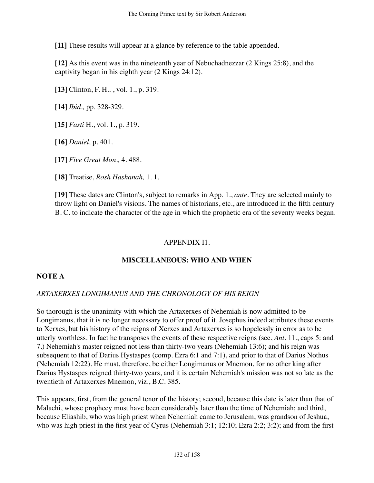**[11]** These results will appear at a glance by reference to the table appended.

**[12]** As this event was in the nineteenth year of Nebuchadnezzar (2 Kings 25:8), and the captivity began in his eighth year (2 Kings 24:12).

**[13]** Clinton, F. H.. , vol. 1., p. 319.

**[14]** *Ibid.,* pp. 328-329.

**[15]** *Fasti* H., vol. 1., p. 319.

**[16]** *Daniel,* p. 401.

**[17]** *Five Great Mon.,* 4. 488.

**[18]** Treatise, *Rosh Hashanah,* 1. 1.

**[19]** These dates are Clinton's, subject to remarks in App. 1., *ante.* They are selected mainly to throw light on Daniel's visions. The names of historians, etc., are introduced in the fifth century B. C. to indicate the character of the age in which the prophetic era of the seventy weeks began.

## APPENDIX I1.

.

# **MISCELLANEOUS: WHO AND WHEN**

## **NOTE A**

# *ARTAXERXES LONGIMANUS AND THE CHRONOLOGY OF HIS REIGN*

So thorough is the unanimity with which the Artaxerxes of Nehemiah is now admitted to be Longimanus, that it is no longer necessary to offer proof of it. Josephus indeed attributes these events to Xerxes, but his history of the reigns of Xerxes and Artaxerxes is so hopelessly in error as to be utterly worthless. In fact he transposes the events of these respective reigns (see, *Ant.* 11., caps 5: and 7.) Nehemiah's master reigned not less than thirty-two years (Nehemiah 13:6); and his reign was subsequent to that of Darius Hystaspes (comp. Ezra 6:1 and 7:1), and prior to that of Darius Nothus (Nehemiah 12:22). He must, therefore, be either Longimanus or Mnemon, for no other king after Darius Hystaspes reigned thirty-two years, and it is certain Nehemiah's mission was not so late as the twentieth of Artaxerxes Mnemon, viz., B.C. 385.

This appears, first, from the general tenor of the history; second, because this date is later than that of Malachi, whose prophecy must have been considerably later than the time of Nehemiah; and third, because Eliashib, who was high priest when Nehemiah came to Jerusalem, was grandson of Jeshua, who was high priest in the first year of Cyrus (Nehemiah 3:1; 12:10; Ezra 2:2; 3:2); and from the first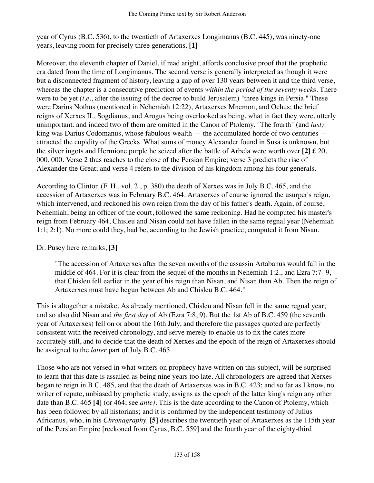year of Cyrus (B.C. 536), to the twentieth of Artaxerxes Longimanus (B.C. 445), was ninety-one years, leaving room for precisely three generations. **[1]**

Moreover, the eleventh chapter of Daniel, if read aright, affords conclusive proof that the prophetic era dated from the time of Longimanus. The second verse is generally interpreted as though it were but a disconnected fragment of history, leaving a gap of over 130 years between it and the third verse, whereas the chapter is a consecutive prediction of events *within the period of the seventy week*s. There were to be yet *(i.e*., after the issuing of the decree to build Jerusalem) "three kings in Persia." These were Darius Nothus (mentioned in Nehemiah 12:22), Artaxerxes Mnemon, and Ochus; the brief reigns of Xerxes II., Sogdianus, and Arogus being overlooked as being, what in fact they were, utterly unimportant. and indeed two of them are omitted in the Canon of Ptolemy. "The fourth" (and *last)* king was Darius Codomanus, whose fabulous wealth — the accumulated horde of two centuries attracted the cupidity of the Greeks. What sums of money Alexander found in Susa is unknown, but the silver ingots and Hermione purple he seized after the battle of Arbela were worth over **[2]** £ 20, 000, 000. Verse 2 thus reaches to the close of the Persian Empire; verse 3 predicts the rise of Alexander the Great; and verse 4 refers to the division of his kingdom among his four generals.

According to Clinton (F. H., vol. 2., p. 380) the death of Xerxes was in July B.C. 465, and the accession of Artaxerxes was in February B.C. 464. Artaxerxes of course ignored the usurper's reign, which intervened, and reckoned his own reign from the day of his father's death. Again, of course, Nehemiah, being an officer of the court, followed the same reckoning. Had he computed his master's reign from February 464, Chisleu and Nisan could not have fallen in the same regnal year (Nehemiah 1:1; 2:1). No more could they, had be, according to the Jewish practice, computed it from Nisan.

## Dr. Pusey here remarks, **[3]**

"The accession of Artaxerxes after the seven months of the assassin Artabanus would fall in the middle of 464. For it is clear from the sequel of the months in Nehemiah 1:2., and Ezra 7:7- 9, that Chisleu fell earlier in the year of his reign than Nisan, and Nisan than Ab. Then the reign of Artaxerxes must have begun between Ab and Chisleu B.C. 464."

This is altogether a mistake. As already mentioned, Chisleu and Nisan fell in the same regnal year; and so also did Nisan and *the first day* of Ab (Ezra 7:8, 9). But the 1st Ab of B.C. 459 (the seventh year of Artaxerxes) fell on or about the 16th July, and therefore the passages quoted are perfectly consistent with the received chronology, and serve merely to enable us to fix the dates more accurately still, and to decide that the death of Xerxes and the epoch of the reign of Artaxerxes should be assigned to the *latter* part of July B.C. 465.

Those who are not versed in what writers on prophecy have written on this subject, will be surprised to learn that this date is assailed as being nine years too late. All chronologers are agreed that Xerxes began to reign in B.C. 485, and that the death of Artaxerxes was in B.C. 423; and so far as I know, no writer of repute, unbiased by prophetic study, assigns as the epoch of the latter king's reign any other date than B.C. 465 **[4]** (or 464; see *ante).* This is the date according to the Canon of Ptolemy, which has been followed by all historians; and it is confirmed by the independent testimony of Julius Africanus, who, in his *Chronagraphy,* **[5]** describes the twentieth year of Artaxerxes as the 115th year of the Persian Empire [reckoned from Cyrus, B.C. 559] and the fourth year of the eighty-third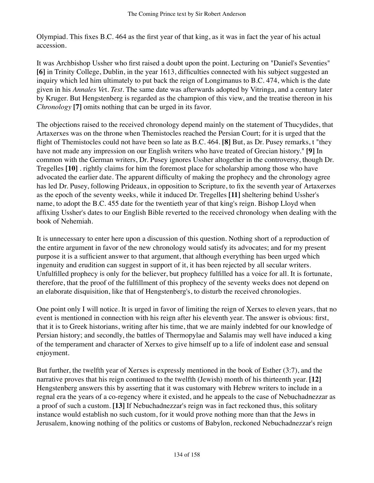Olympiad. This fixes B.C. 464 as the first year of that king, as it was in fact the year of his actual accession.

It was Archbishop Ussher who first raised a doubt upon the point. Lecturing on "Daniel's Seventies" **[6]** in Trinity College, Dublin, in the year 1613, difficulties connected with his subject suggested an inquiry which led him ultimately to put back the reign of Longimanus to B.C. 474, which is the date given in his *Annales Ve*t. *Test.* The same date was afterwards adopted by Vitringa, and a century later by Kruger. But Hengstenberg is regarded as the champion of this view, and the treatise thereon in his *Chronology* **[7]** omits nothing that can be urged in its favor.

The objections raised to the received chronology depend mainly on the statement of Thucydides, that Artaxerxes was on the throne when Themistocles reached the Persian Court; for it is urged that the flight of Themistocles could not have been so late as B.C. 464. **[8]** But, as Dr. Pusey remarks, t "they have not made any impression on our English writers who have treated of Grecian history." **[9]** In common with the German writers, Dr. Pusey ignores Ussher altogether in the controversy, though Dr. Tregelles **[10]** . rightly claims for him the foremost place for scholarship among those who have advocated the earlier date. The apparent difficulty of making the prophecy and the chronology agree has led Dr. Pusey, following Prideaux, in opposition to Scripture, to fix the seventh year of Artaxerxes as the epoch of the seventy weeks, while it induced Dr. Tregelles **[11]** sheltering behind Ussher's name, to adopt the B.C. 455 date for the twentieth year of that king's reign. Bishop Lloyd when affixing Ussher's dates to our English Bible reverted to the received chronology when dealing with the book of Nehemiah.

It is unnecessary to enter here upon a discussion of this question. Nothing short of a reproduction of the entire argument in favor of the new chronology would satisfy its advocates; and for my present purpose it is a sufficient answer to that argument, that although everything has been urged which ingenuity and erudition can suggest in support of it, it has been rejected by all secular writers. Unfulfilled prophecy is only for the believer, but prophecy fulfilled has a voice for all. It is fortunate, therefore, that the proof of the fulfillment of this prophecy of the seventy weeks does not depend on an elaborate disquisition, like that of Hengstenberg's, to disturb the received chronologies.

One point only I will notice. It is urged in favor of limiting the reign of Xerxes to eleven years, that no event is mentioned in connection with his reign after his eleventh year. The answer is obvious: first, that it is to Greek historians, writing after his time, that we are mainly indebted for our knowledge of Persian history; and secondly, the battles of Thermopylae and Salamis may well have induced a king of the temperament and character of Xerxes to give himself up to a life of indolent ease and sensual enjoyment.

But further, the twelfth year of Xerxes is expressly mentioned in the book of Esther (3:7), and the narrative proves that his reign continued to the twelfth (Jewish) month of his thirteenth year. **[12]** Hengstenberg answers this by asserting that it was customary with Hebrew writers to include in a regnal era the years of a co-regency where it existed, and he appeals to the case of Nebuchadnezzar as a proof of such a custom. **[13]** If Nebuchadnezzar's reign was in fact reckoned thus, this solitary instance would establish no such custom, for it would prove nothing more than that the Jews in Jerusalem, knowing nothing of the politics or customs of Babylon, reckoned Nebuchadnezzar's reign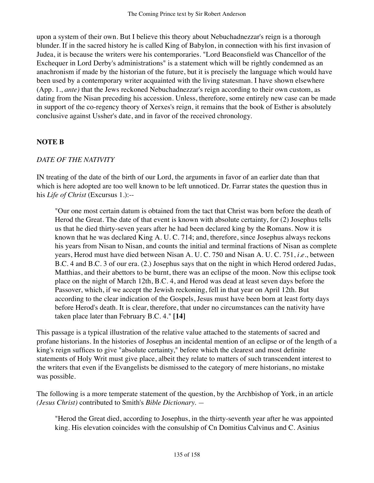upon a system of their own. But I believe this theory about Nebuchadnezzar's reign is a thorough blunder. If in the sacred history he is called King of Babylon, in connection with his first invasion of Judea, it is because the writers were his contemporaries. "Lord Beaconsfield was Chancellor of the Exchequer in Lord Derby's administrations" is a statement which will be rightly condemned as an anachronism if made by the historian of the future, but it is precisely the language which would have been used by a contemporary writer acquainted with the living statesman. I have shown elsewhere (App. 1., *ante)* that the Jews reckoned Nebuchadnezzar's reign according to their own custom, as dating from the Nisan preceding his accession. Unless, therefore, some entirely new case can be made in support of the co-regency theory of Xerxes's reign, it remains that the book of Esther is absolutely conclusive against Ussher's date, and in favor of the received chronology.

## **NOTE B**

## *DATE OF THE NATIVITY*

IN treating of the date of the birth of our Lord, the arguments in favor of an earlier date than that which is here adopted are too well known to be left unnoticed. Dr. Farrar states the question thus in his *Life of Christ* (Excursus 1.):--

"Our one most certain datum is obtained from the tact that Christ was born before the death of Herod the Great. The date of that event is known with absolute certainty, for (2) Josephus tells us that he died thirty-seven years after he had been declared king by the Romans. Now it is known that he was declared King A. U. C. 714; and, therefore, since Josephus always reckons his years from Nisan to Nisan, and counts the initial and terminal fractions of Nisan as complete years, Herod must have died between Nisan A. U. C. 750 and Nisan A. U. C. 751, *i.e*., between B.C. 4 and B.C. 3 of our era. (2.) Josephus says that on the night in which Herod ordered Judas, Matthias, and their abettors to be burnt, there was an eclipse of the moon. Now this eclipse took place on the night of March 12th, B.C. 4, and Herod was dead at least seven days before the Passover, which, if we accept the Jewish reckoning, fell in that year on April 12th. But according to the clear indication of the Gospels, Jesus must have been born at least forty days before Herod's death. It is clear, therefore, that under no circumstances can the nativity have taken place later than February B.C. 4." **[14]**

This passage is a typical illustration of the relative value attached to the statements of sacred and profane historians. In the histories of Josephus an incidental mention of an eclipse or of the length of a king's reign suffices to give "absolute certainty," before which the clearest and most definite statements of Holy Writ must give place, albeit they relate to matters of such transcendent interest to the writers that even if the Evangelists be dismissed to the category of mere historians, no mistake was possible.

The following is a more temperate statement of the question, by the Archbishop of York, in an article *(Jesus Christ)* contributed to Smith's *Bible Dictionary. —*

"Herod the Great died, according to Josephus, in the thirty-seventh year after he was appointed king. His elevation coincides with the consulship of Cn Domitius Calvinus and C. Asinius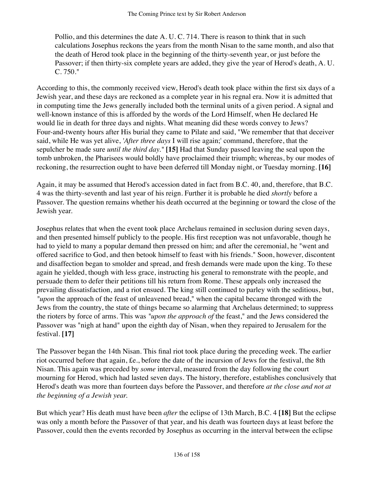Pollio, and this determines the date A. U. C. 714. There is reason to think that in such calculations Josephus reckons the years from the month Nisan to the same month, and also that the death of Herod took place in the beginning of the thirty-seventh year, or just before the Passover; if then thirty-six complete years are added, they give the year of Herod's death, A. U. C. 750."

According to this, the commonly received view, Herod's death took place within the first six days of a Jewish year, and these days are reckoned as a complete year in his regnal era. Now it is admitted that in computing time the Jews generally included both the terminal units of a given period. A signal and well-known instance of this is afforded by the words of the Lord Himself, when He declared He would lie in death for three days and nights. What meaning did these words convey to Jews? Four-and-twenty hours after His burial they came to Pilate and said, "We remember that that deceiver said, while He was yet alive, *'After three days* I will rise again;' command, therefore, that the sepulcher be made sure *until the third day."* **[15]** Had that Sunday passed leaving the seal upon the tomb unbroken, the Pharisees would boldly have proclaimed their triumph; whereas, by our modes of reckoning, the resurrection ought to have been deferred till Monday night, or Tuesday morning. **[16]**

Again, it may be assumed that Herod's accession dated in fact from B.C. 40, and, therefore, that B.C. 4 was the thirty-seventh and last year of his reign. Further it is probable he died *shortly* before a Passover. The question remains whether his death occurred at the beginning or toward the close of the Jewish year.

Josephus relates that when the event took place Archelaus remained in seclusion during seven days, and then presented himself publicly to the people. His first reception was not unfavorable, though he had to yield to many a popular demand then pressed on him; and after the ceremonial, he "went and offered sacrifice to God, and then betook himself to feast with his friends." Soon, however, discontent and disaffection began to smolder and spread, and fresh demands were made upon the king. To these again he yielded, though with less grace, instructing his general to remonstrate with the people, and persuade them to defer their petitions till his return from Rome. These appeals only increased the prevailing dissatisfaction, and a riot ensued. The king still continued to parley with the seditious, but, *"upon* the approach of the feast of unleavened bread," when the capital became thronged with the Jews from the country, the state of things became so alarming that Archelaus determined; to suppress the rioters by force of arms. This was *"upon the approach of* the feast," and the Jews considered the Passover was "nigh at hand" upon the eighth day of Nisan, when they repaired to Jerusalem for the festival. **[17]**

The Passover began the 14th Nisan. This final riot took place during the preceding week. The earlier riot occurred before that again, £e., before the date of the incursion of Jews for the festival, the 8th Nisan. This again was preceded by *some* interval, measured from the day following the court mourning for Herod, which had lasted seven days. The history, therefore, establishes conclusively that Herod's death was more than fourteen days before the Passover, and therefore *at the close and not at the beginning of a Jewish year.*

But which year? His death must have been *after* the eclipse of 13th March, B.C. 4 **[18]** But the eclipse was only a month before the Passover of that year, and his death was fourteen days at least before the Passover, could then the events recorded by Josephus as occurring in the interval between the eclipse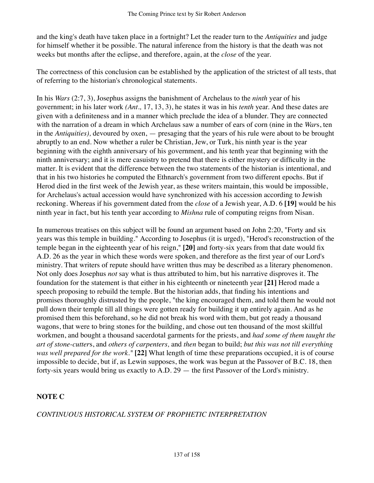and the king's death have taken place in a fortnight? Let the reader turn to the *Antiquities* and judge for himself whether it be possible. The natural inference from the history is that the death was not weeks but months after the eclipse, and therefore, again, at the *close* of the year.

The correctness of this conclusion can be established by the application of the strictest of all tests, that of referring to the historian's chronological statements.

In his *Wars* (2:7, 3), Josephus assigns the banishment of Archelaus to the *ninth* year of his government; in his later work *(Ant.,* 17, 13, 3), he states it was in his *tenth* year. And these dates are given with a definiteness and in a manner which preclude the idea of a blunder. They are connected with the narration of a dream in which Archelaus saw a number of ears of corn (nine in the *War*s, ten in the *Antiquities),* devoured by oxen, — presaging that the years of his rule were about to be brought abruptly to an end. Now whether a ruler be Christian, Jew, or Turk, his ninth year is the year beginning with the eighth anniversary of his government, and his tenth year that beginning with the ninth anniversary; and it is mere casuistry to pretend that there is either mystery or difficulty in the matter. It is evident that the difference between the two statements of the historian is intentional, and that in his two histories he computed the Ethnarch's government from two different epochs. But if Herod died in the first week of the Jewish year, as these writers maintain, this would be impossible, for Archelaus's actual accession would have synchronized with his accession according to Jewish reckoning. Whereas if his government dated from the *close* of a Jewish year, A.D. 6 **[19]** would be his ninth year in fact, but his tenth year according to *Mishna* rule of computing reigns from Nisan.

In numerous treatises on this subject will be found an argument based on John 2:20, "Forty and six years was this temple in building." According to Josephus (it is urged), "Herod's reconstruction of the temple began in the eighteenth year of his reign," **[20]** and forty-six years from that date would fix A.D. 26 as the year in which these words were spoken, and therefore as the first year of our Lord's ministry. That writers of repute should have written thus may be described as a literary phenomenon. Not only does Josephus *not* say what is thus attributed to him, but his narrative disproves it. The foundation for the statement is that either in his eighteenth or nineteenth year **[21]** Herod made a speech proposing to rebuild the temple. But the historian adds, that finding his intentions and promises thoroughly distrusted by the people, "the king encouraged them, and told them he would not pull down their temple till all things were gotten ready for building it up entirely again. And as he promised them this beforehand, so he did not break his word with them, but got ready a thousand wagons, that were to bring stones for the building, and chose out ten thousand of the most skillful workmen, and bought a thousand sacerdotal garments for the priests, and *had some of them taught the art of stone-cutter*s, and *others of carpenters,* and *then* began to build; *but this was not till everything was well prepared for the work."* **[22]** What length of time these preparations occupied, it is of course impossible to decide, but if, as Lewin supposes, the work was begun at the Passover of B.C. 18, then forty-six years would bring us exactly to A.D. 29 — the first Passover of the Lord's ministry.

## **NOTE C**

# *CONTINUOUS HISTORICAL SYSTEM OF PROPHETIC INTERPRETATION*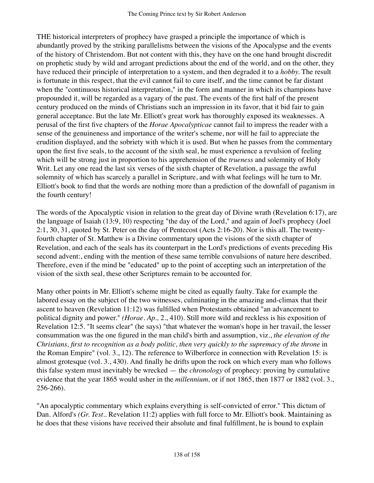THE historical interpreters of prophecy have grasped a principle the importance of which is abundantly proved by the striking parallelisms between the visions of the Apocalypse and the events of the history of Christendom. But not content with this, they have on the one hand brought discredit on prophetic study by wild and arrogant predictions about the end of the world, and on the other, they have reduced their principle of interpretation to a system, and then degraded it to a *hobby.* The result is fortunate in this respect, that the evil cannot fail to cure itself, and the time cannot be far distant when the "continuous historical interpretation," in the form and manner in which its champions have propounded it, will be regarded as a vagary of the past. The events of the first half of the present century produced on the minds of Christians such an impression in its favor, that it bid fair to gain general acceptance. But the late Mr. Elliott's great work has thoroughly exposed its weaknesses. A perusal of the first five chapters of the *Horae Apocalypticae* cannot fail to impress the reader with a sense of the genuineness and importance of the writer's scheme, nor will he fail to appreciate the erudition displayed, and the sobriety with which it is used. But when he passes from the commentary upon the first five seals, to the account of the sixth seal, he must experience a revulsion of feeling which will be strong just in proportion to his apprehension of the *trueness* and solemnity of Holy Writ. Let any one read the last six verses of the sixth chapter of Revelation, a passage the awful solemnity of which has scarcely a parallel in Scripture, and with what feelings will he turn to Mr. Elliott's book to find that the words are nothing more than a prediction of the downfall of paganism in the fourth century!

The words of the Apocalyptic vision in relation to the great day of Divine wrath (Revelation 6:17), are the language of Isaiah (13:9, 10) respecting "the day of the Lord," and again of Joel's prophecy (Joel 2:1, 30, 31, quoted by St. Peter on the day of Pentecost (Acts 2:16-20). Nor is this all. The twentyfourth chapter of St. Matthew is a Divine commentary upon the visions of the sixth chapter of Revelation, and each of the seals has its counterpart in the Lord's predictions of events preceding His second advent:, ending with the mention of these same terrible convulsions of nature here described. Therefore, even if the mind be "educated" up to the point of accepting such an interpretation of the vision of the sixth seal, these other Scriptures remain to be accounted for.

Many other points in Mr. Elliott's scheme might be cited as equally faulty. Take for example the labored essay on the subject of the two witnesses, culminating in the amazing and-climax that their ascent to heaven (Revelation 11:12) was fulfilled when Protestants obtained "an advancement to political dignity and power." *(Horae. Ap.,* 2., 410). Still more wild and reckless is his exposition of Revelation 12:5. "It seems clear" (he says) "that whatever the woman's hope in her travail, the lesser consummation was the one figured in the man child's birth and assumption, viz., *the elevation of the Christians, first to recognition as a body politic, then very quickly to the supremacy of the throne* in the Roman Empire" (vol. 3., 12). The reference to Wilberforce in connection with Revelation 15: is almost grotesque (vol. 3., 430). And finally he drifts upon the rock on which every man who follows this false system must inevitably be wrecked — the *chronology* of prophecy: proving by cumulative evidence that the year 1865 would usher in the *millennium,* or if not 1865, then 1877 or 1882 (vol. 3., 256-266).

"An apocalyptic commentary which explains everything is self-convicted of error." This dictum of Dan. Alford's *(Gr. Test..* Revelation 11:2) applies with full force to Mr. Elliott's book. Maintaining as he does that these visions have received their absolute and final fulfillment, he is bound to explain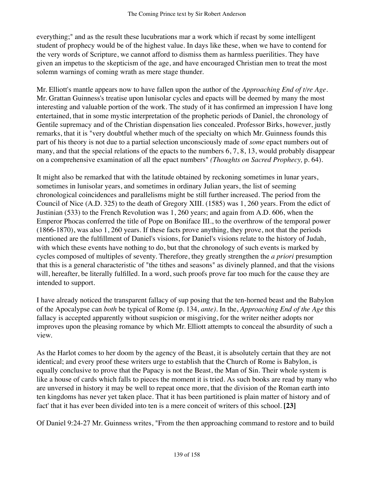everything;" and as the result these lucubrations mar a work which if recast by some intelligent student of prophecy would be of the highest value. In days like these, when we have to contend for the very words of Scripture, we cannot afford to dismiss them as harmless puerilities. They have given an impetus to the skepticism of the age, and have encouraged Christian men to treat the most solemn warnings of coming wrath as mere stage thunder.

Mr. Elliott's mantle appears now to have fallen upon the author of the *Approaching End of t/re Age.* Mr. Grattan Guinness's treatise upon lunisolar cycles and epacts will be deemed by many the most interesting and valuable portion of the work. The study of it has confirmed an impression I have long entertained, that in some mystic interpretation of the prophetic periods of Daniel, the chronology of Gentile supremacy and of the Christian dispensation lies concealed. Professor Birks, however, justly remarks, that it is "very doubtful whether much of the specialty on which Mr. Guinness founds this part of his theory is not due to a partial selection unconsciously made of *some* epact numbers out of many, and that the special relations of the epacts to the numbers 6, 7, 8, 13, would probably disappear on a comprehensive examination of all the epact numbers" *(Thoughts on Sacred Prophecy,* p. 64).

It might also be remarked that with the latitude obtained by reckoning sometimes in lunar years, sometimes in lunisolar years, and sometimes in ordinary Julian years, the list of seeming chronological coincidences and parallelisms might be still further increased. The period from the Council of Nice (A.D. 325) to the death of Gregory XIII. (1585) was 1, 260 years. From the edict of Justinian (533) to the French Revolution was 1, 260 years; and again from A.D. 606, when the Emperor Phocas conferred the title of Pope on Boniface III., to the overthrow of the temporal power (1866-1870), was also 1, 260 years. If these facts prove anything, they prove, not that the periods mentioned are the fulfillment of Daniel's visions, for Daniel's visions relate to the history of Judah, with which these events have nothing to do, but that the chronology of such events is marked by cycles composed of multiples of seventy. Therefore, they greatly strengthen the *a priori* presumption that this is a general characteristic of "the tithes and seasons" as divinely planned, and that the visions will, hereafter, be literally fulfilled. In a word, such proofs prove far too much for the cause they are intended to support.

I have already noticed the transparent fallacy of sup posing that the ten-horned beast and the Babylon of the Apocalypse can *both* be typical of Rome (p. 134, *ante).* In the, *Approaching End of the Age* this fallacy is accepted apparently without suspicion or misgiving, for the writer neither adopts nor improves upon the pleasing romance by which Mr. Elliott attempts to conceal the absurdity of such a view.

As the Harlot comes to her doom by the agency of the Beast, it is absolutely certain that they are not identical; and every proof these writers urge to establish that the Church of Rome is Babylon, is equally conclusive to prove that the Papacy is not the Beast, the Man of Sin. Their whole system is like a house of cards which falls to pieces the moment it is tried. As such books are read by many who are unversed in history it may be well to repeat once more, that the division of the Roman earth into ten kingdoms has never yet taken place. That it has been partitioned is plain matter of history and of fact' that it has ever been divided into ten is a mere conceit of writers of this school. **[23]**

Of Daniel 9:24-27 Mr. Guinness writes, "From the then approaching command to restore and to build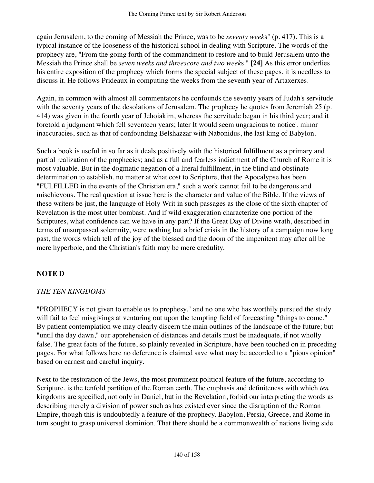again Jerusalem, to the coming of Messiah the Prince, was to be *seventy week*s" (p. 417). This is a typical instance of the looseness of the historical school in dealing with Scripture. The words of the prophecy are, "From the going forth of the commandment to restore and to build Jerusalem unto the Messiah the Prince shall be *seven weeks and threescore and two week*s." **[24]** As this error underlies his entire exposition of the prophecy which forms the special subject of these pages, it is needless to discuss it. He follows Prideaux in computing the weeks from the seventh year of Artaxerxes.

Again, in common with almost all commentators he confounds the seventy years of Judah's servitude with the seventy years of the desolations of Jerusalem. The prophecy he quotes from Jeremiah 25 (p. 414) was given in the fourth year of Jehoiakim, whereas the servitude began in his third year; and it foretold a judgment which fell seventeen years; later It would seem ungracious to notice'. minor inaccuracies, such as that of confounding Belshazzar with Nabonidus, the last king of Babylon.

Such a book is useful in so far as it deals positively with the historical fulfillment as a primary and partial realization of the prophecies; and as a full and fearless indictment of the Church of Rome it is most valuable. But in the dogmatic negation of a literal fulfillment, in the blind and obstinate determination to establish, no matter at what cost to Scripture, that the Apocalypse has been "FULFILLED in the events of the Christian era," such a work cannot fail to be dangerous and mischievous. The real question at issue here is the character and value of the Bible. If the views of these writers be just, the language of Holy Writ in such passages as the close of the sixth chapter of Revelation is the most utter bombast. And if wild exaggeration characterize one portion of the Scriptures, what confidence can we have in any part? If the Great Day of Divine wrath, described in terms of unsurpassed solemnity, were nothing but a brief crisis in the history of a campaign now long past, the words which tell of the joy of the blessed and the doom of the impenitent may after all be mere hyperbole, and the Christian's faith may be mere credulity.

## **NOTE D**

## *THE TEN KINGDOMS*

"PROPHECY is not given to enable us to prophesy," and no one who has worthily pursued the study will fail to feel misgivings at venturing out upon the tempting field of forecasting "things to come." By patient contemplation we may clearly discern the main outlines of the landscape of the future; but "until the day dawn," our apprehension of distances and details must be inadequate, if not wholly false. The great facts of the future, so plainly revealed in Scripture, have been touched on in preceding pages. For what follows here no deference is claimed save what may be accorded to a "pious opinion" based on earnest and careful inquiry.

Next to the restoration of the Jews, the most prominent political feature of the future, according to Scripture, is the tenfold partition of the Roman earth. The emphasis and definiteness with which *ten* kingdoms are specified, not only in Daniel, but in the Revelation, forbid our interpreting the words as describing merely a division of power such as has existed ever since the disruption of the Roman Empire, though this is undoubtedly a feature of the prophecy. Babylon, Persia, Greece, and Rome in turn sought to grasp universal dominion. That there should be a commonwealth of nations living side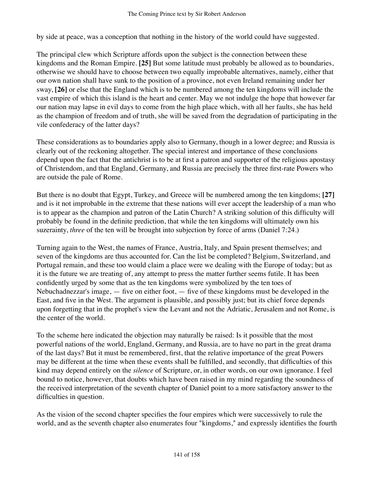by side at peace, was a conception that nothing in the history of the world could have suggested.

The principal clew which Scripture affords upon the subject is the connection between these kingdoms and the Roman Empire. **[25]** But some latitude must probably be allowed as to boundaries, otherwise we should have to choose between two equally improbable alternatives, namely, either that our own nation shall have sunk to the position of a province, not even Ireland remaining under her sway, **[26]** or else that the England which is to be numbered among the ten kingdoms will include the vast empire of which this island is the heart and center. May we not indulge the hope that however far our nation may lapse in evil days to come from the high place which, with all her faults, she has held as the champion of freedom and of truth, she will be saved from the degradation of participating in the vile confederacy of the latter days?

These considerations as to boundaries apply also to Germany, though in a lower degree; and Russia is clearly out of the reckoning altogether. The special interest and importance of these conclusions depend upon the fact that the antichrist is to be at first a patron and supporter of the religious apostasy of Christendom, and that England, Germany, and Russia are precisely the three first-rate Powers who are outside the pale of Rome.

But there is no doubt that Egypt, Turkey, and Greece will be numbered among the ten kingdoms; **[27]** and is it not improbable in the extreme that these nations will ever accept the leadership of a man who is to appear as the champion and patron of the Latin Church? A striking solution of this difficulty will probably be found in the definite prediction, that while the ten kingdoms will ultimately own his suzerainty, *three* of the ten will be brought into subjection by force of arms (Daniel 7:24.)

Turning again to the West, the names of France, Austria, Italy, and Spain present themselves; and seven of the kingdoms are thus accounted for. Can the list be completed? Belgium, Switzerland, and Portugal remain, and these too would claim a place were we dealing with the Europe of today; but as it is the future we are treating of, any attempt to press the matter further seems futile. It has been confidently urged by some that as the ten kingdoms were symbolized by the ten toes of Nebuchadnezzar's image, — five on either foot, — five of these kingdoms must be developed in the East, and five in the West. The argument is plausible, and possibly just; but its chief force depends upon forgetting that in the prophet's view the Levant and not the Adriatic, Jerusalem and not Rome, is the center of the world.

To the scheme here indicated the objection may naturally be raised: Is it possible that the most powerful nations of the world, England, Germany, and Russia, are to have no part in the great drama of the last days? But it must be remembered, first, that the relative importance of the great Powers may be different at the time when these events shall be fulfilled, and secondly, that difficulties of this kind may depend entirely on the *silence* of Scripture, or, in other words, on our own ignorance. I feel bound to notice, however, that doubts which have been raised in my mind regarding the soundness of the received interpretation of the seventh chapter of Daniel point to a more satisfactory answer to the difficulties in question.

As the vision of the second chapter specifies the four empires which were successively to rule the world, and as the seventh chapter also enumerates four "kingdoms," and expressly identifies the fourth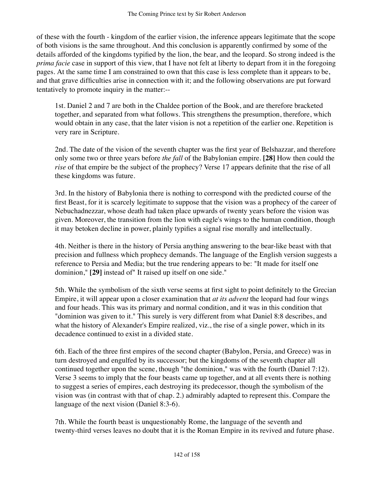of these with the fourth - kingdom of the earlier vision, the inference appears legitimate that the scope of both visions is the same throughout. And this conclusion is apparently confirmed by some of the details afforded of the kingdoms typified by the lion, the bear, and the leopard. So strong indeed is the *prima facie* case in support of this view, that I have not felt at liberty to depart from it in the foregoing pages. At the same time I am constrained to own that this case is less complete than it appears to be, and that grave difficulties arise in connection with it; and the following observations are put forward tentatively to promote inquiry in the matter:--

1st. Daniel 2 and 7 are both in the Chaldee portion of the Book, and are therefore bracketed together, and separated from what follows. This strengthens the presumption, therefore, which would obtain in any case, that the later vision is not a repetition of the earlier one. Repetition is very rare in Scripture.

2nd. The date of the vision of the seventh chapter was the first year of Belshazzar, and therefore only some two or three years before *the fall* of the Babylonian empire. **[28]** How then could the *rise* of that empire be the subject of the prophecy? Verse 17 appears definite that the rise of all these kingdoms was future.

3rd. In the history of Babylonia there is nothing to correspond with the predicted course of the first Beast, for it is scarcely legitimate to suppose that the vision was a prophecy of the career of Nebuchadnezzar, whose death had taken place upwards of twenty years before the vision was given. Moreover, the transition from the lion with eagle's wings to the human condition, though it may betoken decline in power, plainly typifies a signal rise morally and intellectually.

4th. Neither is there in the history of Persia anything answering to the bear-like beast with that precision and fullness which prophecy demands. The language of the English version suggests a reference to Persia and Media; but the true rendering appears to be: "It made for itself one dominion," **[29]** instead of" It raised up itself on one side."

5th. While the symbolism of the sixth verse seems at first sight to point definitely to the Grecian Empire, it will appear upon a closer examination that *at its advent* the leopard had four wings and four heads. This was its primary and normal condition, and it was in this condition that "dominion was given to it." This surely is very different from what Daniel 8:8 describes, and what the history of Alexander's Empire realized, viz., the rise of a single power, which in its decadence continued to exist in a divided state.

6th. Each of the three first empires of the second chapter (Babylon, Persia, and Greece) was in turn destroyed and engulfed by its successor; but the kingdoms of the seventh chapter all continued together upon the scene, though "the dominion," was with the fourth (Daniel 7:12). Verse 3 seems to imply that the four beasts came up together, and at all events there is nothing to suggest a series of empires, each destroying its predecessor, though the symbolism of the vision was (in contrast with that of chap. 2.) admirably adapted to represent this. Compare the language of the next vision (Daniel 8:3-6).

7th. While the fourth beast is unquestionably Rome, the language of the seventh and twenty-third verses leaves no doubt that it is the Roman Empire in its revived and future phase.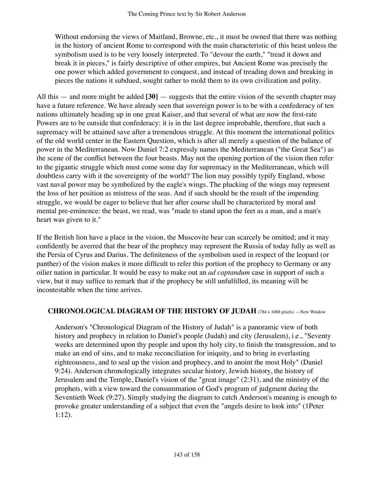Without endorsing the views of Maitland, Browne, etc., it must be owned that there was nothing in the history of ancient Rome to correspond with the main characteristic of this beast unless the symbolism used is to be very loosely interpreted. To "devour the earth," "tread it down and break it in pieces," is fairly descriptive of other empires, but Ancient Rome was precisely the one power which added government to conquest, and instead of treading down and breaking in pieces the nations it subdued, sought rather to mold them to its own civilization and polity.

All this — and more might be added **[30]** — suggests that the entire vision of the seventh chapter may have a future reference. We have already seen that sovereign power is to be with a confederacy of ten nations ultimately heading up in one great Kaiser, and that several of what are now the first-rate Powers are to be outside that confederacy: it is in the last degree improbable, therefore, that such a supremacy will be attained save after a tremendous struggle. At this moment the international politics of the old world center in the Eastern Question, which is after all merely a question of the balance of power in the Mediterranean. Now Daniel 7:2 expressly names the Mediterranean ("the Great Sea") as the scene of the conflict between the four beasts. May not the opening portion of the vision then refer to the gigantic struggle which must come some day for supremacy in the Mediterranean, which will doubtless carry with it the sovereignty of the world? The lion may possibly typify England, whose vast naval power may be symbolized by the eagle's wings. The plucking of the wings may represent the loss of her position as mistress of the seas. And if such should be the result of the impending struggle, we would be eager to believe that her after course shall be characterized by moral and mental pre-eminence: the beast, we read, was "made to stand upon the feet as a man, and a man's heart was given to it."

If the British lion have a place in the vision, the Muscovite bear can scarcely be omitted; and it may confidently be averred that the bear of the prophecy may represent the Russia of today fully as well as the Persia of Cyrus and Darius. The definiteness of the symbolism used in respect of the leopard (or panther) of the vision makes it more difficult to refer this portion of the prophecy to Germany or any oilier nation in particular. It would be easy to make out an *ad captandum* case in support of such a view, but it may suffice to remark that if the prophecy be still unfulfilled, its meaning will be incontestable when the time arrives.

#### . **CHRONOLOGICAL DIAGRAM OF THE HISTORY OF JUDAH** (784 x 1068 pixels) ---New Window

Anderson's "Chronological Diagram of the History of Judah" is a panoramic view of both history and prophecy in relation to Daniel's people (Judah) and city (Jerusalem), i.e., "Seventy weeks are determined upon thy people and upon thy holy city, to finish the transgression, and to make an end of sins, and to make reconciliation for iniquity, and to bring in everlasting righteousness, and to seal up the vision and prophecy, and to anoint the most Holy" (Daniel 9:24). Anderson chronologically integrates secular history, Jewish history, the history of Jerusalem and the Temple, Daniel's vision of the "great image" (2:31), and the ministry of the prophets, with a view toward the consummation of God's program of judgment during the Seventieth Week (9:27). Simply studying the diagram to catch Anderson's meaning is enough to provoke greater understanding of a subject that even the "angels desire to look into" (1Peter 1:12).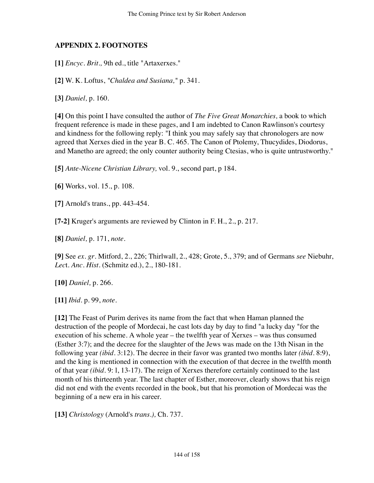# **APPENDIX 2. FOOTNOTES**

**[1]** *Encyc. Brit.,* 9th ed., title "Artaxerxes."

**[2]** W. K. Loftus, *"Chaldea and Susiana,"* p. 341.

**[3]** *Daniel,* p. 160.

**[4]** On this point I have consulted the author of *The Five Great Monarchies,* a book to which frequent reference is made in these pages, and I am indebted to Canon Rawlinson's courtesy and kindness for the following reply: "I think you may safely say that chronologers are now agreed that Xerxes died in the year B. C. 465. The Canon of Ptolemy, Thucydides, Diodorus, and Manetho are agreed; the only counter authority being Ctesias, who is quite untrustworthy."

**[5]** *Ante-Nicene Christian Library,* vol. 9., second part, p 184.

**[6]** Works, vol. 15., p. 108.

**[7]** Arnold's trans., pp. 443-454.

**[7-2]** Kruger's arguments are reviewed by Clinton in F. H., 2., p. 217.

**[8]** *Daniel,* p. 171, *note.*

**[9]** See *ex. gr*. Mitford, 2., 226; Thirlwall, 2., 428; Grote, 5., 379; and of Germans *see* Niebuhr, *Lec*t. *Anc. Hist.* (Schmitz ed.), 2., 180-181.

**[10]** *Daniel,* p. 266.

**[11]** *Ibid.* p. 99, *note.*

**[12]** The Feast of Purim derives its name from the fact that when Haman planned the destruction of the people of Mordecai, he cast lots day by day to find "a lucky day "for the execution of his scheme. A whole year – the twelfth year of Xerxes – was thus consumed (Esther 3:7); and the decree for the slaughter of the Jews was made on the 13th Nisan in the following year *(ibid.* 3:12). The decree in their favor was granted two months later *(ibid.* 8:9), and the king is mentioned in connection with the execution of that decree in the twelfth month of that year *(ibid.* 9: l, 13-17). The reign of Xerxes therefore certainly continued to the last month of his thirteenth year. The last chapter of Esther, moreover, clearly shows that his reign did not end with the events recorded in the book, but that his promotion of Mordecai was the beginning of a new era in his career.

**[13]** *Christology* (Arnold's *trans.),* Ch. 737.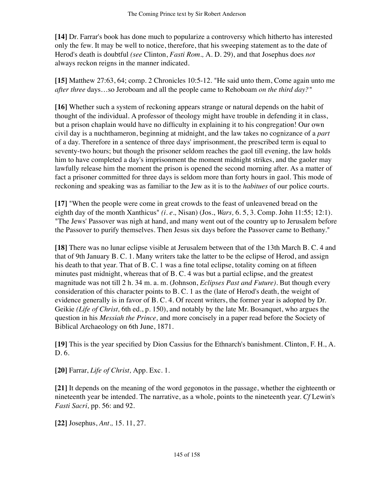**[14]** Dr. Farrar's book has done much to popularize a controversy which hitherto has interested only the few. It may be well to notice, therefore, that his sweeping statement as to the date of Herod's death is doubtful *(see* Clinton, *Fasti Rom.,* A. D. 29), and that Josephus does *not* always reckon reigns in the manner indicated.

**[15]** Matthew 27:63, 64; comp. 2 Chronicles 10:5-12. "He said unto them, Come again unto me *after three* days…so Jeroboam and all the people came to Rehoboam *on the third day?"*

**[16]** Whether such a system of reckoning appears strange or natural depends on the habit of thought of the individual. A professor of theology might have trouble in defending it in class, but a prison chaplain would have no difficulty in explaining it to his congregation! Our own civil day is a nuchthameron, beginning at midnight, and the law takes no cognizance of a *part* of a day. Therefore in a sentence of three days' imprisonment, the prescribed term is equal to seventy-two hours; but though the prisoner seldom reaches the gaol till evening, the law holds him to have completed a day's imprisonment the moment midnight strikes, and the gaoler may lawfully release him the moment the prison is opened the second morning after. As a matter of fact a prisoner committed for three days is seldom more than forty hours in gaol. This mode of reckoning and speaking was as familiar to the Jew as it is to the *habitues* of our police courts.

**[17]** "When the people were come in great crowds to the feast of unleavened bread on the eighth day of the month Xanthicus" *(i. e.,* Nisan) (Jos., *Wars,* 6. 5, 3. Comp. John 11:55; 12:1). "The Jews' Passover was nigh at hand, and many went out of the country up to Jerusalem before the Passover to purify themselves. Then Jesus six days before the Passover came to Bethany."

**[18]** There was no lunar eclipse visible at Jerusalem between that of the 13th March B. C. 4 and that of 9th January B. C. 1. Many writers take the latter to be the eclipse of Herod, and assign his death to that year. That of B. C. 1 was a fine total eclipse, totality coming on at fifteen minutes past midnight, whereas that of B. C. 4 was but a partial eclipse, and the greatest magnitude was not till 2 h. 34 m. a. m. (Johnson, *Eclipses Past and Future).* But though every consideration of this character points to B. C. 1 as the (late of Herod's death, the weight of evidence generally is in favor of B. C. 4. Of recent writers, the former year is adopted by Dr. Geikie *(Life of Christ,* 6th ed., p. 150), and notably by the late Mr. Bosanquet, who argues the question in his *Messiah the Prince,* and more concisely in a paper read before the Society of Biblical Archaeology on 6th June, 1871.

**[19]** This is the year specified by Dion Cassius for the Ethnarch's banishment. Clinton, F. H., A. D. 6.

**[20]** Farrar, *Life of Christ,* App. Exc. 1.

**[21]** It depends on the meaning of the word gegonotos in the passage, whether the eighteenth or nineteenth year be intended. The narrative, as a whole, points to the nineteenth year. *Cf* Lewin's *Fasti Sacri,* pp. 56: and 92.

**[22]** Josephus, *Ant.,* 15. 11, 27.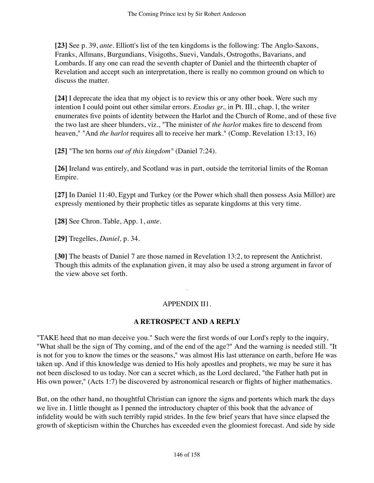**[23]** See p. 39, *ante.* Elliott's list of the ten kingdoms is the following: The Anglo-Saxons, Franks, Allmans, Burgundians, Visigoths, Suevi, Vandals, Ostrogoths, Bavarians, and Lombards. If any one can read the seventh chapter of Daniel and the thirteenth chapter of Revelation and accept such an interpretation, there is really no common ground on which to discuss the matter.

**[24]** I deprecate the idea that my object is to review this or any other book. Were such my intention I could point out other similar errors. *Exodus gr.,* in Pt. III., chap. l, the writer enumerates five points of identity between the Harlot and the Church of Rome, and of these five the two last are sheer blunders, viz., "The minister of *the harlot* makes fire to descend from heaven," "And *the harlot* requires all to receive her mark." (Comp. Revelation 13:13, 16)

**[25]** "The ten horns *out of this kingdom"* (Daniel 7:24).

**[26]** Ireland was entirely, and Scotland was in part, outside the territorial limits of the Roman Empire.

**[27]** In Daniel 11:40, Egypt and Turkey (or the Power which shall then possess Asia Millor) are expressly mentioned by their prophetic titles as separate kingdoms at this very time.

**[28]** See Chron. Table, App. 1, *ante.*

**[29]** Tregelles, *Daniel,* p. 34.

**[30]** The beasts of Daniel 7 are those named in Revelation 13:2, to represent the Antichrist. Though this admits of the explanation given, it may also be used a strong argument in favor of the view above set forth.

## APPENDIX II1.

.

## **A RETROSPECT AND A REPLY**

"TAKE heed that no man deceive you." Such were the first words of our Lord's reply to the inquiry, "What shall be the sign of Thy coming, and of the end of the age?" And the warning is needed still. "It is not for you to know the times or the seasons," was almost His last utterance on earth, before He was taken up. And if this knowledge was denied to His holy apostles and prophets, we may be sure it has not been disclosed to us today. Nor can a secret which, as the Lord declared, "the Father hath put in His own power," (Acts 1:7) be discovered by astronomical research or flights of higher mathematics.

But, on the other hand, no thoughtful Christian can ignore the signs and portents which mark the days we live in. I little thought as I penned the introductory chapter of this book that the advance of infidelity would be with such terribly rapid strides. In the few brief years that have since elapsed the growth of skepticism within the Churches has exceeded even the gloomiest forecast. And side by side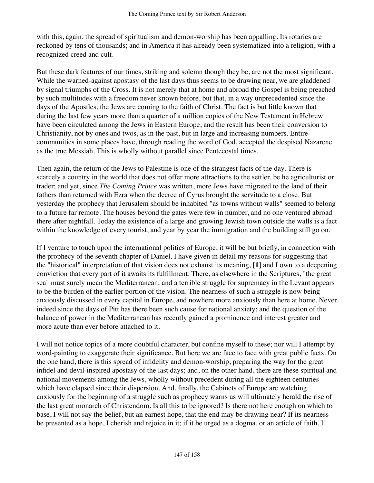with this, again, the spread of spiritualism and demon-worship has been appalling. Its rotaries are reckoned by tens of thousands; and in America it has already been systematized into a religion, with a recognized creed and cult.

But these dark features of our times, striking and solemn though they be, are not the most significant. While the warned-against apostasy of the last days thus seems to be drawing near, we are gladdened by signal triumphs of the Cross. It is not merely that at home and abroad the Gospel is being preached by such multitudes with a freedom never known before, but that, in a way unprecedented since the days of the Apostles, the Jews are coming to the faith of Christ. The fact is but little known that during the last few years more than a quarter of a million copies of the New Testament in Hebrew have been circulated among the Jews in Eastern Europe, and the result has been their conversion to Christianity, not by ones and twos, as in the past, but in large and increasing numbers. Entire communities in some places have, through reading the word of God, accepted the despised Nazarene as the true Messiah. This is wholly without parallel since Pentecostal times.

Then again, the return of the Jews to Palestine is one of the strangest facts of the day. There is scarcely a country in the world that does not offer more attractions to the settler, be he agriculturist or trader; and yet, since *The Coming Prince* was written, more Jews have migrated to the land of their fathers than returned with Ezra when the decree of Cyrus brought the servitude to a close. But yesterday the prophecy that Jerusalem should be inhabited "as towns without walls" seemed to belong to a future far remote. The houses beyond the gates were few in number, and no one ventured abroad there after nightfall. Today the existence of a large and growing Jewish town outside the walls is a fact within the knowledge of every tourist, and year by year the immigration and the building still go on.

If I venture to touch upon the international politics of Europe, it will be but briefly, in connection with the prophecy of the seventh chapter of Daniel. I have given in detail my reasons for suggesting that the "historical" interpretation of that vision does not exhaust its meaning, **[1]** and I own to a deepening conviction that every part of it awaits its fulfillment. There, as elsewhere in the Scriptures, "the great sea" must surely mean the Mediterranean; and a terrible struggle for supremacy in the Levant appears to be the burden of the earlier portion of the vision. The nearness of such a struggle is now being anxiously discussed in every capital in Europe, and nowhere more anxiously than here at home. Never indeed since the days of Pitt has there been such cause for national anxiety; and the question of the balance of power in the Mediterranean has recently gained a prominence and interest greater and more acute than ever before attached to it.

I will not notice topics of a more doubtful character, but confine myself to these; nor will I attempt by word-painting to exaggerate their significance. But here we are face to face with great public facts. On the one hand, there is this spread of infidelity and demon-worship, preparing the way for the great infidel and devil-inspired apostasy of the last days; and, on the other hand, there are these spiritual and national movements among the Jews, wholly without precedent during all the eighteen centuries which have elapsed since their dispersion. And, finally, the Cabinets of Europe are watching anxiously for the beginning of a struggle such as prophecy warns us will ultimately herald the rise of the last great monarch of Christendom. Is all this to be ignored? Is there not here enough on which to base, I will not say the belief, but an earnest hope, that the end may be drawing near? If its nearness be presented as a hope, I cherish and rejoice in it; if it be urged as a dogma, or an article of faith, I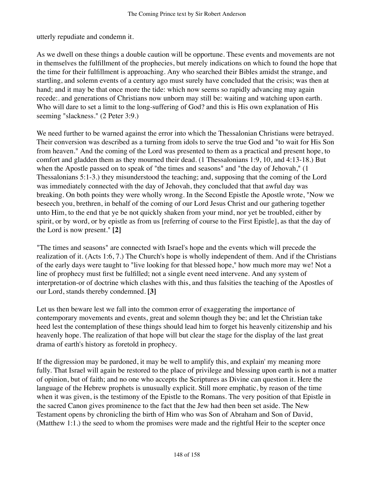utterly repudiate and condemn it.

As we dwell on these things a double caution will be opportune. These events and movements are not in themselves the fulfillment of the prophecies, but merely indications on which to found the hope that the time for their fulfillment is approaching. Any who searched their Bibles amidst the strange, and startling, and solemn events of a century ago must surely have concluded that the crisis; was then at hand; and it may be that once more the tide: which now seems so rapidly advancing may again recede:. and generations of Christians now unborn may still be: waiting and watching upon earth. Who will dare to set a limit to the long-suffering of God? and this is His own explanation of His seeming "slackness." (2 Peter 3:9.)

We need further to be warned against the error into which the Thessalonian Christians were betrayed. Their conversion was described as a turning from idols to serve the true God and "to wait for His Son from heaven." And the coming of the Lord was presented to them as a practical and present hope, to comfort and gladden them as they mourned their dead. (1 Thessalonians 1:9, 10, and 4:13-18.) But when the Apostle passed on to speak of "the times and seasons" and "the day of Jehovah," (1 Thessalonians 5:1-3.) they misunderstood the teaching; and, supposing that the coming of the Lord was immediately connected with the day of Jehovah, they concluded that that awful day was breaking. On both points they were wholly wrong. In the Second Epistle the Apostle wrote, "Now we beseech you, brethren, in behalf of the coming of our Lord Jesus Christ and our gathering together unto Him, to the end that ye be not quickly shaken from your mind, nor yet be troubled, either by spirit, or by word, or by epistle as from us [referring of course to the First Epistle], as that the day of the Lord is now present." **[2]**

"The times and seasons" are connected with Israel's hope and the events which will precede the realization of it. (Acts 1:6, 7.) The Church's hope is wholly independent of them. And if the Christians of the early days were taught to "live looking for that blessed hope," how much more may we! Not a line of prophecy must first be fulfilled; not a single event need intervene. And any system of interpretation-or of doctrine which clashes with this, and thus falsities the teaching of the Apostles of our Lord, stands thereby condemned. **[3]**

Let us then beware lest we fall into the common error of exaggerating the importance of contemporary movements and events, great and solemn though they be; and let the Christian take heed lest the contemplation of these things should lead him to forget his heavenly citizenship and his heavenly hope. The realization of that hope will but clear the stage for the display of the last great drama of earth's history as foretold in prophecy.

If the digression may be pardoned, it may be well to amplify this, and explain' my meaning more fully. That Israel will again be restored to the place of privilege and blessing upon earth is not a matter of opinion, but of faith; and no one who accepts the Scriptures as Divine can question it. Here the language of the Hebrew prophets is unusually explicit. Still more emphatic, by reason of the time when it was given, is the testimony of the Epistle to the Romans. The very position of that Epistle in the sacred Canon gives prominence to the fact that the Jew had then been set aside. The New Testament opens by chronicling the birth of Him who was Son of Abraham and Son of David, (Matthew 1:1.) the seed to whom the promises were made and the rightful Heir to the scepter once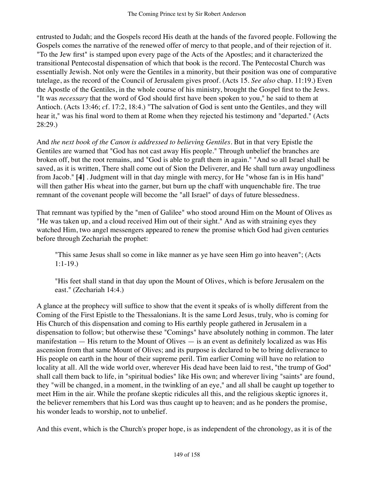entrusted to Judah; and the Gospels record His death at the hands of the favored people. Following the Gospels comes the narrative of the renewed offer of mercy to that people, and of their rejection of it. "To the Jew first" is stamped upon every page of the Acts of the Apostles; and it characterized the transitional Pentecostal dispensation of which that book is the record. The Pentecostal Church was essentially Jewish. Not only were the Gentiles in a minority, but their position was one of comparative tutelage, as the record of the Council of Jerusalem gives proof. (Acts 15. *See also* chap. 11:19.) Even the Apostle of the Gentiles, in the whole course of his ministry, brought the Gospel first to the Jews. "It was *necessary* that the word of God should first have been spoken to you," he said to them at Antioch. (Acts 13:46; *c*f. 17:2, 18:4.) "The salvation of God is sent unto the Gentiles, and they will hear it," was his final word to them at Rome when they rejected his testimony and "departed." (Acts 28:29.)

And *the next book of the Canon is addressed to believing Gentiles.* But in that very Epistle the Gentiles are warned that "God has not cast away His people." Through unbelief the branches are broken off, but the root remains, and "God is able to graft them in again." "And so all Israel shall be saved, as it is written, There shall come out of Sion the Deliverer, and He shall turn away ungodliness from Jacob." **[4]** . Judgment will in that day mingle with mercy, for He "whose fan is in His hand" will then gather His wheat into the garner, but burn up the chaff with unquenchable fire. The true remnant of the covenant people will become the "all Israel" of days of future blessedness.

That remnant was typified by the "men of Galilee" who stood around Him on the Mount of Olives as "He was taken up, and a cloud received Him out of their sight." And as with straining eyes they watched Him, two angel messengers appeared to renew the promise which God had given centuries before through Zechariah the prophet:

"This same Jesus shall so come in like manner as ye have seen Him go into heaven"; (Acts 1:1-19.)

"His feet shall stand in that day upon the Mount of Olives, which is before Jerusalem on the east." (Zechariah 14:4.)

A glance at the prophecy will suffice to show that the event it speaks of is wholly different from the Coming of the First Epistle to the Thessalonians. It is the same Lord Jesus, truly, who is coming for His Church of this dispensation and coming to His earthly people gathered in Jerusalem in a dispensation to follow; but otherwise these "Comings" have absolutely nothing in common. The later manifestation — His return to the Mount of Olives — is an event as definitely localized as was His ascension from that same Mount of Olives; and its purpose is declared to be to bring deliverance to His people on earth in the hour of their supreme peril. Tim earlier Coming will have no relation to locality at all. All the wide world over, wherever His dead have been laid to rest, "the trump of God" shall call them back to life, in "spiritual bodies" like His own; and wherever living "saints" are found, they "will be changed, in a moment, in the twinkling of an eye," and all shall be caught up together to meet Him in the air. While the profane skeptic ridicules all this, and the religious skeptic ignores it, the believer remembers that his Lord was thus caught up to heaven; and as he ponders the promise, his wonder leads to worship, not to unbelief.

And this event, which is the Church's proper hope, is as independent of the chronology, as it is of the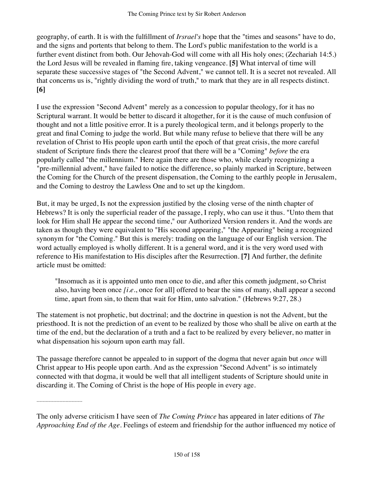geography, of earth. It is with the fulfillment of *Irsrael's* hope that the "times and seasons" have to do, and the signs and portents that belong to them. The Lord's public manifestation to the world is a further event distinct from both. Our Jehovah-God will come with all His holy ones; (Zechariah 14:5.) the Lord Jesus will be revealed in flaming fire, taking vengeance. **[5]** What interval of time will separate these successive stages of "the Second Advent," we cannot tell. It is a secret not revealed. All that concerns us is, "rightly dividing the word of truth," to mark that they are in all respects distinct. **[6]**

I use the expression "Second Advent" merely as a concession to popular theology, for it has no Scriptural warrant. It would be better to discard it altogether, for it is the cause of much confusion of thought and not a little positive error. It is a purely theological term, and it belongs properly to the great and final Coming to judge the world. But while many refuse to believe that there will be any revelation of Christ to His people upon earth until the epoch of that great crisis, the more careful student of Scripture finds there the clearest proof that there will be a "Coming" *before* the era popularly called "the millennium." Here again there are those who, while clearly recognizing a "pre-millennial advent," have failed to notice the difference, so plainly marked in Scripture, between the Coming for the Church of the present dispensation, the Coming to the earthly people in Jerusalem, and the Coming to destroy the Lawless One and to set up the kingdom.

But, it may be urged, Is not the expression justified by the closing verse of the ninth chapter of Hebrews? It is only the superficial reader of the passage, I reply, who can use it thus. "Unto them that look for Him shall He appear the second time," our Authorized Version renders it. And the words are taken as though they were equivalent to "His second appearing," "the Appearing" being a recognized synonym for "the Coming." But this is merely: trading on the language of our English version. The word actually employed is wholly different. It is a general word, and it is the very word used with reference to His manifestation to His disciples after the Resurrection. **[7]** And further, the definite article must be omitted:

"Insomuch as it is appointed unto men once to die, and after this cometh judgment, so Christ also, having been once *[i.e*., once for all] offered to bear the sins of many, shall appear a second time, apart from sin, to them that wait for Him, unto salvation." (Hebrews 9:27, 28.)

The statement is not prophetic, but doctrinal; and the doctrine in question is not the Advent, but the priesthood. It is not the prediction of an event to be realized by those who shall be alive on earth at the time of the end, but the declaration of a truth and a fact to be realized by every believer, no matter in what dispensation his sojourn upon earth may fall.

The passage therefore cannot be appealed to in support of the dogma that never again but *once* will Christ appear to His people upon earth. And as the expression "Second Advent" is so intimately connected with that dogma, it would be well that all intelligent students of Scripture should unite in discarding it. The Coming of Christ is the hope of His people in every age.

------------------------------

The only adverse criticism I have seen of *The Coming Prince* has appeared in later editions of *The Approaching End of the Age.* Feelings of esteem and friendship for the author influenced my notice of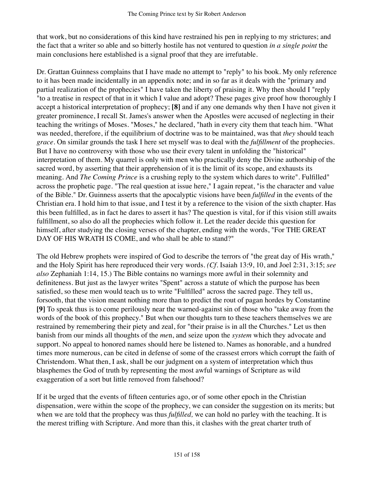that work, but no considerations of this kind have restrained his pen in replying to my strictures; and the fact that a writer so able and so bitterly hostile has not ventured to question *in a single point* the main conclusions here established is a signal proof that they are irrefutable.

Dr. Grattan Guinness complains that I have made no attempt to "reply" to his book. My only reference to it has been made incidentally in an appendix note; and in so far as it deals with the "primary and partial realization of the prophecies" I have taken the liberty of praising it. Why then should I "reply "to a treatise in respect of that in it which I value and adopt? These pages give proof how thoroughly I accept a historical interpretation of prophecy; **[8]** and if any one demands why then I have not given it greater prominence, I recall St. James's answer when the Apostles were accused of neglecting in their teaching the writings of Moses. "Moses," he declared, "hath in every city them that teach him. "What was needed, therefore, if the equilibrium of doctrine was to be maintained, was that *they* should teach *grace.* On similar grounds the task I here set myself was to deal with the *fulfillment* of the prophecies. But I have no controversy with those who use their every talent in unfolding the "historical" interpretation of them. My quarrel is only with men who practically deny the Divine authorship of the sacred word, by asserting that their apprehension of it is the limit of its scope, and exhausts its meaning. And *The Coming Prince* is a crushing reply to the system which dares to write". Fulfilled" across the prophetic page. "The real question at issue here," I again repeat, "is the character and value of the Bible." Dr. Guinness asserts that the apocalyptic visions have been *fulfilled* in the events of the Christian era. I hold him to that issue, and I test it by a reference to the vision of the sixth chapter. Has this been fulfilled, as in fact he dares to assert it has? The question is vital, for if this vision still awaits fulfillment, so also do all the prophecies which follow it. Let the reader decide this question for himself, after studying the closing verses of the chapter, ending with the words, "For THE GREAT DAY OF HIS WRATH IS COME, and who shall be able to stand?"

The old Hebrew prophets were inspired of God to describe the terrors of "the great day of His wrath," and the Holy Spirit has here reproduced their very words. *(Cf.* Isaiah 13:9, 10, and Joel 2:31, 3:15; *see also* Zephaniah 1:14, 15.) The Bible contains no warnings more awful in their solemnity and definiteness. But just as the lawyer writes "Spent" across a statute of which the purpose has been satisfied, so these men would teach us to write "Fulfilled" across the sacred page. They tell us, forsooth, that the vision meant nothing more than to predict the rout of pagan hordes by Constantine **[9]** To speak thus is to come perilously near the warned-against sin of those who "take away from the words of the book of this prophecy." But when our thoughts turn to these teachers themselves we are restrained by remembering their piety and zeal, for "their praise is in all the Churches." Let us then banish from our minds all thoughts of the *me*n, and seize upon the *system* which they advocate and support. No appeal to honored names should here be listened to. Names as honorable, and a hundred times more numerous, can be cited in defense of some of the crassest errors which corrupt the faith of Christendom. What then, I ask, shall be our judgment on a system of interpretation which thus blasphemes the God of truth by representing the most awful warnings of Scripture as wild exaggeration of a sort but little removed from falsehood?

If it be urged that the events of fifteen centuries ago, or of some other epoch in the Christian dispensation, were within the scope of the prophecy, we can consider the suggestion on its merits; but when we are told that the prophecy was thus *fulfilled,* we can hold no parley with the teaching. It is the merest trifling with Scripture. And more than this, it clashes with the great charter truth of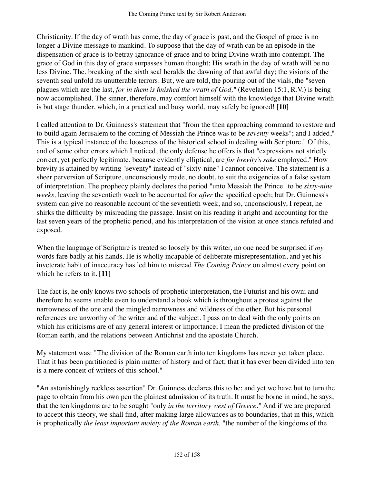Christianity. If the day of wrath has come, the day of grace is past, and the Gospel of grace is no longer a Divine message to mankind. To suppose that the day of wrath can be an episode in the dispensation of grace is to betray ignorance of grace and to bring Divine wrath into contempt. The grace of God in this day of grace surpasses human thought; His wrath in the day of wrath will be no less Divine. The, breaking of the sixth seal heralds the dawning of that awful day; the visions of the seventh seal unfold its unutterable terrors. But, we are told, the pouring out of the vials, the "seven plagues which are the last, *for in them is finished the wrath of God,"* (Revelation 15:1, R.V.) is being now accomplished. The sinner, therefore, may comfort himself with the knowledge that Divine wrath is but stage thunder, which, in a practical and busy world, may safely be ignored! **[10]**

I called attention to Dr. Guinness's statement that "from the then approaching command to restore and to build again Jerusalem to the coming of Messiah the Prince was to be *seventy* weeks"; and I added," This is a typical instance of the looseness of the historical school in dealing with Scripture." Of this, and of some other errors which I noticed, the only defense he offers is that "expressions not strictly correct, yet perfectly legitimate, because evidently elliptical, are *for brevity's sake* employed." How brevity is attained by writing "seventy" instead of "sixty-nine" I cannot conceive. The statement is a sheer perversion of Scripture, unconsciously made, no doubt, to suit the exigencies of a false system of interpretation. The prophecy plainly declares the period "unto Messiah the Prince" to be *sixty-nine weeks,* leaving the seventieth week to be accounted for *after* the specified epoch; but Dr. Guinness's system can give no reasonable account of the seventieth week, and so, unconsciously, I repeat, he shirks the difficulty by misreading the passage. Insist on his reading it aright and accounting for the last seven years of the prophetic period, and his interpretation of the vision at once stands refuted and exposed.

When the language of Scripture is treated so loosely by this writer, no one need be surprised if *my* words fare badly at his hands. He is wholly incapable of deliberate misrepresentation, and yet his inveterate habit of inaccuracy has led him to misread *The Coming Prince* on almost every point on which he refers to it. **[11]**

The fact is, he only knows two schools of prophetic interpretation, the Futurist and his own; and therefore he seems unable even to understand a book which is throughout a protest against the narrowness of the one and the mingled narrowness and wildness of the other. But his personal references are unworthy of the writer and of the subject. I pass on to deal with the only points on which his criticisms are of any general interest or importance; I mean the predicted division of the Roman earth, and the relations between Antichrist and the apostate Church.

My statement was: "The division of the Roman earth into ten kingdoms has never yet taken place. That it has been partitioned is plain matter of history and of fact; that it has ever been divided into ten is a mere conceit of writers of this school."

"An astonishingly reckless assertion" Dr. Guinness declares this to be; and yet we have but to turn the page to obtain from his own pen the plainest admission of its truth. It must be borne in mind, he says, that the ten kingdoms are to be sought "only *in the territory west of Greece."* And if we are prepared to accept this theory, we shall find, after making large allowances as to boundaries, that in this, which is prophetically *the least important moiety of the Roman earth,* "the number of the kingdoms of the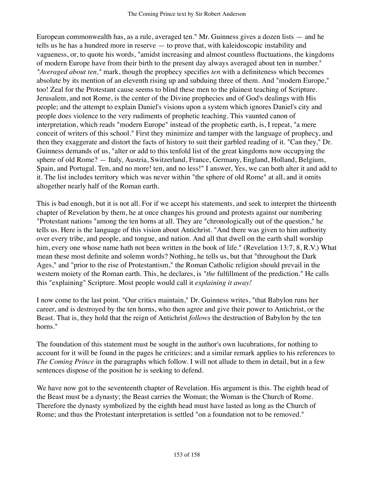European commonwealth has, as a rule, averaged ten." Mr. Guinness gives a dozen lists — and he tells us he has a hundred more in reserve — to prove that, with kaleidoscopic instability and vagueness, or, to quote his words, "amidst increasing and almost countless fluctuations, the kingdoms of modern Europe have from their birth to the present day always averaged about ten in number." *"Averaged about ten,"* mark, though the prophecy specifies *ten* with a definiteness which becomes absolute by its mention of an eleventh rising up and subduing three of them. And "modern Europe," too! Zeal for the Protestant cause seems to blind these men to the plainest teaching of Scripture. Jerusalem, and not Rome, is the center of the Divine prophecies and of God's dealings with His people; and the attempt to explain Daniel's visions upon a system which ignores Daniel's city and people does violence to the very rudiments of prophetic teaching. This vaunted canon of interpretation, which reads "modern Europe" instead of the prophetic earth, is, I repeat, "a mere conceit of writers of this school." First they minimize and tamper with the language of prophecy, and then they exaggerate and distort the facts of history to suit their garbled reading of it. "Can they," Dr. Guinness demands of us, "alter or add to this tenfold list of the great kingdoms now occupying the sphere of old Rome? — Italy, Austria, Switzerland, France, Germany, England, Holland, Belgium, Spain, and Portugal. Ten, and no more! ten, and no less!" I answer, Yes, we can both alter it and add to it. The list includes territory which was never within "the sphere of old Rome" at all, and it omits altogether nearly half of the Roman earth.

This is bad enough, but it is not all. For if we accept his statements, and seek to interpret the thirteenth chapter of Revelation by them, he at once changes his ground and protests against our numbering "Protestant nations "among the ten horns at all. They are "chronologically out of the question," he tells us. Here is the language of this vision about Antichrist. "And there was given to him authority over every tribe, and people, and tongue, and nation. And all that dwell on the earth shall worship him, every one whose name hath not been written in the book of life." (Revelation 13:7, 8, R.V.) What mean these most definite and solemn words? Nothing, he tells us, but that "throughout the Dark Ages," and "prior to the rise of Protestantism," the Roman Catholic religion should prevail in the western moiety of the Roman earth. This, he declares, is *"the* fulfillment of the prediction." He calls this "explaining" Scripture. Most people would call it *explaining it away!*

I now come to the last point. "Our critics maintain," Dr. Guinness writes, "that Babylon runs her career, and is destroyed by the ten horns, who then agree and give their power to Antichrist, or the Beast. That is, they hold that the reign of Antichrist *follows* the destruction of Babylon by the ten horns."

The foundation of this statement must be sought in the author's own lucubrations, for nothing to account for it will be found in the pages he criticizes; and a similar remark applies to his references to *The Coming Prince* in the paragraphs which follow. I will not allude to them in detail, but in a few sentences dispose of the position he is seeking to defend.

We have now got to the seventeenth chapter of Revelation. His argument is this. The eighth head of the Beast must be a dynasty; the Beast carries the Woman; the Woman is the Church of Rome. Therefore the dynasty symbolized by the eighth head must have lasted as long as the Church of Rome; and thus the Protestant interpretation is settled "on a foundation not to be removed."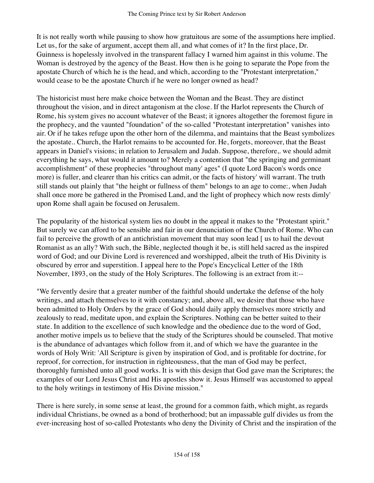It is not really worth while pausing to show how gratuitous are some of the assumptions here implied. Let us, for the sake of argument, accept them all, and what comes of it? In the first place, Dr. Guinness is hopelessly involved in the transparent fallacy I warned him against in this volume. The Woman is destroyed by the agency of the Beast. How then is he going to separate the Pope from the apostate Church of which he is the head, and which, according to the "Protestant interpretation," would cease to be the apostate Church if he were no longer owned as head?

The historicist must here make choice between the Woman and the Beast. They are distinct throughout the vision, and in direct antagonism at the close. If the Harlot represents the Church of Rome, his system gives no account whatever of the Beast; it ignores altogether the foremost figure in the prophecy, and the vaunted "foundation" of the so-called "Protestant interpretation" vanishes into air. Or if he takes refuge upon the other horn of the dilemma, and maintains that the Beast symbolizes the apostate.. Church, the Harlot remains to be accounted for. He, forgets, moreover, that the Beast appears in Daniel's visions; in relation to Jerusalem and Judah. Suppose, therefore,. we should admit everything he says, what would it amount to? Merely a contention that "the springing and germinant accomplishment" of these prophecies "throughout many' ages" (I quote Lord Bacon's words once more) is fuller, and clearer than his critics can admit, or the facts of history' will warrant. The truth still stands out plainly that "the height or fullness of them" belongs to an age to come:, when Judah shall once more be gathered in the Promised Land, and the light of prophecy which now rests dimly' upon Rome shall again be focused on Jerusalem.

The popularity of the historical system lies no doubt in the appeal it makes to the "Protestant spirit." But surely we can afford to be sensible and fair in our denunciation of the Church of Rome. Who can fail to perceive the growth of an antichristian movement that may soon lead [us to hail the devout Romanist as an ally? With such, the Bible, neglected though it be, is still held sacred as the inspired word of God; and our Divine Lord is reverenced and worshipped, albeit the truth of His Divinity is obscured by error and superstition. I appeal here to the Pope's Encyclical Letter of the 18th November, 1893, on the study of the Holy Scriptures. The following is an extract from it:--

"We fervently desire that a greater number of the faithful should undertake the defense of the holy writings, and attach themselves to it with constancy; and, above all, we desire that those who have been admitted to Holy Orders by the grace of God should daily apply themselves more strictly and zealously to read, meditate upon, and explain the Scriptures. Nothing can be better suited to their state. In addition to the excellence of such knowledge and the obedience due to the word of God, another motive impels us to believe that the study of the Scriptures should be counseled. That motive is the abundance of advantages which follow from it, and of which we have the guarantee in the words of Holy Writ: 'All Scripture is given by inspiration of God, and is profitable for doctrine, for reproof, for correction, for instruction in righteousness, that the man of God may be perfect, thoroughly furnished unto all good works. It is with this design that God gave man the Scriptures; the examples of our Lord Jesus Christ and His apostles show it. Jesus Himself was accustomed to appeal to the holy writings in testimony of His Divine mission."

There is here surely, in some sense at least, the ground for a common faith, which might, as regards individual Christians, be owned as a bond of brotherhood; but an impassable gulf divides us from the ever-increasing host of so-called Protestants who deny the Divinity of Christ and the inspiration of the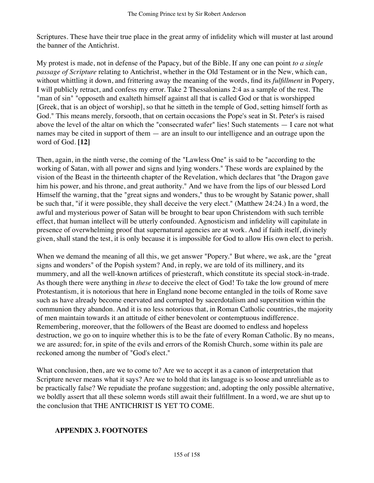Scriptures. These have their true place in the great army of infidelity which will muster at last around the banner of the Antichrist.

My protest is made, not in defense of the Papacy, but of the Bible. If any one can point *to a single passage of Scripture* relating to Antichrist, whether in the Old Testament or in the New, which can, without whittling it down, and frittering away the meaning of the words, find its *fulfillment* in Popery, I will publicly retract, and confess my error. Take 2 Thessalonians 2:4 as a sample of the rest. The "man of sin" "opposeth and exalteth himself against all that is called God or that is worshipped [Greek, that is an object of worship], so that he sitteth in the temple of God, setting himself forth as God." This means merely, forsooth, that on certain occasions the Pope's seat in St. Peter's is raised above the level of the altar on which the "consecrated wafer" lies! Such statements — I care not what names may be cited in support of them — are an insult to our intelligence and an outrage upon the word of God. **[12]**

Then, again, in the ninth verse, the coming of the "Lawless One" is said to be "according to the working of Satan, with all power and signs and lying wonders." These words are explained by the vision of the Beast in the thirteenth chapter of the Revelation, which declares that "the Dragon gave him his power, and his throne, and great authority." And we have from the lips of our blessed Lord Himself the warning, that the "great signs and wonders," thus to be wrought by Satanic power, shall be such that, "if it were possible, they shall deceive the very elect." (Matthew 24:24.) In a word, the awful and mysterious power of Satan will be brought to bear upon Christendom with such terrible effect, that human intellect will be utterly confounded. Agnosticism and infidelity will capitulate in presence of overwhelming proof that supernatural agencies are at work. And if faith itself, divinely given, shall stand the test, it is only because it is impossible for God to allow His own elect to perish.

When we demand the meaning of all this, we get answer "Popery." But where, we ask, are the "great signs and wonders" of the Popish system? And, in reply, we are told of its millinery, and its mummery, and all the well-known artifices of priestcraft, which constitute its special stock-in-trade. As though there were anything in *these* to deceive the elect of God! To take the low ground of mere Protestantism, it is notorious that here in England none become entangled in the toils of Rome save such as have already become enervated and corrupted by sacerdotalism and superstition within the communion they abandon. And it is no less notorious that, in Roman Catholic countries, the majority of men maintain towards it an attitude of either benevolent or contemptuous indifference. Remembering, moreover, that the followers of the Beast are doomed to endless and hopeless destruction, we go on to inquire whether this is to be the fate of every Roman Catholic. By no means, we are assured; for, in spite of the evils and errors of the Romish Church, some within its pale are reckoned among the number of "God's elect."

What conclusion, then, are we to come to? Are we to accept it as a canon of interpretation that Scripture never means what it says? Are we to hold that its language is so loose and unreliable as to be practically false? We repudiate the profane suggestion; and, adopting the only possible alternative, we boldly assert that all these solemn words still await their fulfillment. In a word, we are shut up to the conclusion that THE ANTICHRIST IS YET TO COME.

## **APPENDIX 3. FOOTNOTES**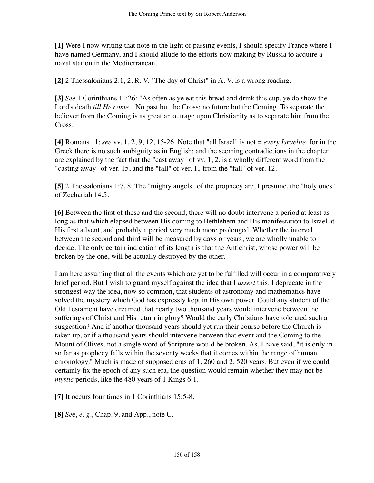**[1]** Were I now writing that note in the light of passing events, I should specify France where I have named Germany, and I should allude to the efforts now making by Russia to acquire a naval station in the Mediterranean.

**[2]** 2 Thessalonians 2:1, 2, R. V. "The day of Christ" in A. V. is a wrong reading.

**[3]** *See* 1 Corinthians 11:26: "As often as ye eat this bread and drink this cup, ye do show the Lord's death *till He come."* No past but the Cross; no future but the Coming. To separate the believer from the Coming is as great an outrage upon Christianity as to separate him from the Cross.

**[4]** Romans 11; *see* vv. 1, 2, 9, 12, 15-26. Note that "all Israel" is not = *every Israelite,* for in the Greek there is no such ambiguity as in English; and the seeming contradictions in the chapter are explained by the fact that the "cast away" of vv. 1, 2, is a wholly different word from the "casting away" of ver. 15, and the "fall" of ver. 11 from the "fall" of ver. 12.

**[5]** 2 Thessalonians 1:7, 8. The "mighty angels" of the prophecy are, I presume, the "holy ones" of Zechariah 14:5.

**[6]** Between the first of these and the second, there will no doubt intervene a period at least as long as that which elapsed between His coming to Bethlehem and His manifestation to Israel at His first advent, and probably a period very much more prolonged. Whether the interval between the second and third will be measured by days or years, we are wholly unable to decide. The only certain indication of its length is that the Antichrist, whose power will be broken by the one, will be actually destroyed by the other.

I am here assuming that all the events which are yet to be fulfilled will occur in a comparatively brief period. But I wish to guard myself against the idea that I *assert* this. I deprecate in the strongest way the idea, now so common, that students of astronomy and mathematics have solved the mystery which God has expressly kept in His own power. Could any student of the Old Testament have dreamed that nearly two thousand years would intervene between the sufferings of Christ and His return in glory? Would the early Christians have tolerated such a suggestion? And if another thousand years should yet run their course before the Church is taken up, or if a thousand years should intervene between that event and the Coming to the Mount of Olives, not a single word of Scripture would be broken. As, I have said, "it is only in so far as prophecy falls within the seventy weeks that it comes within the range of human chronology." Much is made of supposed eras of 1, 260 and 2, 520 years. But even if we could certainly fix the epoch of any such era, the question would remain whether they may not be *mystic* periods, like the 480 years of 1 Kings 6:1.

**[7]** It occurs four times in 1 Corinthians 15:5-8.

**[8]** *Se*e, *e. g.,* Chap. 9. and App., note C.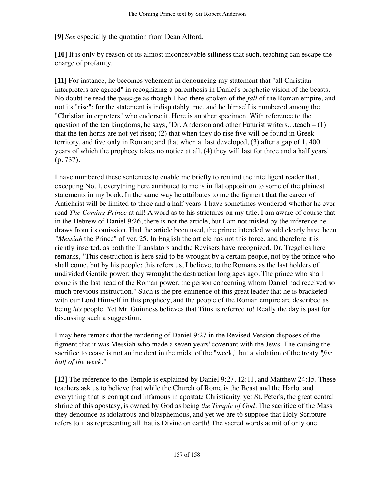**[9]** *See* especially the quotation from Dean Alford.

**[10]** It is only by reason of its almost inconceivable silliness that such. teaching can escape the charge of profanity.

**[11]** For instance, he becomes vehement in denouncing my statement that "all Christian interpreters are agreed" in recognizing a parenthesis in Daniel's prophetic vision of the beasts. No doubt he read the passage as though I had there spoken of the *fall* of the Roman empire, and not its "rise"; for the statement is indisputably true, and he himself is numbered among the "Christian interpreters" who endorse it. Here is another specimen. With reference to the question of the ten kingdoms, he says, "Dr. Anderson and other Futurist writers...teach  $- (1)$ that the ten horns are not yet risen; (2) that when they do rise five will be found in Greek territory, and five only in Roman; and that when at last developed, (3) after a gap of 1, 400 years of which the prophecy takes no notice at all, (4) they will last for three and a half years" (p. 737).

I have numbered these sentences to enable me briefly to remind the intelligent reader that, excepting No. I, everything here attributed to me is in flat opposition to some of the plainest statements in my book. In the same way he attributes to me the figment that the career of Antichrist will be limited to three and a half years. I have sometimes wondered whether he ever read *The Coming Prince* at all! A word as to his strictures on my title. I am aware of course that in the Hebrew of Daniel 9:26, there is not the article, but I am not misled by the inference he draws from its omission. Had the article been used, the prince intended would clearly have been *"Messiah* the Prince" of ver. 25. In English the article has not this force, and therefore it is rightly inserted, as both the Translators and the Revisers have recognized. Dr. Tregelles here remarks, "This destruction is here said to be wrought by a certain people, not by the prince who shall come, but by his people: this refers us, I believe, to the Romans as the last holders of undivided Gentile power; they wrought the destruction long ages ago. The prince who shall come is the last head of the Roman power, the person concerning whom Daniel had received so much previous instruction." Such is the pre-eminence of this great leader that he is bracketed with our Lord Himself in this prophecy, and the people of the Roman empire are described as being *his* people. Yet Mr. Guinness believes that Titus is referred to! Really the day is past for discussing such a suggestion.

I may here remark that the rendering of Daniel 9:27 in the Revised Version disposes of the figment that it was Messiah who made a seven years' covenant with the Jews. The causing the sacrifice to cease is not an incident in the midst of the "week," but a violation of the treaty *"for half of the week."*

**[12]** The reference to the Temple is explained by Daniel 9:27, 12:11, and Matthew 24:15. These teachers ask us to believe that while the Church of Rome is the Beast and the Harlot and everything that is corrupt and infamous in apostate Christianity, yet St. Peter's, the great central shrine of this apostasy, is owned by God as being *the Temple of God.* The sacrifice of the Mass they denounce as idolatrous and blasphemous, and yet we are t6 suppose that Holy Scripture refers to it as representing all that is Divine on earth! The sacred words admit of only one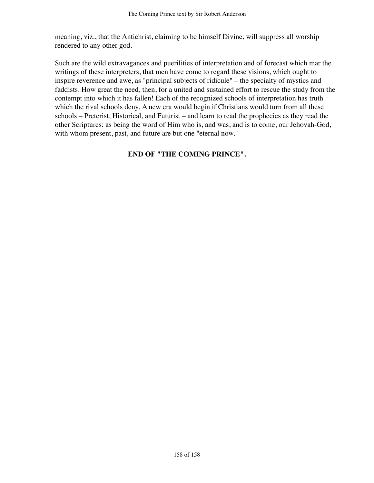meaning, viz., that the Antichrist, claiming to be himself Divine, will suppress all worship rendered to any other god.

Such are the wild extravagances and puerilities of interpretation and of forecast which mar the writings of these interpreters, that men have come to regard these visions, which ought to inspire reverence and awe, as "principal subjects of ridicule" – the specialty of mystics and faddists. How great the need, then, for a united and sustained effort to rescue the study from the contempt into which it has fallen! Each of the recognized schools of interpretation has truth which the rival schools deny. A new era would begin if Christians would turn from all these schools – Preterist, Historical, and Futurist – and learn to read the prophecies as they read the other Scriptures: as being the word of Him who is, and was, and is to come, our Jehovah-God, with whom present, past, and future are but one "eternal now."

## **. END OF "THE COMING PRINCE".**